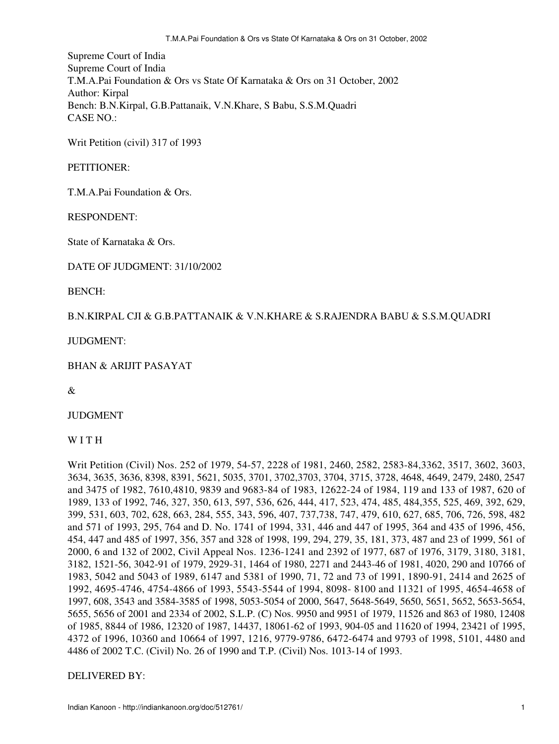Supreme Court of India Supreme Court of India T.M.A.Pai Foundation & Ors vs State Of Karnataka & Ors on 31 October, 2002 Author: Kirpal Bench: B.N.Kirpal, G.B.Pattanaik, V.N.Khare, S Babu, S.S.M.Quadri CASE NO.:

Writ Petition (civil) 317 of 1993

### PETITIONER:

T.M.A.Pai Foundation & Ors.

RESPONDENT:

State of Karnataka & Ors.

DATE OF JUDGMENT: 31/10/2002

BENCH:

### B.N.KIRPAL CJI & G.B.PATTANAIK & V.N.KHARE & S.RAJENDRA BABU & S.S.M.QUADRI

JUDGMENT:

BHAN & ARIJIT PASAYAT

&

JUDGMENT

W I T H

Writ Petition (Civil) Nos. 252 of 1979, 54-57, 2228 of 1981, 2460, 2582, 2583-84,3362, 3517, 3602, 3603, 3634, 3635, 3636, 8398, 8391, 5621, 5035, 3701, 3702,3703, 3704, 3715, 3728, 4648, 4649, 2479, 2480, 2547 and 3475 of 1982, 7610,4810, 9839 and 9683-84 of 1983, 12622-24 of 1984, 119 and 133 of 1987, 620 of 1989, 133 of 1992, 746, 327, 350, 613, 597, 536, 626, 444, 417, 523, 474, 485, 484,355, 525, 469, 392, 629, 399, 531, 603, 702, 628, 663, 284, 555, 343, 596, 407, 737,738, 747, 479, 610, 627, 685, 706, 726, 598, 482 and 571 of 1993, 295, 764 and D. No. 1741 of 1994, 331, 446 and 447 of 1995, 364 and 435 of 1996, 456, 454, 447 and 485 of 1997, 356, 357 and 328 of 1998, 199, 294, 279, 35, 181, 373, 487 and 23 of 1999, 561 of 2000, 6 and 132 of 2002, Civil Appeal Nos. 1236-1241 and 2392 of 1977, 687 of 1976, 3179, 3180, 3181, 3182, 1521-56, 3042-91 of 1979, 2929-31, 1464 of 1980, 2271 and 2443-46 of 1981, 4020, 290 and 10766 of 1983, 5042 and 5043 of 1989, 6147 and 5381 of 1990, 71, 72 and 73 of 1991, 1890-91, 2414 and 2625 of 1992, 4695-4746, 4754-4866 of 1993, 5543-5544 of 1994, 8098- 8100 and 11321 of 1995, 4654-4658 of 1997, 608, 3543 and 3584-3585 of 1998, 5053-5054 of 2000, 5647, 5648-5649, 5650, 5651, 5652, 5653-5654, 5655, 5656 of 2001 and 2334 of 2002, S.L.P. (C) Nos. 9950 and 9951 of 1979, 11526 and 863 of 1980, 12408 of 1985, 8844 of 1986, 12320 of 1987, 14437, 18061-62 of 1993, 904-05 and 11620 of 1994, 23421 of 1995, 4372 of 1996, 10360 and 10664 of 1997, 1216, 9779-9786, 6472-6474 and 9793 of 1998, 5101, 4480 and 4486 of 2002 T.C. (Civil) No. 26 of 1990 and T.P. (Civil) Nos. 1013-14 of 1993.

### DELIVERED BY: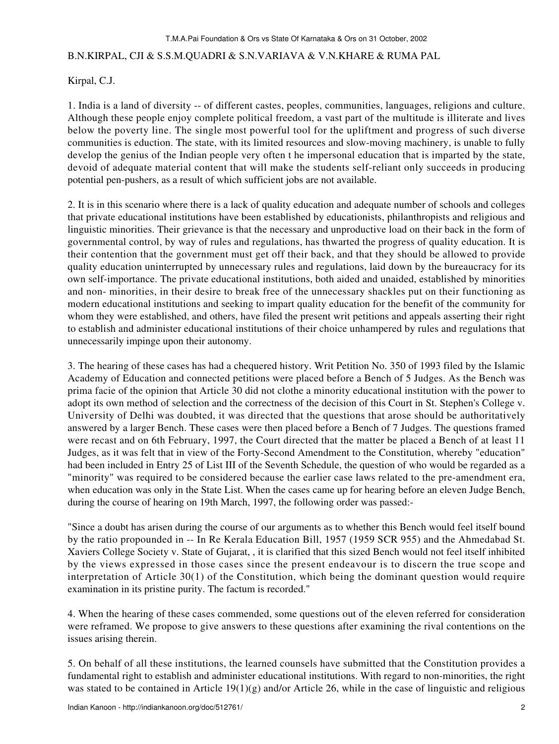## B.N.KIRPAL, CJI & S.S.M.QUADRI & S.N.VARIAVA & V.N.KHARE & RUMA PAL

Kirpal, C.J.

1. India is a land of diversity -- of different castes, peoples, communities, languages, religions and culture. Although these people enjoy complete political freedom, a vast part of the multitude is illiterate and lives below the poverty line. The single most powerful tool for the upliftment and progress of such diverse communities is eduction. The state, with its limited resources and slow-moving machinery, is unable to fully develop the genius of the Indian people very often t he impersonal education that is imparted by the state, devoid of adequate material content that will make the students self-reliant only succeeds in producing potential pen-pushers, as a result of which sufficient jobs are not available.

2. It is in this scenario where there is a lack of quality education and adequate number of schools and colleges that private educational institutions have been established by educationists, philanthropists and religious and linguistic minorities. Their grievance is that the necessary and unproductive load on their back in the form of governmental control, by way of rules and regulations, has thwarted the progress of quality education. It is their contention that the government must get off their back, and that they should be allowed to provide quality education uninterrupted by unnecessary rules and regulations, laid down by the bureaucracy for its own self-importance. The private educational institutions, both aided and unaided, established by minorities and non- minorities, in their desire to break free of the unnecessary shackles put on their functioning as modern educational institutions and seeking to impart quality education for the benefit of the community for whom they were established, and others, have filed the present writ petitions and appeals asserting their right to establish and administer educational institutions of their choice unhampered by rules and regulations that unnecessarily impinge upon their autonomy.

3. The hearing of these cases has had a chequered history. Writ Petition No. 350 of 1993 filed by the Islamic Academy of Education and connected petitions were placed before a Bench of 5 Judges. As the Bench was prima facie of the opinion that Article 30 did not clothe a minority educational institution with the power to adopt its own method of selection and the correctness of the decision of this Court in St. Stephen's College v. University of Delhi was doubted, it was directed that the questions that arose should be authoritatively answered by a larger Bench. These cases were then placed before a Bench of 7 Judges. The questions framed were recast and on 6th February, 1997, the Court directed that the matter be placed a Bench of at least 11 Judges, as it was felt that in view of the Forty-Second Amendment to the Constitution, whereby "education" had been included in Entry 25 of List III of the Seventh Schedule, the question of who would be regarded as a "minority" was required to be considered because the earlier case laws related to the pre-amendment era, when education was only in the State List. When the cases came up for hearing before an eleven Judge Bench, during the course of hearing on 19th March, 1997, the following order was passed:-

"Since a doubt has arisen during the course of our arguments as to whether this Bench would feel itself bound by the ratio propounded in -- In Re Kerala Education Bill, 1957 (1959 SCR 955) and the Ahmedabad St. Xaviers College Society v. State of Gujarat, , it is clarified that this sized Bench would not feel itself inhibited by the views expressed in those cases since the present endeavour is to discern the true scope and interpretation of Article 30(1) of the Constitution, which being the dominant question would require examination in its pristine purity. The factum is recorded."

4. When the hearing of these cases commended, some questions out of the eleven referred for consideration were reframed. We propose to give answers to these questions after examining the rival contentions on the issues arising therein.

5. On behalf of all these institutions, the learned counsels have submitted that the Constitution provides a fundamental right to establish and administer educational institutions. With regard to non-minorities, the right was stated to be contained in Article  $19(1)(g)$  and/or Article 26, while in the case of linguistic and religious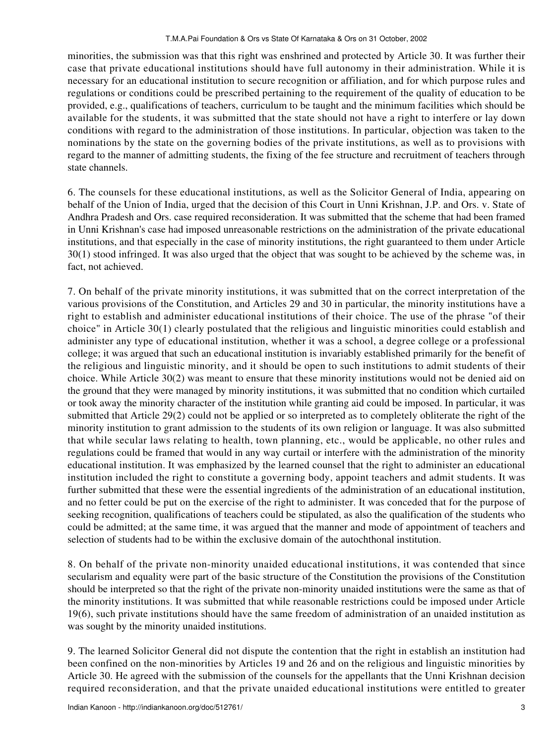minorities, the submission was that this right was enshrined and protected by Article 30. It was further their case that private educational institutions should have full autonomy in their administration. While it is necessary for an educational institution to secure recognition or affiliation, and for which purpose rules and regulations or conditions could be prescribed pertaining to the requirement of the quality of education to be provided, e.g., qualifications of teachers, curriculum to be taught and the minimum facilities which should be available for the students, it was submitted that the state should not have a right to interfere or lay down conditions with regard to the administration of those institutions. In particular, objection was taken to the nominations by the state on the governing bodies of the private institutions, as well as to provisions with regard to the manner of admitting students, the fixing of the fee structure and recruitment of teachers through state channels.

6. The counsels for these educational institutions, as well as the Solicitor General of India, appearing on behalf of the Union of India, urged that the decision of this Court in Unni Krishnan, J.P. and Ors. v. State of Andhra Pradesh and Ors. case required reconsideration. It was submitted that the scheme that had been framed in Unni Krishnan's case had imposed unreasonable restrictions on the administration of the private educational institutions, and that especially in the case of minority institutions, the right guaranteed to them under Article 30(1) stood infringed. It was also urged that the object that was sought to be achieved by the scheme was, in fact, not achieved.

7. On behalf of the private minority institutions, it was submitted that on the correct interpretation of the various provisions of the Constitution, and Articles 29 and 30 in particular, the minority institutions have a right to establish and administer educational institutions of their choice. The use of the phrase "of their choice" in Article 30(1) clearly postulated that the religious and linguistic minorities could establish and administer any type of educational institution, whether it was a school, a degree college or a professional college; it was argued that such an educational institution is invariably established primarily for the benefit of the religious and linguistic minority, and it should be open to such institutions to admit students of their choice. While Article 30(2) was meant to ensure that these minority institutions would not be denied aid on the ground that they were managed by minority institutions, it was submitted that no condition which curtailed or took away the minority character of the institution while granting aid could be imposed. In particular, it was submitted that Article 29(2) could not be applied or so interpreted as to completely obliterate the right of the minority institution to grant admission to the students of its own religion or language. It was also submitted that while secular laws relating to health, town planning, etc., would be applicable, no other rules and regulations could be framed that would in any way curtail or interfere with the administration of the minority educational institution. It was emphasized by the learned counsel that the right to administer an educational institution included the right to constitute a governing body, appoint teachers and admit students. It was further submitted that these were the essential ingredients of the administration of an educational institution, and no fetter could be put on the exercise of the right to administer. It was conceded that for the purpose of seeking recognition, qualifications of teachers could be stipulated, as also the qualification of the students who could be admitted; at the same time, it was argued that the manner and mode of appointment of teachers and selection of students had to be within the exclusive domain of the autochthonal institution.

8. On behalf of the private non-minority unaided educational institutions, it was contended that since secularism and equality were part of the basic structure of the Constitution the provisions of the Constitution should be interpreted so that the right of the private non-minority unaided institutions were the same as that of the minority institutions. It was submitted that while reasonable restrictions could be imposed under Article 19(6), such private institutions should have the same freedom of administration of an unaided institution as was sought by the minority unaided institutions.

9. The learned Solicitor General did not dispute the contention that the right in establish an institution had been confined on the non-minorities by Articles 19 and 26 and on the religious and linguistic minorities by Article 30. He agreed with the submission of the counsels for the appellants that the Unni Krishnan decision required reconsideration, and that the private unaided educational institutions were entitled to greater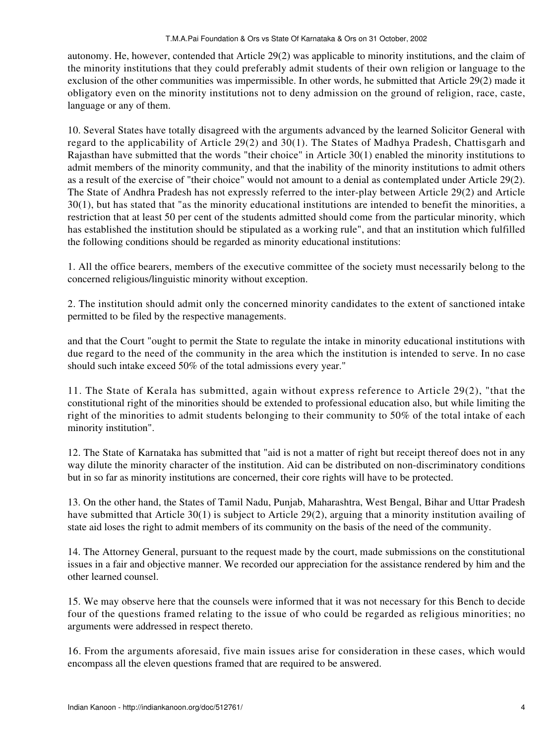#### T.M.A.Pai Foundation & Ors vs State Of Karnataka & Ors on 31 October, 2002

autonomy. He, however, contended that Article 29(2) was applicable to minority institutions, and the claim of the minority institutions that they could preferably admit students of their own religion or language to the exclusion of the other communities was impermissible. In other words, he submitted that Article 29(2) made it obligatory even on the minority institutions not to deny admission on the ground of religion, race, caste, language or any of them.

10. Several States have totally disagreed with the arguments advanced by the learned Solicitor General with regard to the applicability of Article 29(2) and 30(1). The States of Madhya Pradesh, Chattisgarh and Rajasthan have submitted that the words "their choice" in Article 30(1) enabled the minority institutions to admit members of the minority community, and that the inability of the minority institutions to admit others as a result of the exercise of "their choice" would not amount to a denial as contemplated under Article 29(2). The State of Andhra Pradesh has not expressly referred to the inter-play between Article 29(2) and Article 30(1), but has stated that "as the minority educational institutions are intended to benefit the minorities, a restriction that at least 50 per cent of the students admitted should come from the particular minority, which has established the institution should be stipulated as a working rule", and that an institution which fulfilled the following conditions should be regarded as minority educational institutions:

1. All the office bearers, members of the executive committee of the society must necessarily belong to the concerned religious/linguistic minority without exception.

2. The institution should admit only the concerned minority candidates to the extent of sanctioned intake permitted to be filed by the respective managements.

and that the Court "ought to permit the State to regulate the intake in minority educational institutions with due regard to the need of the community in the area which the institution is intended to serve. In no case should such intake exceed 50% of the total admissions every year."

11. The State of Kerala has submitted, again without express reference to Article 29(2), "that the constitutional right of the minorities should be extended to professional education also, but while limiting the right of the minorities to admit students belonging to their community to 50% of the total intake of each minority institution".

12. The State of Karnataka has submitted that "aid is not a matter of right but receipt thereof does not in any way dilute the minority character of the institution. Aid can be distributed on non-discriminatory conditions but in so far as minority institutions are concerned, their core rights will have to be protected.

13. On the other hand, the States of Tamil Nadu, Punjab, Maharashtra, West Bengal, Bihar and Uttar Pradesh have submitted that Article 30(1) is subject to Article 29(2), arguing that a minority institution availing of state aid loses the right to admit members of its community on the basis of the need of the community.

14. The Attorney General, pursuant to the request made by the court, made submissions on the constitutional issues in a fair and objective manner. We recorded our appreciation for the assistance rendered by him and the other learned counsel.

15. We may observe here that the counsels were informed that it was not necessary for this Bench to decide four of the questions framed relating to the issue of who could be regarded as religious minorities; no arguments were addressed in respect thereto.

16. From the arguments aforesaid, five main issues arise for consideration in these cases, which would encompass all the eleven questions framed that are required to be answered.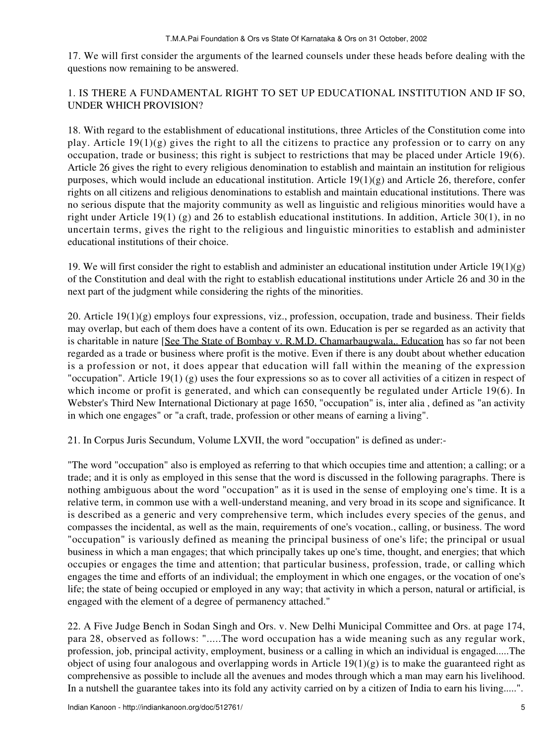17. We will first consider the arguments of the learned counsels under these heads before dealing with the questions now remaining to be answered.

# 1. IS THERE A FUNDAMENTAL RIGHT TO SET UP EDUCATIONAL INSTITUTION AND IF SO, UNDER WHICH PROVISION?

18. With regard to the establishment of educational institutions, three Articles of the Constitution come into play. Article 19(1)(g) gives the right to all the citizens to practice any profession or to carry on any occupation, trade or business; this right is subject to restrictions that may be placed under Article 19(6). Article 26 gives the right to every religious denomination to establish and maintain an institution for religious purposes, which would include an educational institution. Article 19(1)(g) and Article 26, therefore, confer rights on all citizens and religious denominations to establish and maintain educational institutions. There was no serious dispute that the majority community as well as linguistic and religious minorities would have a right under Article 19(1) (g) and 26 to establish educational institutions. In addition, Article 30(1), in no uncertain terms, gives the right to the religious and linguistic minorities to establish and administer educational institutions of their choice.

19. We will first consider the right to establish and administer an educational institution under Article  $19(1)(g)$ of the Constitution and deal with the right to establish educational institutions under Article 26 and 30 in the next part of the judgment while considering the rights of the minorities.

20. Article 19(1)(g) employs four expressions, viz., profession, occupation, trade and business. Their fields may overlap, but each of them does have a content of its own. Education is per se regarded as an activity that is charitable in nature [See The State of Bombay v. R.M.D. Chamarbaugwala,. Education has so far not been regarded as a trade or business where profit is the motive. Even if there is any doubt about whether education is a profession or not, it does appear that education will fall within the meaning of the expression "occupation". Article 19(1) (g) uses the four expressions so as to cover all activities of a citizen in respect of which income or profit is generated, and which can consequently be regulated under Article 19(6). In Webster's Third New International Dictionary at page 1650, "occupation" is, inter alia , defined as "an activity in which one engages" or "a craft, trade, profession or other means of earning a living".

21. In Corpus Juris Secundum, Volume LXVII, the word "occupation" is defined as under:-

"The word "occupation" also is employed as referring to that which occupies time and attention; a calling; or a trade; and it is only as employed in this sense that the word is discussed in the following paragraphs. There is nothing ambiguous about the word "occupation" as it is used in the sense of employing one's time. It is a relative term, in common use with a well-understand meaning, and very broad in its scope and significance. It is described as a generic and very comprehensive term, which includes every species of the genus, and compasses the incidental, as well as the main, requirements of one's vocation., calling, or business. The word "occupation" is variously defined as meaning the principal business of one's life; the principal or usual business in which a man engages; that which principally takes up one's time, thought, and energies; that which occupies or engages the time and attention; that particular business, profession, trade, or calling which engages the time and efforts of an individual; the employment in which one engages, or the vocation of one's life; the state of being occupied or employed in any way; that activity in which a person, natural or artificial, is engaged with the element of a degree of permanency attached."

22. A Five Judge Bench in Sodan Singh and Ors. v. New Delhi Municipal Committee and Ors. at page 174, para 28, observed as follows: ".....The word occupation has a wide meaning such as any regular work, profession, job, principal activity, employment, business or a calling in which an individual is engaged.....The object of using four analogous and overlapping words in Article  $19(1)(g)$  is to make the guaranteed right as comprehensive as possible to include all the avenues and modes through which a man may earn his livelihood. In a nutshell the guarantee takes into its fold any activity carried on by a citizen of India to earn his living.....".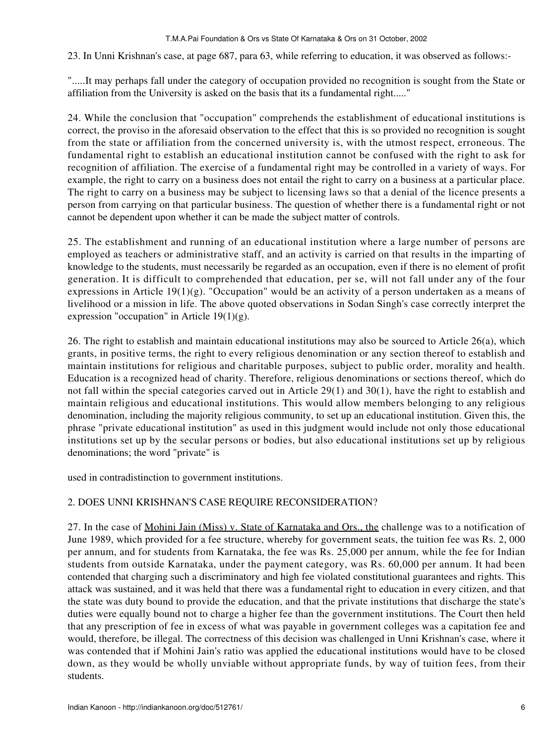23. In Unni Krishnan's case, at page 687, para 63, while referring to education, it was observed as follows:-

".....It may perhaps fall under the category of occupation provided no recognition is sought from the State or affiliation from the University is asked on the basis that its a fundamental right....."

24. While the conclusion that "occupation" comprehends the establishment of educational institutions is correct, the proviso in the aforesaid observation to the effect that this is so provided no recognition is sought from the state or affiliation from the concerned university is, with the utmost respect, erroneous. The fundamental right to establish an educational institution cannot be confused with the right to ask for recognition of affiliation. The exercise of a fundamental right may be controlled in a variety of ways. For example, the right to carry on a business does not entail the right to carry on a business at a particular place. The right to carry on a business may be subject to licensing laws so that a denial of the licence presents a person from carrying on that particular business. The question of whether there is a fundamental right or not cannot be dependent upon whether it can be made the subject matter of controls.

25. The establishment and running of an educational institution where a large number of persons are employed as teachers or administrative staff, and an activity is carried on that results in the imparting of knowledge to the students, must necessarily be regarded as an occupation, even if there is no element of profit generation. It is difficult to comprehended that education, per se, will not fall under any of the four expressions in Article 19(1)(g). "Occupation" would be an activity of a person undertaken as a means of livelihood or a mission in life. The above quoted observations in Sodan Singh's case correctly interpret the expression "occupation" in Article 19(1)(g).

26. The right to establish and maintain educational institutions may also be sourced to Article 26(a), which grants, in positive terms, the right to every religious denomination or any section thereof to establish and maintain institutions for religious and charitable purposes, subject to public order, morality and health. Education is a recognized head of charity. Therefore, religious denominations or sections thereof, which do not fall within the special categories carved out in Article 29(1) and 30(1), have the right to establish and maintain religious and educational institutions. This would allow members belonging to any religious denomination, including the majority religious community, to set up an educational institution. Given this, the phrase "private educational institution" as used in this judgment would include not only those educational institutions set up by the secular persons or bodies, but also educational institutions set up by religious denominations; the word "private" is

used in contradistinction to government institutions.

# 2. DOES UNNI KRISHNAN'S CASE REQUIRE RECONSIDERATION?

27. In the case of Mohini Jain (Miss) v. State of Karnataka and Ors., the challenge was to a notification of June 1989, which provided for a fee structure, whereby for government seats, the tuition fee was Rs. 2, 000 per annum, and for students from Karnataka, the fee was Rs. 25,000 per annum, while the fee for Indian students from outside Karnataka, under the payment category, was Rs. 60,000 per annum. It had been contended that charging such a discriminatory and high fee violated constitutional guarantees and rights. This attack was sustained, and it was held that there was a fundamental right to education in every citizen, and that the state was duty bound to provide the education, and that the private institutions that discharge the state's duties were equally bound not to charge a higher fee than the government institutions. The Court then held that any prescription of fee in excess of what was payable in government colleges was a capitation fee and would, therefore, be illegal. The correctness of this decision was challenged in Unni Krishnan's case, where it was contended that if Mohini Jain's ratio was applied the educational institutions would have to be closed down, as they would be wholly unviable without appropriate funds, by way of tuition fees, from their students.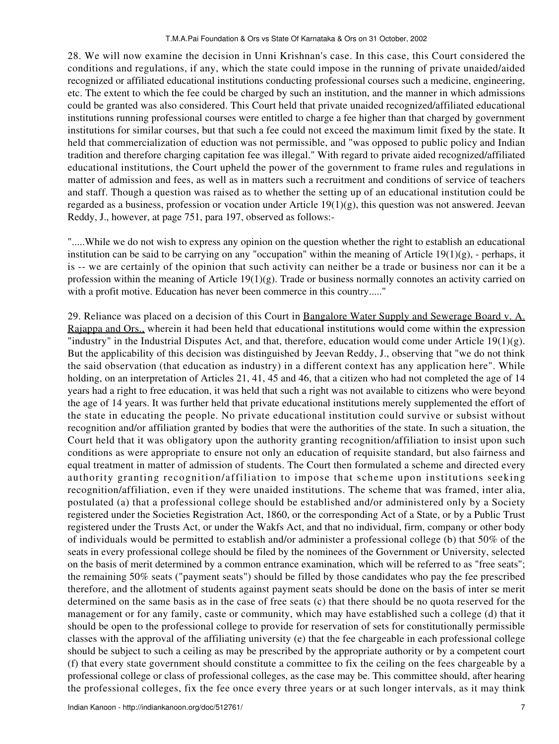28. We will now examine the decision in Unni Krishnan's case. In this case, this Court considered the conditions and regulations, if any, which the state could impose in the running of private unaided/aided recognized or affiliated educational institutions conducting professional courses such a medicine, engineering, etc. The extent to which the fee could be charged by such an institution, and the manner in which admissions could be granted was also considered. This Court held that private unaided recognized/affiliated educational institutions running professional courses were entitled to charge a fee higher than that charged by government institutions for similar courses, but that such a fee could not exceed the maximum limit fixed by the state. It held that commercialization of eduction was not permissible, and "was opposed to public policy and Indian tradition and therefore charging capitation fee was illegal." With regard to private aided recognized/affiliated educational institutions, the Court upheld the power of the government to frame rules and regulations in matter of admission and fees, as well as in matters such a recruitment and conditions of service of teachers and staff. Though a question was raised as to whether the setting up of an educational institution could be regarded as a business, profession or vocation under Article  $19(1)(g)$ , this question was not answered. Jeevan Reddy, J., however, at page 751, para 197, observed as follows:-

".....While we do not wish to express any opinion on the question whether the right to establish an educational institution can be said to be carrying on any "occupation" within the meaning of Article  $19(1)(g)$ , - perhaps, it is -- we are certainly of the opinion that such activity can neither be a trade or business nor can it be a profession within the meaning of Article 19(1)(g). Trade or business normally connotes an activity carried on with a profit motive. Education has never been commerce in this country....."

29. Reliance was placed on a decision of this Court in Bangalore Water Supply and Sewerage Board v. A. Rajappa and Ors., wherein it had been held that educational institutions would come within the expression "industry" in the Industrial Disputes Act, and that, therefore, education would come under Article 19(1)(g). But the applicability of this decision was distinguished by Jeevan Reddy, J., observing that "we do not think the said observation (that education as industry) in a different context has any application here". While holding, on an interpretation of Articles 21, 41, 45 and 46, that a citizen who had not completed the age of 14 years had a right to free education, it was held that such a right was not available to citizens who were beyond the age of 14 years. It was further held that private educational institutions merely supplemented the effort of the state in educating the people. No private educational institution could survive or subsist without recognition and/or affiliation granted by bodies that were the authorities of the state. In such a situation, the Court held that it was obligatory upon the authority granting recognition/affiliation to insist upon such conditions as were appropriate to ensure not only an education of requisite standard, but also fairness and equal treatment in matter of admission of students. The Court then formulated a scheme and directed every authority granting recognition/affiliation to impose that scheme upon institutions seeking recognition/affiliation, even if they were unaided institutions. The scheme that was framed, inter alia, postulated (a) that a professional college should be established and/or administered only by a Society registered under the Societies Registration Act, 1860, or the corresponding Act of a State, or by a Public Trust registered under the Trusts Act, or under the Wakfs Act, and that no individual, firm, company or other body of individuals would be permitted to establish and/or administer a professional college (b) that 50% of the seats in every professional college should be filed by the nominees of the Government or University, selected on the basis of merit determined by a common entrance examination, which will be referred to as "free seats"; the remaining 50% seats ("payment seats") should be filled by those candidates who pay the fee prescribed therefore, and the allotment of students against payment seats should be done on the basis of inter se merit determined on the same basis as in the case of free seats (c) that there should be no quota reserved for the management or for any family, caste or community, which may have established such a college (d) that it should be open to the professional college to provide for reservation of sets for constitutionally permissible classes with the approval of the affiliating university (e) that the fee chargeable in each professional college should be subject to such a ceiling as may be prescribed by the appropriate authority or by a competent court (f) that every state government should constitute a committee to fix the ceiling on the fees chargeable by a professional college or class of professional colleges, as the case may be. This committee should, after hearing the professional colleges, fix the fee once every three years or at such longer intervals, as it may think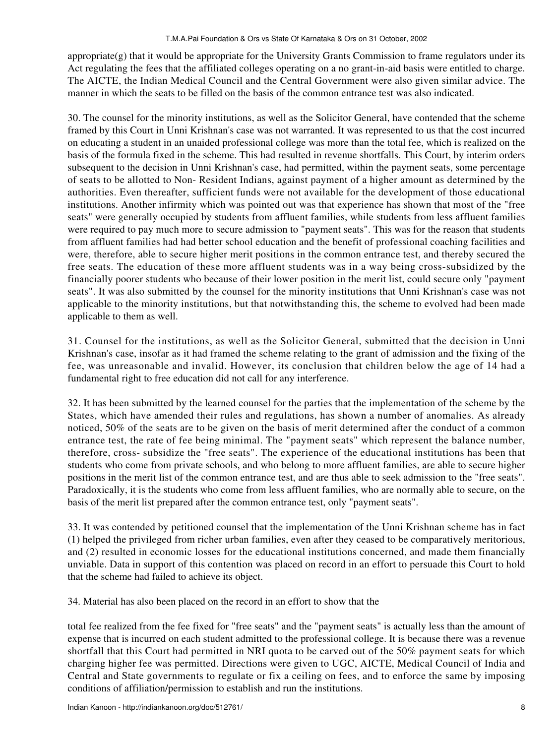appropriate $(g)$  that it would be appropriate for the University Grants Commission to frame regulators under its Act regulating the fees that the affiliated colleges operating on a no grant-in-aid basis were entitled to charge. The AICTE, the Indian Medical Council and the Central Government were also given similar advice. The manner in which the seats to be filled on the basis of the common entrance test was also indicated.

30. The counsel for the minority institutions, as well as the Solicitor General, have contended that the scheme framed by this Court in Unni Krishnan's case was not warranted. It was represented to us that the cost incurred on educating a student in an unaided professional college was more than the total fee, which is realized on the basis of the formula fixed in the scheme. This had resulted in revenue shortfalls. This Court, by interim orders subsequent to the decision in Unni Krishnan's case, had permitted, within the payment seats, some percentage of seats to be allotted to Non- Resident Indians, against payment of a higher amount as determined by the authorities. Even thereafter, sufficient funds were not available for the development of those educational institutions. Another infirmity which was pointed out was that experience has shown that most of the "free seats" were generally occupied by students from affluent families, while students from less affluent families were required to pay much more to secure admission to "payment seats". This was for the reason that students from affluent families had had better school education and the benefit of professional coaching facilities and were, therefore, able to secure higher merit positions in the common entrance test, and thereby secured the free seats. The education of these more affluent students was in a way being cross-subsidized by the financially poorer students who because of their lower position in the merit list, could secure only "payment seats". It was also submitted by the counsel for the minority institutions that Unni Krishnan's case was not applicable to the minority institutions, but that notwithstanding this, the scheme to evolved had been made applicable to them as well.

31. Counsel for the institutions, as well as the Solicitor General, submitted that the decision in Unni Krishnan's case, insofar as it had framed the scheme relating to the grant of admission and the fixing of the fee, was unreasonable and invalid. However, its conclusion that children below the age of 14 had a fundamental right to free education did not call for any interference.

32. It has been submitted by the learned counsel for the parties that the implementation of the scheme by the States, which have amended their rules and regulations, has shown a number of anomalies. As already noticed, 50% of the seats are to be given on the basis of merit determined after the conduct of a common entrance test, the rate of fee being minimal. The "payment seats" which represent the balance number, therefore, cross- subsidize the "free seats". The experience of the educational institutions has been that students who come from private schools, and who belong to more affluent families, are able to secure higher positions in the merit list of the common entrance test, and are thus able to seek admission to the "free seats". Paradoxically, it is the students who come from less affluent families, who are normally able to secure, on the basis of the merit list prepared after the common entrance test, only "payment seats".

33. It was contended by petitioned counsel that the implementation of the Unni Krishnan scheme has in fact (1) helped the privileged from richer urban families, even after they ceased to be comparatively meritorious, and (2) resulted in economic losses for the educational institutions concerned, and made them financially unviable. Data in support of this contention was placed on record in an effort to persuade this Court to hold that the scheme had failed to achieve its object.

34. Material has also been placed on the record in an effort to show that the

total fee realized from the fee fixed for "free seats" and the "payment seats" is actually less than the amount of expense that is incurred on each student admitted to the professional college. It is because there was a revenue shortfall that this Court had permitted in NRI quota to be carved out of the 50% payment seats for which charging higher fee was permitted. Directions were given to UGC, AICTE, Medical Council of India and Central and State governments to regulate or fix a ceiling on fees, and to enforce the same by imposing conditions of affiliation/permission to establish and run the institutions.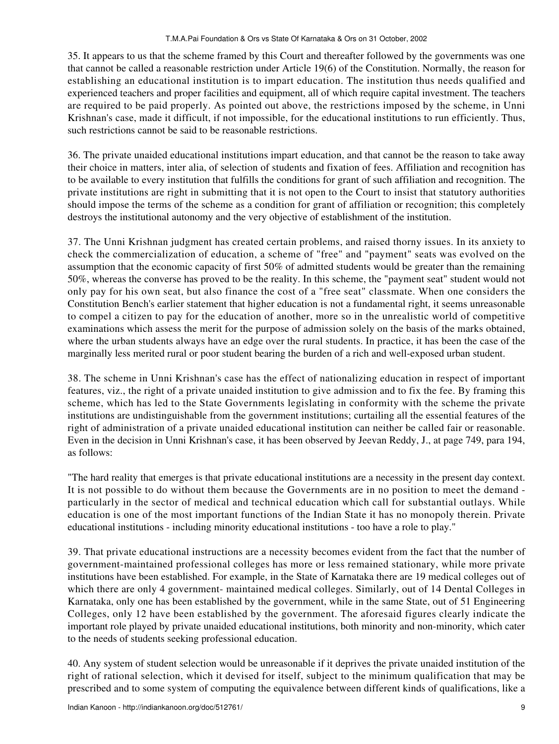35. It appears to us that the scheme framed by this Court and thereafter followed by the governments was one that cannot be called a reasonable restriction under Article 19(6) of the Constitution. Normally, the reason for establishing an educational institution is to impart education. The institution thus needs qualified and experienced teachers and proper facilities and equipment, all of which require capital investment. The teachers are required to be paid properly. As pointed out above, the restrictions imposed by the scheme, in Unni Krishnan's case, made it difficult, if not impossible, for the educational institutions to run efficiently. Thus, such restrictions cannot be said to be reasonable restrictions.

36. The private unaided educational institutions impart education, and that cannot be the reason to take away their choice in matters, inter alia, of selection of students and fixation of fees. Affiliation and recognition has to be available to every institution that fulfills the conditions for grant of such affiliation and recognition. The private institutions are right in submitting that it is not open to the Court to insist that statutory authorities should impose the terms of the scheme as a condition for grant of affiliation or recognition; this completely destroys the institutional autonomy and the very objective of establishment of the institution.

37. The Unni Krishnan judgment has created certain problems, and raised thorny issues. In its anxiety to check the commercialization of education, a scheme of "free" and "payment" seats was evolved on the assumption that the economic capacity of first 50% of admitted students would be greater than the remaining 50%, whereas the converse has proved to be the reality. In this scheme, the "payment seat" student would not only pay for his own seat, but also finance the cost of a "free seat" classmate. When one considers the Constitution Bench's earlier statement that higher education is not a fundamental right, it seems unreasonable to compel a citizen to pay for the education of another, more so in the unrealistic world of competitive examinations which assess the merit for the purpose of admission solely on the basis of the marks obtained, where the urban students always have an edge over the rural students. In practice, it has been the case of the marginally less merited rural or poor student bearing the burden of a rich and well-exposed urban student.

38. The scheme in Unni Krishnan's case has the effect of nationalizing education in respect of important features, viz., the right of a private unaided institution to give admission and to fix the fee. By framing this scheme, which has led to the State Governments legislating in conformity with the scheme the private institutions are undistinguishable from the government institutions; curtailing all the essential features of the right of administration of a private unaided educational institution can neither be called fair or reasonable. Even in the decision in Unni Krishnan's case, it has been observed by Jeevan Reddy, J., at page 749, para 194, as follows:

"The hard reality that emerges is that private educational institutions are a necessity in the present day context. It is not possible to do without them because the Governments are in no position to meet the demand particularly in the sector of medical and technical education which call for substantial outlays. While education is one of the most important functions of the Indian State it has no monopoly therein. Private educational institutions - including minority educational institutions - too have a role to play."

39. That private educational instructions are a necessity becomes evident from the fact that the number of government-maintained professional colleges has more or less remained stationary, while more private institutions have been established. For example, in the State of Karnataka there are 19 medical colleges out of which there are only 4 government- maintained medical colleges. Similarly, out of 14 Dental Colleges in Karnataka, only one has been established by the government, while in the same State, out of 51 Engineering Colleges, only 12 have been established by the government. The aforesaid figures clearly indicate the important role played by private unaided educational institutions, both minority and non-minority, which cater to the needs of students seeking professional education.

40. Any system of student selection would be unreasonable if it deprives the private unaided institution of the right of rational selection, which it devised for itself, subject to the minimum qualification that may be prescribed and to some system of computing the equivalence between different kinds of qualifications, like a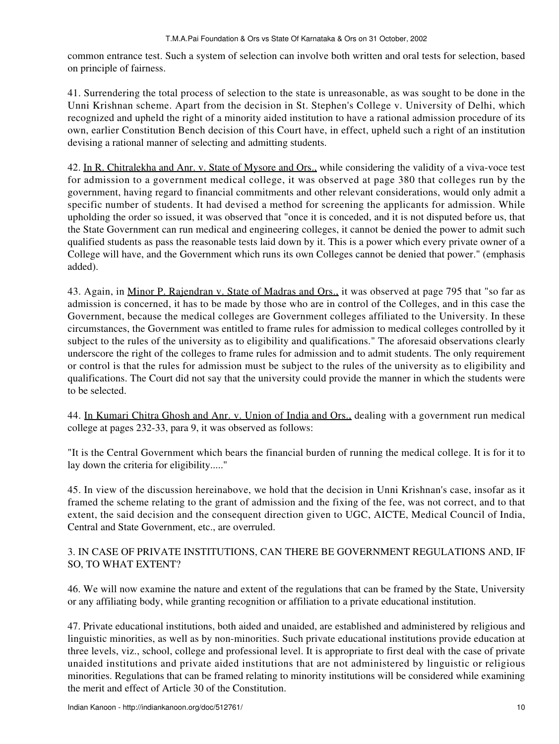common entrance test. Such a system of selection can involve both written and oral tests for selection, based on principle of fairness.

41. Surrendering the total process of selection to the state is unreasonable, as was sought to be done in the Unni Krishnan scheme. Apart from the decision in St. Stephen's College v. University of Delhi, which recognized and upheld the right of a minority aided institution to have a rational admission procedure of its own, earlier Constitution Bench decision of this Court have, in effect, upheld such a right of an institution devising a rational manner of selecting and admitting students.

42. In R. Chitralekha and Anr. v. State of Mysore and Ors., while considering the validity of a viva-voce test for admission to a government medical college, it was observed at page 380 that colleges run by the government, having regard to financial commitments and other relevant considerations, would only admit a specific number of students. It had devised a method for screening the applicants for admission. While upholding the order so issued, it was observed that "once it is conceded, and it is not disputed before us, that the State Government can run medical and engineering colleges, it cannot be denied the power to admit such qualified students as pass the reasonable tests laid down by it. This is a power which every private owner of a College will have, and the Government which runs its own Colleges cannot be denied that power." (emphasis added).

43. Again, in Minor P. Rajendran v. State of Madras and Ors., it was observed at page 795 that "so far as admission is concerned, it has to be made by those who are in control of the Colleges, and in this case the Government, because the medical colleges are Government colleges affiliated to the University. In these circumstances, the Government was entitled to frame rules for admission to medical colleges controlled by it subject to the rules of the university as to eligibility and qualifications." The aforesaid observations clearly underscore the right of the colleges to frame rules for admission and to admit students. The only requirement or control is that the rules for admission must be subject to the rules of the university as to eligibility and qualifications. The Court did not say that the university could provide the manner in which the students were to be selected.

44. In Kumari Chitra Ghosh and Anr. v. Union of India and Ors., dealing with a government run medical college at pages 232-33, para 9, it was observed as follows:

"It is the Central Government which bears the financial burden of running the medical college. It is for it to lay down the criteria for eligibility....."

45. In view of the discussion hereinabove, we hold that the decision in Unni Krishnan's case, insofar as it framed the scheme relating to the grant of admission and the fixing of the fee, was not correct, and to that extent, the said decision and the consequent direction given to UGC, AICTE, Medical Council of India, Central and State Government, etc., are overruled.

# 3. IN CASE OF PRIVATE INSTITUTIONS, CAN THERE BE GOVERNMENT REGULATIONS AND, IF SO, TO WHAT EXTENT?

46. We will now examine the nature and extent of the regulations that can be framed by the State, University or any affiliating body, while granting recognition or affiliation to a private educational institution.

47. Private educational institutions, both aided and unaided, are established and administered by religious and linguistic minorities, as well as by non-minorities. Such private educational institutions provide education at three levels, viz., school, college and professional level. It is appropriate to first deal with the case of private unaided institutions and private aided institutions that are not administered by linguistic or religious minorities. Regulations that can be framed relating to minority institutions will be considered while examining the merit and effect of Article 30 of the Constitution.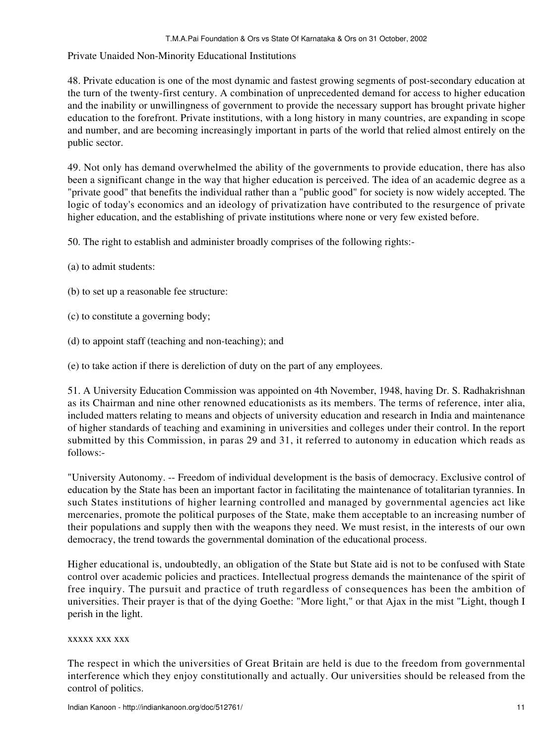## Private Unaided Non-Minority Educational Institutions

48. Private education is one of the most dynamic and fastest growing segments of post-secondary education at the turn of the twenty-first century. A combination of unprecedented demand for access to higher education and the inability or unwillingness of government to provide the necessary support has brought private higher education to the forefront. Private institutions, with a long history in many countries, are expanding in scope and number, and are becoming increasingly important in parts of the world that relied almost entirely on the public sector.

49. Not only has demand overwhelmed the ability of the governments to provide education, there has also been a significant change in the way that higher education is perceived. The idea of an academic degree as a "private good" that benefits the individual rather than a "public good" for society is now widely accepted. The logic of today's economics and an ideology of privatization have contributed to the resurgence of private higher education, and the establishing of private institutions where none or very few existed before.

50. The right to establish and administer broadly comprises of the following rights:-

- (a) to admit students:
- (b) to set up a reasonable fee structure:
- (c) to constitute a governing body;
- (d) to appoint staff (teaching and non-teaching); and
- (e) to take action if there is dereliction of duty on the part of any employees.

51. A University Education Commission was appointed on 4th November, 1948, having Dr. S. Radhakrishnan as its Chairman and nine other renowned educationists as its members. The terms of reference, inter alia, included matters relating to means and objects of university education and research in India and maintenance of higher standards of teaching and examining in universities and colleges under their control. In the report submitted by this Commission, in paras 29 and 31, it referred to autonomy in education which reads as follows:-

"University Autonomy. -- Freedom of individual development is the basis of democracy. Exclusive control of education by the State has been an important factor in facilitating the maintenance of totalitarian tyrannies. In such States institutions of higher learning controlled and managed by governmental agencies act like mercenaries, promote the political purposes of the State, make them acceptable to an increasing number of their populations and supply then with the weapons they need. We must resist, in the interests of our own democracy, the trend towards the governmental domination of the educational process.

Higher educational is, undoubtedly, an obligation of the State but State aid is not to be confused with State control over academic policies and practices. Intellectual progress demands the maintenance of the spirit of free inquiry. The pursuit and practice of truth regardless of consequences has been the ambition of universities. Their prayer is that of the dying Goethe: "More light," or that Ajax in the mist "Light, though I perish in the light.

### xxxxx xxx xxx

The respect in which the universities of Great Britain are held is due to the freedom from governmental interference which they enjoy constitutionally and actually. Our universities should be released from the control of politics.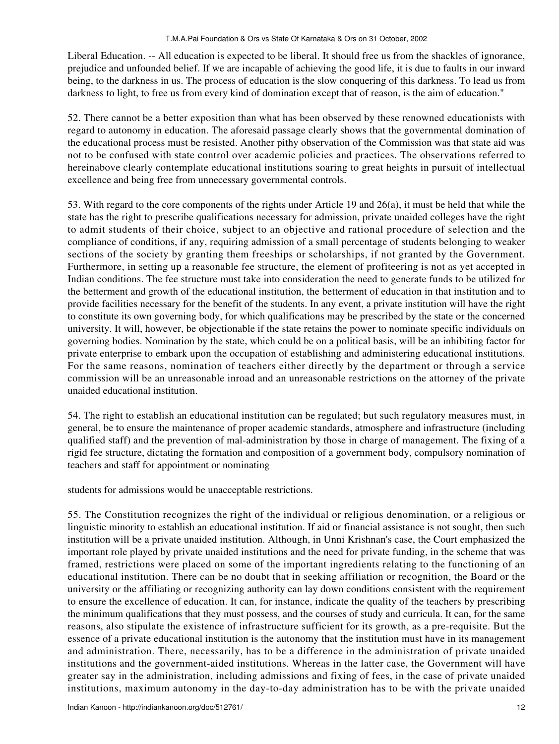Liberal Education. -- All education is expected to be liberal. It should free us from the shackles of ignorance, prejudice and unfounded belief. If we are incapable of achieving the good life, it is due to faults in our inward being, to the darkness in us. The process of education is the slow conquering of this darkness. To lead us from darkness to light, to free us from every kind of domination except that of reason, is the aim of education."

52. There cannot be a better exposition than what has been observed by these renowned educationists with regard to autonomy in education. The aforesaid passage clearly shows that the governmental domination of the educational process must be resisted. Another pithy observation of the Commission was that state aid was not to be confused with state control over academic policies and practices. The observations referred to hereinabove clearly contemplate educational institutions soaring to great heights in pursuit of intellectual excellence and being free from unnecessary governmental controls.

53. With regard to the core components of the rights under Article 19 and 26(a), it must be held that while the state has the right to prescribe qualifications necessary for admission, private unaided colleges have the right to admit students of their choice, subject to an objective and rational procedure of selection and the compliance of conditions, if any, requiring admission of a small percentage of students belonging to weaker sections of the society by granting them freeships or scholarships, if not granted by the Government. Furthermore, in setting up a reasonable fee structure, the element of profiteering is not as yet accepted in Indian conditions. The fee structure must take into consideration the need to generate funds to be utilized for the betterment and growth of the educational institution, the betterment of education in that institution and to provide facilities necessary for the benefit of the students. In any event, a private institution will have the right to constitute its own governing body, for which qualifications may be prescribed by the state or the concerned university. It will, however, be objectionable if the state retains the power to nominate specific individuals on governing bodies. Nomination by the state, which could be on a political basis, will be an inhibiting factor for private enterprise to embark upon the occupation of establishing and administering educational institutions. For the same reasons, nomination of teachers either directly by the department or through a service commission will be an unreasonable inroad and an unreasonable restrictions on the attorney of the private unaided educational institution.

54. The right to establish an educational institution can be regulated; but such regulatory measures must, in general, be to ensure the maintenance of proper academic standards, atmosphere and infrastructure (including qualified staff) and the prevention of mal-administration by those in charge of management. The fixing of a rigid fee structure, dictating the formation and composition of a government body, compulsory nomination of teachers and staff for appointment or nominating

students for admissions would be unacceptable restrictions.

55. The Constitution recognizes the right of the individual or religious denomination, or a religious or linguistic minority to establish an educational institution. If aid or financial assistance is not sought, then such institution will be a private unaided institution. Although, in Unni Krishnan's case, the Court emphasized the important role played by private unaided institutions and the need for private funding, in the scheme that was framed, restrictions were placed on some of the important ingredients relating to the functioning of an educational institution. There can be no doubt that in seeking affiliation or recognition, the Board or the university or the affiliating or recognizing authority can lay down conditions consistent with the requirement to ensure the excellence of education. It can, for instance, indicate the quality of the teachers by prescribing the minimum qualifications that they must possess, and the courses of study and curricula. It can, for the same reasons, also stipulate the existence of infrastructure sufficient for its growth, as a pre-requisite. But the essence of a private educational institution is the autonomy that the institution must have in its management and administration. There, necessarily, has to be a difference in the administration of private unaided institutions and the government-aided institutions. Whereas in the latter case, the Government will have greater say in the administration, including admissions and fixing of fees, in the case of private unaided institutions, maximum autonomy in the day-to-day administration has to be with the private unaided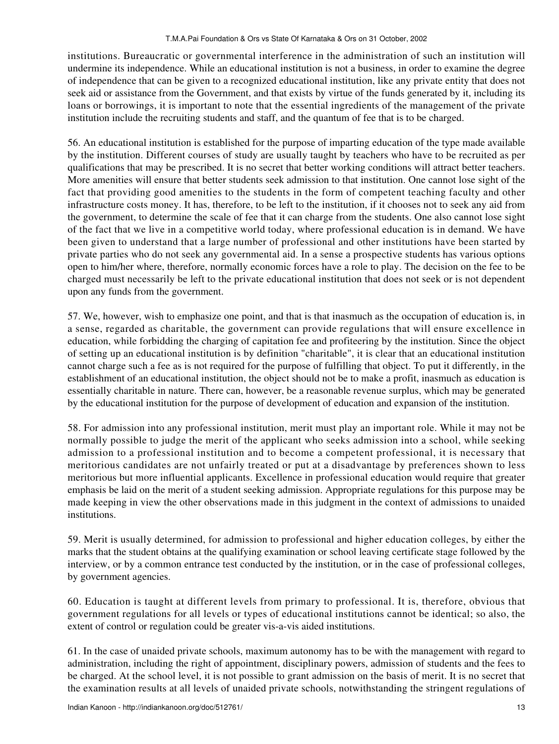institutions. Bureaucratic or governmental interference in the administration of such an institution will undermine its independence. While an educational institution is not a business, in order to examine the degree of independence that can be given to a recognized educational institution, like any private entity that does not seek aid or assistance from the Government, and that exists by virtue of the funds generated by it, including its loans or borrowings, it is important to note that the essential ingredients of the management of the private institution include the recruiting students and staff, and the quantum of fee that is to be charged.

56. An educational institution is established for the purpose of imparting education of the type made available by the institution. Different courses of study are usually taught by teachers who have to be recruited as per qualifications that may be prescribed. It is no secret that better working conditions will attract better teachers. More amenities will ensure that better students seek admission to that institution. One cannot lose sight of the fact that providing good amenities to the students in the form of competent teaching faculty and other infrastructure costs money. It has, therefore, to be left to the institution, if it chooses not to seek any aid from the government, to determine the scale of fee that it can charge from the students. One also cannot lose sight of the fact that we live in a competitive world today, where professional education is in demand. We have been given to understand that a large number of professional and other institutions have been started by private parties who do not seek any governmental aid. In a sense a prospective students has various options open to him/her where, therefore, normally economic forces have a role to play. The decision on the fee to be charged must necessarily be left to the private educational institution that does not seek or is not dependent upon any funds from the government.

57. We, however, wish to emphasize one point, and that is that inasmuch as the occupation of education is, in a sense, regarded as charitable, the government can provide regulations that will ensure excellence in education, while forbidding the charging of capitation fee and profiteering by the institution. Since the object of setting up an educational institution is by definition "charitable", it is clear that an educational institution cannot charge such a fee as is not required for the purpose of fulfilling that object. To put it differently, in the establishment of an educational institution, the object should not be to make a profit, inasmuch as education is essentially charitable in nature. There can, however, be a reasonable revenue surplus, which may be generated by the educational institution for the purpose of development of education and expansion of the institution.

58. For admission into any professional institution, merit must play an important role. While it may not be normally possible to judge the merit of the applicant who seeks admission into a school, while seeking admission to a professional institution and to become a competent professional, it is necessary that meritorious candidates are not unfairly treated or put at a disadvantage by preferences shown to less meritorious but more influential applicants. Excellence in professional education would require that greater emphasis be laid on the merit of a student seeking admission. Appropriate regulations for this purpose may be made keeping in view the other observations made in this judgment in the context of admissions to unaided institutions.

59. Merit is usually determined, for admission to professional and higher education colleges, by either the marks that the student obtains at the qualifying examination or school leaving certificate stage followed by the interview, or by a common entrance test conducted by the institution, or in the case of professional colleges, by government agencies.

60. Education is taught at different levels from primary to professional. It is, therefore, obvious that government regulations for all levels or types of educational institutions cannot be identical; so also, the extent of control or regulation could be greater vis-a-vis aided institutions.

61. In the case of unaided private schools, maximum autonomy has to be with the management with regard to administration, including the right of appointment, disciplinary powers, admission of students and the fees to be charged. At the school level, it is not possible to grant admission on the basis of merit. It is no secret that the examination results at all levels of unaided private schools, notwithstanding the stringent regulations of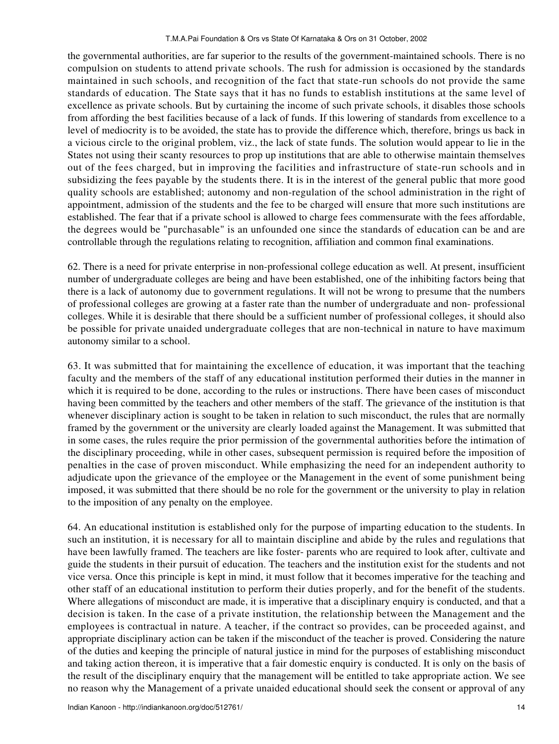the governmental authorities, are far superior to the results of the government-maintained schools. There is no compulsion on students to attend private schools. The rush for admission is occasioned by the standards maintained in such schools, and recognition of the fact that state-run schools do not provide the same standards of education. The State says that it has no funds to establish institutions at the same level of excellence as private schools. But by curtaining the income of such private schools, it disables those schools from affording the best facilities because of a lack of funds. If this lowering of standards from excellence to a level of mediocrity is to be avoided, the state has to provide the difference which, therefore, brings us back in a vicious circle to the original problem, viz., the lack of state funds. The solution would appear to lie in the States not using their scanty resources to prop up institutions that are able to otherwise maintain themselves out of the fees charged, but in improving the facilities and infrastructure of state-run schools and in subsidizing the fees payable by the students there. It is in the interest of the general public that more good quality schools are established; autonomy and non-regulation of the school administration in the right of appointment, admission of the students and the fee to be charged will ensure that more such institutions are established. The fear that if a private school is allowed to charge fees commensurate with the fees affordable, the degrees would be "purchasable" is an unfounded one since the standards of education can be and are controllable through the regulations relating to recognition, affiliation and common final examinations.

62. There is a need for private enterprise in non-professional college education as well. At present, insufficient number of undergraduate colleges are being and have been established, one of the inhibiting factors being that there is a lack of autonomy due to government regulations. It will not be wrong to presume that the numbers of professional colleges are growing at a faster rate than the number of undergraduate and non- professional colleges. While it is desirable that there should be a sufficient number of professional colleges, it should also be possible for private unaided undergraduate colleges that are non-technical in nature to have maximum autonomy similar to a school.

63. It was submitted that for maintaining the excellence of education, it was important that the teaching faculty and the members of the staff of any educational institution performed their duties in the manner in which it is required to be done, according to the rules or instructions. There have been cases of misconduct having been committed by the teachers and other members of the staff. The grievance of the institution is that whenever disciplinary action is sought to be taken in relation to such misconduct, the rules that are normally framed by the government or the university are clearly loaded against the Management. It was submitted that in some cases, the rules require the prior permission of the governmental authorities before the intimation of the disciplinary proceeding, while in other cases, subsequent permission is required before the imposition of penalties in the case of proven misconduct. While emphasizing the need for an independent authority to adjudicate upon the grievance of the employee or the Management in the event of some punishment being imposed, it was submitted that there should be no role for the government or the university to play in relation to the imposition of any penalty on the employee.

64. An educational institution is established only for the purpose of imparting education to the students. In such an institution, it is necessary for all to maintain discipline and abide by the rules and regulations that have been lawfully framed. The teachers are like foster- parents who are required to look after, cultivate and guide the students in their pursuit of education. The teachers and the institution exist for the students and not vice versa. Once this principle is kept in mind, it must follow that it becomes imperative for the teaching and other staff of an educational institution to perform their duties properly, and for the benefit of the students. Where allegations of misconduct are made, it is imperative that a disciplinary enquiry is conducted, and that a decision is taken. In the case of a private institution, the relationship between the Management and the employees is contractual in nature. A teacher, if the contract so provides, can be proceeded against, and appropriate disciplinary action can be taken if the misconduct of the teacher is proved. Considering the nature of the duties and keeping the principle of natural justice in mind for the purposes of establishing misconduct and taking action thereon, it is imperative that a fair domestic enquiry is conducted. It is only on the basis of the result of the disciplinary enquiry that the management will be entitled to take appropriate action. We see no reason why the Management of a private unaided educational should seek the consent or approval of any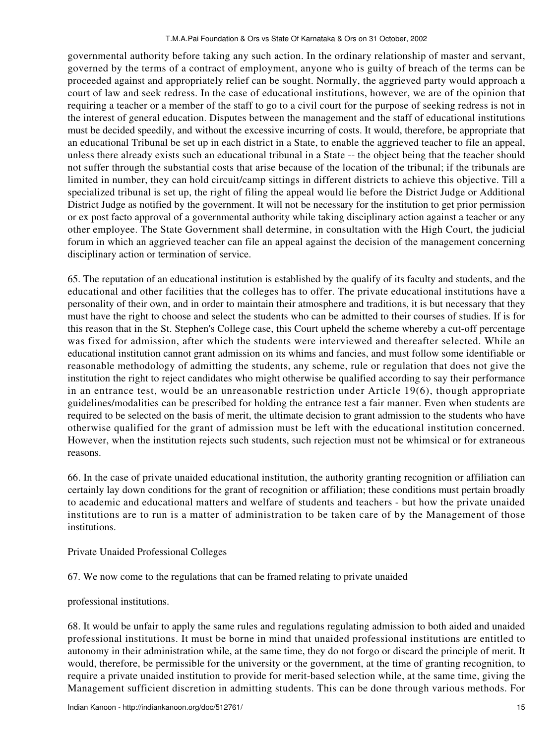governmental authority before taking any such action. In the ordinary relationship of master and servant, governed by the terms of a contract of employment, anyone who is guilty of breach of the terms can be proceeded against and appropriately relief can be sought. Normally, the aggrieved party would approach a court of law and seek redress. In the case of educational institutions, however, we are of the opinion that requiring a teacher or a member of the staff to go to a civil court for the purpose of seeking redress is not in the interest of general education. Disputes between the management and the staff of educational institutions must be decided speedily, and without the excessive incurring of costs. It would, therefore, be appropriate that an educational Tribunal be set up in each district in a State, to enable the aggrieved teacher to file an appeal, unless there already exists such an educational tribunal in a State -- the object being that the teacher should not suffer through the substantial costs that arise because of the location of the tribunal; if the tribunals are limited in number, they can hold circuit/camp sittings in different districts to achieve this objective. Till a specialized tribunal is set up, the right of filing the appeal would lie before the District Judge or Additional District Judge as notified by the government. It will not be necessary for the institution to get prior permission or ex post facto approval of a governmental authority while taking disciplinary action against a teacher or any other employee. The State Government shall determine, in consultation with the High Court, the judicial forum in which an aggrieved teacher can file an appeal against the decision of the management concerning disciplinary action or termination of service.

65. The reputation of an educational institution is established by the qualify of its faculty and students, and the educational and other facilities that the colleges has to offer. The private educational institutions have a personality of their own, and in order to maintain their atmosphere and traditions, it is but necessary that they must have the right to choose and select the students who can be admitted to their courses of studies. If is for this reason that in the St. Stephen's College case, this Court upheld the scheme whereby a cut-off percentage was fixed for admission, after which the students were interviewed and thereafter selected. While an educational institution cannot grant admission on its whims and fancies, and must follow some identifiable or reasonable methodology of admitting the students, any scheme, rule or regulation that does not give the institution the right to reject candidates who might otherwise be qualified according to say their performance in an entrance test, would be an unreasonable restriction under Article 19(6), though appropriate guidelines/modalities can be prescribed for holding the entrance test a fair manner. Even when students are required to be selected on the basis of merit, the ultimate decision to grant admission to the students who have otherwise qualified for the grant of admission must be left with the educational institution concerned. However, when the institution rejects such students, such rejection must not be whimsical or for extraneous reasons.

66. In the case of private unaided educational institution, the authority granting recognition or affiliation can certainly lay down conditions for the grant of recognition or affiliation; these conditions must pertain broadly to academic and educational matters and welfare of students and teachers - but how the private unaided institutions are to run is a matter of administration to be taken care of by the Management of those institutions.

## Private Unaided Professional Colleges

67. We now come to the regulations that can be framed relating to private unaided

professional institutions.

68. It would be unfair to apply the same rules and regulations regulating admission to both aided and unaided professional institutions. It must be borne in mind that unaided professional institutions are entitled to autonomy in their administration while, at the same time, they do not forgo or discard the principle of merit. It would, therefore, be permissible for the university or the government, at the time of granting recognition, to require a private unaided institution to provide for merit-based selection while, at the same time, giving the Management sufficient discretion in admitting students. This can be done through various methods. For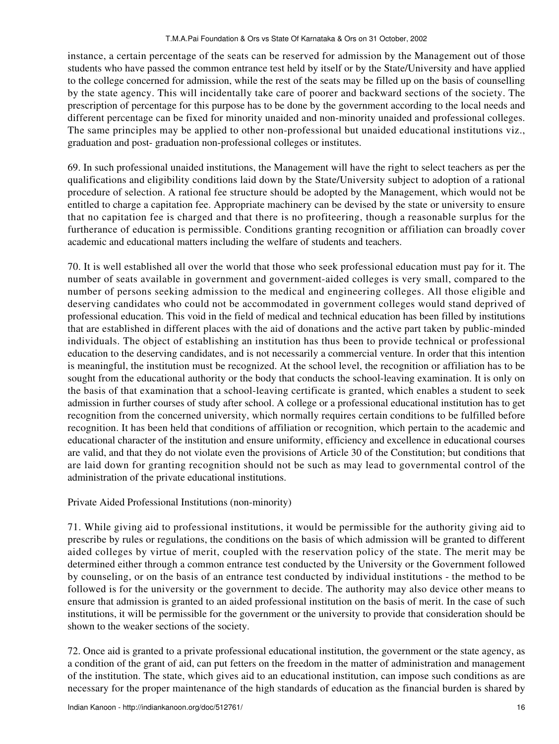instance, a certain percentage of the seats can be reserved for admission by the Management out of those students who have passed the common entrance test held by itself or by the State/University and have applied to the college concerned for admission, while the rest of the seats may be filled up on the basis of counselling by the state agency. This will incidentally take care of poorer and backward sections of the society. The prescription of percentage for this purpose has to be done by the government according to the local needs and different percentage can be fixed for minority unaided and non-minority unaided and professional colleges. The same principles may be applied to other non-professional but unaided educational institutions viz., graduation and post- graduation non-professional colleges or institutes.

69. In such professional unaided institutions, the Management will have the right to select teachers as per the qualifications and eligibility conditions laid down by the State/University subject to adoption of a rational procedure of selection. A rational fee structure should be adopted by the Management, which would not be entitled to charge a capitation fee. Appropriate machinery can be devised by the state or university to ensure that no capitation fee is charged and that there is no profiteering, though a reasonable surplus for the furtherance of education is permissible. Conditions granting recognition or affiliation can broadly cover academic and educational matters including the welfare of students and teachers.

70. It is well established all over the world that those who seek professional education must pay for it. The number of seats available in government and government-aided colleges is very small, compared to the number of persons seeking admission to the medical and engineering colleges. All those eligible and deserving candidates who could not be accommodated in government colleges would stand deprived of professional education. This void in the field of medical and technical education has been filled by institutions that are established in different places with the aid of donations and the active part taken by public-minded individuals. The object of establishing an institution has thus been to provide technical or professional education to the deserving candidates, and is not necessarily a commercial venture. In order that this intention is meaningful, the institution must be recognized. At the school level, the recognition or affiliation has to be sought from the educational authority or the body that conducts the school-leaving examination. It is only on the basis of that examination that a school-leaving certificate is granted, which enables a student to seek admission in further courses of study after school. A college or a professional educational institution has to get recognition from the concerned university, which normally requires certain conditions to be fulfilled before recognition. It has been held that conditions of affiliation or recognition, which pertain to the academic and educational character of the institution and ensure uniformity, efficiency and excellence in educational courses are valid, and that they do not violate even the provisions of Article 30 of the Constitution; but conditions that are laid down for granting recognition should not be such as may lead to governmental control of the administration of the private educational institutions.

Private Aided Professional Institutions (non-minority)

71. While giving aid to professional institutions, it would be permissible for the authority giving aid to prescribe by rules or regulations, the conditions on the basis of which admission will be granted to different aided colleges by virtue of merit, coupled with the reservation policy of the state. The merit may be determined either through a common entrance test conducted by the University or the Government followed by counseling, or on the basis of an entrance test conducted by individual institutions - the method to be followed is for the university or the government to decide. The authority may also device other means to ensure that admission is granted to an aided professional institution on the basis of merit. In the case of such institutions, it will be permissible for the government or the university to provide that consideration should be shown to the weaker sections of the society.

72. Once aid is granted to a private professional educational institution, the government or the state agency, as a condition of the grant of aid, can put fetters on the freedom in the matter of administration and management of the institution. The state, which gives aid to an educational institution, can impose such conditions as are necessary for the proper maintenance of the high standards of education as the financial burden is shared by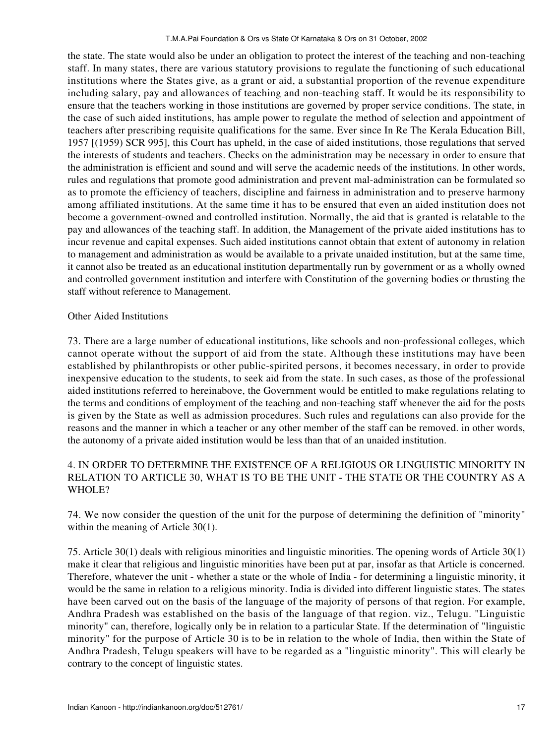the state. The state would also be under an obligation to protect the interest of the teaching and non-teaching staff. In many states, there are various statutory provisions to regulate the functioning of such educational institutions where the States give, as a grant or aid, a substantial proportion of the revenue expenditure including salary, pay and allowances of teaching and non-teaching staff. It would be its responsibility to ensure that the teachers working in those institutions are governed by proper service conditions. The state, in the case of such aided institutions, has ample power to regulate the method of selection and appointment of teachers after prescribing requisite qualifications for the same. Ever since In Re The Kerala Education Bill, 1957 [(1959) SCR 995], this Court has upheld, in the case of aided institutions, those regulations that served the interests of students and teachers. Checks on the administration may be necessary in order to ensure that the administration is efficient and sound and will serve the academic needs of the institutions. In other words, rules and regulations that promote good administration and prevent mal-administration can be formulated so as to promote the efficiency of teachers, discipline and fairness in administration and to preserve harmony among affiliated institutions. At the same time it has to be ensured that even an aided institution does not become a government-owned and controlled institution. Normally, the aid that is granted is relatable to the pay and allowances of the teaching staff. In addition, the Management of the private aided institutions has to incur revenue and capital expenses. Such aided institutions cannot obtain that extent of autonomy in relation to management and administration as would be available to a private unaided institution, but at the same time, it cannot also be treated as an educational institution departmentally run by government or as a wholly owned and controlled government institution and interfere with Constitution of the governing bodies or thrusting the staff without reference to Management.

## Other Aided Institutions

73. There are a large number of educational institutions, like schools and non-professional colleges, which cannot operate without the support of aid from the state. Although these institutions may have been established by philanthropists or other public-spirited persons, it becomes necessary, in order to provide inexpensive education to the students, to seek aid from the state. In such cases, as those of the professional aided institutions referred to hereinabove, the Government would be entitled to make regulations relating to the terms and conditions of employment of the teaching and non-teaching staff whenever the aid for the posts is given by the State as well as admission procedures. Such rules and regulations can also provide for the reasons and the manner in which a teacher or any other member of the staff can be removed. in other words, the autonomy of a private aided institution would be less than that of an unaided institution.

# 4. IN ORDER TO DETERMINE THE EXISTENCE OF A RELIGIOUS OR LINGUISTIC MINORITY IN RELATION TO ARTICLE 30, WHAT IS TO BE THE UNIT - THE STATE OR THE COUNTRY AS A WHOLE?

74. We now consider the question of the unit for the purpose of determining the definition of "minority" within the meaning of Article 30(1).

75. Article 30(1) deals with religious minorities and linguistic minorities. The opening words of Article 30(1) make it clear that religious and linguistic minorities have been put at par, insofar as that Article is concerned. Therefore, whatever the unit - whether a state or the whole of India - for determining a linguistic minority, it would be the same in relation to a religious minority. India is divided into different linguistic states. The states have been carved out on the basis of the language of the majority of persons of that region. For example, Andhra Pradesh was established on the basis of the language of that region. viz., Telugu. "Linguistic minority" can, therefore, logically only be in relation to a particular State. If the determination of "linguistic minority" for the purpose of Article 30 is to be in relation to the whole of India, then within the State of Andhra Pradesh, Telugu speakers will have to be regarded as a "linguistic minority". This will clearly be contrary to the concept of linguistic states.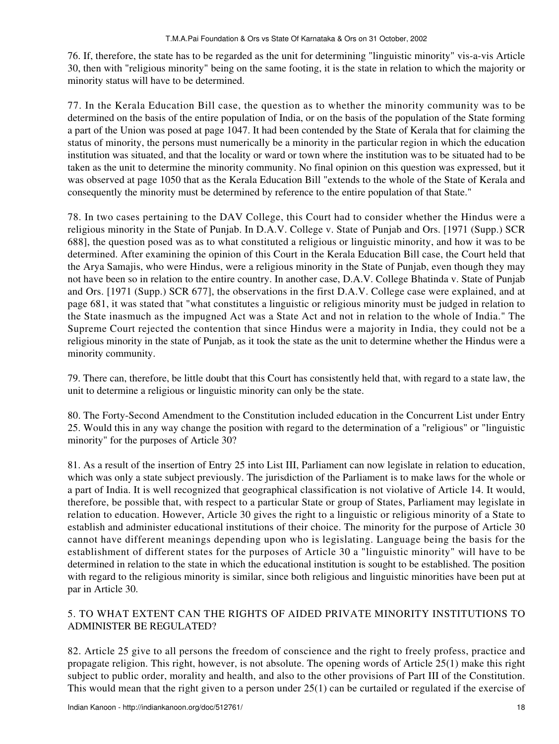76. If, therefore, the state has to be regarded as the unit for determining "linguistic minority" vis-a-vis Article 30, then with "religious minority" being on the same footing, it is the state in relation to which the majority or minority status will have to be determined.

77. In the Kerala Education Bill case, the question as to whether the minority community was to be determined on the basis of the entire population of India, or on the basis of the population of the State forming a part of the Union was posed at page 1047. It had been contended by the State of Kerala that for claiming the status of minority, the persons must numerically be a minority in the particular region in which the education institution was situated, and that the locality or ward or town where the institution was to be situated had to be taken as the unit to determine the minority community. No final opinion on this question was expressed, but it was observed at page 1050 that as the Kerala Education Bill "extends to the whole of the State of Kerala and consequently the minority must be determined by reference to the entire population of that State."

78. In two cases pertaining to the DAV College, this Court had to consider whether the Hindus were a religious minority in the State of Punjab. In D.A.V. College v. State of Punjab and Ors. [1971 (Supp.) SCR 688], the question posed was as to what constituted a religious or linguistic minority, and how it was to be determined. After examining the opinion of this Court in the Kerala Education Bill case, the Court held that the Arya Samajis, who were Hindus, were a religious minority in the State of Punjab, even though they may not have been so in relation to the entire country. In another case, D.A.V. College Bhatinda v. State of Punjab and Ors. [1971 (Supp.) SCR 677], the observations in the first D.A.V. College case were explained, and at page 681, it was stated that "what constitutes a linguistic or religious minority must be judged in relation to the State inasmuch as the impugned Act was a State Act and not in relation to the whole of India." The Supreme Court rejected the contention that since Hindus were a majority in India, they could not be a religious minority in the state of Punjab, as it took the state as the unit to determine whether the Hindus were a minority community.

79. There can, therefore, be little doubt that this Court has consistently held that, with regard to a state law, the unit to determine a religious or linguistic minority can only be the state.

80. The Forty-Second Amendment to the Constitution included education in the Concurrent List under Entry 25. Would this in any way change the position with regard to the determination of a "religious" or "linguistic minority" for the purposes of Article 30?

81. As a result of the insertion of Entry 25 into List III, Parliament can now legislate in relation to education, which was only a state subject previously. The jurisdiction of the Parliament is to make laws for the whole or a part of India. It is well recognized that geographical classification is not violative of Article 14. It would, therefore, be possible that, with respect to a particular State or group of States, Parliament may legislate in relation to education. However, Article 30 gives the right to a linguistic or religious minority of a State to establish and administer educational institutions of their choice. The minority for the purpose of Article 30 cannot have different meanings depending upon who is legislating. Language being the basis for the establishment of different states for the purposes of Article 30 a "linguistic minority" will have to be determined in relation to the state in which the educational institution is sought to be established. The position with regard to the religious minority is similar, since both religious and linguistic minorities have been put at par in Article 30.

# 5. TO WHAT EXTENT CAN THE RIGHTS OF AIDED PRIVATE MINORITY INSTITUTIONS TO ADMINISTER BE REGULATED?

82. Article 25 give to all persons the freedom of conscience and the right to freely profess, practice and propagate religion. This right, however, is not absolute. The opening words of Article 25(1) make this right subject to public order, morality and health, and also to the other provisions of Part III of the Constitution. This would mean that the right given to a person under 25(1) can be curtailed or regulated if the exercise of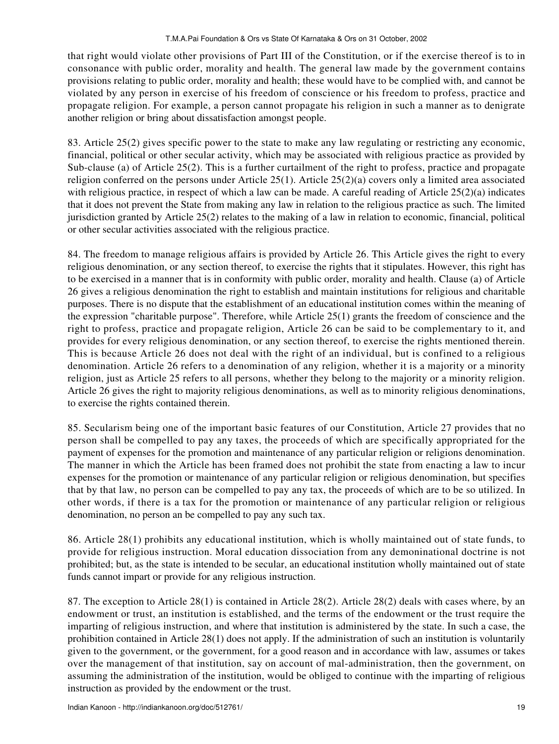that right would violate other provisions of Part III of the Constitution, or if the exercise thereof is to in consonance with public order, morality and health. The general law made by the government contains provisions relating to public order, morality and health; these would have to be complied with, and cannot be violated by any person in exercise of his freedom of conscience or his freedom to profess, practice and propagate religion. For example, a person cannot propagate his religion in such a manner as to denigrate another religion or bring about dissatisfaction amongst people.

83. Article 25(2) gives specific power to the state to make any law regulating or restricting any economic, financial, political or other secular activity, which may be associated with religious practice as provided by Sub-clause (a) of Article 25(2). This is a further curtailment of the right to profess, practice and propagate religion conferred on the persons under Article 25(1). Article 25(2)(a) covers only a limited area associated with religious practice, in respect of which a law can be made. A careful reading of Article 25(2)(a) indicates that it does not prevent the State from making any law in relation to the religious practice as such. The limited jurisdiction granted by Article 25(2) relates to the making of a law in relation to economic, financial, political or other secular activities associated with the religious practice.

84. The freedom to manage religious affairs is provided by Article 26. This Article gives the right to every religious denomination, or any section thereof, to exercise the rights that it stipulates. However, this right has to be exercised in a manner that is in conformity with public order, morality and health. Clause (a) of Article 26 gives a religious denomination the right to establish and maintain institutions for religious and charitable purposes. There is no dispute that the establishment of an educational institution comes within the meaning of the expression "charitable purpose". Therefore, while Article 25(1) grants the freedom of conscience and the right to profess, practice and propagate religion, Article 26 can be said to be complementary to it, and provides for every religious denomination, or any section thereof, to exercise the rights mentioned therein. This is because Article 26 does not deal with the right of an individual, but is confined to a religious denomination. Article 26 refers to a denomination of any religion, whether it is a majority or a minority religion, just as Article 25 refers to all persons, whether they belong to the majority or a minority religion. Article 26 gives the right to majority religious denominations, as well as to minority religious denominations, to exercise the rights contained therein.

85. Secularism being one of the important basic features of our Constitution, Article 27 provides that no person shall be compelled to pay any taxes, the proceeds of which are specifically appropriated for the payment of expenses for the promotion and maintenance of any particular religion or religions denomination. The manner in which the Article has been framed does not prohibit the state from enacting a law to incur expenses for the promotion or maintenance of any particular religion or religious denomination, but specifies that by that law, no person can be compelled to pay any tax, the proceeds of which are to be so utilized. In other words, if there is a tax for the promotion or maintenance of any particular religion or religious denomination, no person an be compelled to pay any such tax.

86. Article 28(1) prohibits any educational institution, which is wholly maintained out of state funds, to provide for religious instruction. Moral education dissociation from any demoninational doctrine is not prohibited; but, as the state is intended to be secular, an educational institution wholly maintained out of state funds cannot impart or provide for any religious instruction.

87. The exception to Article 28(1) is contained in Article 28(2). Article 28(2) deals with cases where, by an endowment or trust, an institution is established, and the terms of the endowment or the trust require the imparting of religious instruction, and where that institution is administered by the state. In such a case, the prohibition contained in Article 28(1) does not apply. If the administration of such an institution is voluntarily given to the government, or the government, for a good reason and in accordance with law, assumes or takes over the management of that institution, say on account of mal-administration, then the government, on assuming the administration of the institution, would be obliged to continue with the imparting of religious instruction as provided by the endowment or the trust.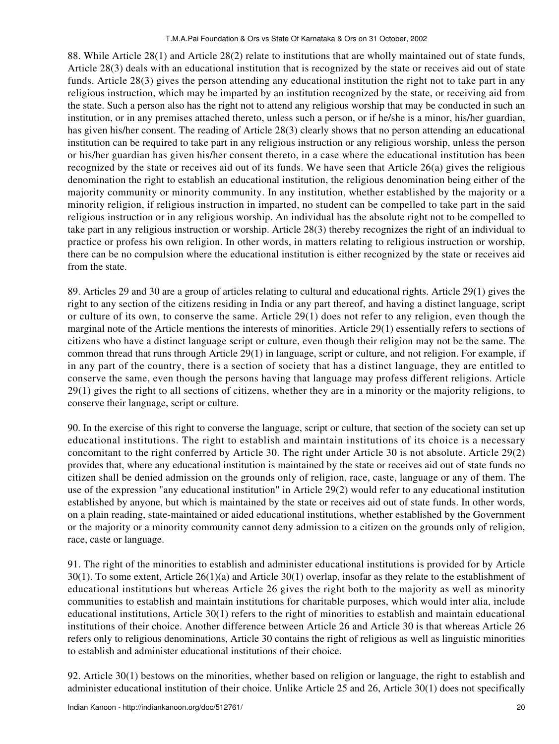88. While Article 28(1) and Article 28(2) relate to institutions that are wholly maintained out of state funds, Article 28(3) deals with an educational institution that is recognized by the state or receives aid out of state funds. Article 28(3) gives the person attending any educational institution the right not to take part in any religious instruction, which may be imparted by an institution recognized by the state, or receiving aid from the state. Such a person also has the right not to attend any religious worship that may be conducted in such an institution, or in any premises attached thereto, unless such a person, or if he/she is a minor, his/her guardian, has given his/her consent. The reading of Article 28(3) clearly shows that no person attending an educational institution can be required to take part in any religious instruction or any religious worship, unless the person or his/her guardian has given his/her consent thereto, in a case where the educational institution has been recognized by the state or receives aid out of its funds. We have seen that Article 26(a) gives the religious denomination the right to establish an educational institution, the religious denomination being either of the majority community or minority community. In any institution, whether established by the majority or a minority religion, if religious instruction in imparted, no student can be compelled to take part in the said religious instruction or in any religious worship. An individual has the absolute right not to be compelled to take part in any religious instruction or worship. Article 28(3) thereby recognizes the right of an individual to practice or profess his own religion. In other words, in matters relating to religious instruction or worship, there can be no compulsion where the educational institution is either recognized by the state or receives aid from the state.

89. Articles 29 and 30 are a group of articles relating to cultural and educational rights. Article 29(1) gives the right to any section of the citizens residing in India or any part thereof, and having a distinct language, script or culture of its own, to conserve the same. Article 29(1) does not refer to any religion, even though the marginal note of the Article mentions the interests of minorities. Article 29(1) essentially refers to sections of citizens who have a distinct language script or culture, even though their religion may not be the same. The common thread that runs through Article 29(1) in language, script or culture, and not religion. For example, if in any part of the country, there is a section of society that has a distinct language, they are entitled to conserve the same, even though the persons having that language may profess different religions. Article 29(1) gives the right to all sections of citizens, whether they are in a minority or the majority religions, to conserve their language, script or culture.

90. In the exercise of this right to converse the language, script or culture, that section of the society can set up educational institutions. The right to establish and maintain institutions of its choice is a necessary concomitant to the right conferred by Article 30. The right under Article 30 is not absolute. Article 29(2) provides that, where any educational institution is maintained by the state or receives aid out of state funds no citizen shall be denied admission on the grounds only of religion, race, caste, language or any of them. The use of the expression "any educational institution" in Article 29(2) would refer to any educational institution established by anyone, but which is maintained by the state or receives aid out of state funds. In other words, on a plain reading, state-maintained or aided educational institutions, whether established by the Government or the majority or a minority community cannot deny admission to a citizen on the grounds only of religion, race, caste or language.

91. The right of the minorities to establish and administer educational institutions is provided for by Article 30(1). To some extent, Article 26(1)(a) and Article 30(1) overlap, insofar as they relate to the establishment of educational institutions but whereas Article 26 gives the right both to the majority as well as minority communities to establish and maintain institutions for charitable purposes, which would inter alia, include educational institutions, Article 30(1) refers to the right of minorities to establish and maintain educational institutions of their choice. Another difference between Article 26 and Article 30 is that whereas Article 26 refers only to religious denominations, Article 30 contains the right of religious as well as linguistic minorities to establish and administer educational institutions of their choice.

92. Article 30(1) bestows on the minorities, whether based on religion or language, the right to establish and administer educational institution of their choice. Unlike Article 25 and 26, Article 30(1) does not specifically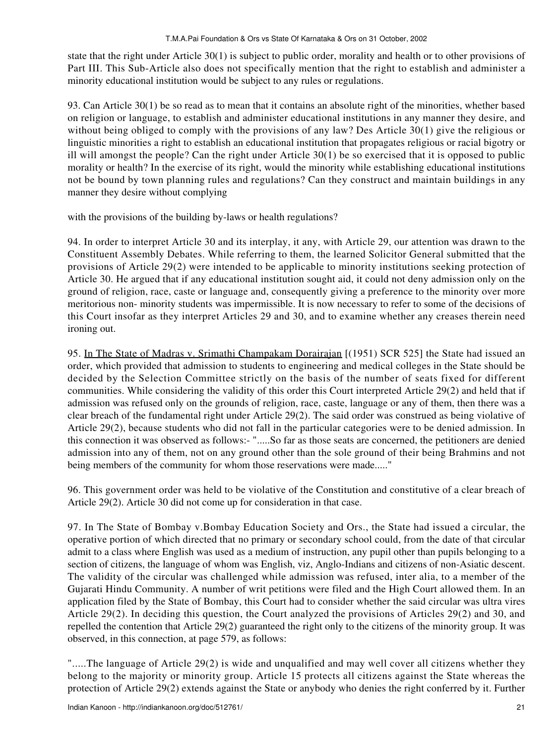state that the right under Article 30(1) is subject to public order, morality and health or to other provisions of Part III. This Sub-Article also does not specifically mention that the right to establish and administer a minority educational institution would be subject to any rules or regulations.

93. Can Article 30(1) be so read as to mean that it contains an absolute right of the minorities, whether based on religion or language, to establish and administer educational institutions in any manner they desire, and without being obliged to comply with the provisions of any law? Des Article 30(1) give the religious or linguistic minorities a right to establish an educational institution that propagates religious or racial bigotry or ill will amongst the people? Can the right under Article 30(1) be so exercised that it is opposed to public morality or health? In the exercise of its right, would the minority while establishing educational institutions not be bound by town planning rules and regulations? Can they construct and maintain buildings in any manner they desire without complying

with the provisions of the building by-laws or health regulations?

94. In order to interpret Article 30 and its interplay, it any, with Article 29, our attention was drawn to the Constituent Assembly Debates. While referring to them, the learned Solicitor General submitted that the provisions of Article 29(2) were intended to be applicable to minority institutions seeking protection of Article 30. He argued that if any educational institution sought aid, it could not deny admission only on the ground of religion, race, caste or language and, consequently giving a preference to the minority over more meritorious non- minority students was impermissible. It is now necessary to refer to some of the decisions of this Court insofar as they interpret Articles 29 and 30, and to examine whether any creases therein need ironing out.

95. In The State of Madras v. Srimathi Champakam Dorairajan [(1951) SCR 525] the State had issued an order, which provided that admission to students to engineering and medical colleges in the State should be decided by the Selection Committee strictly on the basis of the number of seats fixed for different communities. While considering the validity of this order this Court interpreted Article 29(2) and held that if admission was refused only on the grounds of religion, race, caste, language or any of them, then there was a clear breach of the fundamental right under Article 29(2). The said order was construed as being violative of Article 29(2), because students who did not fall in the particular categories were to be denied admission. In this connection it was observed as follows:- ".....So far as those seats are concerned, the petitioners are denied admission into any of them, not on any ground other than the sole ground of their being Brahmins and not being members of the community for whom those reservations were made....."

96. This government order was held to be violative of the Constitution and constitutive of a clear breach of Article 29(2). Article 30 did not come up for consideration in that case.

97. In The State of Bombay v.Bombay Education Society and Ors., the State had issued a circular, the operative portion of which directed that no primary or secondary school could, from the date of that circular admit to a class where English was used as a medium of instruction, any pupil other than pupils belonging to a section of citizens, the language of whom was English, viz, Anglo-Indians and citizens of non-Asiatic descent. The validity of the circular was challenged while admission was refused, inter alia, to a member of the Gujarati Hindu Community. A number of writ petitions were filed and the High Court allowed them. In an application filed by the State of Bombay, this Court had to consider whether the said circular was ultra vires Article 29(2). In deciding this question, the Court analyzed the provisions of Articles 29(2) and 30, and repelled the contention that Article 29(2) guaranteed the right only to the citizens of the minority group. It was observed, in this connection, at page 579, as follows:

".....The language of Article 29(2) is wide and unqualified and may well cover all citizens whether they belong to the majority or minority group. Article 15 protects all citizens against the State whereas the protection of Article 29(2) extends against the State or anybody who denies the right conferred by it. Further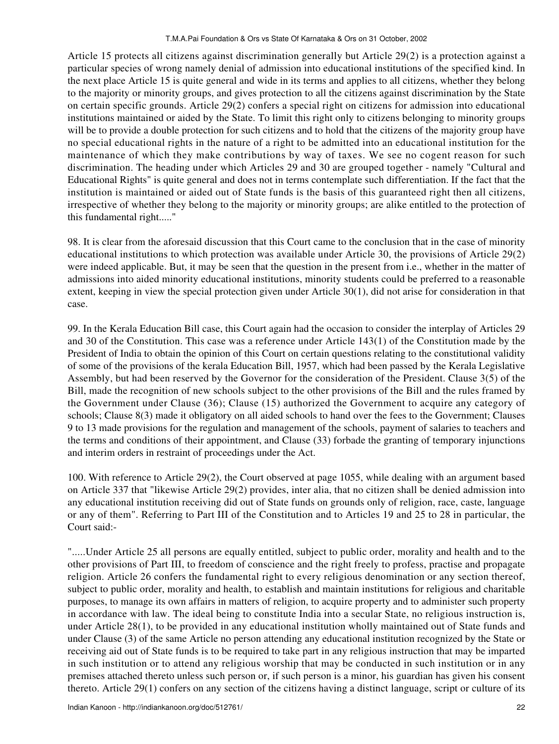Article 15 protects all citizens against discrimination generally but Article 29(2) is a protection against a particular species of wrong namely denial of admission into educational institutions of the specified kind. In the next place Article 15 is quite general and wide in its terms and applies to all citizens, whether they belong to the majority or minority groups, and gives protection to all the citizens against discrimination by the State on certain specific grounds. Article 29(2) confers a special right on citizens for admission into educational institutions maintained or aided by the State. To limit this right only to citizens belonging to minority groups will be to provide a double protection for such citizens and to hold that the citizens of the majority group have no special educational rights in the nature of a right to be admitted into an educational institution for the maintenance of which they make contributions by way of taxes. We see no cogent reason for such discrimination. The heading under which Articles 29 and 30 are grouped together - namely "Cultural and Educational Rights" is quite general and does not in terms contemplate such differentiation. If the fact that the institution is maintained or aided out of State funds is the basis of this guaranteed right then all citizens, irrespective of whether they belong to the majority or minority groups; are alike entitled to the protection of this fundamental right....."

98. It is clear from the aforesaid discussion that this Court came to the conclusion that in the case of minority educational institutions to which protection was available under Article 30, the provisions of Article 29(2) were indeed applicable. But, it may be seen that the question in the present from i.e., whether in the matter of admissions into aided minority educational institutions, minority students could be preferred to a reasonable extent, keeping in view the special protection given under Article 30(1), did not arise for consideration in that case.

99. In the Kerala Education Bill case, this Court again had the occasion to consider the interplay of Articles 29 and 30 of the Constitution. This case was a reference under Article 143(1) of the Constitution made by the President of India to obtain the opinion of this Court on certain questions relating to the constitutional validity of some of the provisions of the kerala Education Bill, 1957, which had been passed by the Kerala Legislative Assembly, but had been reserved by the Governor for the consideration of the President. Clause 3(5) of the Bill, made the recognition of new schools subject to the other provisions of the Bill and the rules framed by the Government under Clause (36); Clause (15) authorized the Government to acquire any category of schools; Clause 8(3) made it obligatory on all aided schools to hand over the fees to the Government; Clauses 9 to 13 made provisions for the regulation and management of the schools, payment of salaries to teachers and the terms and conditions of their appointment, and Clause (33) forbade the granting of temporary injunctions and interim orders in restraint of proceedings under the Act.

100. With reference to Article 29(2), the Court observed at page 1055, while dealing with an argument based on Article 337 that "likewise Article 29(2) provides, inter alia, that no citizen shall be denied admission into any educational institution receiving did out of State funds on grounds only of religion, race, caste, language or any of them". Referring to Part III of the Constitution and to Articles 19 and 25 to 28 in particular, the Court said:-

".....Under Article 25 all persons are equally entitled, subject to public order, morality and health and to the other provisions of Part III, to freedom of conscience and the right freely to profess, practise and propagate religion. Article 26 confers the fundamental right to every religious denomination or any section thereof, subject to public order, morality and health, to establish and maintain institutions for religious and charitable purposes, to manage its own affairs in matters of religion, to acquire property and to administer such property in accordance with law. The ideal being to constitute India into a secular State, no religious instruction is, under Article 28(1), to be provided in any educational institution wholly maintained out of State funds and under Clause (3) of the same Article no person attending any educational institution recognized by the State or receiving aid out of State funds is to be required to take part in any religious instruction that may be imparted in such institution or to attend any religious worship that may be conducted in such institution or in any premises attached thereto unless such person or, if such person is a minor, his guardian has given his consent thereto. Article 29(1) confers on any section of the citizens having a distinct language, script or culture of its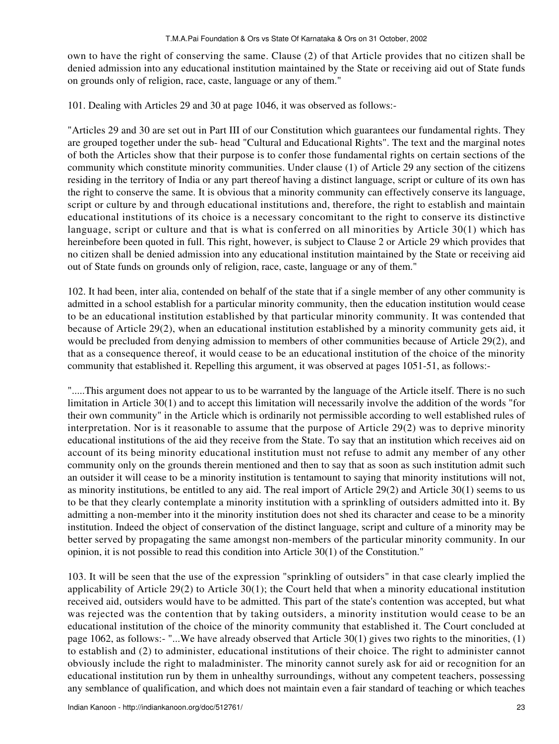own to have the right of conserving the same. Clause (2) of that Article provides that no citizen shall be denied admission into any educational institution maintained by the State or receiving aid out of State funds on grounds only of religion, race, caste, language or any of them."

101. Dealing with Articles 29 and 30 at page 1046, it was observed as follows:-

"Articles 29 and 30 are set out in Part III of our Constitution which guarantees our fundamental rights. They are grouped together under the sub- head "Cultural and Educational Rights". The text and the marginal notes of both the Articles show that their purpose is to confer those fundamental rights on certain sections of the community which constitute minority communities. Under clause (1) of Article 29 any section of the citizens residing in the territory of India or any part thereof having a distinct language, script or culture of its own has the right to conserve the same. It is obvious that a minority community can effectively conserve its language, script or culture by and through educational institutions and, therefore, the right to establish and maintain educational institutions of its choice is a necessary concomitant to the right to conserve its distinctive language, script or culture and that is what is conferred on all minorities by Article 30(1) which has hereinbefore been quoted in full. This right, however, is subject to Clause 2 or Article 29 which provides that no citizen shall be denied admission into any educational institution maintained by the State or receiving aid out of State funds on grounds only of religion, race, caste, language or any of them."

102. It had been, inter alia, contended on behalf of the state that if a single member of any other community is admitted in a school establish for a particular minority community, then the education institution would cease to be an educational institution established by that particular minority community. It was contended that because of Article 29(2), when an educational institution established by a minority community gets aid, it would be precluded from denying admission to members of other communities because of Article 29(2), and that as a consequence thereof, it would cease to be an educational institution of the choice of the minority community that established it. Repelling this argument, it was observed at pages 1051-51, as follows:-

".....This argument does not appear to us to be warranted by the language of the Article itself. There is no such limitation in Article 30(1) and to accept this limitation will necessarily involve the addition of the words "for their own community" in the Article which is ordinarily not permissible according to well established rules of interpretation. Nor is it reasonable to assume that the purpose of Article 29(2) was to deprive minority educational institutions of the aid they receive from the State. To say that an institution which receives aid on account of its being minority educational institution must not refuse to admit any member of any other community only on the grounds therein mentioned and then to say that as soon as such institution admit such an outsider it will cease to be a minority institution is tentamount to saying that minority institutions will not, as minority institutions, be entitled to any aid. The real import of Article 29(2) and Article 30(1) seems to us to be that they clearly contemplate a minority institution with a sprinkling of outsiders admitted into it. By admitting a non-member into it the minority institution does not shed its character and cease to be a minority institution. Indeed the object of conservation of the distinct language, script and culture of a minority may be better served by propagating the same amongst non-members of the particular minority community. In our opinion, it is not possible to read this condition into Article 30(1) of the Constitution."

103. It will be seen that the use of the expression "sprinkling of outsiders" in that case clearly implied the applicability of Article 29(2) to Article 30(1); the Court held that when a minority educational institution received aid, outsiders would have to be admitted. This part of the state's contention was accepted, but what was rejected was the contention that by taking outsiders, a minority institution would cease to be an educational institution of the choice of the minority community that established it. The Court concluded at page 1062, as follows:- "...We have already observed that Article 30(1) gives two rights to the minorities, (1) to establish and (2) to administer, educational institutions of their choice. The right to administer cannot obviously include the right to maladminister. The minority cannot surely ask for aid or recognition for an educational institution run by them in unhealthy surroundings, without any competent teachers, possessing any semblance of qualification, and which does not maintain even a fair standard of teaching or which teaches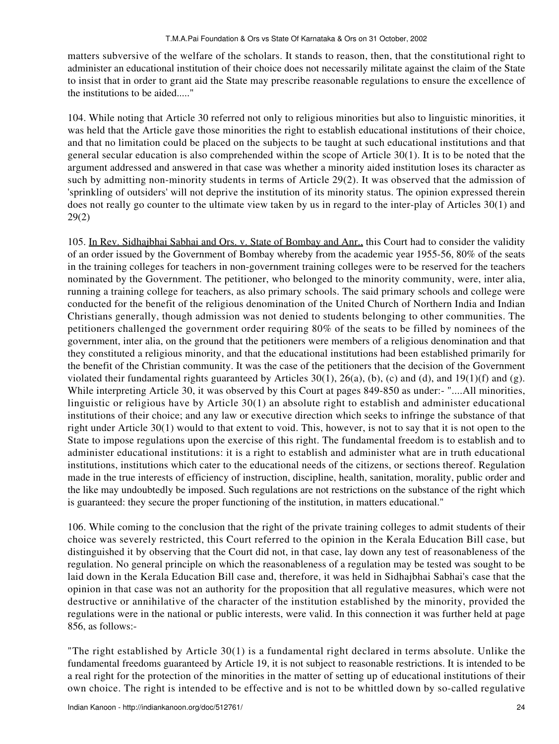matters subversive of the welfare of the scholars. It stands to reason, then, that the constitutional right to administer an educational institution of their choice does not necessarily militate against the claim of the State to insist that in order to grant aid the State may prescribe reasonable regulations to ensure the excellence of the institutions to be aided....."

104. While noting that Article 30 referred not only to religious minorities but also to linguistic minorities, it was held that the Article gave those minorities the right to establish educational institutions of their choice, and that no limitation could be placed on the subjects to be taught at such educational institutions and that general secular education is also comprehended within the scope of Article 30(1). It is to be noted that the argument addressed and answered in that case was whether a minority aided institution loses its character as such by admitting non-minority students in terms of Article 29(2). It was observed that the admission of 'sprinkling of outsiders' will not deprive the institution of its minority status. The opinion expressed therein does not really go counter to the ultimate view taken by us in regard to the inter-play of Articles 30(1) and 29(2)

105. In Rev. Sidhajbhai Sabhai and Ors. v. State of Bombay and Anr., this Court had to consider the validity of an order issued by the Government of Bombay whereby from the academic year 1955-56, 80% of the seats in the training colleges for teachers in non-government training colleges were to be reserved for the teachers nominated by the Government. The petitioner, who belonged to the minority community, were, inter alia, running a training college for teachers, as also primary schools. The said primary schools and college were conducted for the benefit of the religious denomination of the United Church of Northern India and Indian Christians generally, though admission was not denied to students belonging to other communities. The petitioners challenged the government order requiring 80% of the seats to be filled by nominees of the government, inter alia, on the ground that the petitioners were members of a religious denomination and that they constituted a religious minority, and that the educational institutions had been established primarily for the benefit of the Christian community. It was the case of the petitioners that the decision of the Government violated their fundamental rights guaranteed by Articles 30(1), 26(a), (b), (c) and (d), and 19(1)(f) and (g). While interpreting Article 30, it was observed by this Court at pages 849-850 as under:- "....All minorities, linguistic or religious have by Article 30(1) an absolute right to establish and administer educational institutions of their choice; and any law or executive direction which seeks to infringe the substance of that right under Article 30(1) would to that extent to void. This, however, is not to say that it is not open to the State to impose regulations upon the exercise of this right. The fundamental freedom is to establish and to administer educational institutions: it is a right to establish and administer what are in truth educational institutions, institutions which cater to the educational needs of the citizens, or sections thereof. Regulation made in the true interests of efficiency of instruction, discipline, health, sanitation, morality, public order and the like may undoubtedly be imposed. Such regulations are not restrictions on the substance of the right which is guaranteed: they secure the proper functioning of the institution, in matters educational."

106. While coming to the conclusion that the right of the private training colleges to admit students of their choice was severely restricted, this Court referred to the opinion in the Kerala Education Bill case, but distinguished it by observing that the Court did not, in that case, lay down any test of reasonableness of the regulation. No general principle on which the reasonableness of a regulation may be tested was sought to be laid down in the Kerala Education Bill case and, therefore, it was held in Sidhajbhai Sabhai's case that the opinion in that case was not an authority for the proposition that all regulative measures, which were not destructive or annihilative of the character of the institution established by the minority, provided the regulations were in the national or public interests, were valid. In this connection it was further held at page 856, as follows:-

"The right established by Article 30(1) is a fundamental right declared in terms absolute. Unlike the fundamental freedoms guaranteed by Article 19, it is not subject to reasonable restrictions. It is intended to be a real right for the protection of the minorities in the matter of setting up of educational institutions of their own choice. The right is intended to be effective and is not to be whittled down by so-called regulative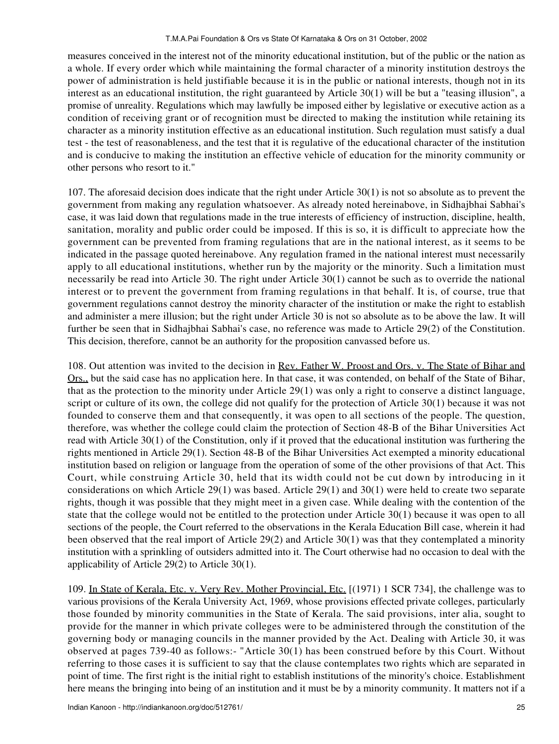measures conceived in the interest not of the minority educational institution, but of the public or the nation as a whole. If every order which while maintaining the formal character of a minority institution destroys the power of administration is held justifiable because it is in the public or national interests, though not in its interest as an educational institution, the right guaranteed by Article 30(1) will be but a "teasing illusion", a promise of unreality. Regulations which may lawfully be imposed either by legislative or executive action as a condition of receiving grant or of recognition must be directed to making the institution while retaining its character as a minority institution effective as an educational institution. Such regulation must satisfy a dual test - the test of reasonableness, and the test that it is regulative of the educational character of the institution and is conducive to making the institution an effective vehicle of education for the minority community or other persons who resort to it."

107. The aforesaid decision does indicate that the right under Article 30(1) is not so absolute as to prevent the government from making any regulation whatsoever. As already noted hereinabove, in Sidhajbhai Sabhai's case, it was laid down that regulations made in the true interests of efficiency of instruction, discipline, health, sanitation, morality and public order could be imposed. If this is so, it is difficult to appreciate how the government can be prevented from framing regulations that are in the national interest, as it seems to be indicated in the passage quoted hereinabove. Any regulation framed in the national interest must necessarily apply to all educational institutions, whether run by the majority or the minority. Such a limitation must necessarily be read into Article 30. The right under Article 30(1) cannot be such as to override the national interest or to prevent the government from framing regulations in that behalf. It is, of course, true that government regulations cannot destroy the minority character of the institution or make the right to establish and administer a mere illusion; but the right under Article 30 is not so absolute as to be above the law. It will further be seen that in Sidhajbhai Sabhai's case, no reference was made to Article 29(2) of the Constitution. This decision, therefore, cannot be an authority for the proposition canvassed before us.

108. Out attention was invited to the decision in Rev. Father W. Proost and Ors. v. The State of Bihar and Ors., but the said case has no application here. In that case, it was contended, on behalf of the State of Bihar, that as the protection to the minority under Article 29(1) was only a right to conserve a distinct language, script or culture of its own, the college did not qualify for the protection of Article 30(1) because it was not founded to conserve them and that consequently, it was open to all sections of the people. The question, therefore, was whether the college could claim the protection of Section 48-B of the Bihar Universities Act read with Article 30(1) of the Constitution, only if it proved that the educational institution was furthering the rights mentioned in Article 29(1). Section 48-B of the Bihar Universities Act exempted a minority educational institution based on religion or language from the operation of some of the other provisions of that Act. This Court, while construing Article 30, held that its width could not be cut down by introducing in it considerations on which Article 29(1) was based. Article 29(1) and 30(1) were held to create two separate rights, though it was possible that they might meet in a given case. While dealing with the contention of the state that the college would not be entitled to the protection under Article 30(1) because it was open to all sections of the people, the Court referred to the observations in the Kerala Education Bill case, wherein it had been observed that the real import of Article 29(2) and Article 30(1) was that they contemplated a minority institution with a sprinkling of outsiders admitted into it. The Court otherwise had no occasion to deal with the applicability of Article 29(2) to Article 30(1).

109. In State of Kerala, Etc. v. Very Rev. Mother Provincial, Etc. [(1971) 1 SCR 734], the challenge was to various provisions of the Kerala University Act, 1969, whose provisions effected private colleges, particularly those founded by minority communities in the State of Kerala. The said provisions, inter alia, sought to provide for the manner in which private colleges were to be administered through the constitution of the governing body or managing councils in the manner provided by the Act. Dealing with Article 30, it was observed at pages 739-40 as follows:- "Article 30(1) has been construed before by this Court. Without referring to those cases it is sufficient to say that the clause contemplates two rights which are separated in point of time. The first right is the initial right to establish institutions of the minority's choice. Establishment here means the bringing into being of an institution and it must be by a minority community. It matters not if a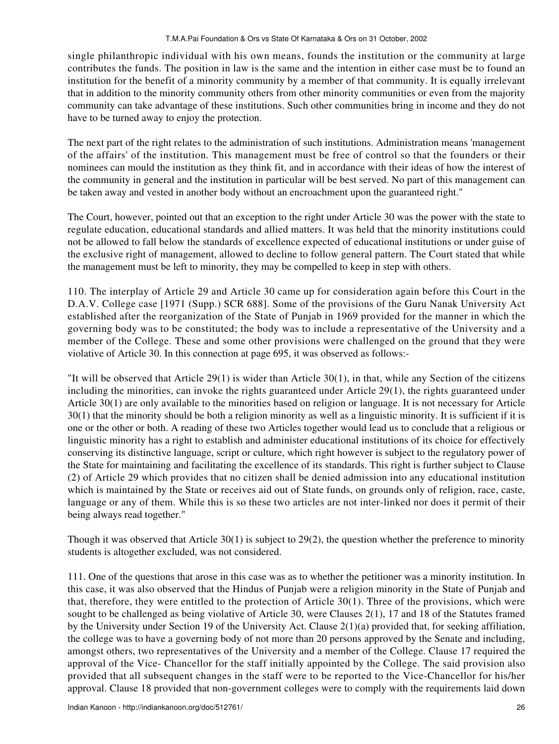single philanthropic individual with his own means, founds the institution or the community at large contributes the funds. The position in law is the same and the intention in either case must be to found an institution for the benefit of a minority community by a member of that community. It is equally irrelevant that in addition to the minority community others from other minority communities or even from the majority community can take advantage of these institutions. Such other communities bring in income and they do not have to be turned away to enjoy the protection.

The next part of the right relates to the administration of such institutions. Administration means 'management of the affairs' of the institution. This management must be free of control so that the founders or their nominees can mould the institution as they think fit, and in accordance with their ideas of how the interest of the community in general and the institution in particular will be best served. No part of this management can be taken away and vested in another body without an encroachment upon the guaranteed right."

The Court, however, pointed out that an exception to the right under Article 30 was the power with the state to regulate education, educational standards and allied matters. It was held that the minority institutions could not be allowed to fall below the standards of excellence expected of educational institutions or under guise of the exclusive right of management, allowed to decline to follow general pattern. The Court stated that while the management must be left to minority, they may be compelled to keep in step with others.

110. The interplay of Article 29 and Article 30 came up for consideration again before this Court in the D.A.V. College case [1971 (Supp.) SCR 688]. Some of the provisions of the Guru Nanak University Act established after the reorganization of the State of Punjab in 1969 provided for the manner in which the governing body was to be constituted; the body was to include a representative of the University and a member of the College. These and some other provisions were challenged on the ground that they were violative of Article 30. In this connection at page 695, it was observed as follows:-

"It will be observed that Article 29(1) is wider than Article 30(1), in that, while any Section of the citizens including the minorities, can invoke the rights guaranteed under Article 29(1), the rights guaranteed under Article 30(1) are only available to the minorities based on religion or language. It is not necessary for Article 30(1) that the minority should be both a religion minority as well as a linguistic minority. It is sufficient if it is one or the other or both. A reading of these two Articles together would lead us to conclude that a religious or linguistic minority has a right to establish and administer educational institutions of its choice for effectively conserving its distinctive language, script or culture, which right however is subject to the regulatory power of the State for maintaining and facilitating the excellence of its standards. This right is further subject to Clause (2) of Article 29 which provides that no citizen shall be denied admission into any educational institution which is maintained by the State or receives aid out of State funds, on grounds only of religion, race, caste, language or any of them. While this is so these two articles are not inter-linked nor does it permit of their being always read together."

Though it was observed that Article 30(1) is subject to 29(2), the question whether the preference to minority students is altogether excluded, was not considered.

111. One of the questions that arose in this case was as to whether the petitioner was a minority institution. In this case, it was also observed that the Hindus of Punjab were a religion minority in the State of Punjab and that, therefore, they were entitled to the protection of Article 30(1). Three of the provisions, which were sought to be challenged as being violative of Article 30, were Clauses 2(1), 17 and 18 of the Statutes framed by the University under Section 19 of the University Act. Clause 2(1)(a) provided that, for seeking affiliation, the college was to have a governing body of not more than 20 persons approved by the Senate and including, amongst others, two representatives of the University and a member of the College. Clause 17 required the approval of the Vice- Chancellor for the staff initially appointed by the College. The said provision also provided that all subsequent changes in the staff were to be reported to the Vice-Chancellor for his/her approval. Clause 18 provided that non-government colleges were to comply with the requirements laid down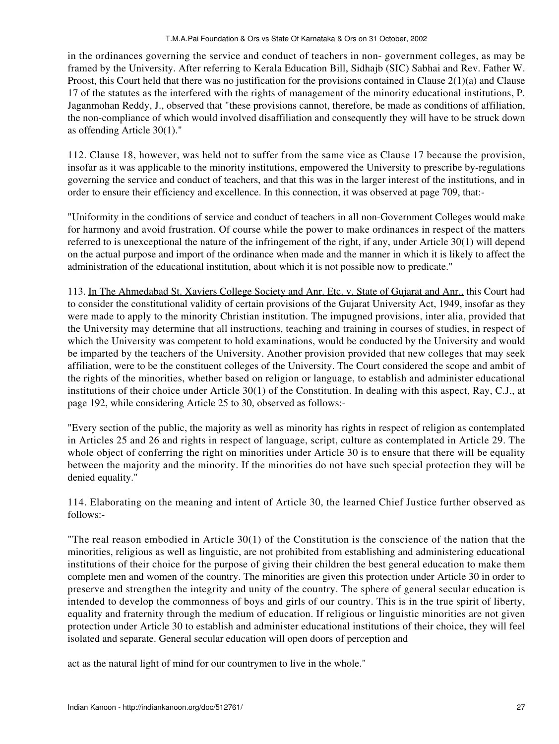in the ordinances governing the service and conduct of teachers in non- government colleges, as may be framed by the University. After referring to Kerala Education Bill, Sidhajb (SIC) Sabhai and Rev. Father W. Proost, this Court held that there was no justification for the provisions contained in Clause 2(1)(a) and Clause 17 of the statutes as the interfered with the rights of management of the minority educational institutions, P. Jaganmohan Reddy, J., observed that "these provisions cannot, therefore, be made as conditions of affiliation, the non-compliance of which would involved disaffiliation and consequently they will have to be struck down as offending Article 30(1)."

112. Clause 18, however, was held not to suffer from the same vice as Clause 17 because the provision, insofar as it was applicable to the minority institutions, empowered the University to prescribe by-regulations governing the service and conduct of teachers, and that this was in the larger interest of the institutions, and in order to ensure their efficiency and excellence. In this connection, it was observed at page 709, that:-

"Uniformity in the conditions of service and conduct of teachers in all non-Government Colleges would make for harmony and avoid frustration. Of course while the power to make ordinances in respect of the matters referred to is unexceptional the nature of the infringement of the right, if any, under Article 30(1) will depend on the actual purpose and import of the ordinance when made and the manner in which it is likely to affect the administration of the educational institution, about which it is not possible now to predicate."

113. In The Ahmedabad St. Xaviers College Society and Anr. Etc. v. State of Gujarat and Anr., this Court had to consider the constitutional validity of certain provisions of the Gujarat University Act, 1949, insofar as they were made to apply to the minority Christian institution. The impugned provisions, inter alia, provided that the University may determine that all instructions, teaching and training in courses of studies, in respect of which the University was competent to hold examinations, would be conducted by the University and would be imparted by the teachers of the University. Another provision provided that new colleges that may seek affiliation, were to be the constituent colleges of the University. The Court considered the scope and ambit of the rights of the minorities, whether based on religion or language, to establish and administer educational institutions of their choice under Article 30(1) of the Constitution. In dealing with this aspect, Ray, C.J., at page 192, while considering Article 25 to 30, observed as follows:-

"Every section of the public, the majority as well as minority has rights in respect of religion as contemplated in Articles 25 and 26 and rights in respect of language, script, culture as contemplated in Article 29. The whole object of conferring the right on minorities under Article 30 is to ensure that there will be equality between the majority and the minority. If the minorities do not have such special protection they will be denied equality."

114. Elaborating on the meaning and intent of Article 30, the learned Chief Justice further observed as follows:-

"The real reason embodied in Article 30(1) of the Constitution is the conscience of the nation that the minorities, religious as well as linguistic, are not prohibited from establishing and administering educational institutions of their choice for the purpose of giving their children the best general education to make them complete men and women of the country. The minorities are given this protection under Article 30 in order to preserve and strengthen the integrity and unity of the country. The sphere of general secular education is intended to develop the commonness of boys and girls of our country. This is in the true spirit of liberty, equality and fraternity through the medium of education. If religious or linguistic minorities are not given protection under Article 30 to establish and administer educational institutions of their choice, they will feel isolated and separate. General secular education will open doors of perception and

act as the natural light of mind for our countrymen to live in the whole."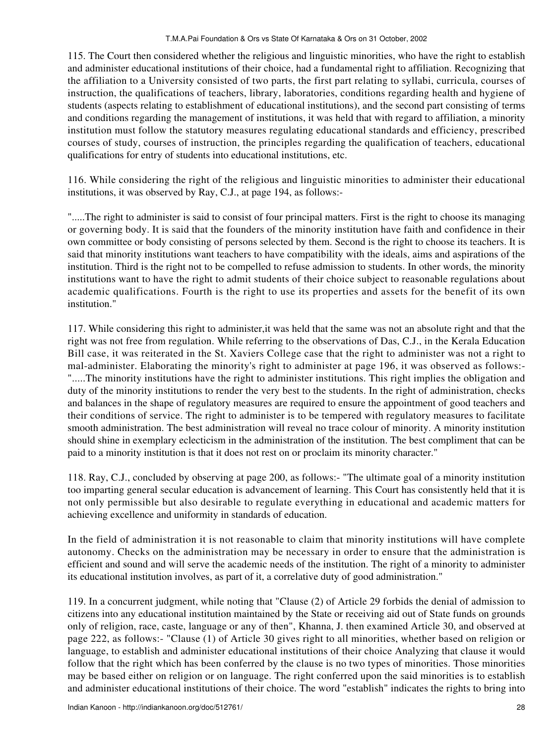115. The Court then considered whether the religious and linguistic minorities, who have the right to establish and administer educational institutions of their choice, had a fundamental right to affiliation. Recognizing that the affiliation to a University consisted of two parts, the first part relating to syllabi, curricula, courses of instruction, the qualifications of teachers, library, laboratories, conditions regarding health and hygiene of students (aspects relating to establishment of educational institutions), and the second part consisting of terms and conditions regarding the management of institutions, it was held that with regard to affiliation, a minority institution must follow the statutory measures regulating educational standards and efficiency, prescribed courses of study, courses of instruction, the principles regarding the qualification of teachers, educational qualifications for entry of students into educational institutions, etc.

116. While considering the right of the religious and linguistic minorities to administer their educational institutions, it was observed by Ray, C.J., at page 194, as follows:-

".....The right to administer is said to consist of four principal matters. First is the right to choose its managing or governing body. It is said that the founders of the minority institution have faith and confidence in their own committee or body consisting of persons selected by them. Second is the right to choose its teachers. It is said that minority institutions want teachers to have compatibility with the ideals, aims and aspirations of the institution. Third is the right not to be compelled to refuse admission to students. In other words, the minority institutions want to have the right to admit students of their choice subject to reasonable regulations about academic qualifications. Fourth is the right to use its properties and assets for the benefit of its own institution."

117. While considering this right to administer,it was held that the same was not an absolute right and that the right was not free from regulation. While referring to the observations of Das, C.J., in the Kerala Education Bill case, it was reiterated in the St. Xaviers College case that the right to administer was not a right to mal-administer. Elaborating the minority's right to administer at page 196, it was observed as follows:- ".....The minority institutions have the right to administer institutions. This right implies the obligation and duty of the minority institutions to render the very best to the students. In the right of administration, checks and balances in the shape of regulatory measures are required to ensure the appointment of good teachers and their conditions of service. The right to administer is to be tempered with regulatory measures to facilitate smooth administration. The best administration will reveal no trace colour of minority. A minority institution should shine in exemplary eclecticism in the administration of the institution. The best compliment that can be paid to a minority institution is that it does not rest on or proclaim its minority character."

118. Ray, C.J., concluded by observing at page 200, as follows:- "The ultimate goal of a minority institution too imparting general secular education is advancement of learning. This Court has consistently held that it is not only permissible but also desirable to regulate everything in educational and academic matters for achieving excellence and uniformity in standards of education.

In the field of administration it is not reasonable to claim that minority institutions will have complete autonomy. Checks on the administration may be necessary in order to ensure that the administration is efficient and sound and will serve the academic needs of the institution. The right of a minority to administer its educational institution involves, as part of it, a correlative duty of good administration."

119. In a concurrent judgment, while noting that "Clause (2) of Article 29 forbids the denial of admission to citizens into any educational institution maintained by the State or receiving aid out of State funds on grounds only of religion, race, caste, language or any of then", Khanna, J. then examined Article 30, and observed at page 222, as follows:- "Clause (1) of Article 30 gives right to all minorities, whether based on religion or language, to establish and administer educational institutions of their choice Analyzing that clause it would follow that the right which has been conferred by the clause is no two types of minorities. Those minorities may be based either on religion or on language. The right conferred upon the said minorities is to establish and administer educational institutions of their choice. The word "establish" indicates the rights to bring into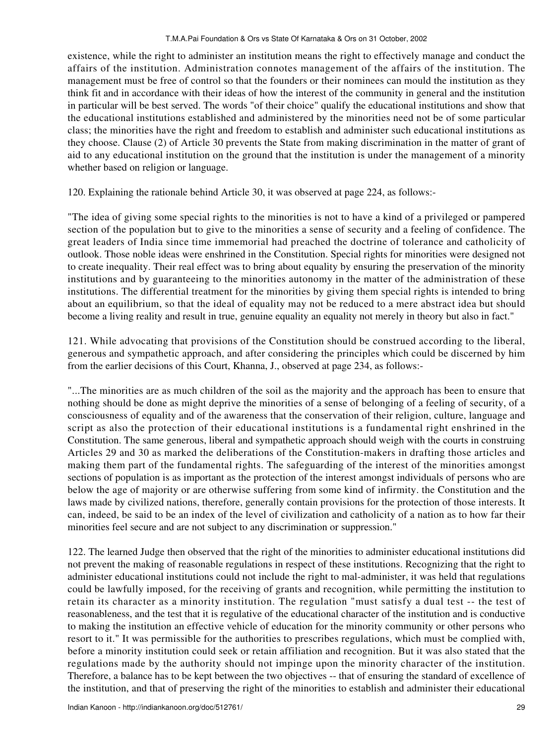existence, while the right to administer an institution means the right to effectively manage and conduct the affairs of the institution. Administration connotes management of the affairs of the institution. The management must be free of control so that the founders or their nominees can mould the institution as they think fit and in accordance with their ideas of how the interest of the community in general and the institution in particular will be best served. The words "of their choice" qualify the educational institutions and show that the educational institutions established and administered by the minorities need not be of some particular class; the minorities have the right and freedom to establish and administer such educational institutions as they choose. Clause (2) of Article 30 prevents the State from making discrimination in the matter of grant of aid to any educational institution on the ground that the institution is under the management of a minority whether based on religion or language.

120. Explaining the rationale behind Article 30, it was observed at page 224, as follows:-

"The idea of giving some special rights to the minorities is not to have a kind of a privileged or pampered section of the population but to give to the minorities a sense of security and a feeling of confidence. The great leaders of India since time immemorial had preached the doctrine of tolerance and catholicity of outlook. Those noble ideas were enshrined in the Constitution. Special rights for minorities were designed not to create inequality. Their real effect was to bring about equality by ensuring the preservation of the minority institutions and by guaranteeing to the minorities autonomy in the matter of the administration of these institutions. The differential treatment for the minorities by giving them special rights is intended to bring about an equilibrium, so that the ideal of equality may not be reduced to a mere abstract idea but should become a living reality and result in true, genuine equality an equality not merely in theory but also in fact."

121. While advocating that provisions of the Constitution should be construed according to the liberal, generous and sympathetic approach, and after considering the principles which could be discerned by him from the earlier decisions of this Court, Khanna, J., observed at page 234, as follows:-

"...The minorities are as much children of the soil as the majority and the approach has been to ensure that nothing should be done as might deprive the minorities of a sense of belonging of a feeling of security, of a consciousness of equality and of the awareness that the conservation of their religion, culture, language and script as also the protection of their educational institutions is a fundamental right enshrined in the Constitution. The same generous, liberal and sympathetic approach should weigh with the courts in construing Articles 29 and 30 as marked the deliberations of the Constitution-makers in drafting those articles and making them part of the fundamental rights. The safeguarding of the interest of the minorities amongst sections of population is as important as the protection of the interest amongst individuals of persons who are below the age of majority or are otherwise suffering from some kind of infirmity. the Constitution and the laws made by civilized nations, therefore, generally contain provisions for the protection of those interests. It can, indeed, be said to be an index of the level of civilization and catholicity of a nation as to how far their minorities feel secure and are not subject to any discrimination or suppression."

122. The learned Judge then observed that the right of the minorities to administer educational institutions did not prevent the making of reasonable regulations in respect of these institutions. Recognizing that the right to administer educational institutions could not include the right to mal-administer, it was held that regulations could be lawfully imposed, for the receiving of grants and recognition, while permitting the institution to retain its character as a minority institution. The regulation "must satisfy a dual test -- the test of reasonableness, and the test that it is regulative of the educational character of the institution and is conductive to making the institution an effective vehicle of education for the minority community or other persons who resort to it." It was permissible for the authorities to prescribes regulations, which must be complied with, before a minority institution could seek or retain affiliation and recognition. But it was also stated that the regulations made by the authority should not impinge upon the minority character of the institution. Therefore, a balance has to be kept between the two objectives -- that of ensuring the standard of excellence of the institution, and that of preserving the right of the minorities to establish and administer their educational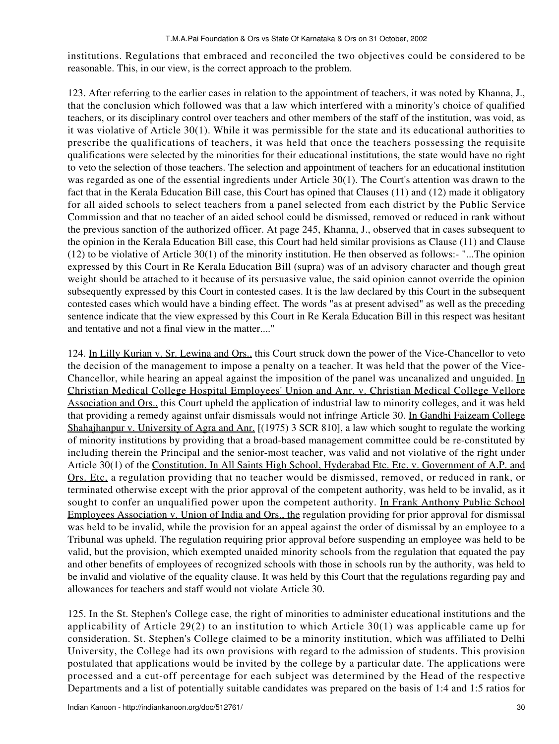institutions. Regulations that embraced and reconciled the two objectives could be considered to be reasonable. This, in our view, is the correct approach to the problem.

123. After referring to the earlier cases in relation to the appointment of teachers, it was noted by Khanna, J., that the conclusion which followed was that a law which interfered with a minority's choice of qualified teachers, or its disciplinary control over teachers and other members of the staff of the institution, was void, as it was violative of Article 30(1). While it was permissible for the state and its educational authorities to prescribe the qualifications of teachers, it was held that once the teachers possessing the requisite qualifications were selected by the minorities for their educational institutions, the state would have no right to veto the selection of those teachers. The selection and appointment of teachers for an educational institution was regarded as one of the essential ingredients under Article 30(1). The Court's attention was drawn to the fact that in the Kerala Education Bill case, this Court has opined that Clauses (11) and (12) made it obligatory for all aided schools to select teachers from a panel selected from each district by the Public Service Commission and that no teacher of an aided school could be dismissed, removed or reduced in rank without the previous sanction of the authorized officer. At page 245, Khanna, J., observed that in cases subsequent to the opinion in the Kerala Education Bill case, this Court had held similar provisions as Clause (11) and Clause (12) to be violative of Article 30(1) of the minority institution. He then observed as follows:- "...The opinion expressed by this Court in Re Kerala Education Bill (supra) was of an advisory character and though great weight should be attached to it because of its persuasive value, the said opinion cannot override the opinion subsequently expressed by this Court in contested cases. It is the law declared by this Court in the subsequent contested cases which would have a binding effect. The words "as at present advised" as well as the preceding sentence indicate that the view expressed by this Court in Re Kerala Education Bill in this respect was hesitant and tentative and not a final view in the matter...."

124. In Lilly Kurian v. Sr. Lewina and Ors., this Court struck down the power of the Vice-Chancellor to veto the decision of the management to impose a penalty on a teacher. It was held that the power of the Vice-Chancellor, while hearing an appeal against the imposition of the panel was uncanalized and unguided. In Christian Medical College Hospital Employees' Union and Anr. v. Christian Medical College Vellore Association and Ors., this Court upheld the application of industrial law to minority colleges, and it was held that providing a remedy against unfair dismissals would not infringe Article 30. In Gandhi Faizeam College Shahajhanpur v. University of Agra and Anr. [(1975) 3 SCR 810], a law which sought to regulate the working of minority institutions by providing that a broad-based management committee could be re-constituted by including therein the Principal and the senior-most teacher, was valid and not violative of the right under Article 30(1) of the Constitution. In All Saints High School, Hyderabad Etc. Etc. v. Government of A.P. and Ors. Etc, a regulation providing that no teacher would be dismissed, removed, or reduced in rank, or terminated otherwise except with the prior approval of the competent authority, was held to be invalid, as it sought to confer an unqualified power upon the competent authority. In Frank Anthony Public School Employees Association v. Union of India and Ors., the regulation providing for prior approval for dismissal was held to be invalid, while the provision for an appeal against the order of dismissal by an employee to a Tribunal was upheld. The regulation requiring prior approval before suspending an employee was held to be valid, but the provision, which exempted unaided minority schools from the regulation that equated the pay and other benefits of employees of recognized schools with those in schools run by the authority, was held to be invalid and violative of the equality clause. It was held by this Court that the regulations regarding pay and allowances for teachers and staff would not violate Article 30.

125. In the St. Stephen's College case, the right of minorities to administer educational institutions and the applicability of Article 29(2) to an institution to which Article 30(1) was applicable came up for consideration. St. Stephen's College claimed to be a minority institution, which was affiliated to Delhi University, the College had its own provisions with regard to the admission of students. This provision postulated that applications would be invited by the college by a particular date. The applications were processed and a cut-off percentage for each subject was determined by the Head of the respective Departments and a list of potentially suitable candidates was prepared on the basis of 1:4 and 1:5 ratios for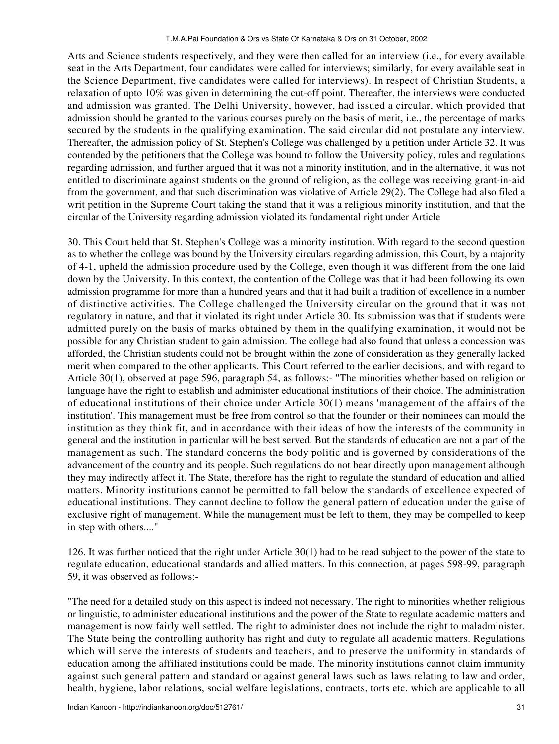Arts and Science students respectively, and they were then called for an interview (i.e., for every available seat in the Arts Department, four candidates were called for interviews; similarly, for every available seat in the Science Department, five candidates were called for interviews). In respect of Christian Students, a relaxation of upto 10% was given in determining the cut-off point. Thereafter, the interviews were conducted and admission was granted. The Delhi University, however, had issued a circular, which provided that admission should be granted to the various courses purely on the basis of merit, i.e., the percentage of marks secured by the students in the qualifying examination. The said circular did not postulate any interview. Thereafter, the admission policy of St. Stephen's College was challenged by a petition under Article 32. It was contended by the petitioners that the College was bound to follow the University policy, rules and regulations regarding admission, and further argued that it was not a minority institution, and in the alternative, it was not entitled to discriminate against students on the ground of religion, as the college was receiving grant-in-aid from the government, and that such discrimination was violative of Article 29(2). The College had also filed a writ petition in the Supreme Court taking the stand that it was a religious minority institution, and that the circular of the University regarding admission violated its fundamental right under Article

30. This Court held that St. Stephen's College was a minority institution. With regard to the second question as to whether the college was bound by the University circulars regarding admission, this Court, by a majority of 4-1, upheld the admission procedure used by the College, even though it was different from the one laid down by the University. In this context, the contention of the College was that it had been following its own admission programme for more than a hundred years and that it had built a tradition of excellence in a number of distinctive activities. The College challenged the University circular on the ground that it was not regulatory in nature, and that it violated its right under Article 30. Its submission was that if students were admitted purely on the basis of marks obtained by them in the qualifying examination, it would not be possible for any Christian student to gain admission. The college had also found that unless a concession was afforded, the Christian students could not be brought within the zone of consideration as they generally lacked merit when compared to the other applicants. This Court referred to the earlier decisions, and with regard to Article 30(1), observed at page 596, paragraph 54, as follows:- "The minorities whether based on religion or language have the right to establish and administer educational institutions of their choice. The administration of educational institutions of their choice under Article 30(1) means 'management of the affairs of the institution'. This management must be free from control so that the founder or their nominees can mould the institution as they think fit, and in accordance with their ideas of how the interests of the community in general and the institution in particular will be best served. But the standards of education are not a part of the management as such. The standard concerns the body politic and is governed by considerations of the advancement of the country and its people. Such regulations do not bear directly upon management although they may indirectly affect it. The State, therefore has the right to regulate the standard of education and allied matters. Minority institutions cannot be permitted to fall below the standards of excellence expected of educational institutions. They cannot decline to follow the general pattern of education under the guise of exclusive right of management. While the management must be left to them, they may be compelled to keep in step with others...."

126. It was further noticed that the right under Article 30(1) had to be read subject to the power of the state to regulate education, educational standards and allied matters. In this connection, at pages 598-99, paragraph 59, it was observed as follows:-

"The need for a detailed study on this aspect is indeed not necessary. The right to minorities whether religious or linguistic, to administer educational institutions and the power of the State to regulate academic matters and management is now fairly well settled. The right to administer does not include the right to maladminister. The State being the controlling authority has right and duty to regulate all academic matters. Regulations which will serve the interests of students and teachers, and to preserve the uniformity in standards of education among the affiliated institutions could be made. The minority institutions cannot claim immunity against such general pattern and standard or against general laws such as laws relating to law and order, health, hygiene, labor relations, social welfare legislations, contracts, torts etc. which are applicable to all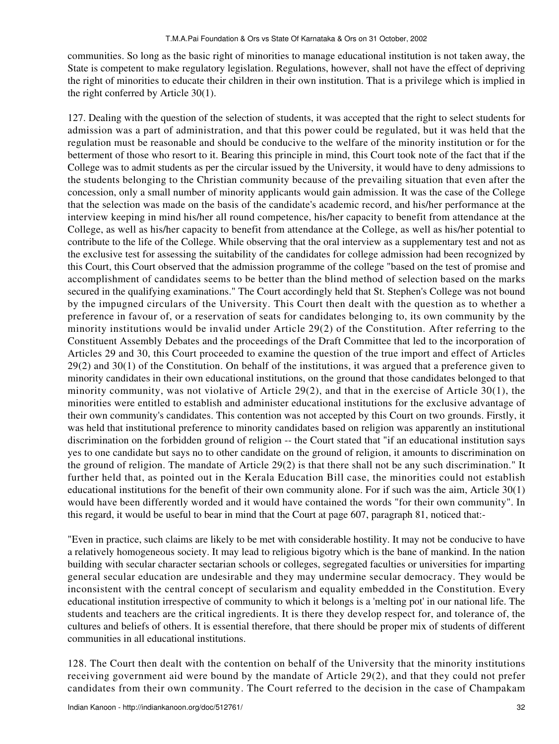communities. So long as the basic right of minorities to manage educational institution is not taken away, the State is competent to make regulatory legislation. Regulations, however, shall not have the effect of depriving the right of minorities to educate their children in their own institution. That is a privilege which is implied in the right conferred by Article 30(1).

127. Dealing with the question of the selection of students, it was accepted that the right to select students for admission was a part of administration, and that this power could be regulated, but it was held that the regulation must be reasonable and should be conducive to the welfare of the minority institution or for the betterment of those who resort to it. Bearing this principle in mind, this Court took note of the fact that if the College was to admit students as per the circular issued by the University, it would have to deny admissions to the students belonging to the Christian community because of the prevailing situation that even after the concession, only a small number of minority applicants would gain admission. It was the case of the College that the selection was made on the basis of the candidate's academic record, and his/her performance at the interview keeping in mind his/her all round competence, his/her capacity to benefit from attendance at the College, as well as his/her capacity to benefit from attendance at the College, as well as his/her potential to contribute to the life of the College. While observing that the oral interview as a supplementary test and not as the exclusive test for assessing the suitability of the candidates for college admission had been recognized by this Court, this Court observed that the admission programme of the college "based on the test of promise and accomplishment of candidates seems to be better than the blind method of selection based on the marks secured in the qualifying examinations." The Court accordingly held that St. Stephen's College was not bound by the impugned circulars of the University. This Court then dealt with the question as to whether a preference in favour of, or a reservation of seats for candidates belonging to, its own community by the minority institutions would be invalid under Article 29(2) of the Constitution. After referring to the Constituent Assembly Debates and the proceedings of the Draft Committee that led to the incorporation of Articles 29 and 30, this Court proceeded to examine the question of the true import and effect of Articles 29(2) and 30(1) of the Constitution. On behalf of the institutions, it was argued that a preference given to minority candidates in their own educational institutions, on the ground that those candidates belonged to that minority community, was not violative of Article 29(2), and that in the exercise of Article 30(1), the minorities were entitled to establish and administer educational institutions for the exclusive advantage of their own community's candidates. This contention was not accepted by this Court on two grounds. Firstly, it was held that institutional preference to minority candidates based on religion was apparently an institutional discrimination on the forbidden ground of religion -- the Court stated that "if an educational institution says yes to one candidate but says no to other candidate on the ground of religion, it amounts to discrimination on the ground of religion. The mandate of Article 29(2) is that there shall not be any such discrimination." It further held that, as pointed out in the Kerala Education Bill case, the minorities could not establish educational institutions for the benefit of their own community alone. For if such was the aim, Article 30(1) would have been differently worded and it would have contained the words "for their own community". In this regard, it would be useful to bear in mind that the Court at page 607, paragraph 81, noticed that:-

"Even in practice, such claims are likely to be met with considerable hostility. It may not be conducive to have a relatively homogeneous society. It may lead to religious bigotry which is the bane of mankind. In the nation building with secular character sectarian schools or colleges, segregated faculties or universities for imparting general secular education are undesirable and they may undermine secular democracy. They would be inconsistent with the central concept of secularism and equality embedded in the Constitution. Every educational institution irrespective of community to which it belongs is a 'melting pot' in our national life. The students and teachers are the critical ingredients. It is there they develop respect for, and tolerance of, the cultures and beliefs of others. It is essential therefore, that there should be proper mix of students of different communities in all educational institutions.

128. The Court then dealt with the contention on behalf of the University that the minority institutions receiving government aid were bound by the mandate of Article 29(2), and that they could not prefer candidates from their own community. The Court referred to the decision in the case of Champakam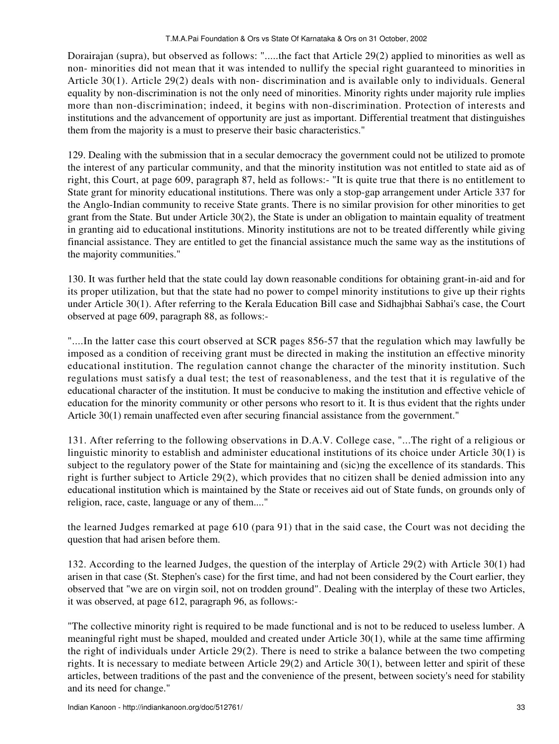Dorairajan (supra), but observed as follows: ".....the fact that Article 29(2) applied to minorities as well as non- minorities did not mean that it was intended to nullify the special right guaranteed to minorities in Article 30(1). Article 29(2) deals with non- discrimination and is available only to individuals. General equality by non-discrimination is not the only need of minorities. Minority rights under majority rule implies more than non-discrimination; indeed, it begins with non-discrimination. Protection of interests and institutions and the advancement of opportunity are just as important. Differential treatment that distinguishes them from the majority is a must to preserve their basic characteristics."

129. Dealing with the submission that in a secular democracy the government could not be utilized to promote the interest of any particular community, and that the minority institution was not entitled to state aid as of right, this Court, at page 609, paragraph 87, held as follows:- "It is quite true that there is no entitlement to State grant for minority educational institutions. There was only a stop-gap arrangement under Article 337 for the Anglo-Indian community to receive State grants. There is no similar provision for other minorities to get grant from the State. But under Article 30(2), the State is under an obligation to maintain equality of treatment in granting aid to educational institutions. Minority institutions are not to be treated differently while giving financial assistance. They are entitled to get the financial assistance much the same way as the institutions of the majority communities."

130. It was further held that the state could lay down reasonable conditions for obtaining grant-in-aid and for its proper utilization, but that the state had no power to compel minority institutions to give up their rights under Article 30(1). After referring to the Kerala Education Bill case and Sidhajbhai Sabhai's case, the Court observed at page 609, paragraph 88, as follows:-

"....In the latter case this court observed at SCR pages 856-57 that the regulation which may lawfully be imposed as a condition of receiving grant must be directed in making the institution an effective minority educational institution. The regulation cannot change the character of the minority institution. Such regulations must satisfy a dual test; the test of reasonableness, and the test that it is regulative of the educational character of the institution. It must be conducive to making the institution and effective vehicle of education for the minority community or other persons who resort to it. It is thus evident that the rights under Article 30(1) remain unaffected even after securing financial assistance from the government."

131. After referring to the following observations in D.A.V. College case, "...The right of a religious or linguistic minority to establish and administer educational institutions of its choice under Article 30(1) is subject to the regulatory power of the State for maintaining and (sic)ng the excellence of its standards. This right is further subject to Article 29(2), which provides that no citizen shall be denied admission into any educational institution which is maintained by the State or receives aid out of State funds, on grounds only of religion, race, caste, language or any of them...."

the learned Judges remarked at page 610 (para 91) that in the said case, the Court was not deciding the question that had arisen before them.

132. According to the learned Judges, the question of the interplay of Article 29(2) with Article 30(1) had arisen in that case (St. Stephen's case) for the first time, and had not been considered by the Court earlier, they observed that "we are on virgin soil, not on trodden ground". Dealing with the interplay of these two Articles, it was observed, at page 612, paragraph 96, as follows:-

"The collective minority right is required to be made functional and is not to be reduced to useless lumber. A meaningful right must be shaped, moulded and created under Article 30(1), while at the same time affirming the right of individuals under Article 29(2). There is need to strike a balance between the two competing rights. It is necessary to mediate between Article 29(2) and Article 30(1), between letter and spirit of these articles, between traditions of the past and the convenience of the present, between society's need for stability and its need for change."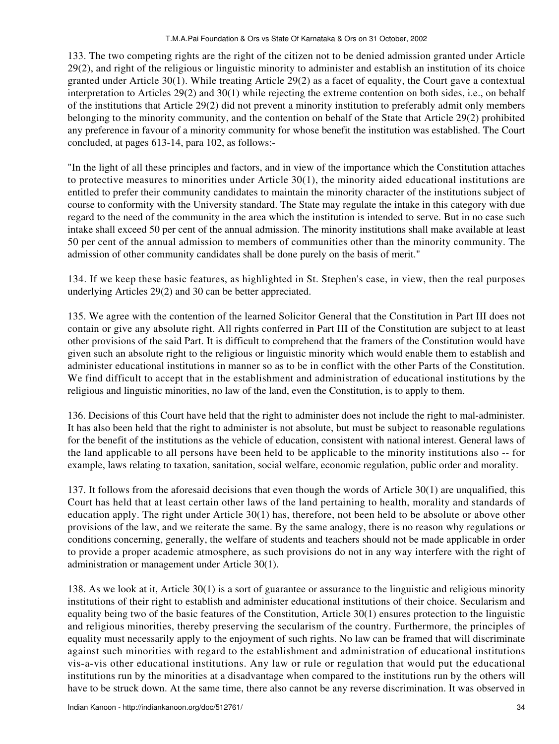133. The two competing rights are the right of the citizen not to be denied admission granted under Article 29(2), and right of the religious or linguistic minority to administer and establish an institution of its choice granted under Article 30(1). While treating Article 29(2) as a facet of equality, the Court gave a contextual interpretation to Articles 29(2) and 30(1) while rejecting the extreme contention on both sides, i.e., on behalf of the institutions that Article 29(2) did not prevent a minority institution to preferably admit only members belonging to the minority community, and the contention on behalf of the State that Article 29(2) prohibited any preference in favour of a minority community for whose benefit the institution was established. The Court concluded, at pages 613-14, para 102, as follows:-

"In the light of all these principles and factors, and in view of the importance which the Constitution attaches to protective measures to minorities under Article  $30(1)$ , the minority aided educational institutions are entitled to prefer their community candidates to maintain the minority character of the institutions subject of course to conformity with the University standard. The State may regulate the intake in this category with due regard to the need of the community in the area which the institution is intended to serve. But in no case such intake shall exceed 50 per cent of the annual admission. The minority institutions shall make available at least 50 per cent of the annual admission to members of communities other than the minority community. The admission of other community candidates shall be done purely on the basis of merit."

134. If we keep these basic features, as highlighted in St. Stephen's case, in view, then the real purposes underlying Articles 29(2) and 30 can be better appreciated.

135. We agree with the contention of the learned Solicitor General that the Constitution in Part III does not contain or give any absolute right. All rights conferred in Part III of the Constitution are subject to at least other provisions of the said Part. It is difficult to comprehend that the framers of the Constitution would have given such an absolute right to the religious or linguistic minority which would enable them to establish and administer educational institutions in manner so as to be in conflict with the other Parts of the Constitution. We find difficult to accept that in the establishment and administration of educational institutions by the religious and linguistic minorities, no law of the land, even the Constitution, is to apply to them.

136. Decisions of this Court have held that the right to administer does not include the right to mal-administer. It has also been held that the right to administer is not absolute, but must be subject to reasonable regulations for the benefit of the institutions as the vehicle of education, consistent with national interest. General laws of the land applicable to all persons have been held to be applicable to the minority institutions also -- for example, laws relating to taxation, sanitation, social welfare, economic regulation, public order and morality.

137. It follows from the aforesaid decisions that even though the words of Article 30(1) are unqualified, this Court has held that at least certain other laws of the land pertaining to health, morality and standards of education apply. The right under Article 30(1) has, therefore, not been held to be absolute or above other provisions of the law, and we reiterate the same. By the same analogy, there is no reason why regulations or conditions concerning, generally, the welfare of students and teachers should not be made applicable in order to provide a proper academic atmosphere, as such provisions do not in any way interfere with the right of administration or management under Article 30(1).

138. As we look at it, Article 30(1) is a sort of guarantee or assurance to the linguistic and religious minority institutions of their right to establish and administer educational institutions of their choice. Secularism and equality being two of the basic features of the Constitution, Article 30(1) ensures protection to the linguistic and religious minorities, thereby preserving the secularism of the country. Furthermore, the principles of equality must necessarily apply to the enjoyment of such rights. No law can be framed that will discriminate against such minorities with regard to the establishment and administration of educational institutions vis-a-vis other educational institutions. Any law or rule or regulation that would put the educational institutions run by the minorities at a disadvantage when compared to the institutions run by the others will have to be struck down. At the same time, there also cannot be any reverse discrimination. It was observed in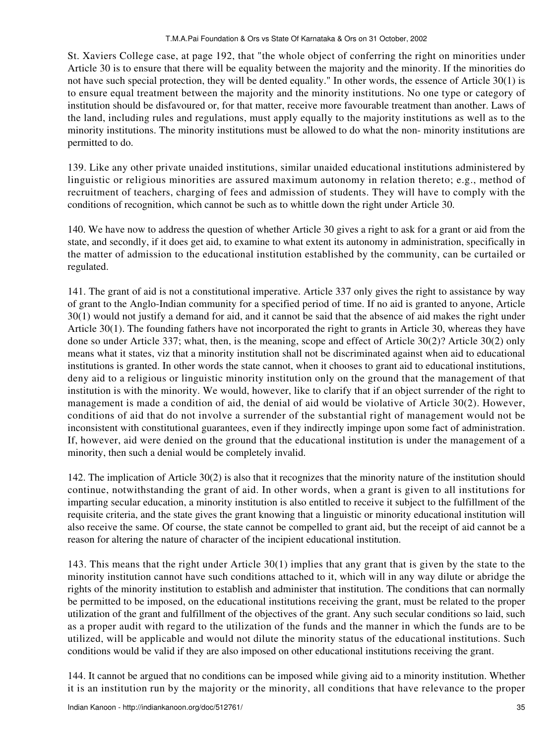St. Xaviers College case, at page 192, that "the whole object of conferring the right on minorities under Article 30 is to ensure that there will be equality between the majority and the minority. If the minorities do not have such special protection, they will be dented equality." In other words, the essence of Article 30(1) is to ensure equal treatment between the majority and the minority institutions. No one type or category of institution should be disfavoured or, for that matter, receive more favourable treatment than another. Laws of the land, including rules and regulations, must apply equally to the majority institutions as well as to the minority institutions. The minority institutions must be allowed to do what the non- minority institutions are permitted to do.

139. Like any other private unaided institutions, similar unaided educational institutions administered by linguistic or religious minorities are assured maximum autonomy in relation thereto; e.g., method of recruitment of teachers, charging of fees and admission of students. They will have to comply with the conditions of recognition, which cannot be such as to whittle down the right under Article 30.

140. We have now to address the question of whether Article 30 gives a right to ask for a grant or aid from the state, and secondly, if it does get aid, to examine to what extent its autonomy in administration, specifically in the matter of admission to the educational institution established by the community, can be curtailed or regulated.

141. The grant of aid is not a constitutional imperative. Article 337 only gives the right to assistance by way of grant to the Anglo-Indian community for a specified period of time. If no aid is granted to anyone, Article 30(1) would not justify a demand for aid, and it cannot be said that the absence of aid makes the right under Article 30(1). The founding fathers have not incorporated the right to grants in Article 30, whereas they have done so under Article 337; what, then, is the meaning, scope and effect of Article 30(2)? Article 30(2) only means what it states, viz that a minority institution shall not be discriminated against when aid to educational institutions is granted. In other words the state cannot, when it chooses to grant aid to educational institutions, deny aid to a religious or linguistic minority institution only on the ground that the management of that institution is with the minority. We would, however, like to clarify that if an object surrender of the right to management is made a condition of aid, the denial of aid would be violative of Article 30(2). However, conditions of aid that do not involve a surrender of the substantial right of management would not be inconsistent with constitutional guarantees, even if they indirectly impinge upon some fact of administration. If, however, aid were denied on the ground that the educational institution is under the management of a minority, then such a denial would be completely invalid.

142. The implication of Article 30(2) is also that it recognizes that the minority nature of the institution should continue, notwithstanding the grant of aid. In other words, when a grant is given to all institutions for imparting secular education, a minority institution is also entitled to receive it subject to the fulfillment of the requisite criteria, and the state gives the grant knowing that a linguistic or minority educational institution will also receive the same. Of course, the state cannot be compelled to grant aid, but the receipt of aid cannot be a reason for altering the nature of character of the incipient educational institution.

143. This means that the right under Article 30(1) implies that any grant that is given by the state to the minority institution cannot have such conditions attached to it, which will in any way dilute or abridge the rights of the minority institution to establish and administer that institution. The conditions that can normally be permitted to be imposed, on the educational institutions receiving the grant, must be related to the proper utilization of the grant and fulfillment of the objectives of the grant. Any such secular conditions so laid, such as a proper audit with regard to the utilization of the funds and the manner in which the funds are to be utilized, will be applicable and would not dilute the minority status of the educational institutions. Such conditions would be valid if they are also imposed on other educational institutions receiving the grant.

144. It cannot be argued that no conditions can be imposed while giving aid to a minority institution. Whether it is an institution run by the majority or the minority, all conditions that have relevance to the proper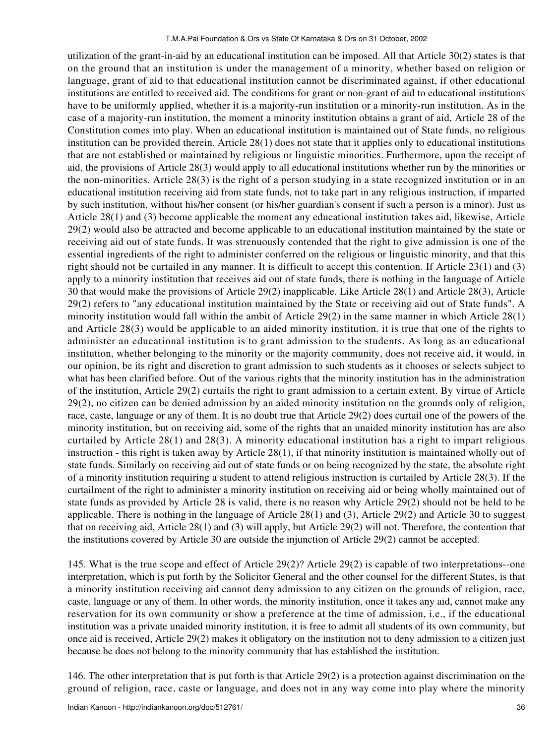utilization of the grant-in-aid by an educational institution can be imposed. All that Article 30(2) states is that on the ground that an institution is under the management of a minority, whether based on religion or language, grant of aid to that educational institution cannot be discriminated against, if other educational institutions are entitled to received aid. The conditions for grant or non-grant of aid to educational institutions have to be uniformly applied, whether it is a majority-run institution or a minority-run institution. As in the case of a majority-run institution, the moment a minority institution obtains a grant of aid, Article 28 of the Constitution comes into play. When an educational institution is maintained out of State funds, no religious institution can be provided therein. Article 28(1) does not state that it applies only to educational institutions that are not established or maintained by religious or linguistic minorities. Furthermore, upon the receipt of aid, the provisions of Article 28(3) would apply to all educational institutions whether run by the minorities or the non-minorities. Article 28(3) is the right of a person studying in a state recognized institution or in an educational institution receiving aid from state funds, not to take part in any religious instruction, if imparted by such institution, without his/her consent (or his/her guardian's consent if such a person is a minor). Just as Article 28(1) and (3) become applicable the moment any educational institution takes aid, likewise, Article 29(2) would also be attracted and become applicable to an educational institution maintained by the state or receiving aid out of state funds. It was strenuously contended that the right to give admission is one of the essential ingredients of the right to administer conferred on the religious or linguistic minority, and that this right should not be curtailed in any manner. It is difficult to accept this contention. If Article 23(1) and (3) apply to a minority institution that receives aid out of state funds, there is nothing in the language of Article 30 that would make the provisions of Article 29(2) inapplicable. Like Article 28(1) and Article 28(3), Article 29(2) refers to "any educational institution maintained by the State or receiving aid out of State funds". A minority institution would fall within the ambit of Article 29(2) in the same manner in which Article 28(1) and Article 28(3) would be applicable to an aided minority institution. it is true that one of the rights to administer an educational institution is to grant admission to the students. As long as an educational institution, whether belonging to the minority or the majority community, does not receive aid, it would, in our opinion, be its right and discretion to grant admission to such students as it chooses or selects subject to what has been clarified before. Out of the various rights that the minority institution has in the administration of the institution, Article 29(2) curtails the right to grant admission to a certain extent. By virtue of Article 29(2), no citizen can be denied admission by an aided minority institution on the grounds only of religion, race, caste, language or any of them. It is no doubt true that Article 29(2) does curtail one of the powers of the minority institution, but on receiving aid, some of the rights that an unaided minority institution has are also curtailed by Article 28(1) and 28(3). A minority educational institution has a right to impart religious instruction - this right is taken away by Article 28(1), if that minority institution is maintained wholly out of state funds. Similarly on receiving aid out of state funds or on being recognized by the state, the absolute right of a minority institution requiring a student to attend religious instruction is curtailed by Article 28(3). If the curtailment of the right to administer a minority institution on receiving aid or being wholly maintained out of state funds as provided by Article 28 is valid, there is no reason why Article 29(2) should not be held to be applicable. There is nothing in the language of Article 28(1) and (3), Article 29(2) and Article 30 to suggest that on receiving aid, Article 28(1) and (3) will apply, but Article 29(2) will not. Therefore, the contention that the institutions covered by Article 30 are outside the injunction of Article 29(2) cannot be accepted.

145. What is the true scope and effect of Article 29(2)? Article 29(2) is capable of two interpretations--one interpretation, which is put forth by the Solicitor General and the other counsel for the different States, is that a minority institution receiving aid cannot deny admission to any citizen on the grounds of religion, race, caste, language or any of them. In other words, the minority institution, once it takes any aid, cannot make any reservation for its own community or show a preference at the time of admission, i.e., if the educational institution was a private unaided minority institution, it is free to admit all students of its own community, but once aid is received, Article 29(2) makes it obligatory on the institution not to deny admission to a citizen just because he does not belong to the minority community that has established the institution.

146. The other interpretation that is put forth is that Article 29(2) is a protection against discrimination on the ground of religion, race, caste or language, and does not in any way come into play where the minority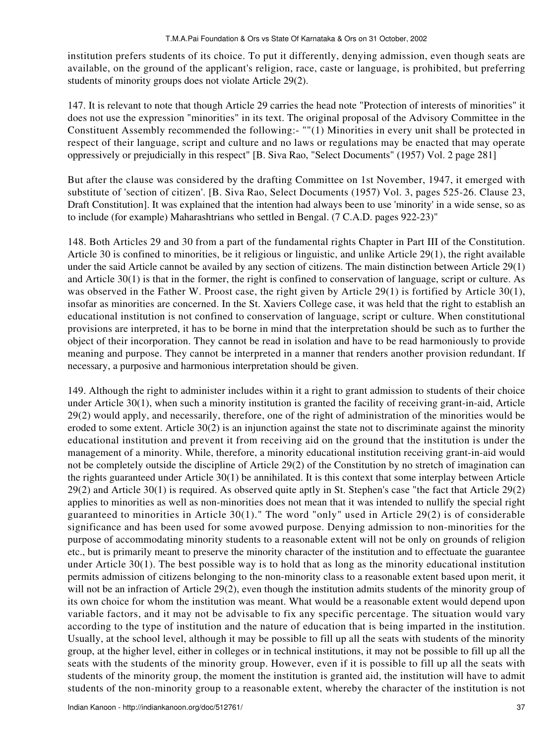institution prefers students of its choice. To put it differently, denying admission, even though seats are available, on the ground of the applicant's religion, race, caste or language, is prohibited, but preferring students of minority groups does not violate Article 29(2).

147. It is relevant to note that though Article 29 carries the head note "Protection of interests of minorities" it does not use the expression "minorities" in its text. The original proposal of the Advisory Committee in the Constituent Assembly recommended the following:- ""(1) Minorities in every unit shall be protected in respect of their language, script and culture and no laws or regulations may be enacted that may operate oppressively or prejudicially in this respect" [B. Siva Rao, "Select Documents" (1957) Vol. 2 page 281]

But after the clause was considered by the drafting Committee on 1st November, 1947, it emerged with substitute of 'section of citizen'. [B. Siva Rao, Select Documents (1957) Vol. 3, pages 525-26. Clause 23, Draft Constitution]. It was explained that the intention had always been to use 'minority' in a wide sense, so as to include (for example) Maharashtrians who settled in Bengal. (7 C.A.D. pages 922-23)"

148. Both Articles 29 and 30 from a part of the fundamental rights Chapter in Part III of the Constitution. Article 30 is confined to minorities, be it religious or linguistic, and unlike Article 29(1), the right available under the said Article cannot be availed by any section of citizens. The main distinction between Article 29(1) and Article 30(1) is that in the former, the right is confined to conservation of language, script or culture. As was observed in the Father W. Proost case, the right given by Article 29(1) is fortified by Article 30(1), insofar as minorities are concerned. In the St. Xaviers College case, it was held that the right to establish an educational institution is not confined to conservation of language, script or culture. When constitutional provisions are interpreted, it has to be borne in mind that the interpretation should be such as to further the object of their incorporation. They cannot be read in isolation and have to be read harmoniously to provide meaning and purpose. They cannot be interpreted in a manner that renders another provision redundant. If necessary, a purposive and harmonious interpretation should be given.

149. Although the right to administer includes within it a right to grant admission to students of their choice under Article 30(1), when such a minority institution is granted the facility of receiving grant-in-aid, Article 29(2) would apply, and necessarily, therefore, one of the right of administration of the minorities would be eroded to some extent. Article 30(2) is an injunction against the state not to discriminate against the minority educational institution and prevent it from receiving aid on the ground that the institution is under the management of a minority. While, therefore, a minority educational institution receiving grant-in-aid would not be completely outside the discipline of Article 29(2) of the Constitution by no stretch of imagination can the rights guaranteed under Article 30(1) be annihilated. It is this context that some interplay between Article 29(2) and Article 30(1) is required. As observed quite aptly in St. Stephen's case "the fact that Article 29(2) applies to minorities as well as non-minorities does not mean that it was intended to nullify the special right guaranteed to minorities in Article 30(1)." The word "only" used in Article 29(2) is of considerable significance and has been used for some avowed purpose. Denying admission to non-minorities for the purpose of accommodating minority students to a reasonable extent will not be only on grounds of religion etc., but is primarily meant to preserve the minority character of the institution and to effectuate the guarantee under Article 30(1). The best possible way is to hold that as long as the minority educational institution permits admission of citizens belonging to the non-minority class to a reasonable extent based upon merit, it will not be an infraction of Article 29(2), even though the institution admits students of the minority group of its own choice for whom the institution was meant. What would be a reasonable extent would depend upon variable factors, and it may not be advisable to fix any specific percentage. The situation would vary according to the type of institution and the nature of education that is being imparted in the institution. Usually, at the school level, although it may be possible to fill up all the seats with students of the minority group, at the higher level, either in colleges or in technical institutions, it may not be possible to fill up all the seats with the students of the minority group. However, even if it is possible to fill up all the seats with students of the minority group, the moment the institution is granted aid, the institution will have to admit students of the non-minority group to a reasonable extent, whereby the character of the institution is not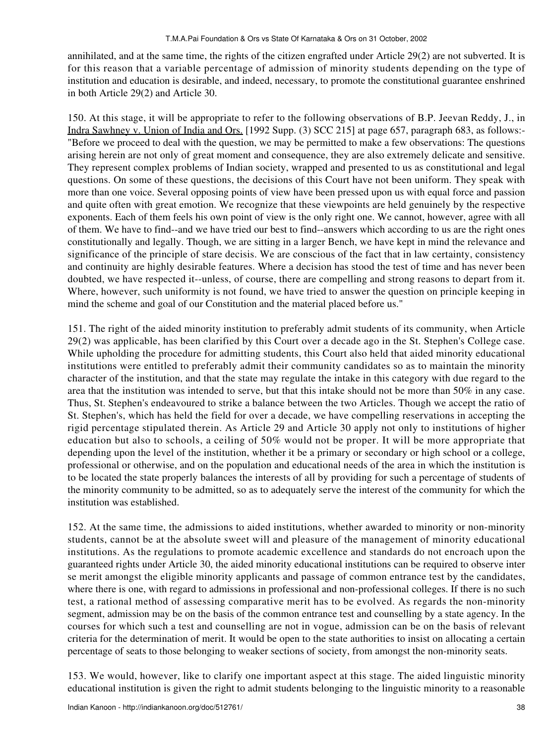annihilated, and at the same time, the rights of the citizen engrafted under Article 29(2) are not subverted. It is for this reason that a variable percentage of admission of minority students depending on the type of institution and education is desirable, and indeed, necessary, to promote the constitutional guarantee enshrined in both Article 29(2) and Article 30.

150. At this stage, it will be appropriate to refer to the following observations of B.P. Jeevan Reddy, J., in Indra Sawhney v. Union of India and Ors. [1992 Supp. (3) SCC 215] at page 657, paragraph 683, as follows:- "Before we proceed to deal with the question, we may be permitted to make a few observations: The questions arising herein are not only of great moment and consequence, they are also extremely delicate and sensitive. They represent complex problems of Indian society, wrapped and presented to us as constitutional and legal questions. On some of these questions, the decisions of this Court have not been uniform. They speak with more than one voice. Several opposing points of view have been pressed upon us with equal force and passion and quite often with great emotion. We recognize that these viewpoints are held genuinely by the respective exponents. Each of them feels his own point of view is the only right one. We cannot, however, agree with all of them. We have to find--and we have tried our best to find--answers which according to us are the right ones constitutionally and legally. Though, we are sitting in a larger Bench, we have kept in mind the relevance and significance of the principle of stare decisis. We are conscious of the fact that in law certainty, consistency and continuity are highly desirable features. Where a decision has stood the test of time and has never been doubted, we have respected it--unless, of course, there are compelling and strong reasons to depart from it. Where, however, such uniformity is not found, we have tried to answer the question on principle keeping in mind the scheme and goal of our Constitution and the material placed before us."

151. The right of the aided minority institution to preferably admit students of its community, when Article 29(2) was applicable, has been clarified by this Court over a decade ago in the St. Stephen's College case. While upholding the procedure for admitting students, this Court also held that aided minority educational institutions were entitled to preferably admit their community candidates so as to maintain the minority character of the institution, and that the state may regulate the intake in this category with due regard to the area that the institution was intended to serve, but that this intake should not be more than 50% in any case. Thus, St. Stephen's endeavoured to strike a balance between the two Articles. Though we accept the ratio of St. Stephen's, which has held the field for over a decade, we have compelling reservations in accepting the rigid percentage stipulated therein. As Article 29 and Article 30 apply not only to institutions of higher education but also to schools, a ceiling of 50% would not be proper. It will be more appropriate that depending upon the level of the institution, whether it be a primary or secondary or high school or a college, professional or otherwise, and on the population and educational needs of the area in which the institution is to be located the state properly balances the interests of all by providing for such a percentage of students of the minority community to be admitted, so as to adequately serve the interest of the community for which the institution was established.

152. At the same time, the admissions to aided institutions, whether awarded to minority or non-minority students, cannot be at the absolute sweet will and pleasure of the management of minority educational institutions. As the regulations to promote academic excellence and standards do not encroach upon the guaranteed rights under Article 30, the aided minority educational institutions can be required to observe inter se merit amongst the eligible minority applicants and passage of common entrance test by the candidates, where there is one, with regard to admissions in professional and non-professional colleges. If there is no such test, a rational method of assessing comparative merit has to be evolved. As regards the non-minority segment, admission may be on the basis of the common entrance test and counselling by a state agency. In the courses for which such a test and counselling are not in vogue, admission can be on the basis of relevant criteria for the determination of merit. It would be open to the state authorities to insist on allocating a certain percentage of seats to those belonging to weaker sections of society, from amongst the non-minority seats.

153. We would, however, like to clarify one important aspect at this stage. The aided linguistic minority educational institution is given the right to admit students belonging to the linguistic minority to a reasonable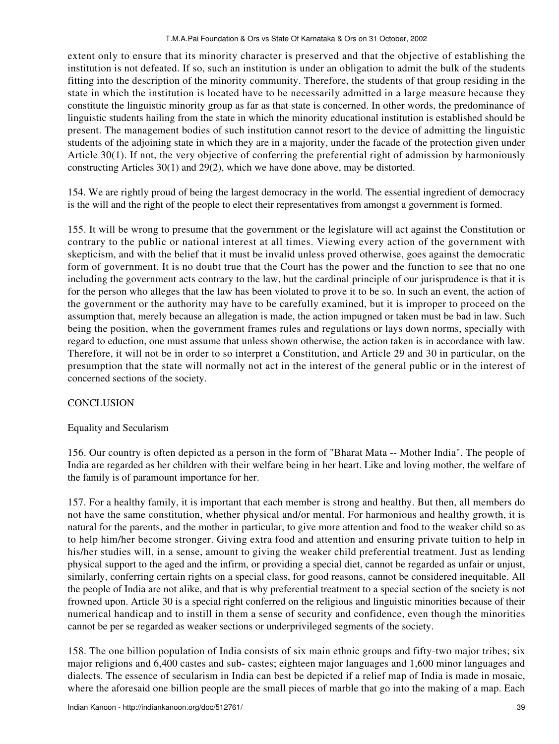extent only to ensure that its minority character is preserved and that the objective of establishing the institution is not defeated. If so, such an institution is under an obligation to admit the bulk of the students fitting into the description of the minority community. Therefore, the students of that group residing in the state in which the institution is located have to be necessarily admitted in a large measure because they constitute the linguistic minority group as far as that state is concerned. In other words, the predominance of linguistic students hailing from the state in which the minority educational institution is established should be present. The management bodies of such institution cannot resort to the device of admitting the linguistic students of the adjoining state in which they are in a majority, under the facade of the protection given under Article 30(1). If not, the very objective of conferring the preferential right of admission by harmoniously constructing Articles 30(1) and 29(2), which we have done above, may be distorted.

154. We are rightly proud of being the largest democracy in the world. The essential ingredient of democracy is the will and the right of the people to elect their representatives from amongst a government is formed.

155. It will be wrong to presume that the government or the legislature will act against the Constitution or contrary to the public or national interest at all times. Viewing every action of the government with skepticism, and with the belief that it must be invalid unless proved otherwise, goes against the democratic form of government. It is no doubt true that the Court has the power and the function to see that no one including the government acts contrary to the law, but the cardinal principle of our jurisprudence is that it is for the person who alleges that the law has been violated to prove it to be so. In such an event, the action of the government or the authority may have to be carefully examined, but it is improper to proceed on the assumption that, merely because an allegation is made, the action impugned or taken must be bad in law. Such being the position, when the government frames rules and regulations or lays down norms, specially with regard to eduction, one must assume that unless shown otherwise, the action taken is in accordance with law. Therefore, it will not be in order to so interpret a Constitution, and Article 29 and 30 in particular, on the presumption that the state will normally not act in the interest of the general public or in the interest of concerned sections of the society.

### **CONCLUSION**

### Equality and Secularism

156. Our country is often depicted as a person in the form of "Bharat Mata -- Mother India". The people of India are regarded as her children with their welfare being in her heart. Like and loving mother, the welfare of the family is of paramount importance for her.

157. For a healthy family, it is important that each member is strong and healthy. But then, all members do not have the same constitution, whether physical and/or mental. For harmonious and healthy growth, it is natural for the parents, and the mother in particular, to give more attention and food to the weaker child so as to help him/her become stronger. Giving extra food and attention and ensuring private tuition to help in his/her studies will, in a sense, amount to giving the weaker child preferential treatment. Just as lending physical support to the aged and the infirm, or providing a special diet, cannot be regarded as unfair or unjust, similarly, conferring certain rights on a special class, for good reasons, cannot be considered inequitable. All the people of India are not alike, and that is why preferential treatment to a special section of the society is not frowned upon. Article 30 is a special right conferred on the religious and linguistic minorities because of their numerical handicap and to instill in them a sense of security and confidence, even though the minorities cannot be per se regarded as weaker sections or underprivileged segments of the society.

158. The one billion population of India consists of six main ethnic groups and fifty-two major tribes; six major religions and 6,400 castes and sub- castes; eighteen major languages and 1,600 minor languages and dialects. The essence of secularism in India can best be depicted if a relief map of India is made in mosaic, where the aforesaid one billion people are the small pieces of marble that go into the making of a map. Each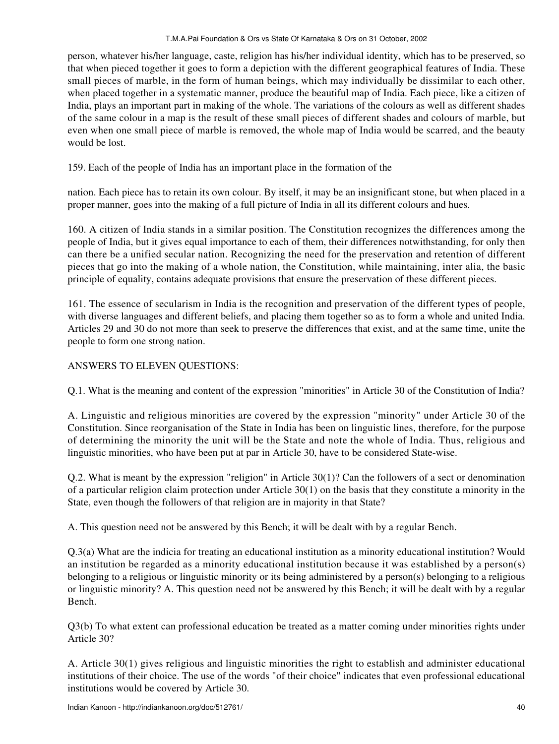person, whatever his/her language, caste, religion has his/her individual identity, which has to be preserved, so that when pieced together it goes to form a depiction with the different geographical features of India. These small pieces of marble, in the form of human beings, which may individually be dissimilar to each other, when placed together in a systematic manner, produce the beautiful map of India. Each piece, like a citizen of India, plays an important part in making of the whole. The variations of the colours as well as different shades of the same colour in a map is the result of these small pieces of different shades and colours of marble, but even when one small piece of marble is removed, the whole map of India would be scarred, and the beauty would be lost.

159. Each of the people of India has an important place in the formation of the

nation. Each piece has to retain its own colour. By itself, it may be an insignificant stone, but when placed in a proper manner, goes into the making of a full picture of India in all its different colours and hues.

160. A citizen of India stands in a similar position. The Constitution recognizes the differences among the people of India, but it gives equal importance to each of them, their differences notwithstanding, for only then can there be a unified secular nation. Recognizing the need for the preservation and retention of different pieces that go into the making of a whole nation, the Constitution, while maintaining, inter alia, the basic principle of equality, contains adequate provisions that ensure the preservation of these different pieces.

161. The essence of secularism in India is the recognition and preservation of the different types of people, with diverse languages and different beliefs, and placing them together so as to form a whole and united India. Articles 29 and 30 do not more than seek to preserve the differences that exist, and at the same time, unite the people to form one strong nation.

# ANSWERS TO ELEVEN QUESTIONS:

Q.1. What is the meaning and content of the expression "minorities" in Article 30 of the Constitution of India?

A. Linguistic and religious minorities are covered by the expression "minority" under Article 30 of the Constitution. Since reorganisation of the State in India has been on linguistic lines, therefore, for the purpose of determining the minority the unit will be the State and note the whole of India. Thus, religious and linguistic minorities, who have been put at par in Article 30, have to be considered State-wise.

Q.2. What is meant by the expression "religion" in Article 30(1)? Can the followers of a sect or denomination of a particular religion claim protection under Article 30(1) on the basis that they constitute a minority in the State, even though the followers of that religion are in majority in that State?

A. This question need not be answered by this Bench; it will be dealt with by a regular Bench.

Q.3(a) What are the indicia for treating an educational institution as a minority educational institution? Would an institution be regarded as a minority educational institution because it was established by a person(s) belonging to a religious or linguistic minority or its being administered by a person(s) belonging to a religious or linguistic minority? A. This question need not be answered by this Bench; it will be dealt with by a regular Bench.

Q3(b) To what extent can professional education be treated as a matter coming under minorities rights under Article 30?

A. Article 30(1) gives religious and linguistic minorities the right to establish and administer educational institutions of their choice. The use of the words "of their choice" indicates that even professional educational institutions would be covered by Article 30.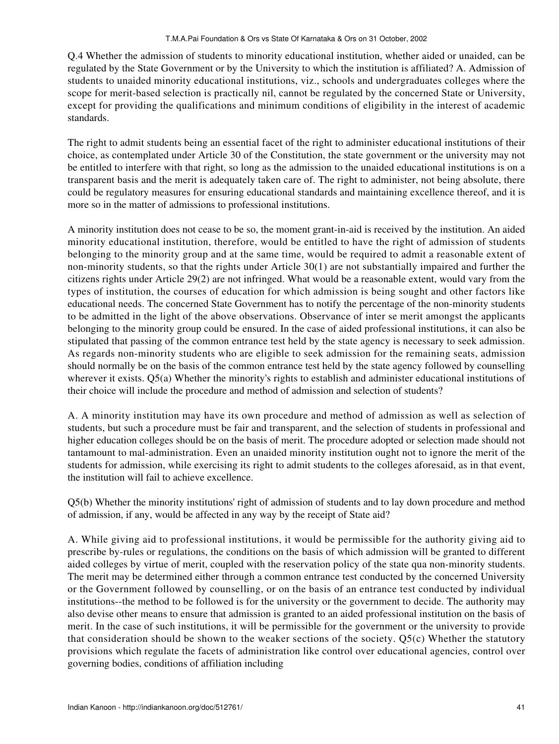Q.4 Whether the admission of students to minority educational institution, whether aided or unaided, can be regulated by the State Government or by the University to which the institution is affiliated? A. Admission of students to unaided minority educational institutions, viz., schools and undergraduates colleges where the scope for merit-based selection is practically nil, cannot be regulated by the concerned State or University, except for providing the qualifications and minimum conditions of eligibility in the interest of academic standards.

The right to admit students being an essential facet of the right to administer educational institutions of their choice, as contemplated under Article 30 of the Constitution, the state government or the university may not be entitled to interfere with that right, so long as the admission to the unaided educational institutions is on a transparent basis and the merit is adequately taken care of. The right to administer, not being absolute, there could be regulatory measures for ensuring educational standards and maintaining excellence thereof, and it is more so in the matter of admissions to professional institutions.

A minority institution does not cease to be so, the moment grant-in-aid is received by the institution. An aided minority educational institution, therefore, would be entitled to have the right of admission of students belonging to the minority group and at the same time, would be required to admit a reasonable extent of non-minority students, so that the rights under Article 30(1) are not substantially impaired and further the citizens rights under Article 29(2) are not infringed. What would be a reasonable extent, would vary from the types of institution, the courses of education for which admission is being sought and other factors like educational needs. The concerned State Government has to notify the percentage of the non-minority students to be admitted in the light of the above observations. Observance of inter se merit amongst the applicants belonging to the minority group could be ensured. In the case of aided professional institutions, it can also be stipulated that passing of the common entrance test held by the state agency is necessary to seek admission. As regards non-minority students who are eligible to seek admission for the remaining seats, admission should normally be on the basis of the common entrance test held by the state agency followed by counselling wherever it exists. Q5(a) Whether the minority's rights to establish and administer educational institutions of their choice will include the procedure and method of admission and selection of students?

A. A minority institution may have its own procedure and method of admission as well as selection of students, but such a procedure must be fair and transparent, and the selection of students in professional and higher education colleges should be on the basis of merit. The procedure adopted or selection made should not tantamount to mal-administration. Even an unaided minority institution ought not to ignore the merit of the students for admission, while exercising its right to admit students to the colleges aforesaid, as in that event, the institution will fail to achieve excellence.

Q5(b) Whether the minority institutions' right of admission of students and to lay down procedure and method of admission, if any, would be affected in any way by the receipt of State aid?

A. While giving aid to professional institutions, it would be permissible for the authority giving aid to prescribe by-rules or regulations, the conditions on the basis of which admission will be granted to different aided colleges by virtue of merit, coupled with the reservation policy of the state qua non-minority students. The merit may be determined either through a common entrance test conducted by the concerned University or the Government followed by counselling, or on the basis of an entrance test conducted by individual institutions--the method to be followed is for the university or the government to decide. The authority may also devise other means to ensure that admission is granted to an aided professional institution on the basis of merit. In the case of such institutions, it will be permissible for the government or the university to provide that consideration should be shown to the weaker sections of the society. Q5(c) Whether the statutory provisions which regulate the facets of administration like control over educational agencies, control over governing bodies, conditions of affiliation including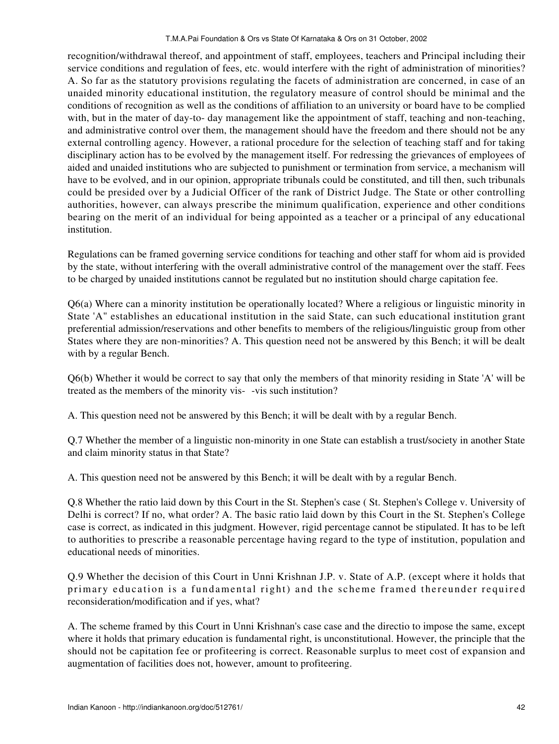recognition/withdrawal thereof, and appointment of staff, employees, teachers and Principal including their service conditions and regulation of fees, etc. would interfere with the right of administration of minorities? A. So far as the statutory provisions regulating the facets of administration are concerned, in case of an unaided minority educational institution, the regulatory measure of control should be minimal and the conditions of recognition as well as the conditions of affiliation to an university or board have to be complied with, but in the mater of day-to- day management like the appointment of staff, teaching and non-teaching, and administrative control over them, the management should have the freedom and there should not be any external controlling agency. However, a rational procedure for the selection of teaching staff and for taking disciplinary action has to be evolved by the management itself. For redressing the grievances of employees of aided and unaided institutions who are subjected to punishment or termination from service, a mechanism will have to be evolved, and in our opinion, appropriate tribunals could be constituted, and till then, such tribunals could be presided over by a Judicial Officer of the rank of District Judge. The State or other controlling authorities, however, can always prescribe the minimum qualification, experience and other conditions bearing on the merit of an individual for being appointed as a teacher or a principal of any educational institution.

Regulations can be framed governing service conditions for teaching and other staff for whom aid is provided by the state, without interfering with the overall administrative control of the management over the staff. Fees to be charged by unaided institutions cannot be regulated but no institution should charge capitation fee.

Q6(a) Where can a minority institution be operationally located? Where a religious or linguistic minority in State 'A" establishes an educational institution in the said State, can such educational institution grant preferential admission/reservations and other benefits to members of the religious/linguistic group from other States where they are non-minorities? A. This question need not be answered by this Bench; it will be dealt with by a regular Bench.

Q6(b) Whether it would be correct to say that only the members of that minority residing in State 'A' will be treated as the members of the minority vis--vis such institution?

A. This question need not be answered by this Bench; it will be dealt with by a regular Bench.

Q.7 Whether the member of a linguistic non-minority in one State can establish a trust/society in another State and claim minority status in that State?

A. This question need not be answered by this Bench; it will be dealt with by a regular Bench.

Q.8 Whether the ratio laid down by this Court in the St. Stephen's case ( St. Stephen's College v. University of Delhi is correct? If no, what order? A. The basic ratio laid down by this Court in the St. Stephen's College case is correct, as indicated in this judgment. However, rigid percentage cannot be stipulated. It has to be left to authorities to prescribe a reasonable percentage having regard to the type of institution, population and educational needs of minorities.

Q.9 Whether the decision of this Court in Unni Krishnan J.P. v. State of A.P. (except where it holds that primary education is a fundamental right) and the scheme framed thereunder required reconsideration/modification and if yes, what?

A. The scheme framed by this Court in Unni Krishnan's case case and the directio to impose the same, except where it holds that primary education is fundamental right, is unconstitutional. However, the principle that the should not be capitation fee or profiteering is correct. Reasonable surplus to meet cost of expansion and augmentation of facilities does not, however, amount to profiteering.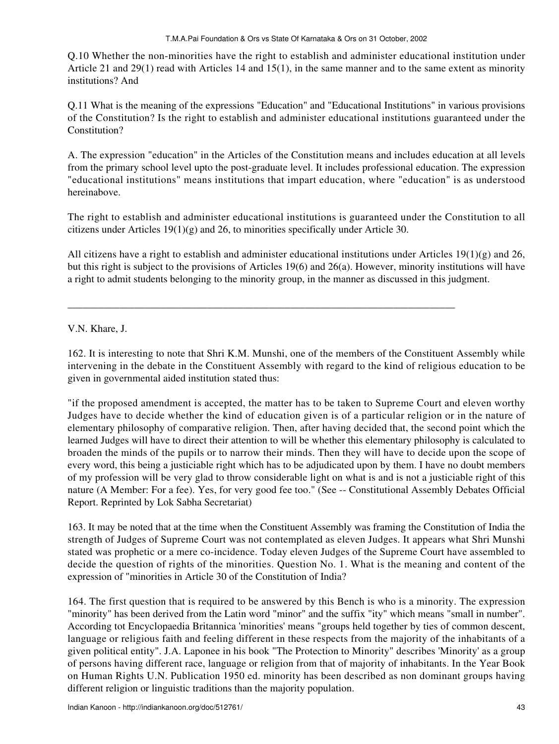Q.10 Whether the non-minorities have the right to establish and administer educational institution under Article 21 and 29(1) read with Articles 14 and 15(1), in the same manner and to the same extent as minority institutions? And

Q.11 What is the meaning of the expressions "Education" and "Educational Institutions" in various provisions of the Constitution? Is the right to establish and administer educational institutions guaranteed under the Constitution?

A. The expression "education" in the Articles of the Constitution means and includes education at all levels from the primary school level upto the post-graduate level. It includes professional education. The expression "educational institutions" means institutions that impart education, where "education" is as understood hereinabove.

The right to establish and administer educational institutions is guaranteed under the Constitution to all citizens under Articles 19(1)(g) and 26, to minorities specifically under Article 30.

All citizens have a right to establish and administer educational institutions under Articles  $19(1)(g)$  and 26, but this right is subject to the provisions of Articles 19(6) and 26(a). However, minority institutions will have a right to admit students belonging to the minority group, in the manner as discussed in this judgment.

\_\_\_\_\_\_\_\_\_\_\_\_\_\_\_\_\_\_\_\_\_\_\_\_\_\_\_\_\_\_\_\_\_\_\_\_\_\_\_\_\_\_\_\_\_\_\_\_\_\_\_\_\_\_\_\_\_\_\_\_\_\_\_\_\_\_\_\_\_\_\_\_\_\_\_

V.N. Khare, J.

162. It is interesting to note that Shri K.M. Munshi, one of the members of the Constituent Assembly while intervening in the debate in the Constituent Assembly with regard to the kind of religious education to be given in governmental aided institution stated thus:

"if the proposed amendment is accepted, the matter has to be taken to Supreme Court and eleven worthy Judges have to decide whether the kind of education given is of a particular religion or in the nature of elementary philosophy of comparative religion. Then, after having decided that, the second point which the learned Judges will have to direct their attention to will be whether this elementary philosophy is calculated to broaden the minds of the pupils or to narrow their minds. Then they will have to decide upon the scope of every word, this being a justiciable right which has to be adjudicated upon by them. I have no doubt members of my profession will be very glad to throw considerable light on what is and is not a justiciable right of this nature (A Member: For a fee). Yes, for very good fee too." (See -- Constitutional Assembly Debates Official Report. Reprinted by Lok Sabha Secretariat)

163. It may be noted that at the time when the Constituent Assembly was framing the Constitution of India the strength of Judges of Supreme Court was not contemplated as eleven Judges. It appears what Shri Munshi stated was prophetic or a mere co-incidence. Today eleven Judges of the Supreme Court have assembled to decide the question of rights of the minorities. Question No. 1. What is the meaning and content of the expression of "minorities in Article 30 of the Constitution of India?

164. The first question that is required to be answered by this Bench is who is a minority. The expression "minority" has been derived from the Latin word "minor" and the suffix "ity" which means "small in number". According tot Encyclopaedia Britannica 'minorities' means "groups held together by ties of common descent, language or religious faith and feeling different in these respects from the majority of the inhabitants of a given political entity". J.A. Laponee in his book "The Protection to Minority" describes 'Minority' as a group of persons having different race, language or religion from that of majority of inhabitants. In the Year Book on Human Rights U.N. Publication 1950 ed. minority has been described as non dominant groups having different religion or linguistic traditions than the majority population.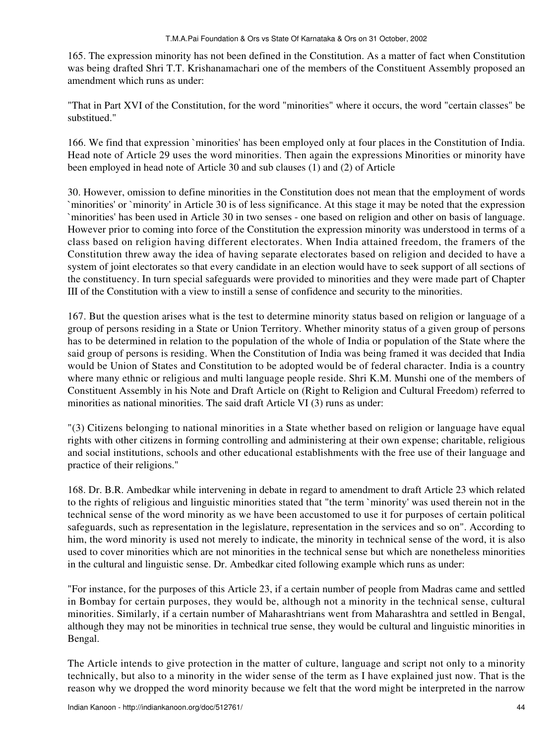165. The expression minority has not been defined in the Constitution. As a matter of fact when Constitution was being drafted Shri T.T. Krishanamachari one of the members of the Constituent Assembly proposed an amendment which runs as under:

"That in Part XVI of the Constitution, for the word "minorities" where it occurs, the word "certain classes" be substitued."

166. We find that expression `minorities' has been employed only at four places in the Constitution of India. Head note of Article 29 uses the word minorities. Then again the expressions Minorities or minority have been employed in head note of Article 30 and sub clauses (1) and (2) of Article

30. However, omission to define minorities in the Constitution does not mean that the employment of words `minorities' or `minority' in Article 30 is of less significance. At this stage it may be noted that the expression `minorities' has been used in Article 30 in two senses - one based on religion and other on basis of language. However prior to coming into force of the Constitution the expression minority was understood in terms of a class based on religion having different electorates. When India attained freedom, the framers of the Constitution threw away the idea of having separate electorates based on religion and decided to have a system of joint electorates so that every candidate in an election would have to seek support of all sections of the constituency. In turn special safeguards were provided to minorities and they were made part of Chapter III of the Constitution with a view to instill a sense of confidence and security to the minorities.

167. But the question arises what is the test to determine minority status based on religion or language of a group of persons residing in a State or Union Territory. Whether minority status of a given group of persons has to be determined in relation to the population of the whole of India or population of the State where the said group of persons is residing. When the Constitution of India was being framed it was decided that India would be Union of States and Constitution to be adopted would be of federal character. India is a country where many ethnic or religious and multi language people reside. Shri K.M. Munshi one of the members of Constituent Assembly in his Note and Draft Article on (Right to Religion and Cultural Freedom) referred to minorities as national minorities. The said draft Article VI (3) runs as under:

"(3) Citizens belonging to national minorities in a State whether based on religion or language have equal rights with other citizens in forming controlling and administering at their own expense; charitable, religious and social institutions, schools and other educational establishments with the free use of their language and practice of their religions."

168. Dr. B.R. Ambedkar while intervening in debate in regard to amendment to draft Article 23 which related to the rights of religious and linguistic minorities stated that "the term `minority' was used therein not in the technical sense of the word minority as we have been accustomed to use it for purposes of certain political safeguards, such as representation in the legislature, representation in the services and so on". According to him, the word minority is used not merely to indicate, the minority in technical sense of the word, it is also used to cover minorities which are not minorities in the technical sense but which are nonetheless minorities in the cultural and linguistic sense. Dr. Ambedkar cited following example which runs as under:

"For instance, for the purposes of this Article 23, if a certain number of people from Madras came and settled in Bombay for certain purposes, they would be, although not a minority in the technical sense, cultural minorities. Similarly, if a certain number of Maharashtrians went from Maharashtra and settled in Bengal, although they may not be minorities in technical true sense, they would be cultural and linguistic minorities in Bengal.

The Article intends to give protection in the matter of culture, language and script not only to a minority technically, but also to a minority in the wider sense of the term as I have explained just now. That is the reason why we dropped the word minority because we felt that the word might be interpreted in the narrow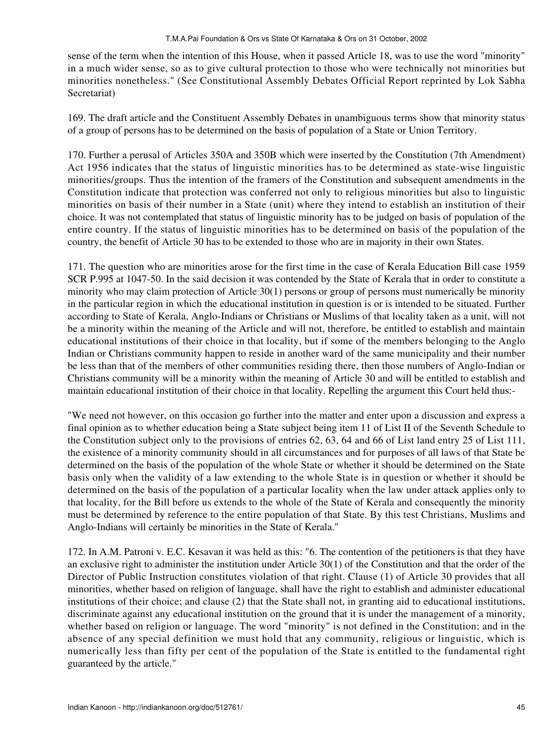sense of the term when the intention of this House, when it passed Article 18, was to use the word "minority" in a much wider sense, so as to give cultural protection to those who were technically not minorities but minorities nonetheless." (See Constitutional Assembly Debates Official Report reprinted by Lok Sabha Secretariat)

169. The draft article and the Constituent Assembly Debates in unambiguous terms show that minority status of a group of persons has to be determined on the basis of population of a State or Union Territory.

170. Further a perusal of Articles 350A and 350B which were inserted by the Constitution (7th Amendment) Act 1956 indicates that the status of linguistic minorities has to be determined as state-wise linguistic minorities/groups. Thus the intention of the framers of the Constitution and subsequent amendments in the Constitution indicate that protection was conferred not only to religious minorities but also to linguistic minorities on basis of their number in a State (unit) where they intend to establish an institution of their choice. It was not contemplated that status of linguistic minority has to be judged on basis of population of the entire country. If the status of linguistic minorities has to be determined on basis of the population of the country, the benefit of Article 30 has to be extended to those who are in majority in their own States.

171. The question who are minorities arose for the first time in the case of Kerala Education Bill case 1959 SCR P.995 at 1047-50. In the said decision it was contended by the State of Kerala that in order to constitute a minority who may claim protection of Article 30(1) persons or group of persons must numerically be minority in the particular region in which the educational institution in question is or is intended to be situated. Further according to State of Kerala, Anglo-Indians or Christians or Muslims of that locality taken as a unit, will not be a minority within the meaning of the Article and will not, therefore, be entitled to establish and maintain educational institutions of their choice in that locality, but if some of the members belonging to the Anglo Indian or Christians community happen to reside in another ward of the same municipality and their number be less than that of the members of other communities residing there, then those numbers of Anglo-Indian or Christians community will be a minority within the meaning of Article 30 and will be entitled to establish and maintain educational institution of their choice in that locality. Repelling the argument this Court held thus:-

"We need not however, on this occasion go further into the matter and enter upon a discussion and express a final opinion as to whether education being a State subject being item 11 of List II of the Seventh Schedule to the Constitution subject only to the provisions of entries 62, 63, 64 and 66 of List land entry 25 of List 111, the existence of a minority community should in all circumstances and for purposes of all laws of that State be determined on the basis of the population of the whole State or whether it should be determined on the State basis only when the validity of a law extending to the whole State is in question or whether it should be determined on the basis of the population of a particular locality when the law under attack applies only to that locality, for the Bill before us extends to the whole of the State of Kerala and consequently the minority must be determined by reference to the entire population of that State. By this test Christians, Muslims and Anglo-Indians will certainly be minorities in the State of Kerala."

172. In A.M. Patroni v. E.C. Kesavan it was held as this: "6. The contention of the petitioners is that they have an exclusive right to administer the institution under Article 30(1) of the Constitution and that the order of the Director of Public Instruction constitutes violation of that right. Clause (1) of Article 30 provides that all minorities, whether based on religion of language, shall have the right to establish and administer educational institutions of their choice; and clause (2) that the State shall not, in granting aid to educational institutions, discriminate against any educational institution on the ground that it is under the management of a minority, whether based on religion or language. The word "minority" is not defined in the Constitution; and in the absence of any special definition we must hold that any community, religious or linguistic, which is numerically less than fifty per cent of the population of the State is entitled to the fundamental right guaranteed by the article."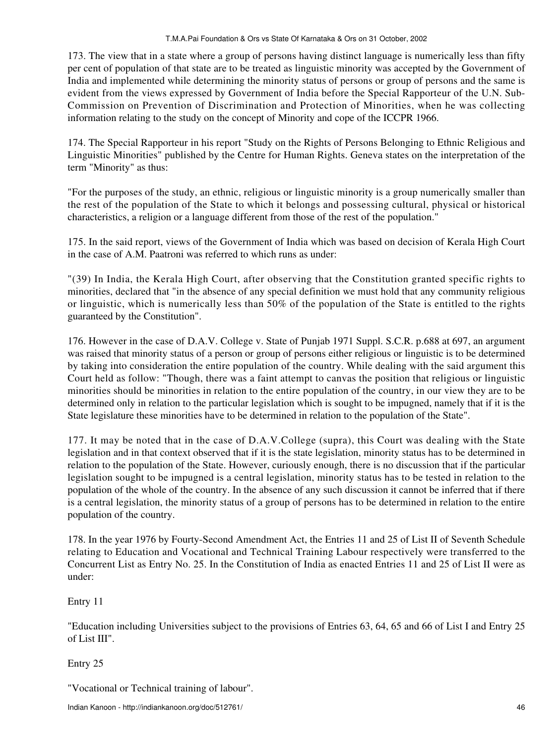173. The view that in a state where a group of persons having distinct language is numerically less than fifty per cent of population of that state are to be treated as linguistic minority was accepted by the Government of India and implemented while determining the minority status of persons or group of persons and the same is evident from the views expressed by Government of India before the Special Rapporteur of the U.N. Sub-Commission on Prevention of Discrimination and Protection of Minorities, when he was collecting information relating to the study on the concept of Minority and cope of the ICCPR 1966.

174. The Special Rapporteur in his report "Study on the Rights of Persons Belonging to Ethnic Religious and Linguistic Minorities" published by the Centre for Human Rights. Geneva states on the interpretation of the term "Minority" as thus:

"For the purposes of the study, an ethnic, religious or linguistic minority is a group numerically smaller than the rest of the population of the State to which it belongs and possessing cultural, physical or historical characteristics, a religion or a language different from those of the rest of the population."

175. In the said report, views of the Government of India which was based on decision of Kerala High Court in the case of A.M. Paatroni was referred to which runs as under:

"(39) In India, the Kerala High Court, after observing that the Constitution granted specific rights to minorities, declared that "in the absence of any special definition we must hold that any community religious or linguistic, which is numerically less than 50% of the population of the State is entitled to the rights guaranteed by the Constitution".

176. However in the case of D.A.V. College v. State of Punjab 1971 Suppl. S.C.R. p.688 at 697, an argument was raised that minority status of a person or group of persons either religious or linguistic is to be determined by taking into consideration the entire population of the country. While dealing with the said argument this Court held as follow: "Though, there was a faint attempt to canvas the position that religious or linguistic minorities should be minorities in relation to the entire population of the country, in our view they are to be determined only in relation to the particular legislation which is sought to be impugned, namely that if it is the State legislature these minorities have to be determined in relation to the population of the State".

177. It may be noted that in the case of D.A.V.College (supra), this Court was dealing with the State legislation and in that context observed that if it is the state legislation, minority status has to be determined in relation to the population of the State. However, curiously enough, there is no discussion that if the particular legislation sought to be impugned is a central legislation, minority status has to be tested in relation to the population of the whole of the country. In the absence of any such discussion it cannot be inferred that if there is a central legislation, the minority status of a group of persons has to be determined in relation to the entire population of the country.

178. In the year 1976 by Fourty-Second Amendment Act, the Entries 11 and 25 of List II of Seventh Schedule relating to Education and Vocational and Technical Training Labour respectively were transferred to the Concurrent List as Entry No. 25. In the Constitution of India as enacted Entries 11 and 25 of List II were as under:

Entry 11

"Education including Universities subject to the provisions of Entries 63, 64, 65 and 66 of List I and Entry 25 of List III".

Entry 25

"Vocational or Technical training of labour".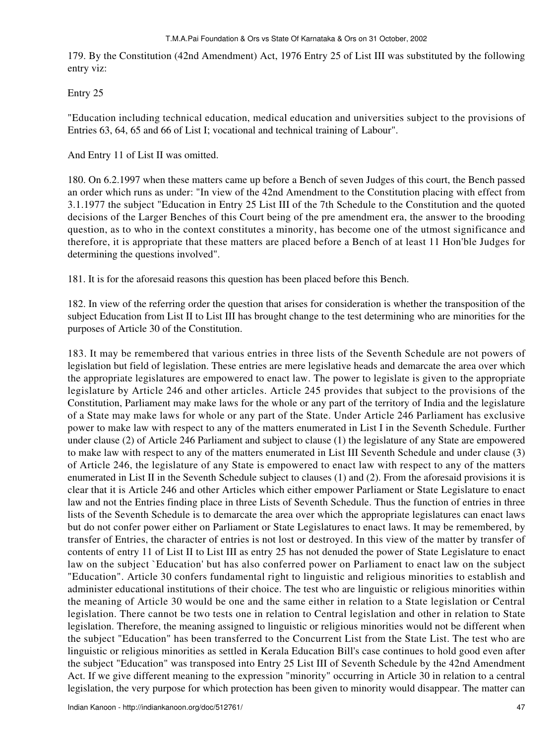179. By the Constitution (42nd Amendment) Act, 1976 Entry 25 of List III was substituted by the following entry viz:

Entry 25

"Education including technical education, medical education and universities subject to the provisions of Entries 63, 64, 65 and 66 of List I; vocational and technical training of Labour".

And Entry 11 of List II was omitted.

180. On 6.2.1997 when these matters came up before a Bench of seven Judges of this court, the Bench passed an order which runs as under: "In view of the 42nd Amendment to the Constitution placing with effect from 3.1.1977 the subject "Education in Entry 25 List III of the 7th Schedule to the Constitution and the quoted decisions of the Larger Benches of this Court being of the pre amendment era, the answer to the brooding question, as to who in the context constitutes a minority, has become one of the utmost significance and therefore, it is appropriate that these matters are placed before a Bench of at least 11 Hon'ble Judges for determining the questions involved".

181. It is for the aforesaid reasons this question has been placed before this Bench.

182. In view of the referring order the question that arises for consideration is whether the transposition of the subject Education from List II to List III has brought change to the test determining who are minorities for the purposes of Article 30 of the Constitution.

183. It may be remembered that various entries in three lists of the Seventh Schedule are not powers of legislation but field of legislation. These entries are mere legislative heads and demarcate the area over which the appropriate legislatures are empowered to enact law. The power to legislate is given to the appropriate legislature by Article 246 and other articles. Article 245 provides that subject to the provisions of the Constitution, Parliament may make laws for the whole or any part of the territory of India and the legislature of a State may make laws for whole or any part of the State. Under Article 246 Parliament has exclusive power to make law with respect to any of the matters enumerated in List I in the Seventh Schedule. Further under clause (2) of Article 246 Parliament and subject to clause (1) the legislature of any State are empowered to make law with respect to any of the matters enumerated in List III Seventh Schedule and under clause (3) of Article 246, the legislature of any State is empowered to enact law with respect to any of the matters enumerated in List II in the Seventh Schedule subject to clauses (1) and (2). From the aforesaid provisions it is clear that it is Article 246 and other Articles which either empower Parliament or State Legislature to enact law and not the Entries finding place in three Lists of Seventh Schedule. Thus the function of entries in three lists of the Seventh Schedule is to demarcate the area over which the appropriate legislatures can enact laws but do not confer power either on Parliament or State Legislatures to enact laws. It may be remembered, by transfer of Entries, the character of entries is not lost or destroyed. In this view of the matter by transfer of contents of entry 11 of List II to List III as entry 25 has not denuded the power of State Legislature to enact law on the subject `Education' but has also conferred power on Parliament to enact law on the subject "Education". Article 30 confers fundamental right to linguistic and religious minorities to establish and administer educational institutions of their choice. The test who are linguistic or religious minorities within the meaning of Article 30 would be one and the same either in relation to a State legislation or Central legislation. There cannot be two tests one in relation to Central legislation and other in relation to State legislation. Therefore, the meaning assigned to linguistic or religious minorities would not be different when the subject "Education" has been transferred to the Concurrent List from the State List. The test who are linguistic or religious minorities as settled in Kerala Education Bill's case continues to hold good even after the subject "Education" was transposed into Entry 25 List III of Seventh Schedule by the 42nd Amendment Act. If we give different meaning to the expression "minority" occurring in Article 30 in relation to a central legislation, the very purpose for which protection has been given to minority would disappear. The matter can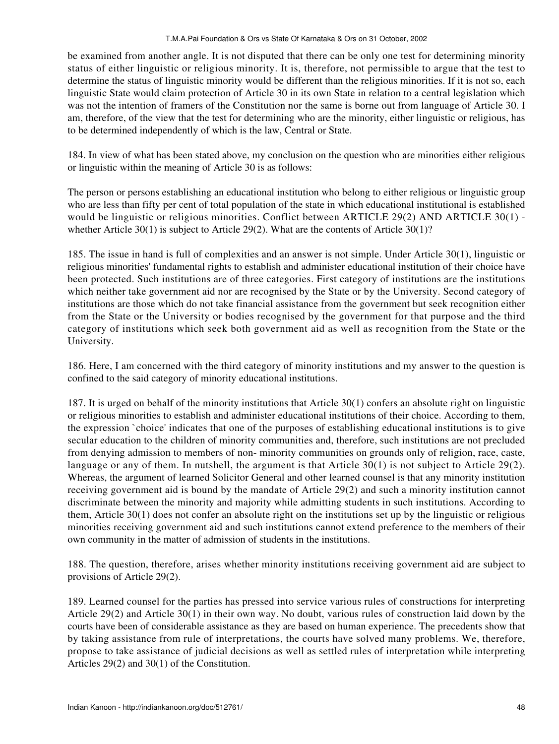be examined from another angle. It is not disputed that there can be only one test for determining minority status of either linguistic or religious minority. It is, therefore, not permissible to argue that the test to determine the status of linguistic minority would be different than the religious minorities. If it is not so, each linguistic State would claim protection of Article 30 in its own State in relation to a central legislation which was not the intention of framers of the Constitution nor the same is borne out from language of Article 30. I am, therefore, of the view that the test for determining who are the minority, either linguistic or religious, has to be determined independently of which is the law, Central or State.

184. In view of what has been stated above, my conclusion on the question who are minorities either religious or linguistic within the meaning of Article 30 is as follows:

The person or persons establishing an educational institution who belong to either religious or linguistic group who are less than fifty per cent of total population of the state in which educational institutional is established would be linguistic or religious minorities. Conflict between ARTICLE 29(2) AND ARTICLE 30(1) whether Article 30(1) is subject to Article 29(2). What are the contents of Article 30(1)?

185. The issue in hand is full of complexities and an answer is not simple. Under Article 30(1), linguistic or religious minorities' fundamental rights to establish and administer educational institution of their choice have been protected. Such institutions are of three categories. First category of institutions are the institutions which neither take government aid nor are recognised by the State or by the University. Second category of institutions are those which do not take financial assistance from the government but seek recognition either from the State or the University or bodies recognised by the government for that purpose and the third category of institutions which seek both government aid as well as recognition from the State or the University.

186. Here, I am concerned with the third category of minority institutions and my answer to the question is confined to the said category of minority educational institutions.

187. It is urged on behalf of the minority institutions that Article 30(1) confers an absolute right on linguistic or religious minorities to establish and administer educational institutions of their choice. According to them, the expression `choice' indicates that one of the purposes of establishing educational institutions is to give secular education to the children of minority communities and, therefore, such institutions are not precluded from denying admission to members of non- minority communities on grounds only of religion, race, caste, language or any of them. In nutshell, the argument is that Article 30(1) is not subject to Article 29(2). Whereas, the argument of learned Solicitor General and other learned counsel is that any minority institution receiving government aid is bound by the mandate of Article 29(2) and such a minority institution cannot discriminate between the minority and majority while admitting students in such institutions. According to them, Article 30(1) does not confer an absolute right on the institutions set up by the linguistic or religious minorities receiving government aid and such institutions cannot extend preference to the members of their own community in the matter of admission of students in the institutions.

188. The question, therefore, arises whether minority institutions receiving government aid are subject to provisions of Article 29(2).

189. Learned counsel for the parties has pressed into service various rules of constructions for interpreting Article 29(2) and Article 30(1) in their own way. No doubt, various rules of construction laid down by the courts have been of considerable assistance as they are based on human experience. The precedents show that by taking assistance from rule of interpretations, the courts have solved many problems. We, therefore, propose to take assistance of judicial decisions as well as settled rules of interpretation while interpreting Articles 29(2) and 30(1) of the Constitution.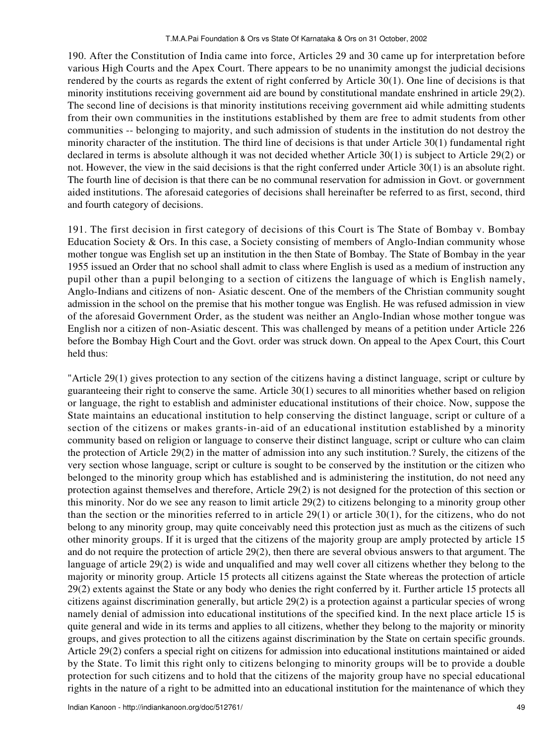190. After the Constitution of India came into force, Articles 29 and 30 came up for interpretation before various High Courts and the Apex Court. There appears to be no unanimity amongst the judicial decisions rendered by the courts as regards the extent of right conferred by Article 30(1). One line of decisions is that minority institutions receiving government aid are bound by constitutional mandate enshrined in article 29(2). The second line of decisions is that minority institutions receiving government aid while admitting students from their own communities in the institutions established by them are free to admit students from other communities -- belonging to majority, and such admission of students in the institution do not destroy the minority character of the institution. The third line of decisions is that under Article 30(1) fundamental right declared in terms is absolute although it was not decided whether Article 30(1) is subject to Article 29(2) or not. However, the view in the said decisions is that the right conferred under Article 30(1) is an absolute right. The fourth line of decision is that there can be no communal reservation for admission in Govt. or government aided institutions. The aforesaid categories of decisions shall hereinafter be referred to as first, second, third and fourth category of decisions.

191. The first decision in first category of decisions of this Court is The State of Bombay v. Bombay Education Society & Ors. In this case, a Society consisting of members of Anglo-Indian community whose mother tongue was English set up an institution in the then State of Bombay. The State of Bombay in the year 1955 issued an Order that no school shall admit to class where English is used as a medium of instruction any pupil other than a pupil belonging to a section of citizens the language of which is English namely, Anglo-Indians and citizens of non- Asiatic descent. One of the members of the Christian community sought admission in the school on the premise that his mother tongue was English. He was refused admission in view of the aforesaid Government Order, as the student was neither an Anglo-Indian whose mother tongue was English nor a citizen of non-Asiatic descent. This was challenged by means of a petition under Article 226 before the Bombay High Court and the Govt. order was struck down. On appeal to the Apex Court, this Court held thus:

"Article 29(1) gives protection to any section of the citizens having a distinct language, script or culture by guaranteeing their right to conserve the same. Article 30(1) secures to all minorities whether based on religion or language, the right to establish and administer educational institutions of their choice. Now, suppose the State maintains an educational institution to help conserving the distinct language, script or culture of a section of the citizens or makes grants-in-aid of an educational institution established by a minority community based on religion or language to conserve their distinct language, script or culture who can claim the protection of Article 29(2) in the matter of admission into any such institution.? Surely, the citizens of the very section whose language, script or culture is sought to be conserved by the institution or the citizen who belonged to the minority group which has established and is administering the institution, do not need any protection against themselves and therefore, Article 29(2) is not designed for the protection of this section or this minority. Nor do we see any reason to limit article 29(2) to citizens belonging to a minority group other than the section or the minorities referred to in article 29(1) or article 30(1), for the citizens, who do not belong to any minority group, may quite conceivably need this protection just as much as the citizens of such other minority groups. If it is urged that the citizens of the majority group are amply protected by article 15 and do not require the protection of article 29(2), then there are several obvious answers to that argument. The language of article 29(2) is wide and unqualified and may well cover all citizens whether they belong to the majority or minority group. Article 15 protects all citizens against the State whereas the protection of article 29(2) extents against the State or any body who denies the right conferred by it. Further article 15 protects all citizens against discrimination generally, but article 29(2) is a protection against a particular species of wrong namely denial of admission into educational institutions of the specified kind. In the next place article 15 is quite general and wide in its terms and applies to all citizens, whether they belong to the majority or minority groups, and gives protection to all the citizens against discrimination by the State on certain specific grounds. Article 29(2) confers a special right on citizens for admission into educational institutions maintained or aided by the State. To limit this right only to citizens belonging to minority groups will be to provide a double protection for such citizens and to hold that the citizens of the majority group have no special educational rights in the nature of a right to be admitted into an educational institution for the maintenance of which they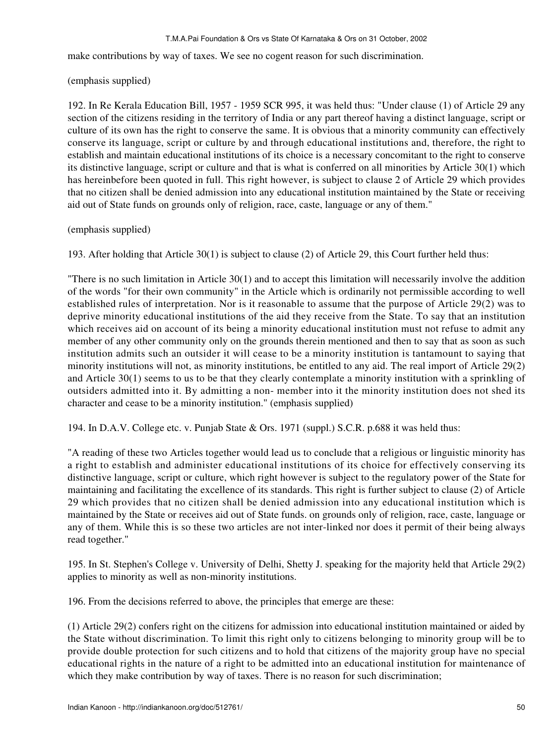#### T.M.A.Pai Foundation & Ors vs State Of Karnataka & Ors on 31 October, 2002

make contributions by way of taxes. We see no cogent reason for such discrimination.

## (emphasis supplied)

192. In Re Kerala Education Bill, 1957 - 1959 SCR 995, it was held thus: "Under clause (1) of Article 29 any section of the citizens residing in the territory of India or any part thereof having a distinct language, script or culture of its own has the right to conserve the same. It is obvious that a minority community can effectively conserve its language, script or culture by and through educational institutions and, therefore, the right to establish and maintain educational institutions of its choice is a necessary concomitant to the right to conserve its distinctive language, script or culture and that is what is conferred on all minorities by Article 30(1) which has hereinbefore been quoted in full. This right however, is subject to clause 2 of Article 29 which provides that no citizen shall be denied admission into any educational institution maintained by the State or receiving aid out of State funds on grounds only of religion, race, caste, language or any of them."

## (emphasis supplied)

193. After holding that Article 30(1) is subject to clause (2) of Article 29, this Court further held thus:

"There is no such limitation in Article 30(1) and to accept this limitation will necessarily involve the addition of the words "for their own community" in the Article which is ordinarily not permissible according to well established rules of interpretation. Nor is it reasonable to assume that the purpose of Article 29(2) was to deprive minority educational institutions of the aid they receive from the State. To say that an institution which receives aid on account of its being a minority educational institution must not refuse to admit any member of any other community only on the grounds therein mentioned and then to say that as soon as such institution admits such an outsider it will cease to be a minority institution is tantamount to saying that minority institutions will not, as minority institutions, be entitled to any aid. The real import of Article 29(2) and Article 30(1) seems to us to be that they clearly contemplate a minority institution with a sprinkling of outsiders admitted into it. By admitting a non- member into it the minority institution does not shed its character and cease to be a minority institution." (emphasis supplied)

194. In D.A.V. College etc. v. Punjab State & Ors. 1971 (suppl.) S.C.R. p.688 it was held thus:

"A reading of these two Articles together would lead us to conclude that a religious or linguistic minority has a right to establish and administer educational institutions of its choice for effectively conserving its distinctive language, script or culture, which right however is subject to the regulatory power of the State for maintaining and facilitating the excellence of its standards. This right is further subject to clause (2) of Article 29 which provides that no citizen shall be denied admission into any educational institution which is maintained by the State or receives aid out of State funds. on grounds only of religion, race, caste, language or any of them. While this is so these two articles are not inter-linked nor does it permit of their being always read together."

195. In St. Stephen's College v. University of Delhi, Shetty J. speaking for the majority held that Article 29(2) applies to minority as well as non-minority institutions.

196. From the decisions referred to above, the principles that emerge are these:

(1) Article 29(2) confers right on the citizens for admission into educational institution maintained or aided by the State without discrimination. To limit this right only to citizens belonging to minority group will be to provide double protection for such citizens and to hold that citizens of the majority group have no special educational rights in the nature of a right to be admitted into an educational institution for maintenance of which they make contribution by way of taxes. There is no reason for such discrimination;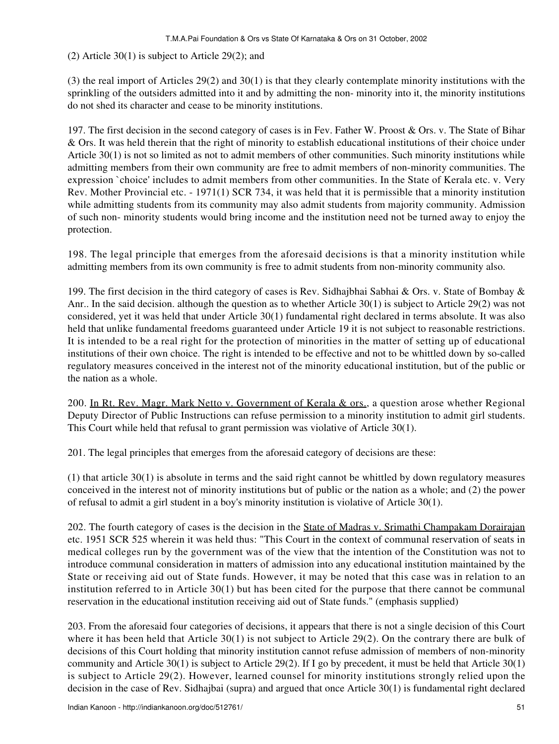(2) Article 30(1) is subject to Article 29(2); and

(3) the real import of Articles 29(2) and 30(1) is that they clearly contemplate minority institutions with the sprinkling of the outsiders admitted into it and by admitting the non- minority into it, the minority institutions do not shed its character and cease to be minority institutions.

197. The first decision in the second category of cases is in Fev. Father W. Proost & Ors. v. The State of Bihar & Ors. It was held therein that the right of minority to establish educational institutions of their choice under Article 30(1) is not so limited as not to admit members of other communities. Such minority institutions while admitting members from their own community are free to admit members of non-minority communities. The expression `choice' includes to admit members from other communities. In the State of Kerala etc. v. Very Rev. Mother Provincial etc. - 1971(1) SCR 734, it was held that it is permissible that a minority institution while admitting students from its community may also admit students from majority community. Admission of such non- minority students would bring income and the institution need not be turned away to enjoy the protection.

198. The legal principle that emerges from the aforesaid decisions is that a minority institution while admitting members from its own community is free to admit students from non-minority community also.

199. The first decision in the third category of cases is Rev. Sidhajbhai Sabhai & Ors. v. State of Bombay & Anr.. In the said decision. although the question as to whether Article 30(1) is subject to Article 29(2) was not considered, yet it was held that under Article 30(1) fundamental right declared in terms absolute. It was also held that unlike fundamental freedoms guaranteed under Article 19 it is not subject to reasonable restrictions. It is intended to be a real right for the protection of minorities in the matter of setting up of educational institutions of their own choice. The right is intended to be effective and not to be whittled down by so-called regulatory measures conceived in the interest not of the minority educational institution, but of the public or the nation as a whole.

200. In Rt. Rev. Magr. Mark Netto v. Government of Kerala & ors., a question arose whether Regional Deputy Director of Public Instructions can refuse permission to a minority institution to admit girl students. This Court while held that refusal to grant permission was violative of Article 30(1).

201. The legal principles that emerges from the aforesaid category of decisions are these:

(1) that article 30(1) is absolute in terms and the said right cannot be whittled by down regulatory measures conceived in the interest not of minority institutions but of public or the nation as a whole; and (2) the power of refusal to admit a girl student in a boy's minority institution is violative of Article 30(1).

202. The fourth category of cases is the decision in the State of Madras v. Srimathi Champakam Dorairajan etc. 1951 SCR 525 wherein it was held thus: "This Court in the context of communal reservation of seats in medical colleges run by the government was of the view that the intention of the Constitution was not to introduce communal consideration in matters of admission into any educational institution maintained by the State or receiving aid out of State funds. However, it may be noted that this case was in relation to an institution referred to in Article 30(1) but has been cited for the purpose that there cannot be communal reservation in the educational institution receiving aid out of State funds." (emphasis supplied)

203. From the aforesaid four categories of decisions, it appears that there is not a single decision of this Court where it has been held that Article 30(1) is not subject to Article 29(2). On the contrary there are bulk of decisions of this Court holding that minority institution cannot refuse admission of members of non-minority community and Article 30(1) is subject to Article 29(2). If I go by precedent, it must be held that Article 30(1) is subject to Article 29(2). However, learned counsel for minority institutions strongly relied upon the decision in the case of Rev. Sidhajbai (supra) and argued that once Article 30(1) is fundamental right declared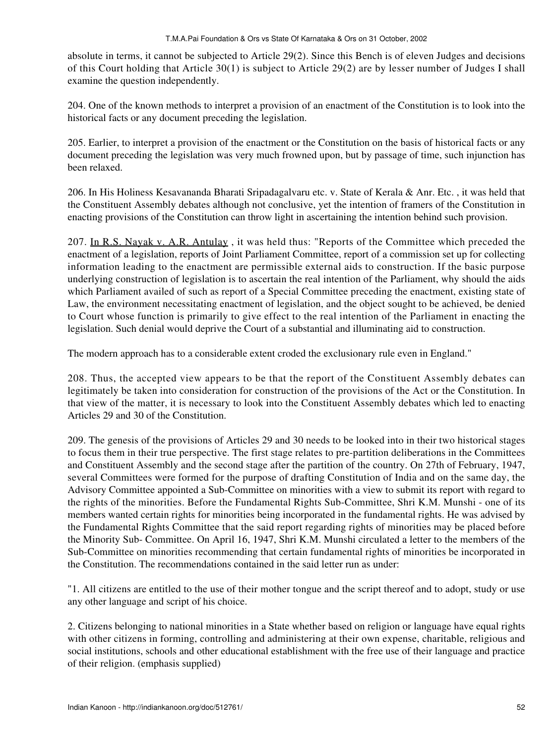absolute in terms, it cannot be subjected to Article 29(2). Since this Bench is of eleven Judges and decisions of this Court holding that Article 30(1) is subject to Article 29(2) are by lesser number of Judges I shall examine the question independently.

204. One of the known methods to interpret a provision of an enactment of the Constitution is to look into the historical facts or any document preceding the legislation.

205. Earlier, to interpret a provision of the enactment or the Constitution on the basis of historical facts or any document preceding the legislation was very much frowned upon, but by passage of time, such injunction has been relaxed.

206. In His Holiness Kesavananda Bharati Sripadagalvaru etc. v. State of Kerala & Anr. Etc. , it was held that the Constituent Assembly debates although not conclusive, yet the intention of framers of the Constitution in enacting provisions of the Constitution can throw light in ascertaining the intention behind such provision.

207. In R.S. Nayak v. A.R. Antulay , it was held thus: "Reports of the Committee which preceded the enactment of a legislation, reports of Joint Parliament Committee, report of a commission set up for collecting information leading to the enactment are permissible external aids to construction. If the basic purpose underlying construction of legislation is to ascertain the real intention of the Parliament, why should the aids which Parliament availed of such as report of a Special Committee preceding the enactment, existing state of Law, the environment necessitating enactment of legislation, and the object sought to be achieved, be denied to Court whose function is primarily to give effect to the real intention of the Parliament in enacting the legislation. Such denial would deprive the Court of a substantial and illuminating aid to construction.

The modern approach has to a considerable extent croded the exclusionary rule even in England."

208. Thus, the accepted view appears to be that the report of the Constituent Assembly debates can legitimately be taken into consideration for construction of the provisions of the Act or the Constitution. In that view of the matter, it is necessary to look into the Constituent Assembly debates which led to enacting Articles 29 and 30 of the Constitution.

209. The genesis of the provisions of Articles 29 and 30 needs to be looked into in their two historical stages to focus them in their true perspective. The first stage relates to pre-partition deliberations in the Committees and Constituent Assembly and the second stage after the partition of the country. On 27th of February, 1947, several Committees were formed for the purpose of drafting Constitution of India and on the same day, the Advisory Committee appointed a Sub-Committee on minorities with a view to submit its report with regard to the rights of the minorities. Before the Fundamental Rights Sub-Committee, Shri K.M. Munshi - one of its members wanted certain rights for minorities being incorporated in the fundamental rights. He was advised by the Fundamental Rights Committee that the said report regarding rights of minorities may be placed before the Minority Sub- Committee. On April 16, 1947, Shri K.M. Munshi circulated a letter to the members of the Sub-Committee on minorities recommending that certain fundamental rights of minorities be incorporated in the Constitution. The recommendations contained in the said letter run as under:

"1. All citizens are entitled to the use of their mother tongue and the script thereof and to adopt, study or use any other language and script of his choice.

2. Citizens belonging to national minorities in a State whether based on religion or language have equal rights with other citizens in forming, controlling and administering at their own expense, charitable, religious and social institutions, schools and other educational establishment with the free use of their language and practice of their religion. (emphasis supplied)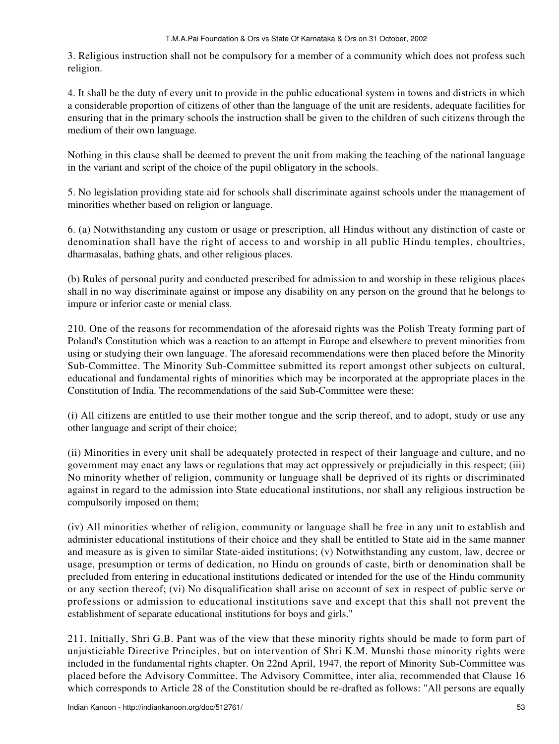3. Religious instruction shall not be compulsory for a member of a community which does not profess such religion.

4. It shall be the duty of every unit to provide in the public educational system in towns and districts in which a considerable proportion of citizens of other than the language of the unit are residents, adequate facilities for ensuring that in the primary schools the instruction shall be given to the children of such citizens through the medium of their own language.

Nothing in this clause shall be deemed to prevent the unit from making the teaching of the national language in the variant and script of the choice of the pupil obligatory in the schools.

5. No legislation providing state aid for schools shall discriminate against schools under the management of minorities whether based on religion or language.

6. (a) Notwithstanding any custom or usage or prescription, all Hindus without any distinction of caste or denomination shall have the right of access to and worship in all public Hindu temples, choultries, dharmasalas, bathing ghats, and other religious places.

(b) Rules of personal purity and conducted prescribed for admission to and worship in these religious places shall in no way discriminate against or impose any disability on any person on the ground that he belongs to impure or inferior caste or menial class.

210. One of the reasons for recommendation of the aforesaid rights was the Polish Treaty forming part of Poland's Constitution which was a reaction to an attempt in Europe and elsewhere to prevent minorities from using or studying their own language. The aforesaid recommendations were then placed before the Minority Sub-Committee. The Minority Sub-Committee submitted its report amongst other subjects on cultural, educational and fundamental rights of minorities which may be incorporated at the appropriate places in the Constitution of India. The recommendations of the said Sub-Committee were these:

(i) All citizens are entitled to use their mother tongue and the scrip thereof, and to adopt, study or use any other language and script of their choice;

(ii) Minorities in every unit shall be adequately protected in respect of their language and culture, and no government may enact any laws or regulations that may act oppressively or prejudicially in this respect; (iii) No minority whether of religion, community or language shall be deprived of its rights or discriminated against in regard to the admission into State educational institutions, nor shall any religious instruction be compulsorily imposed on them;

(iv) All minorities whether of religion, community or language shall be free in any unit to establish and administer educational institutions of their choice and they shall be entitled to State aid in the same manner and measure as is given to similar State-aided institutions; (v) Notwithstanding any custom, law, decree or usage, presumption or terms of dedication, no Hindu on grounds of caste, birth or denomination shall be precluded from entering in educational institutions dedicated or intended for the use of the Hindu community or any section thereof; (vi) No disqualification shall arise on account of sex in respect of public serve or professions or admission to educational institutions save and except that this shall not prevent the establishment of separate educational institutions for boys and girls."

211. Initially, Shri G.B. Pant was of the view that these minority rights should be made to form part of unjusticiable Directive Principles, but on intervention of Shri K.M. Munshi those minority rights were included in the fundamental rights chapter. On 22nd April, 1947, the report of Minority Sub-Committee was placed before the Advisory Committee. The Advisory Committee, inter alia, recommended that Clause 16 which corresponds to Article 28 of the Constitution should be re-drafted as follows: "All persons are equally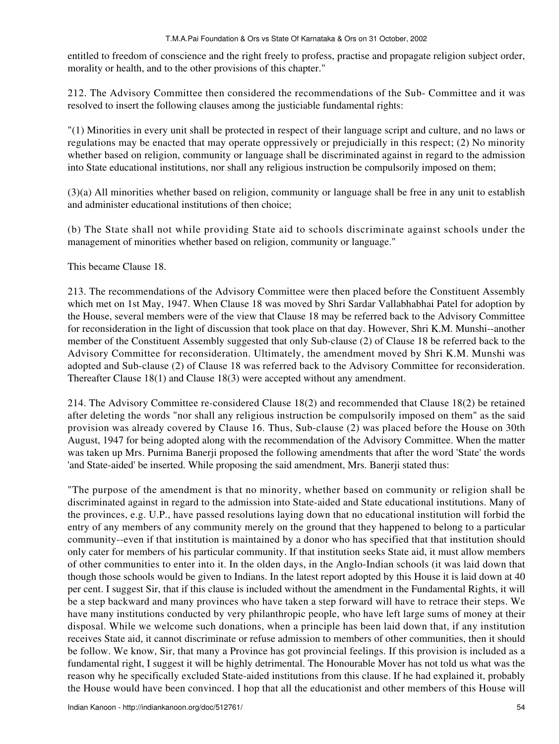entitled to freedom of conscience and the right freely to profess, practise and propagate religion subject order, morality or health, and to the other provisions of this chapter."

212. The Advisory Committee then considered the recommendations of the Sub- Committee and it was resolved to insert the following clauses among the justiciable fundamental rights:

"(1) Minorities in every unit shall be protected in respect of their language script and culture, and no laws or regulations may be enacted that may operate oppressively or prejudicially in this respect; (2) No minority whether based on religion, community or language shall be discriminated against in regard to the admission into State educational institutions, nor shall any religious instruction be compulsorily imposed on them;

(3)(a) All minorities whether based on religion, community or language shall be free in any unit to establish and administer educational institutions of then choice;

(b) The State shall not while providing State aid to schools discriminate against schools under the management of minorities whether based on religion, community or language."

This became Clause 18.

213. The recommendations of the Advisory Committee were then placed before the Constituent Assembly which met on 1st May, 1947. When Clause 18 was moved by Shri Sardar Vallabhabhai Patel for adoption by the House, several members were of the view that Clause 18 may be referred back to the Advisory Committee for reconsideration in the light of discussion that took place on that day. However, Shri K.M. Munshi--another member of the Constituent Assembly suggested that only Sub-clause (2) of Clause 18 be referred back to the Advisory Committee for reconsideration. Ultimately, the amendment moved by Shri K.M. Munshi was adopted and Sub-clause (2) of Clause 18 was referred back to the Advisory Committee for reconsideration. Thereafter Clause 18(1) and Clause 18(3) were accepted without any amendment.

214. The Advisory Committee re-considered Clause 18(2) and recommended that Clause 18(2) be retained after deleting the words "nor shall any religious instruction be compulsorily imposed on them" as the said provision was already covered by Clause 16. Thus, Sub-clause (2) was placed before the House on 30th August, 1947 for being adopted along with the recommendation of the Advisory Committee. When the matter was taken up Mrs. Purnima Banerji proposed the following amendments that after the word 'State' the words 'and State-aided' be inserted. While proposing the said amendment, Mrs. Banerji stated thus:

"The purpose of the amendment is that no minority, whether based on community or religion shall be discriminated against in regard to the admission into State-aided and State educational institutions. Many of the provinces, e.g. U.P., have passed resolutions laying down that no educational institution will forbid the entry of any members of any community merely on the ground that they happened to belong to a particular community--even if that institution is maintained by a donor who has specified that that institution should only cater for members of his particular community. If that institution seeks State aid, it must allow members of other communities to enter into it. In the olden days, in the Anglo-Indian schools (it was laid down that though those schools would be given to Indians. In the latest report adopted by this House it is laid down at 40 per cent. I suggest Sir, that if this clause is included without the amendment in the Fundamental Rights, it will be a step backward and many provinces who have taken a step forward will have to retrace their steps. We have many institutions conducted by very philanthropic people, who have left large sums of money at their disposal. While we welcome such donations, when a principle has been laid down that, if any institution receives State aid, it cannot discriminate or refuse admission to members of other communities, then it should be follow. We know, Sir, that many a Province has got provincial feelings. If this provision is included as a fundamental right, I suggest it will be highly detrimental. The Honourable Mover has not told us what was the reason why he specifically excluded State-aided institutions from this clause. If he had explained it, probably the House would have been convinced. I hop that all the educationist and other members of this House will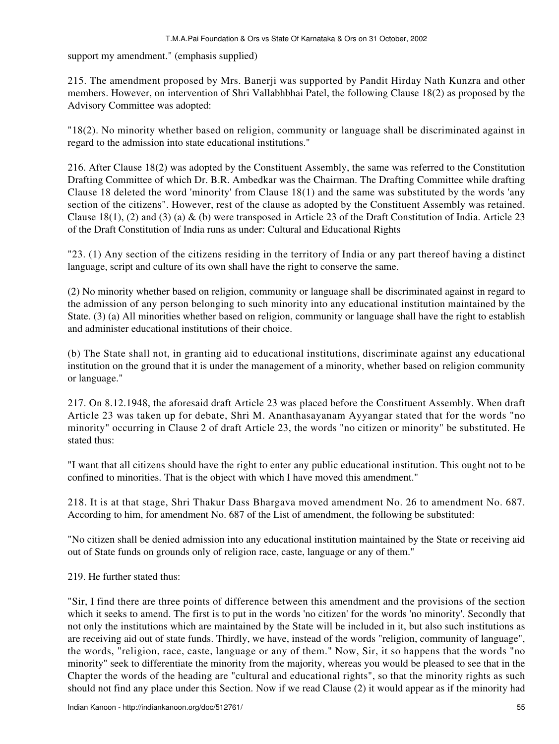support my amendment." (emphasis supplied)

215. The amendment proposed by Mrs. Banerji was supported by Pandit Hirday Nath Kunzra and other members. However, on intervention of Shri Vallabhbhai Patel, the following Clause 18(2) as proposed by the Advisory Committee was adopted:

"18(2). No minority whether based on religion, community or language shall be discriminated against in regard to the admission into state educational institutions."

216. After Clause 18(2) was adopted by the Constituent Assembly, the same was referred to the Constitution Drafting Committee of which Dr. B.R. Ambedkar was the Chairman. The Drafting Committee while drafting Clause 18 deleted the word 'minority' from Clause 18(1) and the same was substituted by the words 'any section of the citizens". However, rest of the clause as adopted by the Constituent Assembly was retained. Clause 18(1), (2) and (3) (a)  $\&$  (b) were transposed in Article 23 of the Draft Constitution of India. Article 23 of the Draft Constitution of India runs as under: Cultural and Educational Rights

"23. (1) Any section of the citizens residing in the territory of India or any part thereof having a distinct language, script and culture of its own shall have the right to conserve the same.

(2) No minority whether based on religion, community or language shall be discriminated against in regard to the admission of any person belonging to such minority into any educational institution maintained by the State. (3) (a) All minorities whether based on religion, community or language shall have the right to establish and administer educational institutions of their choice.

(b) The State shall not, in granting aid to educational institutions, discriminate against any educational institution on the ground that it is under the management of a minority, whether based on religion community or language."

217. On 8.12.1948, the aforesaid draft Article 23 was placed before the Constituent Assembly. When draft Article 23 was taken up for debate, Shri M. Ananthasayanam Ayyangar stated that for the words "no minority" occurring in Clause 2 of draft Article 23, the words "no citizen or minority" be substituted. He stated thus:

"I want that all citizens should have the right to enter any public educational institution. This ought not to be confined to minorities. That is the object with which I have moved this amendment."

218. It is at that stage, Shri Thakur Dass Bhargava moved amendment No. 26 to amendment No. 687. According to him, for amendment No. 687 of the List of amendment, the following be substituted:

"No citizen shall be denied admission into any educational institution maintained by the State or receiving aid out of State funds on grounds only of religion race, caste, language or any of them."

219. He further stated thus:

"Sir, I find there are three points of difference between this amendment and the provisions of the section which it seeks to amend. The first is to put in the words 'no citizen' for the words 'no minority'. Secondly that not only the institutions which are maintained by the State will be included in it, but also such institutions as are receiving aid out of state funds. Thirdly, we have, instead of the words "religion, community of language", the words, "religion, race, caste, language or any of them." Now, Sir, it so happens that the words "no minority" seek to differentiate the minority from the majority, whereas you would be pleased to see that in the Chapter the words of the heading are "cultural and educational rights", so that the minority rights as such should not find any place under this Section. Now if we read Clause (2) it would appear as if the minority had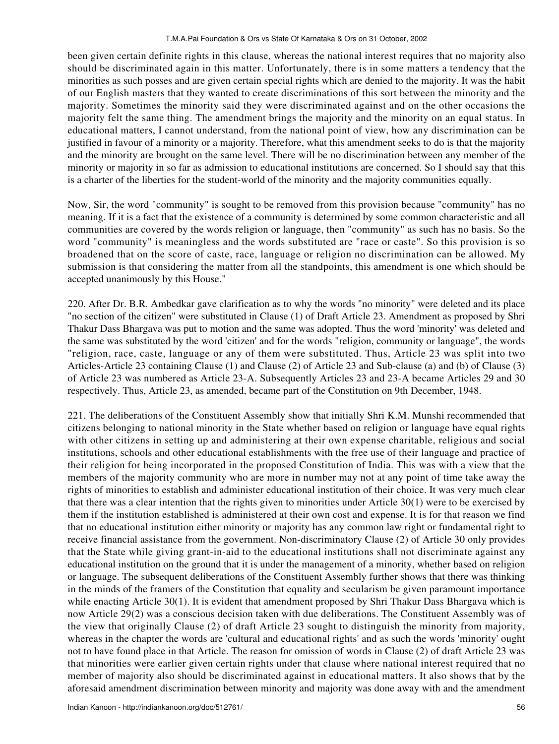been given certain definite rights in this clause, whereas the national interest requires that no majority also should be discriminated again in this matter. Unfortunately, there is in some matters a tendency that the minorities as such posses and are given certain special rights which are denied to the majority. It was the habit of our English masters that they wanted to create discriminations of this sort between the minority and the majority. Sometimes the minority said they were discriminated against and on the other occasions the majority felt the same thing. The amendment brings the majority and the minority on an equal status. In educational matters, I cannot understand, from the national point of view, how any discrimination can be justified in favour of a minority or a majority. Therefore, what this amendment seeks to do is that the majority and the minority are brought on the same level. There will be no discrimination between any member of the minority or majority in so far as admission to educational institutions are concerned. So I should say that this is a charter of the liberties for the student-world of the minority and the majority communities equally.

Now, Sir, the word "community" is sought to be removed from this provision because "community" has no meaning. If it is a fact that the existence of a community is determined by some common characteristic and all communities are covered by the words religion or language, then "community" as such has no basis. So the word "community" is meaningless and the words substituted are "race or caste". So this provision is so broadened that on the score of caste, race, language or religion no discrimination can be allowed. My submission is that considering the matter from all the standpoints, this amendment is one which should be accepted unanimously by this House."

220. After Dr. B.R. Ambedkar gave clarification as to why the words "no minority" were deleted and its place "no section of the citizen" were substituted in Clause (1) of Draft Article 23. Amendment as proposed by Shri Thakur Dass Bhargava was put to motion and the same was adopted. Thus the word 'minority' was deleted and the same was substituted by the word 'citizen' and for the words "religion, community or language", the words "religion, race, caste, language or any of them were substituted. Thus, Article 23 was split into two Articles-Article 23 containing Clause (1) and Clause (2) of Article 23 and Sub-clause (a) and (b) of Clause (3) of Article 23 was numbered as Article 23-A. Subsequently Articles 23 and 23-A became Articles 29 and 30 respectively. Thus, Article 23, as amended, became part of the Constitution on 9th December, 1948.

221. The deliberations of the Constituent Assembly show that initially Shri K.M. Munshi recommended that citizens belonging to national minority in the State whether based on religion or language have equal rights with other citizens in setting up and administering at their own expense charitable, religious and social institutions, schools and other educational establishments with the free use of their language and practice of their religion for being incorporated in the proposed Constitution of India. This was with a view that the members of the majority community who are more in number may not at any point of time take away the rights of minorities to establish and administer educational institution of their choice. It was very much clear that there was a clear intention that the rights given to minorities under Article 30(1) were to be exercised by them if the institution established is administered at their own cost and expense. It is for that reason we find that no educational institution either minority or majority has any common law right or fundamental right to receive financial assistance from the government. Non-discriminatory Clause (2) of Article 30 only provides that the State while giving grant-in-aid to the educational institutions shall not discriminate against any educational institution on the ground that it is under the management of a minority, whether based on religion or language. The subsequent deliberations of the Constituent Assembly further shows that there was thinking in the minds of the framers of the Constitution that equality and secularism be given paramount importance while enacting Article 30(1). It is evident that amendment proposed by Shri Thakur Dass Bhargava which is now Article 29(2) was a conscious decision taken with due deliberations. The Constituent Assembly was of the view that originally Clause (2) of draft Article 23 sought to distinguish the minority from majority, whereas in the chapter the words are 'cultural and educational rights' and as such the words 'minority' ought not to have found place in that Article. The reason for omission of words in Clause (2) of draft Article 23 was that minorities were earlier given certain rights under that clause where national interest required that no member of majority also should be discriminated against in educational matters. It also shows that by the aforesaid amendment discrimination between minority and majority was done away with and the amendment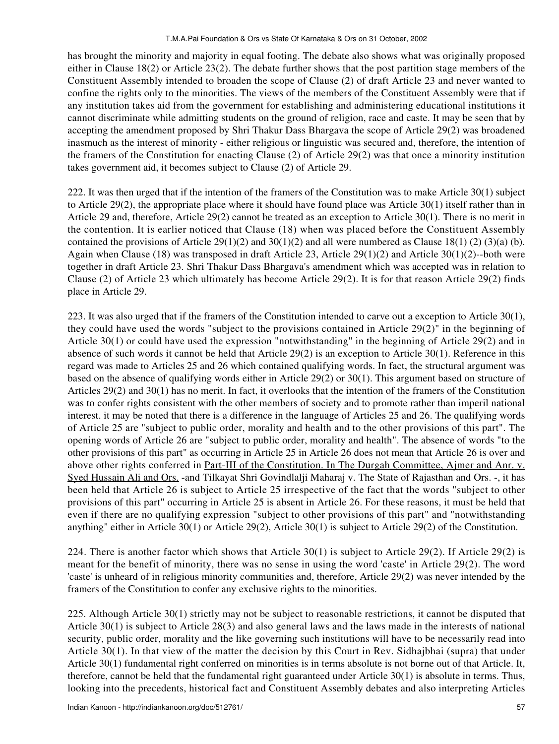has brought the minority and majority in equal footing. The debate also shows what was originally proposed either in Clause 18(2) or Article 23(2). The debate further shows that the post partition stage members of the Constituent Assembly intended to broaden the scope of Clause (2) of draft Article 23 and never wanted to confine the rights only to the minorities. The views of the members of the Constituent Assembly were that if any institution takes aid from the government for establishing and administering educational institutions it cannot discriminate while admitting students on the ground of religion, race and caste. It may be seen that by accepting the amendment proposed by Shri Thakur Dass Bhargava the scope of Article 29(2) was broadened inasmuch as the interest of minority - either religious or linguistic was secured and, therefore, the intention of the framers of the Constitution for enacting Clause (2) of Article 29(2) was that once a minority institution takes government aid, it becomes subject to Clause (2) of Article 29.

222. It was then urged that if the intention of the framers of the Constitution was to make Article 30(1) subject to Article 29(2), the appropriate place where it should have found place was Article 30(1) itself rather than in Article 29 and, therefore, Article 29(2) cannot be treated as an exception to Article 30(1). There is no merit in the contention. It is earlier noticed that Clause (18) when was placed before the Constituent Assembly contained the provisions of Article 29(1)(2) and 30(1)(2) and all were numbered as Clause 18(1) (2) (3)(a) (b). Again when Clause (18) was transposed in draft Article 23, Article  $29(1)(2)$  and Article 30(1)(2)--both were together in draft Article 23. Shri Thakur Dass Bhargava's amendment which was accepted was in relation to Clause (2) of Article 23 which ultimately has become Article 29(2). It is for that reason Article 29(2) finds place in Article 29.

223. It was also urged that if the framers of the Constitution intended to carve out a exception to Article 30(1), they could have used the words "subject to the provisions contained in Article 29(2)" in the beginning of Article 30(1) or could have used the expression "notwithstanding" in the beginning of Article 29(2) and in absence of such words it cannot be held that Article 29(2) is an exception to Article 30(1). Reference in this regard was made to Articles 25 and 26 which contained qualifying words. In fact, the structural argument was based on the absence of qualifying words either in Article 29(2) or 30(1). This argument based on structure of Articles 29(2) and 30(1) has no merit. In fact, it overlooks that the intention of the framers of the Constitution was to confer rights consistent with the other members of society and to promote rather than imperil national interest. it may be noted that there is a difference in the language of Articles 25 and 26. The qualifying words of Article 25 are "subject to public order, morality and health and to the other provisions of this part". The opening words of Article 26 are "subject to public order, morality and health". The absence of words "to the other provisions of this part" as occurring in Article 25 in Article 26 does not mean that Article 26 is over and above other rights conferred in Part-III of the Constitution. In The Durgah Committee, Ajmer and Anr. v. Syed Hussain Ali and Ors. -and Tilkayat Shri Govindlalji Maharaj v. The State of Rajasthan and Ors. -, it has been held that Article 26 is subject to Article 25 irrespective of the fact that the words "subject to other provisions of this part" occurring in Article 25 is absent in Article 26. For these reasons, it must be held that even if there are no qualifying expression "subject to other provisions of this part" and "notwithstanding anything" either in Article 30(1) or Article 29(2), Article 30(1) is subject to Article 29(2) of the Constitution.

224. There is another factor which shows that Article 30(1) is subject to Article 29(2). If Article 29(2) is meant for the benefit of minority, there was no sense in using the word 'caste' in Article 29(2). The word 'caste' is unheard of in religious minority communities and, therefore, Article 29(2) was never intended by the framers of the Constitution to confer any exclusive rights to the minorities.

225. Although Article 30(1) strictly may not be subject to reasonable restrictions, it cannot be disputed that Article 30(1) is subject to Article 28(3) and also general laws and the laws made in the interests of national security, public order, morality and the like governing such institutions will have to be necessarily read into Article 30(1). In that view of the matter the decision by this Court in Rev. Sidhajbhai (supra) that under Article 30(1) fundamental right conferred on minorities is in terms absolute is not borne out of that Article. It, therefore, cannot be held that the fundamental right guaranteed under Article 30(1) is absolute in terms. Thus, looking into the precedents, historical fact and Constituent Assembly debates and also interpreting Articles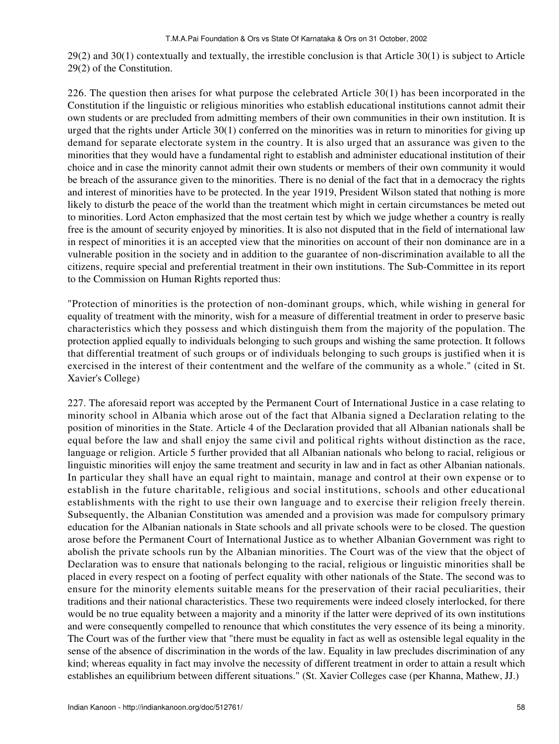29(2) and 30(1) contextually and textually, the irrestible conclusion is that Article 30(1) is subject to Article 29(2) of the Constitution.

226. The question then arises for what purpose the celebrated Article 30(1) has been incorporated in the Constitution if the linguistic or religious minorities who establish educational institutions cannot admit their own students or are precluded from admitting members of their own communities in their own institution. It is urged that the rights under Article 30(1) conferred on the minorities was in return to minorities for giving up demand for separate electorate system in the country. It is also urged that an assurance was given to the minorities that they would have a fundamental right to establish and administer educational institution of their choice and in case the minority cannot admit their own students or members of their own community it would be breach of the assurance given to the minorities. There is no denial of the fact that in a democracy the rights and interest of minorities have to be protected. In the year 1919, President Wilson stated that nothing is more likely to disturb the peace of the world than the treatment which might in certain circumstances be meted out to minorities. Lord Acton emphasized that the most certain test by which we judge whether a country is really free is the amount of security enjoyed by minorities. It is also not disputed that in the field of international law in respect of minorities it is an accepted view that the minorities on account of their non dominance are in a vulnerable position in the society and in addition to the guarantee of non-discrimination available to all the citizens, require special and preferential treatment in their own institutions. The Sub-Committee in its report to the Commission on Human Rights reported thus:

"Protection of minorities is the protection of non-dominant groups, which, while wishing in general for equality of treatment with the minority, wish for a measure of differential treatment in order to preserve basic characteristics which they possess and which distinguish them from the majority of the population. The protection applied equally to individuals belonging to such groups and wishing the same protection. It follows that differential treatment of such groups or of individuals belonging to such groups is justified when it is exercised in the interest of their contentment and the welfare of the community as a whole." (cited in St. Xavier's College)

227. The aforesaid report was accepted by the Permanent Court of International Justice in a case relating to minority school in Albania which arose out of the fact that Albania signed a Declaration relating to the position of minorities in the State. Article 4 of the Declaration provided that all Albanian nationals shall be equal before the law and shall enjoy the same civil and political rights without distinction as the race, language or religion. Article 5 further provided that all Albanian nationals who belong to racial, religious or linguistic minorities will enjoy the same treatment and security in law and in fact as other Albanian nationals. In particular they shall have an equal right to maintain, manage and control at their own expense or to establish in the future charitable, religious and social institutions, schools and other educational establishments with the right to use their own language and to exercise their religion freely therein. Subsequently, the Albanian Constitution was amended and a provision was made for compulsory primary education for the Albanian nationals in State schools and all private schools were to be closed. The question arose before the Permanent Court of International Justice as to whether Albanian Government was right to abolish the private schools run by the Albanian minorities. The Court was of the view that the object of Declaration was to ensure that nationals belonging to the racial, religious or linguistic minorities shall be placed in every respect on a footing of perfect equality with other nationals of the State. The second was to ensure for the minority elements suitable means for the preservation of their racial peculiarities, their traditions and their national characteristics. These two requirements were indeed closely interlocked, for there would be no true equality between a majority and a minority if the latter were deprived of its own institutions and were consequently compelled to renounce that which constitutes the very essence of its being a minority. The Court was of the further view that "there must be equality in fact as well as ostensible legal equality in the sense of the absence of discrimination in the words of the law. Equality in law precludes discrimination of any kind; whereas equality in fact may involve the necessity of different treatment in order to attain a result which establishes an equilibrium between different situations." (St. Xavier Colleges case (per Khanna, Mathew, JJ.)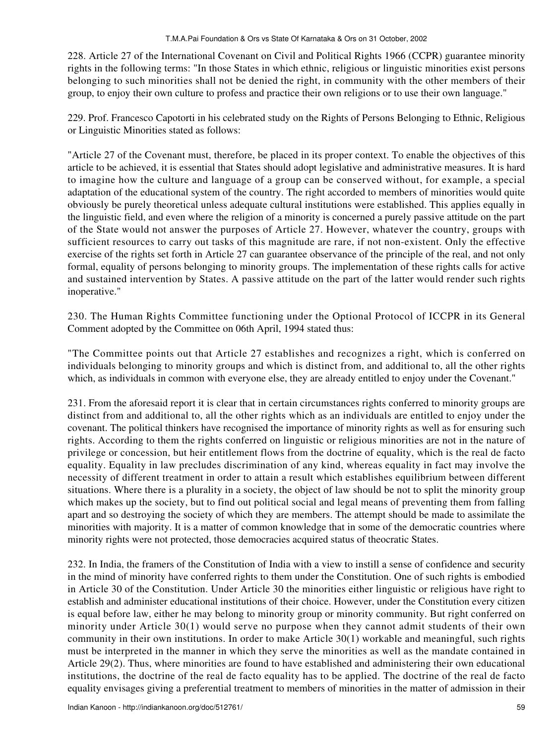228. Article 27 of the International Covenant on Civil and Political Rights 1966 (CCPR) guarantee minority rights in the following terms: "In those States in which ethnic, religious or linguistic minorities exist persons belonging to such minorities shall not be denied the right, in community with the other members of their group, to enjoy their own culture to profess and practice their own religions or to use their own language."

229. Prof. Francesco Capotorti in his celebrated study on the Rights of Persons Belonging to Ethnic, Religious or Linguistic Minorities stated as follows:

"Article 27 of the Covenant must, therefore, be placed in its proper context. To enable the objectives of this article to be achieved, it is essential that States should adopt legislative and administrative measures. It is hard to imagine how the culture and language of a group can be conserved without, for example, a special adaptation of the educational system of the country. The right accorded to members of minorities would quite obviously be purely theoretical unless adequate cultural institutions were established. This applies equally in the linguistic field, and even where the religion of a minority is concerned a purely passive attitude on the part of the State would not answer the purposes of Article 27. However, whatever the country, groups with sufficient resources to carry out tasks of this magnitude are rare, if not non-existent. Only the effective exercise of the rights set forth in Article 27 can guarantee observance of the principle of the real, and not only formal, equality of persons belonging to minority groups. The implementation of these rights calls for active and sustained intervention by States. A passive attitude on the part of the latter would render such rights inoperative."

230. The Human Rights Committee functioning under the Optional Protocol of ICCPR in its General Comment adopted by the Committee on 06th April, 1994 stated thus:

"The Committee points out that Article 27 establishes and recognizes a right, which is conferred on individuals belonging to minority groups and which is distinct from, and additional to, all the other rights which, as individuals in common with everyone else, they are already entitled to enjoy under the Covenant."

231. From the aforesaid report it is clear that in certain circumstances rights conferred to minority groups are distinct from and additional to, all the other rights which as an individuals are entitled to enjoy under the covenant. The political thinkers have recognised the importance of minority rights as well as for ensuring such rights. According to them the rights conferred on linguistic or religious minorities are not in the nature of privilege or concession, but heir entitlement flows from the doctrine of equality, which is the real de facto equality. Equality in law precludes discrimination of any kind, whereas equality in fact may involve the necessity of different treatment in order to attain a result which establishes equilibrium between different situations. Where there is a plurality in a society, the object of law should be not to split the minority group which makes up the society, but to find out political social and legal means of preventing them from falling apart and so destroying the society of which they are members. The attempt should be made to assimilate the minorities with majority. It is a matter of common knowledge that in some of the democratic countries where minority rights were not protected, those democracies acquired status of theocratic States.

232. In India, the framers of the Constitution of India with a view to instill a sense of confidence and security in the mind of minority have conferred rights to them under the Constitution. One of such rights is embodied in Article 30 of the Constitution. Under Article 30 the minorities either linguistic or religious have right to establish and administer educational institutions of their choice. However, under the Constitution every citizen is equal before law, either he may belong to minority group or minority community. But right conferred on minority under Article 30(1) would serve no purpose when they cannot admit students of their own community in their own institutions. In order to make Article 30(1) workable and meaningful, such rights must be interpreted in the manner in which they serve the minorities as well as the mandate contained in Article 29(2). Thus, where minorities are found to have established and administering their own educational institutions, the doctrine of the real de facto equality has to be applied. The doctrine of the real de facto equality envisages giving a preferential treatment to members of minorities in the matter of admission in their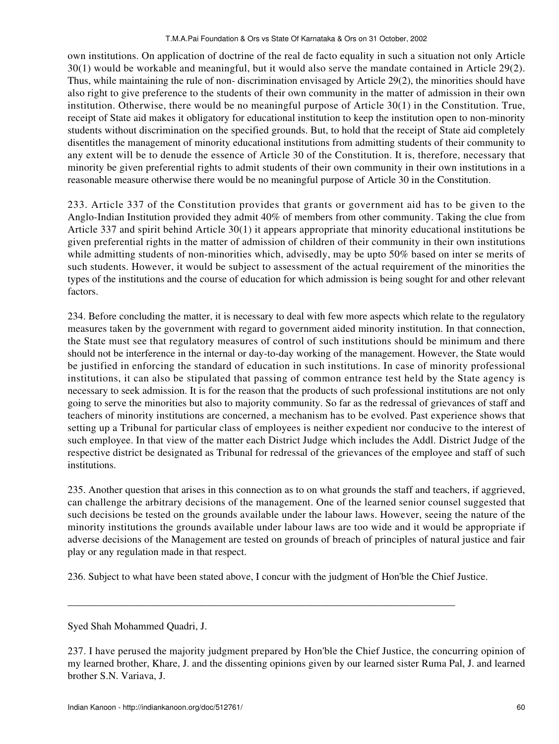own institutions. On application of doctrine of the real de facto equality in such a situation not only Article 30(1) would be workable and meaningful, but it would also serve the mandate contained in Article 29(2). Thus, while maintaining the rule of non- discrimination envisaged by Article 29(2), the minorities should have also right to give preference to the students of their own community in the matter of admission in their own institution. Otherwise, there would be no meaningful purpose of Article 30(1) in the Constitution. True, receipt of State aid makes it obligatory for educational institution to keep the institution open to non-minority students without discrimination on the specified grounds. But, to hold that the receipt of State aid completely disentitles the management of minority educational institutions from admitting students of their community to any extent will be to denude the essence of Article 30 of the Constitution. It is, therefore, necessary that minority be given preferential rights to admit students of their own community in their own institutions in a reasonable measure otherwise there would be no meaningful purpose of Article 30 in the Constitution.

233. Article 337 of the Constitution provides that grants or government aid has to be given to the Anglo-Indian Institution provided they admit 40% of members from other community. Taking the clue from Article 337 and spirit behind Article 30(1) it appears appropriate that minority educational institutions be given preferential rights in the matter of admission of children of their community in their own institutions while admitting students of non-minorities which, advisedly, may be upto 50% based on inter se merits of such students. However, it would be subject to assessment of the actual requirement of the minorities the types of the institutions and the course of education for which admission is being sought for and other relevant factors.

234. Before concluding the matter, it is necessary to deal with few more aspects which relate to the regulatory measures taken by the government with regard to government aided minority institution. In that connection, the State must see that regulatory measures of control of such institutions should be minimum and there should not be interference in the internal or day-to-day working of the management. However, the State would be justified in enforcing the standard of education in such institutions. In case of minority professional institutions, it can also be stipulated that passing of common entrance test held by the State agency is necessary to seek admission. It is for the reason that the products of such professional institutions are not only going to serve the minorities but also to majority community. So far as the redressal of grievances of staff and teachers of minority institutions are concerned, a mechanism has to be evolved. Past experience shows that setting up a Tribunal for particular class of employees is neither expedient nor conducive to the interest of such employee. In that view of the matter each District Judge which includes the Addl. District Judge of the respective district be designated as Tribunal for redressal of the grievances of the employee and staff of such institutions.

235. Another question that arises in this connection as to on what grounds the staff and teachers, if aggrieved, can challenge the arbitrary decisions of the management. One of the learned senior counsel suggested that such decisions be tested on the grounds available under the labour laws. However, seeing the nature of the minority institutions the grounds available under labour laws are too wide and it would be appropriate if adverse decisions of the Management are tested on grounds of breach of principles of natural justice and fair play or any regulation made in that respect.

236. Subject to what have been stated above, I concur with the judgment of Hon'ble the Chief Justice.

\_\_\_\_\_\_\_\_\_\_\_\_\_\_\_\_\_\_\_\_\_\_\_\_\_\_\_\_\_\_\_\_\_\_\_\_\_\_\_\_\_\_\_\_\_\_\_\_\_\_\_\_\_\_\_\_\_\_\_\_\_\_\_\_\_\_\_\_\_\_\_\_\_\_\_

Syed Shah Mohammed Quadri, J.

<sup>237.</sup> I have perused the majority judgment prepared by Hon'ble the Chief Justice, the concurring opinion of my learned brother, Khare, J. and the dissenting opinions given by our learned sister Ruma Pal, J. and learned brother S.N. Variava, J.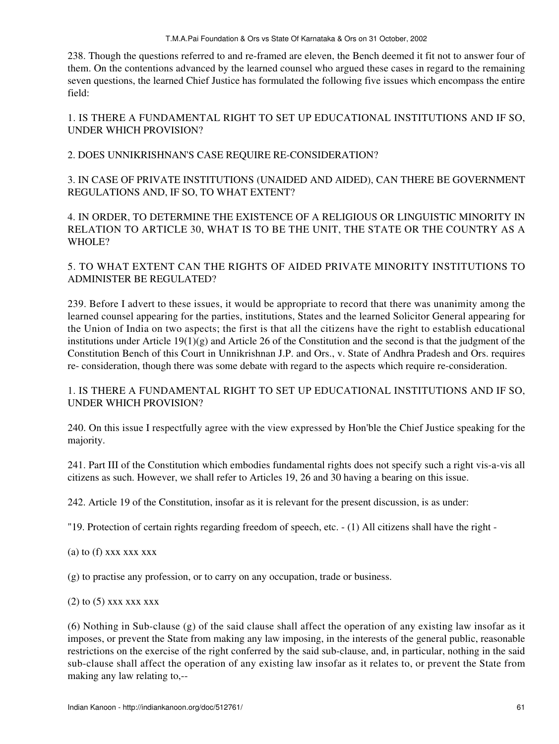238. Though the questions referred to and re-framed are eleven, the Bench deemed it fit not to answer four of them. On the contentions advanced by the learned counsel who argued these cases in regard to the remaining seven questions, the learned Chief Justice has formulated the following five issues which encompass the entire field:

1. IS THERE A FUNDAMENTAL RIGHT TO SET UP EDUCATIONAL INSTITUTIONS AND IF SO, UNDER WHICH PROVISION?

2. DOES UNNIKRISHNAN'S CASE REQUIRE RE-CONSIDERATION?

3. IN CASE OF PRIVATE INSTITUTIONS (UNAIDED AND AIDED), CAN THERE BE GOVERNMENT REGULATIONS AND, IF SO, TO WHAT EXTENT?

4. IN ORDER, TO DETERMINE THE EXISTENCE OF A RELIGIOUS OR LINGUISTIC MINORITY IN RELATION TO ARTICLE 30, WHAT IS TO BE THE UNIT, THE STATE OR THE COUNTRY AS A WHOLE?

5. TO WHAT EXTENT CAN THE RIGHTS OF AIDED PRIVATE MINORITY INSTITUTIONS TO ADMINISTER BE REGULATED?

239. Before I advert to these issues, it would be appropriate to record that there was unanimity among the learned counsel appearing for the parties, institutions, States and the learned Solicitor General appearing for the Union of India on two aspects; the first is that all the citizens have the right to establish educational institutions under Article 19(1)(g) and Article 26 of the Constitution and the second is that the judgment of the Constitution Bench of this Court in Unnikrishnan J.P. and Ors., v. State of Andhra Pradesh and Ors. requires re- consideration, though there was some debate with regard to the aspects which require re-consideration.

# 1. IS THERE A FUNDAMENTAL RIGHT TO SET UP EDUCATIONAL INSTITUTIONS AND IF SO, UNDER WHICH PROVISION?

240. On this issue I respectfully agree with the view expressed by Hon'ble the Chief Justice speaking for the majority.

241. Part III of the Constitution which embodies fundamental rights does not specify such a right vis-a-vis all citizens as such. However, we shall refer to Articles 19, 26 and 30 having a bearing on this issue.

242. Article 19 of the Constitution, insofar as it is relevant for the present discussion, is as under:

"19. Protection of certain rights regarding freedom of speech, etc. - (1) All citizens shall have the right -

(a) to  $(f)$  xxx xxx xxx

(g) to practise any profession, or to carry on any occupation, trade or business.

 $(2)$  to  $(5)$  xxx xxx xxx

(6) Nothing in Sub-clause (g) of the said clause shall affect the operation of any existing law insofar as it imposes, or prevent the State from making any law imposing, in the interests of the general public, reasonable restrictions on the exercise of the right conferred by the said sub-clause, and, in particular, nothing in the said sub-clause shall affect the operation of any existing law insofar as it relates to, or prevent the State from making any law relating to,--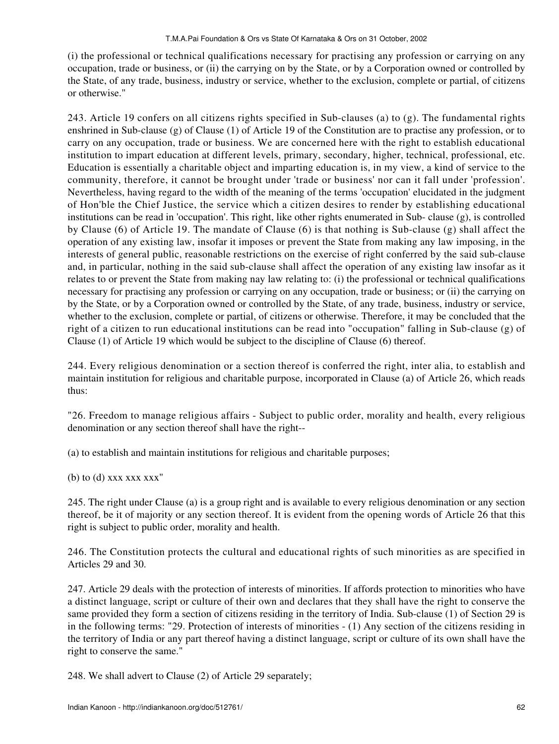(i) the professional or technical qualifications necessary for practising any profession or carrying on any occupation, trade or business, or (ii) the carrying on by the State, or by a Corporation owned or controlled by the State, of any trade, business, industry or service, whether to the exclusion, complete or partial, of citizens or otherwise."

243. Article 19 confers on all citizens rights specified in Sub-clauses (a) to (g). The fundamental rights enshrined in Sub-clause (g) of Clause (1) of Article 19 of the Constitution are to practise any profession, or to carry on any occupation, trade or business. We are concerned here with the right to establish educational institution to impart education at different levels, primary, secondary, higher, technical, professional, etc. Education is essentially a charitable object and imparting education is, in my view, a kind of service to the community, therefore, it cannot be brought under 'trade or business' nor can it fall under 'profession'. Nevertheless, having regard to the width of the meaning of the terms 'occupation' elucidated in the judgment of Hon'ble the Chief Justice, the service which a citizen desires to render by establishing educational institutions can be read in 'occupation'. This right, like other rights enumerated in Sub- clause (g), is controlled by Clause (6) of Article 19. The mandate of Clause (6) is that nothing is Sub-clause (g) shall affect the operation of any existing law, insofar it imposes or prevent the State from making any law imposing, in the interests of general public, reasonable restrictions on the exercise of right conferred by the said sub-clause and, in particular, nothing in the said sub-clause shall affect the operation of any existing law insofar as it relates to or prevent the State from making nay law relating to: (i) the professional or technical qualifications necessary for practising any profession or carrying on any occupation, trade or business; or (ii) the carrying on by the State, or by a Corporation owned or controlled by the State, of any trade, business, industry or service, whether to the exclusion, complete or partial, of citizens or otherwise. Therefore, it may be concluded that the right of a citizen to run educational institutions can be read into "occupation" falling in Sub-clause (g) of Clause (1) of Article 19 which would be subject to the discipline of Clause (6) thereof.

244. Every religious denomination or a section thereof is conferred the right, inter alia, to establish and maintain institution for religious and charitable purpose, incorporated in Clause (a) of Article 26, which reads thus:

"26. Freedom to manage religious affairs - Subject to public order, morality and health, every religious denomination or any section thereof shall have the right--

(a) to establish and maintain institutions for religious and charitable purposes;

(b) to  $(d)$  xxx xxx  $xxx''$ 

245. The right under Clause (a) is a group right and is available to every religious denomination or any section thereof, be it of majority or any section thereof. It is evident from the opening words of Article 26 that this right is subject to public order, morality and health.

246. The Constitution protects the cultural and educational rights of such minorities as are specified in Articles 29 and 30.

247. Article 29 deals with the protection of interests of minorities. If affords protection to minorities who have a distinct language, script or culture of their own and declares that they shall have the right to conserve the same provided they form a section of citizens residing in the territory of India. Sub-clause (1) of Section 29 is in the following terms: "29. Protection of interests of minorities - (1) Any section of the citizens residing in the territory of India or any part thereof having a distinct language, script or culture of its own shall have the right to conserve the same."

248. We shall advert to Clause (2) of Article 29 separately;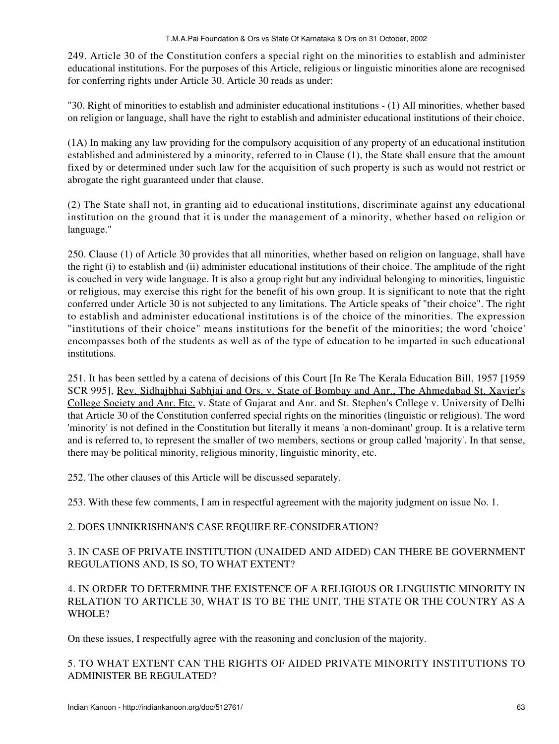249. Article 30 of the Constitution confers a special right on the minorities to establish and administer educational institutions. For the purposes of this Article, religious or linguistic minorities alone are recognised for conferring rights under Article 30. Article 30 reads as under:

"30. Right of minorities to establish and administer educational institutions - (1) All minorities, whether based on religion or language, shall have the right to establish and administer educational institutions of their choice.

(1A) In making any law providing for the compulsory acquisition of any property of an educational institution established and administered by a minority, referred to in Clause (1), the State shall ensure that the amount fixed by or determined under such law for the acquisition of such property is such as would not restrict or abrogate the right guaranteed under that clause.

(2) The State shall not, in granting aid to educational institutions, discriminate against any educational institution on the ground that it is under the management of a minority, whether based on religion or language."

250. Clause (1) of Article 30 provides that all minorities, whether based on religion on language, shall have the right (i) to establish and (ii) administer educational institutions of their choice. The amplitude of the right is couched in very wide language. It is also a group right but any individual belonging to minorities, linguistic or religious, may exercise this right for the benefit of his own group. It is significant to note that the right conferred under Article 30 is not subjected to any limitations. The Article speaks of "their choice". The right to establish and administer educational institutions is of the choice of the minorities. The expression "institutions of their choice" means institutions for the benefit of the minorities; the word 'choice' encompasses both of the students as well as of the type of education to be imparted in such educational institutions.

251. It has been settled by a catena of decisions of this Court [In Re The Kerala Education Bill, 1957 [1959 SCR 995], Rev. Sidhajbhai Sabhjai and Ors. v. State of Bombay and Anr., The Ahmedabad St. Xavier's College Society and Anr. Etc. v. State of Gujarat and Anr. and St. Stephen's College v. University of Delhi that Article 30 of the Constitution conferred special rights on the minorities (linguistic or religious). The word 'minority' is not defined in the Constitution but literally it means 'a non-dominant' group. It is a relative term and is referred to, to represent the smaller of two members, sections or group called 'majority'. In that sense, there may be political minority, religious minority, linguistic minority, etc.

252. The other clauses of this Article will be discussed separately.

253. With these few comments, I am in respectful agreement with the majority judgment on issue No. 1.

# 2. DOES UNNIKRISHNAN'S CASE REQUIRE RE-CONSIDERATION?

# 3. IN CASE OF PRIVATE INSTITUTION (UNAIDED AND AIDED) CAN THERE BE GOVERNMENT REGULATIONS AND, IS SO, TO WHAT EXTENT?

4. IN ORDER TO DETERMINE THE EXISTENCE OF A RELIGIOUS OR LINGUISTIC MINORITY IN RELATION TO ARTICLE 30, WHAT IS TO BE THE UNIT, THE STATE OR THE COUNTRY AS A WHOLE?

On these issues, I respectfully agree with the reasoning and conclusion of the majority.

# 5. TO WHAT EXTENT CAN THE RIGHTS OF AIDED PRIVATE MINORITY INSTITUTIONS TO ADMINISTER BE REGULATED?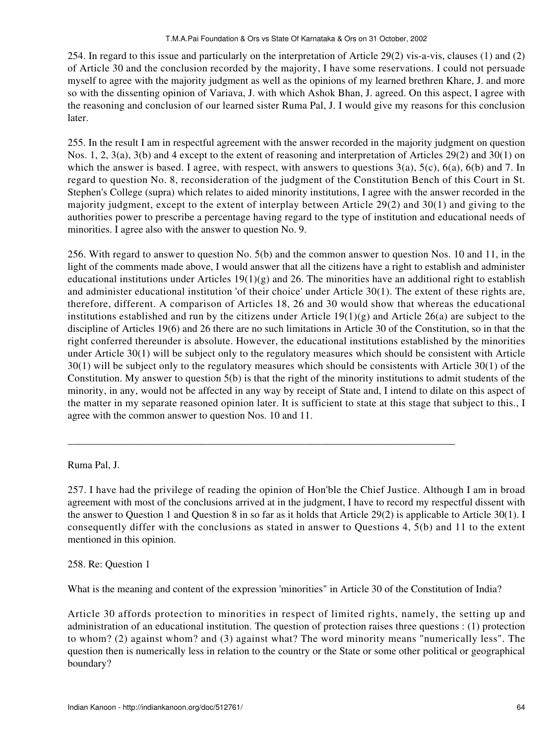254. In regard to this issue and particularly on the interpretation of Article 29(2) vis-a-vis, clauses (1) and (2) of Article 30 and the conclusion recorded by the majority, I have some reservations. I could not persuade myself to agree with the majority judgment as well as the opinions of my learned brethren Khare, J. and more so with the dissenting opinion of Variava, J. with which Ashok Bhan, J. agreed. On this aspect, I agree with the reasoning and conclusion of our learned sister Ruma Pal, J. I would give my reasons for this conclusion later.

255. In the result I am in respectful agreement with the answer recorded in the majority judgment on question Nos. 1, 2, 3(a), 3(b) and 4 except to the extent of reasoning and interpretation of Articles 29(2) and 30(1) on which the answer is based. I agree, with respect, with answers to questions  $3(a)$ ,  $5(c)$ ,  $6(a)$ ,  $6(b)$  and 7. In regard to question No. 8, reconsideration of the judgment of the Constitution Bench of this Court in St. Stephen's College (supra) which relates to aided minority institutions, I agree with the answer recorded in the majority judgment, except to the extent of interplay between Article 29(2) and 30(1) and giving to the authorities power to prescribe a percentage having regard to the type of institution and educational needs of minorities. I agree also with the answer to question No. 9.

256. With regard to answer to question No. 5(b) and the common answer to question Nos. 10 and 11, in the light of the comments made above, I would answer that all the citizens have a right to establish and administer educational institutions under Articles  $19(1)(g)$  and 26. The minorities have an additional right to establish and administer educational institution 'of their choice' under Article 30(1). The extent of these rights are, therefore, different. A comparison of Articles 18, 26 and 30 would show that whereas the educational institutions established and run by the citizens under Article  $19(1)(g)$  and Article 26(a) are subject to the discipline of Articles 19(6) and 26 there are no such limitations in Article 30 of the Constitution, so in that the right conferred thereunder is absolute. However, the educational institutions established by the minorities under Article 30(1) will be subject only to the regulatory measures which should be consistent with Article 30(1) will be subject only to the regulatory measures which should be consistents with Article 30(1) of the Constitution. My answer to question 5(b) is that the right of the minority institutions to admit students of the minority, in any, would not be affected in any way by receipt of State and, I intend to dilate on this aspect of the matter in my separate reasoned opinion later. It is sufficient to state at this stage that subject to this., I agree with the common answer to question Nos. 10 and 11.

Ruma Pal, J.

257. I have had the privilege of reading the opinion of Hon'ble the Chief Justice. Although I am in broad agreement with most of the conclusions arrived at in the judgment, I have to record my respectful dissent with the answer to Question 1 and Question 8 in so far as it holds that Article 29(2) is applicable to Article 30(1). I consequently differ with the conclusions as stated in answer to Questions 4, 5(b) and 11 to the extent mentioned in this opinion.

\_\_\_\_\_\_\_\_\_\_\_\_\_\_\_\_\_\_\_\_\_\_\_\_\_\_\_\_\_\_\_\_\_\_\_\_\_\_\_\_\_\_\_\_\_\_\_\_\_\_\_\_\_\_\_\_\_\_\_\_\_\_\_\_\_\_\_\_\_\_\_\_\_\_\_

258. Re: Question 1

What is the meaning and content of the expression 'minorities" in Article 30 of the Constitution of India?

Article 30 affords protection to minorities in respect of limited rights, namely, the setting up and administration of an educational institution. The question of protection raises three questions : (1) protection to whom? (2) against whom? and (3) against what? The word minority means "numerically less". The question then is numerically less in relation to the country or the State or some other political or geographical boundary?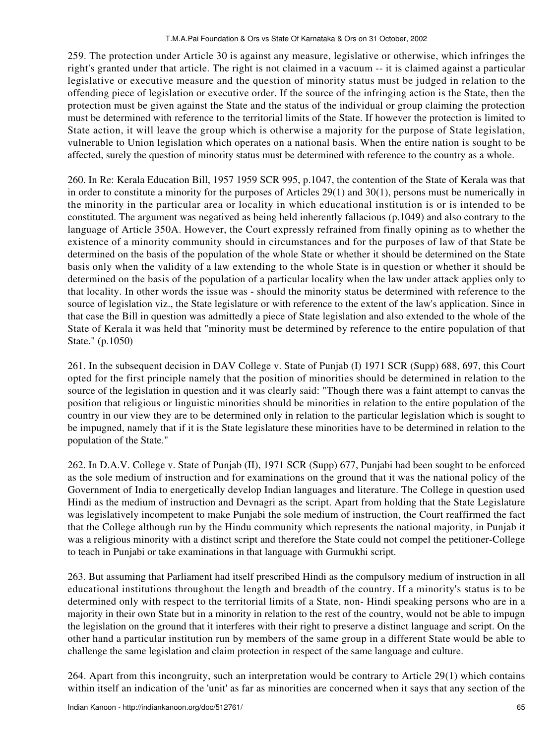259. The protection under Article 30 is against any measure, legislative or otherwise, which infringes the right's granted under that article. The right is not claimed in a vacuum -- it is claimed against a particular legislative or executive measure and the question of minority status must be judged in relation to the offending piece of legislation or executive order. If the source of the infringing action is the State, then the protection must be given against the State and the status of the individual or group claiming the protection must be determined with reference to the territorial limits of the State. If however the protection is limited to State action, it will leave the group which is otherwise a majority for the purpose of State legislation, vulnerable to Union legislation which operates on a national basis. When the entire nation is sought to be affected, surely the question of minority status must be determined with reference to the country as a whole.

260. In Re: Kerala Education Bill, 1957 1959 SCR 995, p.1047, the contention of the State of Kerala was that in order to constitute a minority for the purposes of Articles  $29(1)$  and  $30(1)$ , persons must be numerically in the minority in the particular area or locality in which educational institution is or is intended to be constituted. The argument was negatived as being held inherently fallacious (p.1049) and also contrary to the language of Article 350A. However, the Court expressly refrained from finally opining as to whether the existence of a minority community should in circumstances and for the purposes of law of that State be determined on the basis of the population of the whole State or whether it should be determined on the State basis only when the validity of a law extending to the whole State is in question or whether it should be determined on the basis of the population of a particular locality when the law under attack applies only to that locality. In other words the issue was - should the minority status be determined with reference to the source of legislation viz., the State legislature or with reference to the extent of the law's application. Since in that case the Bill in question was admittedly a piece of State legislation and also extended to the whole of the State of Kerala it was held that "minority must be determined by reference to the entire population of that State." (p.1050)

261. In the subsequent decision in DAV College v. State of Punjab (I) 1971 SCR (Supp) 688, 697, this Court opted for the first principle namely that the position of minorities should be determined in relation to the source of the legislation in question and it was clearly said: "Though there was a faint attempt to canvas the position that religious or linguistic minorities should be minorities in relation to the entire population of the country in our view they are to be determined only in relation to the particular legislation which is sought to be impugned, namely that if it is the State legislature these minorities have to be determined in relation to the population of the State."

262. In D.A.V. College v. State of Punjab (II), 1971 SCR (Supp) 677, Punjabi had been sought to be enforced as the sole medium of instruction and for examinations on the ground that it was the national policy of the Government of India to energetically develop Indian languages and literature. The College in question used Hindi as the medium of instruction and Devnagri as the script. Apart from holding that the State Legislature was legislatively incompetent to make Punjabi the sole medium of instruction, the Court reaffirmed the fact that the College although run by the Hindu community which represents the national majority, in Punjab it was a religious minority with a distinct script and therefore the State could not compel the petitioner-College to teach in Punjabi or take examinations in that language with Gurmukhi script.

263. But assuming that Parliament had itself prescribed Hindi as the compulsory medium of instruction in all educational institutions throughout the length and breadth of the country. If a minority's status is to be determined only with respect to the territorial limits of a State, non- Hindi speaking persons who are in a majority in their own State but in a minority in relation to the rest of the country, would not be able to impugn the legislation on the ground that it interferes with their right to preserve a distinct language and script. On the other hand a particular institution run by members of the same group in a different State would be able to challenge the same legislation and claim protection in respect of the same language and culture.

264. Apart from this incongruity, such an interpretation would be contrary to Article 29(1) which contains within itself an indication of the 'unit' as far as minorities are concerned when it says that any section of the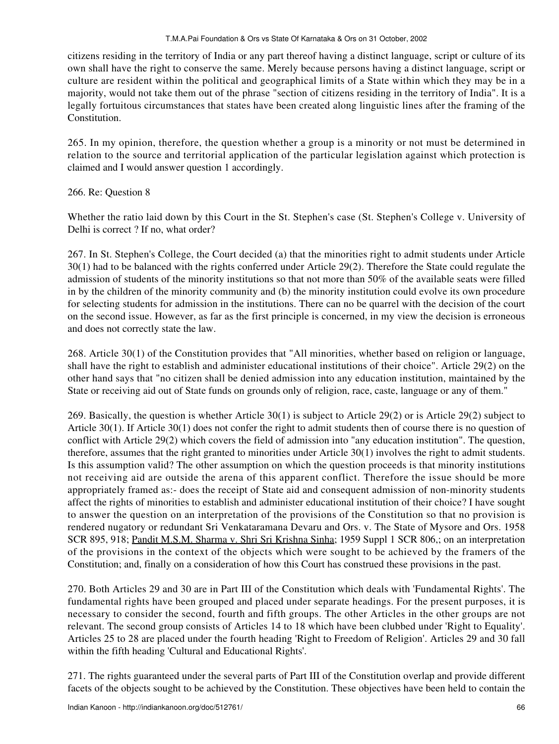#### T.M.A.Pai Foundation & Ors vs State Of Karnataka & Ors on 31 October, 2002

citizens residing in the territory of India or any part thereof having a distinct language, script or culture of its own shall have the right to conserve the same. Merely because persons having a distinct language, script or culture are resident within the political and geographical limits of a State within which they may be in a majority, would not take them out of the phrase "section of citizens residing in the territory of India". It is a legally fortuitous circumstances that states have been created along linguistic lines after the framing of the Constitution.

265. In my opinion, therefore, the question whether a group is a minority or not must be determined in relation to the source and territorial application of the particular legislation against which protection is claimed and I would answer question 1 accordingly.

## 266. Re: Question 8

Whether the ratio laid down by this Court in the St. Stephen's case (St. Stephen's College v. University of Delhi is correct ? If no, what order?

267. In St. Stephen's College, the Court decided (a) that the minorities right to admit students under Article 30(1) had to be balanced with the rights conferred under Article 29(2). Therefore the State could regulate the admission of students of the minority institutions so that not more than 50% of the available seats were filled in by the children of the minority community and (b) the minority institution could evolve its own procedure for selecting students for admission in the institutions. There can no be quarrel with the decision of the court on the second issue. However, as far as the first principle is concerned, in my view the decision is erroneous and does not correctly state the law.

268. Article 30(1) of the Constitution provides that "All minorities, whether based on religion or language, shall have the right to establish and administer educational institutions of their choice". Article 29(2) on the other hand says that "no citizen shall be denied admission into any education institution, maintained by the State or receiving aid out of State funds on grounds only of religion, race, caste, language or any of them."

269. Basically, the question is whether Article 30(1) is subject to Article 29(2) or is Article 29(2) subject to Article 30(1). If Article 30(1) does not confer the right to admit students then of course there is no question of conflict with Article 29(2) which covers the field of admission into "any education institution". The question, therefore, assumes that the right granted to minorities under Article 30(1) involves the right to admit students. Is this assumption valid? The other assumption on which the question proceeds is that minority institutions not receiving aid are outside the arena of this apparent conflict. Therefore the issue should be more appropriately framed as:- does the receipt of State aid and consequent admission of non-minority students affect the rights of minorities to establish and administer educational institution of their choice? I have sought to answer the question on an interpretation of the provisions of the Constitution so that no provision is rendered nugatory or redundant Sri Venkataramana Devaru and Ors. v. The State of Mysore and Ors. 1958 SCR 895, 918; Pandit M.S.M. Sharma v. Shri Sri Krishna Sinha; 1959 Suppl 1 SCR 806,; on an interpretation of the provisions in the context of the objects which were sought to be achieved by the framers of the Constitution; and, finally on a consideration of how this Court has construed these provisions in the past.

270. Both Articles 29 and 30 are in Part III of the Constitution which deals with 'Fundamental Rights'. The fundamental rights have been grouped and placed under separate headings. For the present purposes, it is necessary to consider the second, fourth and fifth groups. The other Articles in the other groups are not relevant. The second group consists of Articles 14 to 18 which have been clubbed under 'Right to Equality'. Articles 25 to 28 are placed under the fourth heading 'Right to Freedom of Religion'. Articles 29 and 30 fall within the fifth heading 'Cultural and Educational Rights'.

271. The rights guaranteed under the several parts of Part III of the Constitution overlap and provide different facets of the objects sought to be achieved by the Constitution. These objectives have been held to contain the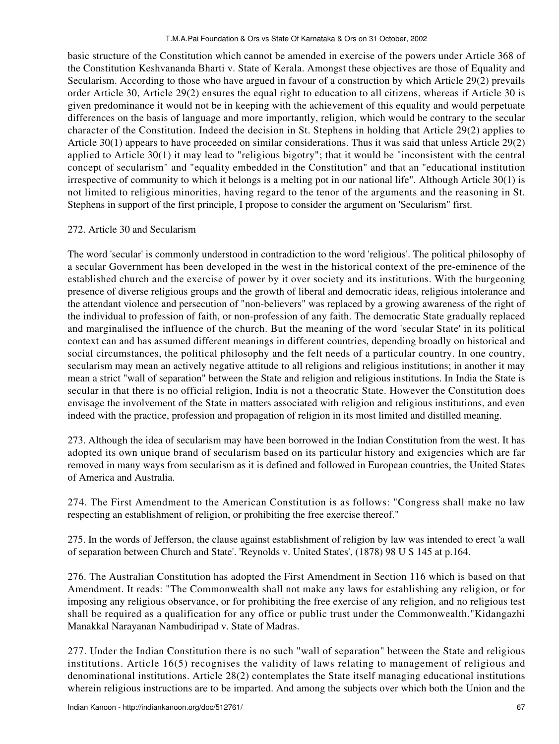basic structure of the Constitution which cannot be amended in exercise of the powers under Article 368 of the Constitution Keshvananda Bharti v. State of Kerala. Amongst these objectives are those of Equality and Secularism. According to those who have argued in favour of a construction by which Article 29(2) prevails order Article 30, Article 29(2) ensures the equal right to education to all citizens, whereas if Article 30 is given predominance it would not be in keeping with the achievement of this equality and would perpetuate differences on the basis of language and more importantly, religion, which would be contrary to the secular character of the Constitution. Indeed the decision in St. Stephens in holding that Article 29(2) applies to Article 30(1) appears to have proceeded on similar considerations. Thus it was said that unless Article 29(2) applied to Article 30(1) it may lead to "religious bigotry"; that it would be "inconsistent with the central concept of secularism" and "equality embedded in the Constitution" and that an "educational institution irrespective of community to which it belongs is a melting pot in our national life". Although Article 30(1) is not limited to religious minorities, having regard to the tenor of the arguments and the reasoning in St. Stephens in support of the first principle, I propose to consider the argument on 'Secularism" first.

### 272. Article 30 and Secularism

The word 'secular' is commonly understood in contradiction to the word 'religious'. The political philosophy of a secular Government has been developed in the west in the historical context of the pre-eminence of the established church and the exercise of power by it over society and its institutions. With the burgeoning presence of diverse religious groups and the growth of liberal and democratic ideas, religious intolerance and the attendant violence and persecution of "non-believers" was replaced by a growing awareness of the right of the individual to profession of faith, or non-profession of any faith. The democratic State gradually replaced and marginalised the influence of the church. But the meaning of the word 'secular State' in its political context can and has assumed different meanings in different countries, depending broadly on historical and social circumstances, the political philosophy and the felt needs of a particular country. In one country, secularism may mean an actively negative attitude to all religions and religious institutions; in another it may mean a strict "wall of separation" between the State and religion and religious institutions. In India the State is secular in that there is no official religion, India is not a theocratic State. However the Constitution does envisage the involvement of the State in matters associated with religion and religious institutions, and even indeed with the practice, profession and propagation of religion in its most limited and distilled meaning.

273. Although the idea of secularism may have been borrowed in the Indian Constitution from the west. It has adopted its own unique brand of secularism based on its particular history and exigencies which are far removed in many ways from secularism as it is defined and followed in European countries, the United States of America and Australia.

274. The First Amendment to the American Constitution is as follows: "Congress shall make no law respecting an establishment of religion, or prohibiting the free exercise thereof."

275. In the words of Jefferson, the clause against establishment of religion by law was intended to erect 'a wall of separation between Church and State'. 'Reynolds v. United States', (1878) 98 U S 145 at p.164.

276. The Australian Constitution has adopted the First Amendment in Section 116 which is based on that Amendment. It reads: "The Commonwealth shall not make any laws for establishing any religion, or for imposing any religious observance, or for prohibiting the free exercise of any religion, and no religious test shall be required as a qualification for any office or public trust under the Commonwealth."Kidangazhi Manakkal Narayanan Nambudiripad v. State of Madras.

277. Under the Indian Constitution there is no such "wall of separation" between the State and religious institutions. Article 16(5) recognises the validity of laws relating to management of religious and denominational institutions. Article 28(2) contemplates the State itself managing educational institutions wherein religious instructions are to be imparted. And among the subjects over which both the Union and the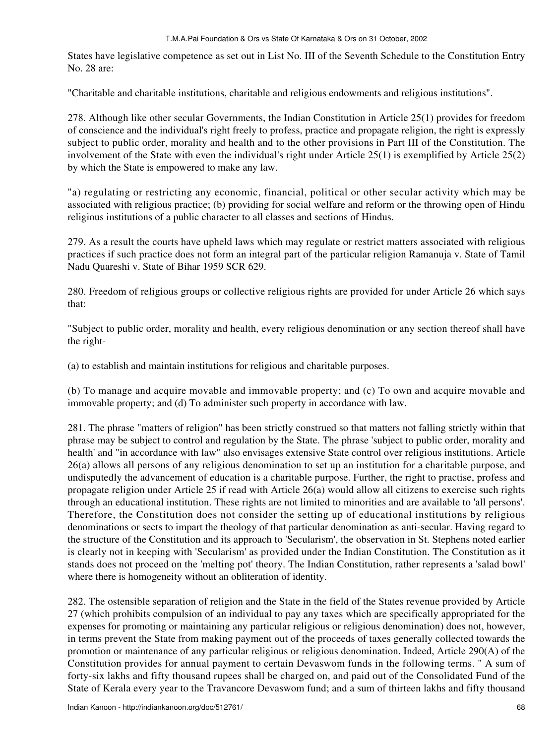#### T.M.A.Pai Foundation & Ors vs State Of Karnataka & Ors on 31 October, 2002

States have legislative competence as set out in List No. III of the Seventh Schedule to the Constitution Entry No. 28 are:

"Charitable and charitable institutions, charitable and religious endowments and religious institutions".

278. Although like other secular Governments, the Indian Constitution in Article 25(1) provides for freedom of conscience and the individual's right freely to profess, practice and propagate religion, the right is expressly subject to public order, morality and health and to the other provisions in Part III of the Constitution. The involvement of the State with even the individual's right under Article 25(1) is exemplified by Article 25(2) by which the State is empowered to make any law.

"a) regulating or restricting any economic, financial, political or other secular activity which may be associated with religious practice; (b) providing for social welfare and reform or the throwing open of Hindu religious institutions of a public character to all classes and sections of Hindus.

279. As a result the courts have upheld laws which may regulate or restrict matters associated with religious practices if such practice does not form an integral part of the particular religion Ramanuja v. State of Tamil Nadu Quareshi v. State of Bihar 1959 SCR 629.

280. Freedom of religious groups or collective religious rights are provided for under Article 26 which says that:

"Subject to public order, morality and health, every religious denomination or any section thereof shall have the right-

(a) to establish and maintain institutions for religious and charitable purposes.

(b) To manage and acquire movable and immovable property; and (c) To own and acquire movable and immovable property; and (d) To administer such property in accordance with law.

281. The phrase "matters of religion" has been strictly construed so that matters not falling strictly within that phrase may be subject to control and regulation by the State. The phrase 'subject to public order, morality and health' and "in accordance with law" also envisages extensive State control over religious institutions. Article 26(a) allows all persons of any religious denomination to set up an institution for a charitable purpose, and undisputedly the advancement of education is a charitable purpose. Further, the right to practise, profess and propagate religion under Article 25 if read with Article 26(a) would allow all citizens to exercise such rights through an educational institution. These rights are not limited to minorities and are available to 'all persons'. Therefore, the Constitution does not consider the setting up of educational institutions by religious denominations or sects to impart the theology of that particular denomination as anti-secular. Having regard to the structure of the Constitution and its approach to 'Secularism', the observation in St. Stephens noted earlier is clearly not in keeping with 'Secularism' as provided under the Indian Constitution. The Constitution as it stands does not proceed on the 'melting pot' theory. The Indian Constitution, rather represents a 'salad bowl' where there is homogeneity without an obliteration of identity.

282. The ostensible separation of religion and the State in the field of the States revenue provided by Article 27 (which prohibits compulsion of an individual to pay any taxes which are specifically appropriated for the expenses for promoting or maintaining any particular religious or religious denomination) does not, however, in terms prevent the State from making payment out of the proceeds of taxes generally collected towards the promotion or maintenance of any particular religious or religious denomination. Indeed, Article 290(A) of the Constitution provides for annual payment to certain Devaswom funds in the following terms. " A sum of forty-six lakhs and fifty thousand rupees shall be charged on, and paid out of the Consolidated Fund of the State of Kerala every year to the Travancore Devaswom fund; and a sum of thirteen lakhs and fifty thousand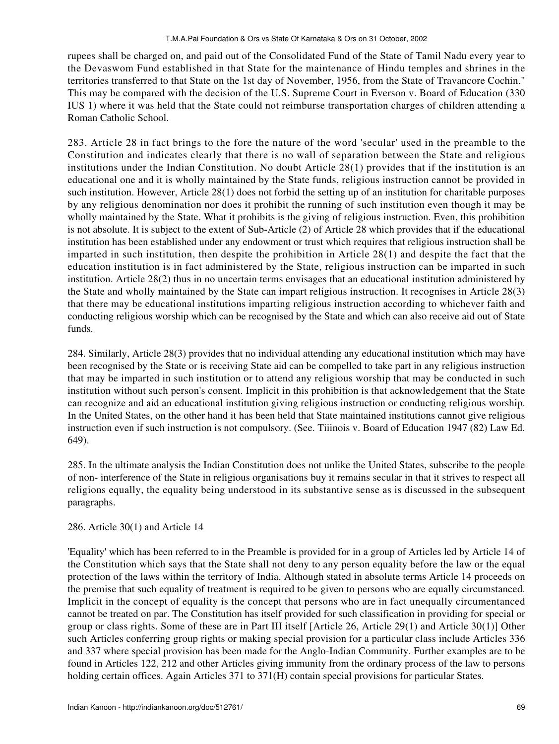rupees shall be charged on, and paid out of the Consolidated Fund of the State of Tamil Nadu every year to the Devaswom Fund established in that State for the maintenance of Hindu temples and shrines in the territories transferred to that State on the 1st day of November, 1956, from the State of Travancore Cochin." This may be compared with the decision of the U.S. Supreme Court in Everson v. Board of Education (330 IUS 1) where it was held that the State could not reimburse transportation charges of children attending a Roman Catholic School.

283. Article 28 in fact brings to the fore the nature of the word 'secular' used in the preamble to the Constitution and indicates clearly that there is no wall of separation between the State and religious institutions under the Indian Constitution. No doubt Article 28(1) provides that if the institution is an educational one and it is wholly maintained by the State funds, religious instruction cannot be provided in such institution. However, Article 28(1) does not forbid the setting up of an institution for charitable purposes by any religious denomination nor does it prohibit the running of such institution even though it may be wholly maintained by the State. What it prohibits is the giving of religious instruction. Even, this prohibition is not absolute. It is subject to the extent of Sub-Article (2) of Article 28 which provides that if the educational institution has been established under any endowment or trust which requires that religious instruction shall be imparted in such institution, then despite the prohibition in Article 28(1) and despite the fact that the education institution is in fact administered by the State, religious instruction can be imparted in such institution. Article 28(2) thus in no uncertain terms envisages that an educational institution administered by the State and wholly maintained by the State can impart religious instruction. It recognises in Article 28(3) that there may be educational institutions imparting religious instruction according to whichever faith and conducting religious worship which can be recognised by the State and which can also receive aid out of State funds.

284. Similarly, Article 28(3) provides that no individual attending any educational institution which may have been recognised by the State or is receiving State aid can be compelled to take part in any religious instruction that may be imparted in such institution or to attend any religious worship that may be conducted in such institution without such person's consent. Implicit in this prohibition is that acknowledgement that the State can recognize and aid an educational institution giving religious instruction or conducting religious worship. In the United States, on the other hand it has been held that State maintained institutions cannot give religious instruction even if such instruction is not compulsory. (See. Tiiinois v. Board of Education 1947 (82) Law Ed. 649).

285. In the ultimate analysis the Indian Constitution does not unlike the United States, subscribe to the people of non- interference of the State in religious organisations buy it remains secular in that it strives to respect all religions equally, the equality being understood in its substantive sense as is discussed in the subsequent paragraphs.

### 286. Article 30(1) and Article 14

'Equality' which has been referred to in the Preamble is provided for in a group of Articles led by Article 14 of the Constitution which says that the State shall not deny to any person equality before the law or the equal protection of the laws within the territory of India. Although stated in absolute terms Article 14 proceeds on the premise that such equality of treatment is required to be given to persons who are equally circumstanced. Implicit in the concept of equality is the concept that persons who are in fact unequally circumentanced cannot be treated on par. The Constitution has itself provided for such classification in providing for special or group or class rights. Some of these are in Part III itself [Article 26, Article 29(1) and Article 30(1)] Other such Articles conferring group rights or making special provision for a particular class include Articles 336 and 337 where special provision has been made for the Anglo-Indian Community. Further examples are to be found in Articles 122, 212 and other Articles giving immunity from the ordinary process of the law to persons holding certain offices. Again Articles 371 to 371(H) contain special provisions for particular States.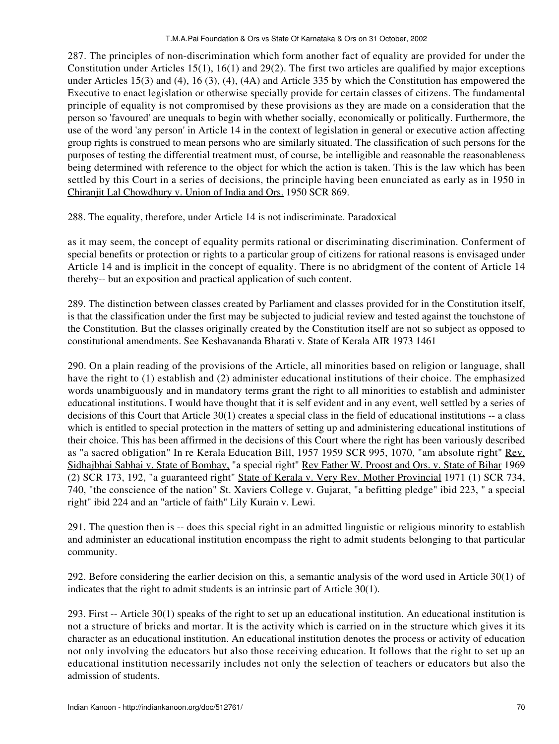287. The principles of non-discrimination which form another fact of equality are provided for under the Constitution under Articles 15(1), 16(1) and 29(2). The first two articles are qualified by major exceptions under Articles 15(3) and (4), 16 (3), (4), (4A) and Article 335 by which the Constitution has empowered the Executive to enact legislation or otherwise specially provide for certain classes of citizens. The fundamental principle of equality is not compromised by these provisions as they are made on a consideration that the person so 'favoured' are unequals to begin with whether socially, economically or politically. Furthermore, the use of the word 'any person' in Article 14 in the context of legislation in general or executive action affecting group rights is construed to mean persons who are similarly situated. The classification of such persons for the purposes of testing the differential treatment must, of course, be intelligible and reasonable the reasonableness being determined with reference to the object for which the action is taken. This is the law which has been settled by this Court in a series of decisions, the principle having been enunciated as early as in 1950 in Chiranjit Lal Chowdhury v. Union of India and Ors. 1950 SCR 869.

288. The equality, therefore, under Article 14 is not indiscriminate. Paradoxical

as it may seem, the concept of equality permits rational or discriminating discrimination. Conferment of special benefits or protection or rights to a particular group of citizens for rational reasons is envisaged under Article 14 and is implicit in the concept of equality. There is no abridgment of the content of Article 14 thereby-- but an exposition and practical application of such content.

289. The distinction between classes created by Parliament and classes provided for in the Constitution itself, is that the classification under the first may be subjected to judicial review and tested against the touchstone of the Constitution. But the classes originally created by the Constitution itself are not so subject as opposed to constitutional amendments. See Keshavananda Bharati v. State of Kerala AIR 1973 1461

290. On a plain reading of the provisions of the Article, all minorities based on religion or language, shall have the right to (1) establish and (2) administer educational institutions of their choice. The emphasized words unambiguously and in mandatory terms grant the right to all minorities to establish and administer educational institutions. I would have thought that it is self evident and in any event, well settled by a series of decisions of this Court that Article 30(1) creates a special class in the field of educational institutions -- a class which is entitled to special protection in the matters of setting up and administering educational institutions of their choice. This has been affirmed in the decisions of this Court where the right has been variously described as "a sacred obligation" In re Kerala Education Bill, 1957 1959 SCR 995, 1070, "am absolute right" Rev. Sidhajbhai Sabhai v. State of Bombay, "a special right" Rev Father W. Proost and Ors. v. State of Bihar 1969 (2) SCR 173, 192, "a guaranteed right" State of Kerala v. Very Rev. Mother Provincial 1971 (1) SCR 734, 740, "the conscience of the nation" St. Xaviers College v. Gujarat, "a befitting pledge" ibid 223, " a special right" ibid 224 and an "article of faith" Lily Kurain v. Lewi.

291. The question then is -- does this special right in an admitted linguistic or religious minority to establish and administer an educational institution encompass the right to admit students belonging to that particular community.

292. Before considering the earlier decision on this, a semantic analysis of the word used in Article 30(1) of indicates that the right to admit students is an intrinsic part of Article 30(1).

293. First -- Article 30(1) speaks of the right to set up an educational institution. An educational institution is not a structure of bricks and mortar. It is the activity which is carried on in the structure which gives it its character as an educational institution. An educational institution denotes the process or activity of education not only involving the educators but also those receiving education. It follows that the right to set up an educational institution necessarily includes not only the selection of teachers or educators but also the admission of students.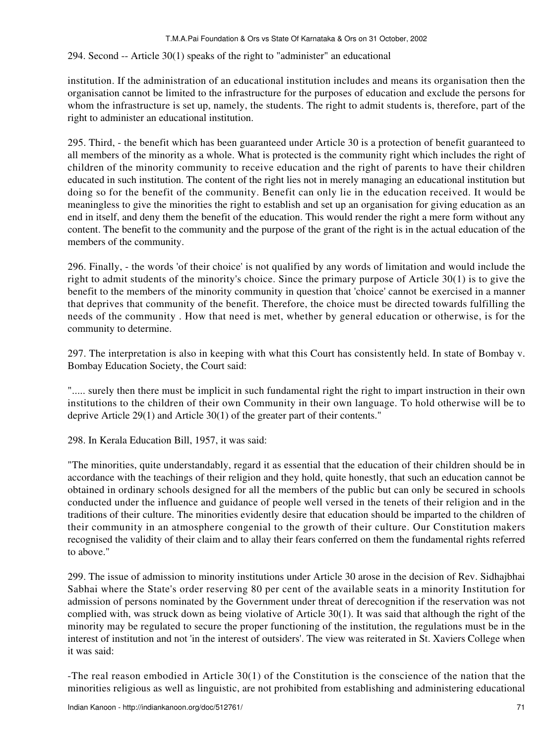# 294. Second -- Article 30(1) speaks of the right to "administer" an educational

institution. If the administration of an educational institution includes and means its organisation then the organisation cannot be limited to the infrastructure for the purposes of education and exclude the persons for whom the infrastructure is set up, namely, the students. The right to admit students is, therefore, part of the right to administer an educational institution.

295. Third, - the benefit which has been guaranteed under Article 30 is a protection of benefit guaranteed to all members of the minority as a whole. What is protected is the community right which includes the right of children of the minority community to receive education and the right of parents to have their children educated in such institution. The content of the right lies not in merely managing an educational institution but doing so for the benefit of the community. Benefit can only lie in the education received. It would be meaningless to give the minorities the right to establish and set up an organisation for giving education as an end in itself, and deny them the benefit of the education. This would render the right a mere form without any content. The benefit to the community and the purpose of the grant of the right is in the actual education of the members of the community.

296. Finally, - the words 'of their choice' is not qualified by any words of limitation and would include the right to admit students of the minority's choice. Since the primary purpose of Article 30(1) is to give the benefit to the members of the minority community in question that 'choice' cannot be exercised in a manner that deprives that community of the benefit. Therefore, the choice must be directed towards fulfilling the needs of the community . How that need is met, whether by general education or otherwise, is for the community to determine.

297. The interpretation is also in keeping with what this Court has consistently held. In state of Bombay v. Bombay Education Society, the Court said:

"..... surely then there must be implicit in such fundamental right the right to impart instruction in their own institutions to the children of their own Community in their own language. To hold otherwise will be to deprive Article 29(1) and Article 30(1) of the greater part of their contents."

298. In Kerala Education Bill, 1957, it was said:

"The minorities, quite understandably, regard it as essential that the education of their children should be in accordance with the teachings of their religion and they hold, quite honestly, that such an education cannot be obtained in ordinary schools designed for all the members of the public but can only be secured in schools conducted under the influence and guidance of people well versed in the tenets of their religion and in the traditions of their culture. The minorities evidently desire that education should be imparted to the children of their community in an atmosphere congenial to the growth of their culture. Our Constitution makers recognised the validity of their claim and to allay their fears conferred on them the fundamental rights referred to above."

299. The issue of admission to minority institutions under Article 30 arose in the decision of Rev. Sidhajbhai Sabhai where the State's order reserving 80 per cent of the available seats in a minority Institution for admission of persons nominated by the Government under threat of derecognition if the reservation was not complied with, was struck down as being violative of Article 30(1). It was said that although the right of the minority may be regulated to secure the proper functioning of the institution, the regulations must be in the interest of institution and not 'in the interest of outsiders'. The view was reiterated in St. Xaviers College when it was said:

-The real reason embodied in Article 30(1) of the Constitution is the conscience of the nation that the minorities religious as well as linguistic, are not prohibited from establishing and administering educational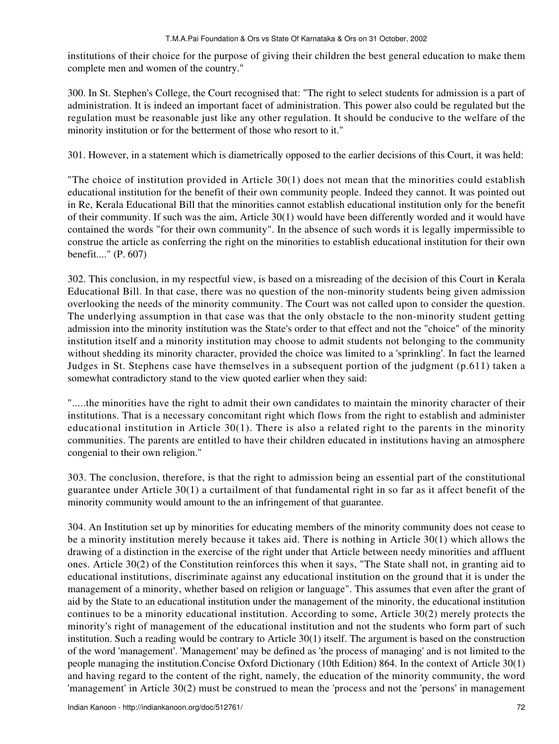institutions of their choice for the purpose of giving their children the best general education to make them complete men and women of the country."

300. In St. Stephen's College, the Court recognised that: "The right to select students for admission is a part of administration. It is indeed an important facet of administration. This power also could be regulated but the regulation must be reasonable just like any other regulation. It should be conducive to the welfare of the minority institution or for the betterment of those who resort to it."

301. However, in a statement which is diametrically opposed to the earlier decisions of this Court, it was held:

"The choice of institution provided in Article 30(1) does not mean that the minorities could establish educational institution for the benefit of their own community people. Indeed they cannot. It was pointed out in Re, Kerala Educational Bill that the minorities cannot establish educational institution only for the benefit of their community. If such was the aim, Article 30(1) would have been differently worded and it would have contained the words "for their own community". In the absence of such words it is legally impermissible to construe the article as conferring the right on the minorities to establish educational institution for their own benefit...." (P. 607)

302. This conclusion, in my respectful view, is based on a misreading of the decision of this Court in Kerala Educational Bill. In that case, there was no question of the non-minority students being given admission overlooking the needs of the minority community. The Court was not called upon to consider the question. The underlying assumption in that case was that the only obstacle to the non-minority student getting admission into the minority institution was the State's order to that effect and not the "choice" of the minority institution itself and a minority institution may choose to admit students not belonging to the community without shedding its minority character, provided the choice was limited to a 'sprinkling'. In fact the learned Judges in St. Stephens case have themselves in a subsequent portion of the judgment (p.611) taken a somewhat contradictory stand to the view quoted earlier when they said:

".....the minorities have the right to admit their own candidates to maintain the minority character of their institutions. That is a necessary concomitant right which flows from the right to establish and administer educational institution in Article 30(1). There is also a related right to the parents in the minority communities. The parents are entitled to have their children educated in institutions having an atmosphere congenial to their own religion."

303. The conclusion, therefore, is that the right to admission being an essential part of the constitutional guarantee under Article 30(1) a curtailment of that fundamental right in so far as it affect benefit of the minority community would amount to the an infringement of that guarantee.

304. An Institution set up by minorities for educating members of the minority community does not cease to be a minority institution merely because it takes aid. There is nothing in Article 30(1) which allows the drawing of a distinction in the exercise of the right under that Article between needy minorities and affluent ones. Article 30(2) of the Constitution reinforces this when it says, "The State shall not, in granting aid to educational institutions, discriminate against any educational institution on the ground that it is under the management of a minority, whether based on religion or language". This assumes that even after the grant of aid by the State to an educational institution under the management of the minority, the educational institution continues to be a minority educational institution. According to some, Article 30(2) merely protects the minority's right of management of the educational institution and not the students who form part of such institution. Such a reading would be contrary to Article 30(1) itself. The argument is based on the construction of the word 'management'. 'Management' may be defined as 'the process of managing' and is not limited to the people managing the institution.Concise Oxford Dictionary (10th Edition) 864. In the context of Article 30(1) and having regard to the content of the right, namely, the education of the minority community, the word 'management' in Article 30(2) must be construed to mean the 'process and not the 'persons' in management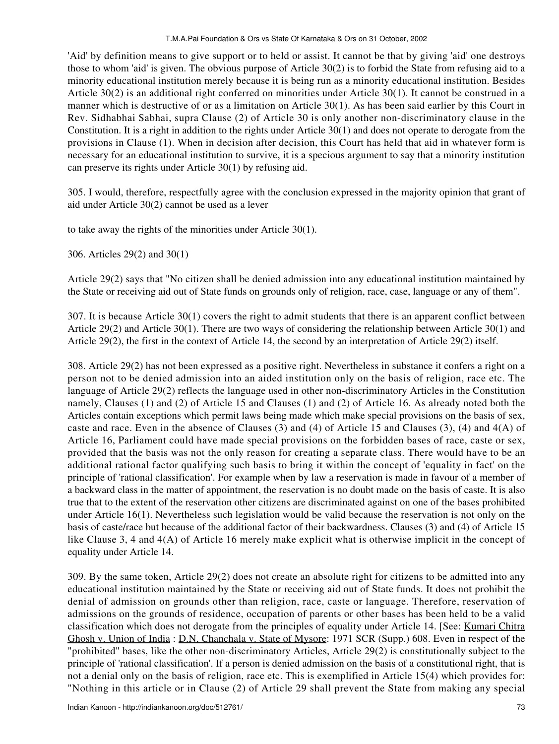'Aid' by definition means to give support or to held or assist. It cannot be that by giving 'aid' one destroys those to whom 'aid' is given. The obvious purpose of Article 30(2) is to forbid the State from refusing aid to a minority educational institution merely because it is being run as a minority educational institution. Besides Article 30(2) is an additional right conferred on minorities under Article 30(1). It cannot be construed in a manner which is destructive of or as a limitation on Article 30(1). As has been said earlier by this Court in Rev. Sidhabhai Sabhai, supra Clause (2) of Article 30 is only another non-discriminatory clause in the Constitution. It is a right in addition to the rights under Article 30(1) and does not operate to derogate from the provisions in Clause (1). When in decision after decision, this Court has held that aid in whatever form is necessary for an educational institution to survive, it is a specious argument to say that a minority institution can preserve its rights under Article 30(1) by refusing aid.

305. I would, therefore, respectfully agree with the conclusion expressed in the majority opinion that grant of aid under Article 30(2) cannot be used as a lever

to take away the rights of the minorities under Article 30(1).

306. Articles 29(2) and 30(1)

Article 29(2) says that "No citizen shall be denied admission into any educational institution maintained by the State or receiving aid out of State funds on grounds only of religion, race, case, language or any of them".

307. It is because Article 30(1) covers the right to admit students that there is an apparent conflict between Article 29(2) and Article 30(1). There are two ways of considering the relationship between Article 30(1) and Article 29(2), the first in the context of Article 14, the second by an interpretation of Article 29(2) itself.

308. Article 29(2) has not been expressed as a positive right. Nevertheless in substance it confers a right on a person not to be denied admission into an aided institution only on the basis of religion, race etc. The language of Article 29(2) reflects the language used in other non-discriminatory Articles in the Constitution namely, Clauses (1) and (2) of Article 15 and Clauses (1) and (2) of Article 16. As already noted both the Articles contain exceptions which permit laws being made which make special provisions on the basis of sex, caste and race. Even in the absence of Clauses (3) and (4) of Article 15 and Clauses (3), (4) and 4(A) of Article 16, Parliament could have made special provisions on the forbidden bases of race, caste or sex, provided that the basis was not the only reason for creating a separate class. There would have to be an additional rational factor qualifying such basis to bring it within the concept of 'equality in fact' on the principle of 'rational classification'. For example when by law a reservation is made in favour of a member of a backward class in the matter of appointment, the reservation is no doubt made on the basis of caste. It is also true that to the extent of the reservation other citizens are discriminated against on one of the bases prohibited under Article 16(1). Nevertheless such legislation would be valid because the reservation is not only on the basis of caste/race but because of the additional factor of their backwardness. Clauses (3) and (4) of Article 15 like Clause 3, 4 and 4(A) of Article 16 merely make explicit what is otherwise implicit in the concept of equality under Article 14.

309. By the same token, Article 29(2) does not create an absolute right for citizens to be admitted into any educational institution maintained by the State or receiving aid out of State funds. It does not prohibit the denial of admission on grounds other than religion, race, caste or language. Therefore, reservation of admissions on the grounds of residence, occupation of parents or other bases has been held to be a valid classification which does not derogate from the principles of equality under Article 14. [See: Kumari Chitra Ghosh v. Union of India: D.N. Chanchala v. State of Mysore: 1971 SCR (Supp.) 608. Even in respect of the "prohibited" bases, like the other non-discriminatory Articles, Article 29(2) is constitutionally subject to the principle of 'rational classification'. If a person is denied admission on the basis of a constitutional right, that is not a denial only on the basis of religion, race etc. This is exemplified in Article 15(4) which provides for: "Nothing in this article or in Clause (2) of Article 29 shall prevent the State from making any special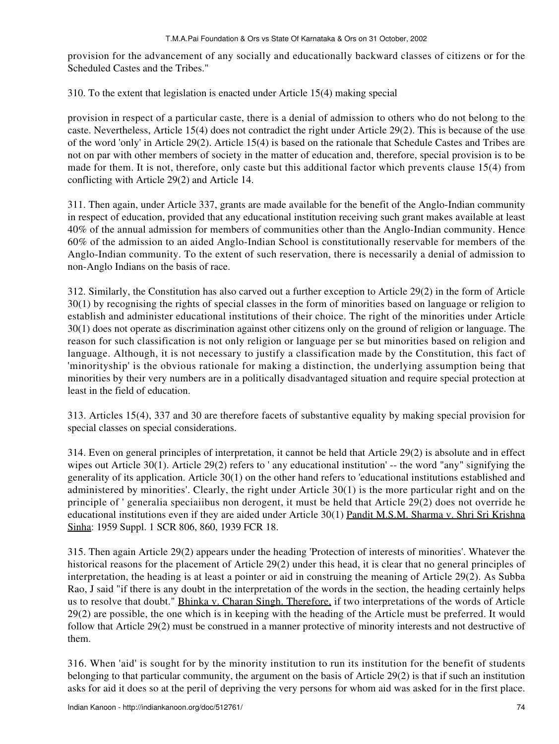provision for the advancement of any socially and educationally backward classes of citizens or for the Scheduled Castes and the Tribes."

310. To the extent that legislation is enacted under Article 15(4) making special

provision in respect of a particular caste, there is a denial of admission to others who do not belong to the caste. Nevertheless, Article 15(4) does not contradict the right under Article 29(2). This is because of the use of the word 'only' in Article 29(2). Article 15(4) is based on the rationale that Schedule Castes and Tribes are not on par with other members of society in the matter of education and, therefore, special provision is to be made for them. It is not, therefore, only caste but this additional factor which prevents clause 15(4) from conflicting with Article 29(2) and Article 14.

311. Then again, under Article 337, grants are made available for the benefit of the Anglo-Indian community in respect of education, provided that any educational institution receiving such grant makes available at least 40% of the annual admission for members of communities other than the Anglo-Indian community. Hence 60% of the admission to an aided Anglo-Indian School is constitutionally reservable for members of the Anglo-Indian community. To the extent of such reservation, there is necessarily a denial of admission to non-Anglo Indians on the basis of race.

312. Similarly, the Constitution has also carved out a further exception to Article 29(2) in the form of Article 30(1) by recognising the rights of special classes in the form of minorities based on language or religion to establish and administer educational institutions of their choice. The right of the minorities under Article 30(1) does not operate as discrimination against other citizens only on the ground of religion or language. The reason for such classification is not only religion or language per se but minorities based on religion and language. Although, it is not necessary to justify a classification made by the Constitution, this fact of 'minorityship' is the obvious rationale for making a distinction, the underlying assumption being that minorities by their very numbers are in a politically disadvantaged situation and require special protection at least in the field of education.

313. Articles 15(4), 337 and 30 are therefore facets of substantive equality by making special provision for special classes on special considerations.

314. Even on general principles of interpretation, it cannot be held that Article 29(2) is absolute and in effect wipes out Article 30(1). Article 29(2) refers to ' any educational institution' -- the word "any" signifying the generality of its application. Article 30(1) on the other hand refers to 'educational institutions established and administered by minorities'. Clearly, the right under Article 30(1) is the more particular right and on the principle of ' generalia speciaiibus non derogent, it must be held that Article 29(2) does not override he educational institutions even if they are aided under Article 30(1) Pandit M.S.M. Sharma v. Shri Sri Krishna Sinha: 1959 Suppl. 1 SCR 806, 860, 1939 FCR 18.

315. Then again Article 29(2) appears under the heading 'Protection of interests of minorities'. Whatever the historical reasons for the placement of Article 29(2) under this head, it is clear that no general principles of interpretation, the heading is at least a pointer or aid in construing the meaning of Article 29(2). As Subba Rao, J said "if there is any doubt in the interpretation of the words in the section, the heading certainly helps us to resolve that doubt." Bhinka v. Charan Singh. Therefore, if two interpretations of the words of Article 29(2) are possible, the one which is in keeping with the heading of the Article must be preferred. It would follow that Article 29(2) must be construed in a manner protective of minority interests and not destructive of them.

316. When 'aid' is sought for by the minority institution to run its institution for the benefit of students belonging to that particular community, the argument on the basis of Article 29(2) is that if such an institution asks for aid it does so at the peril of depriving the very persons for whom aid was asked for in the first place.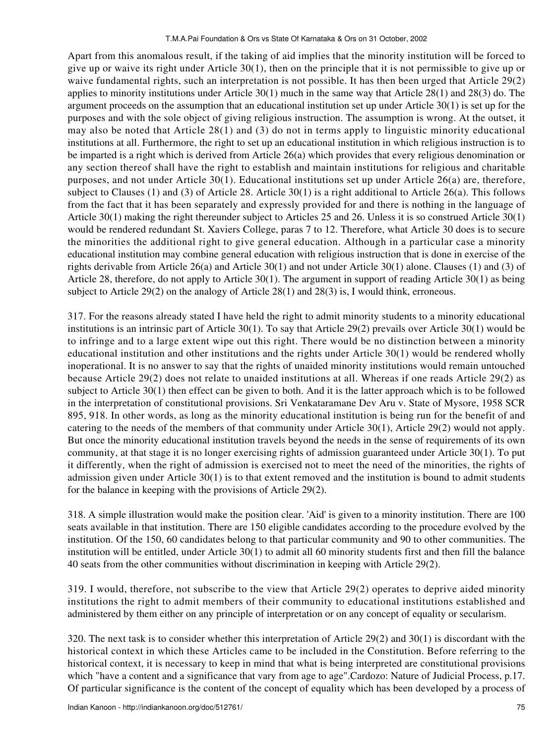Apart from this anomalous result, if the taking of aid implies that the minority institution will be forced to give up or waive its right under Article 30(1), then on the principle that it is not permissible to give up or waive fundamental rights, such an interpretation is not possible. It has then been urged that Article 29(2) applies to minority institutions under Article 30(1) much in the same way that Article 28(1) and 28(3) do. The argument proceeds on the assumption that an educational institution set up under Article 30(1) is set up for the purposes and with the sole object of giving religious instruction. The assumption is wrong. At the outset, it may also be noted that Article 28(1) and (3) do not in terms apply to linguistic minority educational institutions at all. Furthermore, the right to set up an educational institution in which religious instruction is to be imparted is a right which is derived from Article 26(a) which provides that every religious denomination or any section thereof shall have the right to establish and maintain institutions for religious and charitable purposes, and not under Article 30(1). Educational institutions set up under Article 26(a) are, therefore, subject to Clauses (1) and (3) of Article 28. Article 30(1) is a right additional to Article 26(a). This follows from the fact that it has been separately and expressly provided for and there is nothing in the language of Article 30(1) making the right thereunder subject to Articles 25 and 26. Unless it is so construed Article 30(1) would be rendered redundant St. Xaviers College, paras 7 to 12. Therefore, what Article 30 does is to secure the minorities the additional right to give general education. Although in a particular case a minority educational institution may combine general education with religious instruction that is done in exercise of the rights derivable from Article 26(a) and Article 30(1) and not under Article 30(1) alone. Clauses (1) and (3) of Article 28, therefore, do not apply to Article 30(1). The argument in support of reading Article 30(1) as being subject to Article 29(2) on the analogy of Article 28(1) and 28(3) is, I would think, erroneous.

317. For the reasons already stated I have held the right to admit minority students to a minority educational institutions is an intrinsic part of Article 30(1). To say that Article 29(2) prevails over Article 30(1) would be to infringe and to a large extent wipe out this right. There would be no distinction between a minority educational institution and other institutions and the rights under Article 30(1) would be rendered wholly inoperational. It is no answer to say that the rights of unaided minority institutions would remain untouched because Article 29(2) does not relate to unaided institutions at all. Whereas if one reads Article 29(2) as subject to Article 30(1) then effect can be given to both. And it is the latter approach which is to be followed in the interpretation of constitutional provisions. Sri Venkataramane Dev Aru v. State of Mysore, 1958 SCR 895, 918. In other words, as long as the minority educational institution is being run for the benefit of and catering to the needs of the members of that community under Article 30(1), Article 29(2) would not apply. But once the minority educational institution travels beyond the needs in the sense of requirements of its own community, at that stage it is no longer exercising rights of admission guaranteed under Article 30(1). To put it differently, when the right of admission is exercised not to meet the need of the minorities, the rights of admission given under Article 30(1) is to that extent removed and the institution is bound to admit students for the balance in keeping with the provisions of Article 29(2).

318. A simple illustration would make the position clear. 'Aid' is given to a minority institution. There are 100 seats available in that institution. There are 150 eligible candidates according to the procedure evolved by the institution. Of the 150, 60 candidates belong to that particular community and 90 to other communities. The institution will be entitled, under Article 30(1) to admit all 60 minority students first and then fill the balance 40 seats from the other communities without discrimination in keeping with Article 29(2).

319. I would, therefore, not subscribe to the view that Article 29(2) operates to deprive aided minority institutions the right to admit members of their community to educational institutions established and administered by them either on any principle of interpretation or on any concept of equality or secularism.

320. The next task is to consider whether this interpretation of Article 29(2) and 30(1) is discordant with the historical context in which these Articles came to be included in the Constitution. Before referring to the historical context, it is necessary to keep in mind that what is being interpreted are constitutional provisions which "have a content and a significance that vary from age to age".Cardozo: Nature of Judicial Process, p.17. Of particular significance is the content of the concept of equality which has been developed by a process of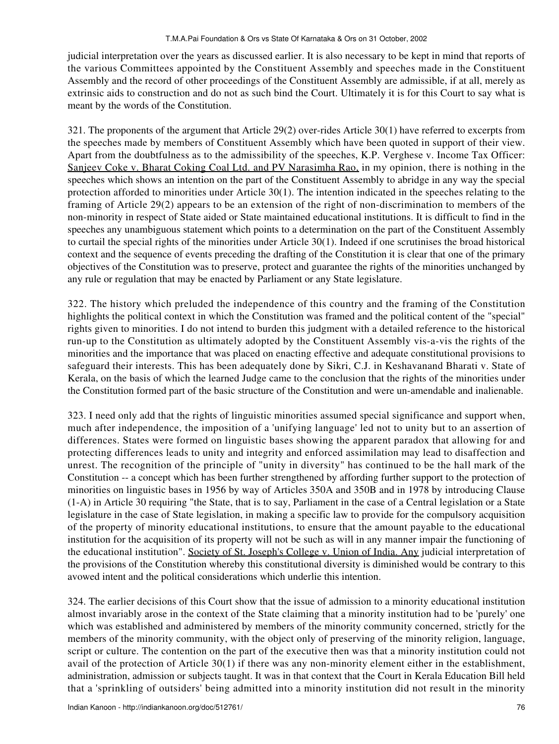judicial interpretation over the years as discussed earlier. It is also necessary to be kept in mind that reports of the various Committees appointed by the Constituent Assembly and speeches made in the Constituent Assembly and the record of other proceedings of the Constituent Assembly are admissible, if at all, merely as extrinsic aids to construction and do not as such bind the Court. Ultimately it is for this Court to say what is meant by the words of the Constitution.

321. The proponents of the argument that Article 29(2) over-rides Article 30(1) have referred to excerpts from the speeches made by members of Constituent Assembly which have been quoted in support of their view. Apart from the doubtfulness as to the admissibility of the speeches, K.P. Verghese v. Income Tax Officer: Sanjeev Coke v. Bharat Coking Coal Ltd. and PV Narasimha Rao, in my opinion, there is nothing in the speeches which shows an intention on the part of the Constituent Assembly to abridge in any way the special protection afforded to minorities under Article 30(1). The intention indicated in the speeches relating to the framing of Article 29(2) appears to be an extension of the right of non-discrimination to members of the non-minority in respect of State aided or State maintained educational institutions. It is difficult to find in the speeches any unambiguous statement which points to a determination on the part of the Constituent Assembly to curtail the special rights of the minorities under Article 30(1). Indeed if one scrutinises the broad historical context and the sequence of events preceding the drafting of the Constitution it is clear that one of the primary objectives of the Constitution was to preserve, protect and guarantee the rights of the minorities unchanged by any rule or regulation that may be enacted by Parliament or any State legislature.

322. The history which preluded the independence of this country and the framing of the Constitution highlights the political context in which the Constitution was framed and the political content of the "special" rights given to minorities. I do not intend to burden this judgment with a detailed reference to the historical run-up to the Constitution as ultimately adopted by the Constituent Assembly vis-a-vis the rights of the minorities and the importance that was placed on enacting effective and adequate constitutional provisions to safeguard their interests. This has been adequately done by Sikri, C.J. in Keshavanand Bharati v. State of Kerala, on the basis of which the learned Judge came to the conclusion that the rights of the minorities under the Constitution formed part of the basic structure of the Constitution and were un-amendable and inalienable.

323. I need only add that the rights of linguistic minorities assumed special significance and support when, much after independence, the imposition of a 'unifying language' led not to unity but to an assertion of differences. States were formed on linguistic bases showing the apparent paradox that allowing for and protecting differences leads to unity and integrity and enforced assimilation may lead to disaffection and unrest. The recognition of the principle of "unity in diversity" has continued to be the hall mark of the Constitution -- a concept which has been further strengthened by affording further support to the protection of minorities on linguistic bases in 1956 by way of Articles 350A and 350B and in 1978 by introducing Clause (1-A) in Article 30 requiring "the State, that is to say, Parliament in the case of a Central legislation or a State legislature in the case of State legislation, in making a specific law to provide for the compulsory acquisition of the property of minority educational institutions, to ensure that the amount payable to the educational institution for the acquisition of its property will not be such as will in any manner impair the functioning of the educational institution". Society of St. Joseph's College v. Union of India. Any judicial interpretation of the provisions of the Constitution whereby this constitutional diversity is diminished would be contrary to this avowed intent and the political considerations which underlie this intention.

324. The earlier decisions of this Court show that the issue of admission to a minority educational institution almost invariably arose in the context of the State claiming that a minority institution had to be 'purely' one which was established and administered by members of the minority community concerned, strictly for the members of the minority community, with the object only of preserving of the minority religion, language, script or culture. The contention on the part of the executive then was that a minority institution could not avail of the protection of Article 30(1) if there was any non-minority element either in the establishment, administration, admission or subjects taught. It was in that context that the Court in Kerala Education Bill held that a 'sprinkling of outsiders' being admitted into a minority institution did not result in the minority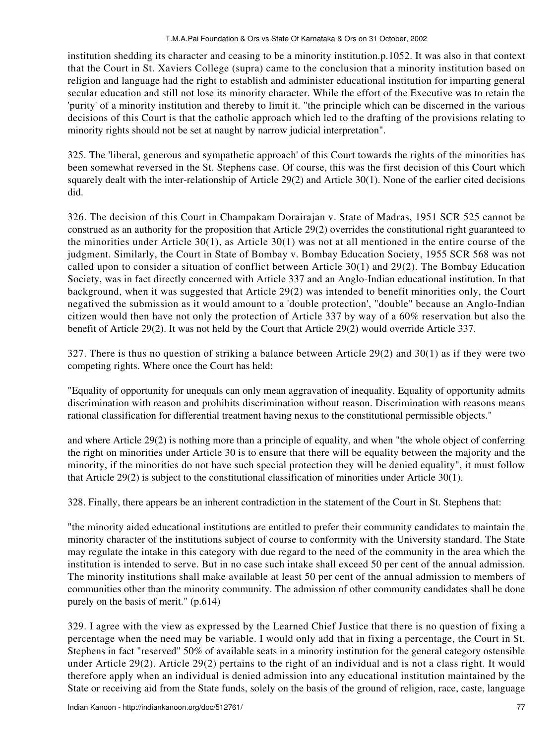institution shedding its character and ceasing to be a minority institution.p.1052. It was also in that context that the Court in St. Xaviers College (supra) came to the conclusion that a minority institution based on religion and language had the right to establish and administer educational institution for imparting general secular education and still not lose its minority character. While the effort of the Executive was to retain the 'purity' of a minority institution and thereby to limit it. "the principle which can be discerned in the various decisions of this Court is that the catholic approach which led to the drafting of the provisions relating to minority rights should not be set at naught by narrow judicial interpretation".

325. The 'liberal, generous and sympathetic approach' of this Court towards the rights of the minorities has been somewhat reversed in the St. Stephens case. Of course, this was the first decision of this Court which squarely dealt with the inter-relationship of Article 29(2) and Article 30(1). None of the earlier cited decisions did.

326. The decision of this Court in Champakam Dorairajan v. State of Madras, 1951 SCR 525 cannot be construed as an authority for the proposition that Article 29(2) overrides the constitutional right guaranteed to the minorities under Article 30(1), as Article 30(1) was not at all mentioned in the entire course of the judgment. Similarly, the Court in State of Bombay v. Bombay Education Society, 1955 SCR 568 was not called upon to consider a situation of conflict between Article 30(1) and 29(2). The Bombay Education Society, was in fact directly concerned with Article 337 and an Anglo-Indian educational institution. In that background, when it was suggested that Article 29(2) was intended to benefit minorities only, the Court negatived the submission as it would amount to a 'double protection', "double" because an Anglo-Indian citizen would then have not only the protection of Article 337 by way of a 60% reservation but also the benefit of Article 29(2). It was not held by the Court that Article 29(2) would override Article 337.

327. There is thus no question of striking a balance between Article 29(2) and 30(1) as if they were two competing rights. Where once the Court has held:

"Equality of opportunity for unequals can only mean aggravation of inequality. Equality of opportunity admits discrimination with reason and prohibits discrimination without reason. Discrimination with reasons means rational classification for differential treatment having nexus to the constitutional permissible objects."

and where Article 29(2) is nothing more than a principle of equality, and when "the whole object of conferring the right on minorities under Article 30 is to ensure that there will be equality between the majority and the minority, if the minorities do not have such special protection they will be denied equality", it must follow that Article 29(2) is subject to the constitutional classification of minorities under Article 30(1).

328. Finally, there appears be an inherent contradiction in the statement of the Court in St. Stephens that:

"the minority aided educational institutions are entitled to prefer their community candidates to maintain the minority character of the institutions subject of course to conformity with the University standard. The State may regulate the intake in this category with due regard to the need of the community in the area which the institution is intended to serve. But in no case such intake shall exceed 50 per cent of the annual admission. The minority institutions shall make available at least 50 per cent of the annual admission to members of communities other than the minority community. The admission of other community candidates shall be done purely on the basis of merit." (p.614)

329. I agree with the view as expressed by the Learned Chief Justice that there is no question of fixing a percentage when the need may be variable. I would only add that in fixing a percentage, the Court in St. Stephens in fact "reserved" 50% of available seats in a minority institution for the general category ostensible under Article 29(2). Article 29(2) pertains to the right of an individual and is not a class right. It would therefore apply when an individual is denied admission into any educational institution maintained by the State or receiving aid from the State funds, solely on the basis of the ground of religion, race, caste, language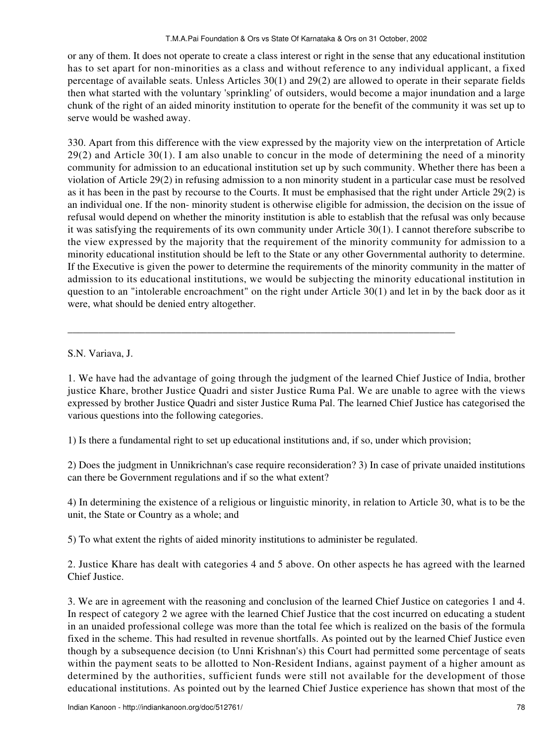or any of them. It does not operate to create a class interest or right in the sense that any educational institution has to set apart for non-minorities as a class and without reference to any individual applicant, a fixed percentage of available seats. Unless Articles 30(1) and 29(2) are allowed to operate in their separate fields then what started with the voluntary 'sprinkling' of outsiders, would become a major inundation and a large chunk of the right of an aided minority institution to operate for the benefit of the community it was set up to serve would be washed away.

330. Apart from this difference with the view expressed by the majority view on the interpretation of Article 29(2) and Article 30(1). I am also unable to concur in the mode of determining the need of a minority community for admission to an educational institution set up by such community. Whether there has been a violation of Article 29(2) in refusing admission to a non minority student in a particular case must be resolved as it has been in the past by recourse to the Courts. It must be emphasised that the right under Article 29(2) is an individual one. If the non- minority student is otherwise eligible for admission, the decision on the issue of refusal would depend on whether the minority institution is able to establish that the refusal was only because it was satisfying the requirements of its own community under Article 30(1). I cannot therefore subscribe to the view expressed by the majority that the requirement of the minority community for admission to a minority educational institution should be left to the State or any other Governmental authority to determine. If the Executive is given the power to determine the requirements of the minority community in the matter of admission to its educational institutions, we would be subjecting the minority educational institution in question to an "intolerable encroachment" on the right under Article 30(1) and let in by the back door as it were, what should be denied entry altogether.

S.N. Variava, J.

1. We have had the advantage of going through the judgment of the learned Chief Justice of India, brother justice Khare, brother Justice Quadri and sister Justice Ruma Pal. We are unable to agree with the views expressed by brother Justice Quadri and sister Justice Ruma Pal. The learned Chief Justice has categorised the various questions into the following categories.

1) Is there a fundamental right to set up educational institutions and, if so, under which provision;

\_\_\_\_\_\_\_\_\_\_\_\_\_\_\_\_\_\_\_\_\_\_\_\_\_\_\_\_\_\_\_\_\_\_\_\_\_\_\_\_\_\_\_\_\_\_\_\_\_\_\_\_\_\_\_\_\_\_\_\_\_\_\_\_\_\_\_\_\_\_\_\_\_\_\_

2) Does the judgment in Unnikrichnan's case require reconsideration? 3) In case of private unaided institutions can there be Government regulations and if so the what extent?

4) In determining the existence of a religious or linguistic minority, in relation to Article 30, what is to be the unit, the State or Country as a whole; and

5) To what extent the rights of aided minority institutions to administer be regulated.

2. Justice Khare has dealt with categories 4 and 5 above. On other aspects he has agreed with the learned Chief Justice.

3. We are in agreement with the reasoning and conclusion of the learned Chief Justice on categories 1 and 4. In respect of category 2 we agree with the learned Chief Justice that the cost incurred on educating a student in an unaided professional college was more than the total fee which is realized on the basis of the formula fixed in the scheme. This had resulted in revenue shortfalls. As pointed out by the learned Chief Justice even though by a subsequence decision (to Unni Krishnan's) this Court had permitted some percentage of seats within the payment seats to be allotted to Non-Resident Indians, against payment of a higher amount as determined by the authorities, sufficient funds were still not available for the development of those educational institutions. As pointed out by the learned Chief Justice experience has shown that most of the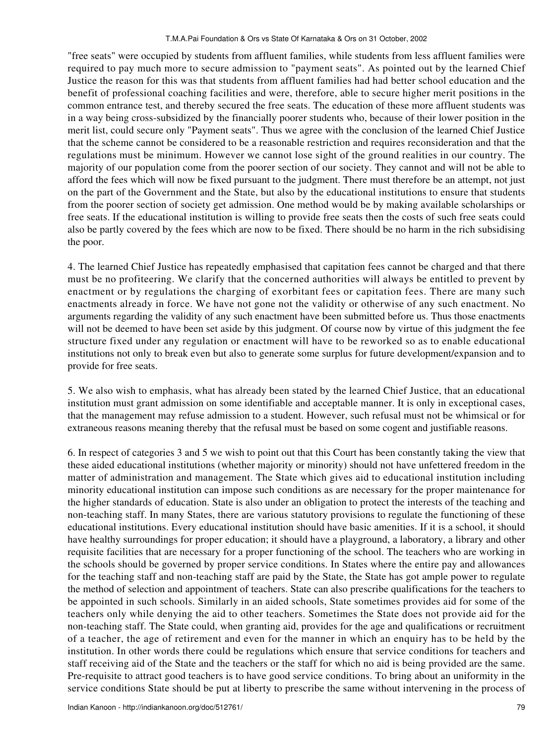"free seats" were occupied by students from affluent families, while students from less affluent families were required to pay much more to secure admission to "payment seats". As pointed out by the learned Chief Justice the reason for this was that students from affluent families had had better school education and the benefit of professional coaching facilities and were, therefore, able to secure higher merit positions in the common entrance test, and thereby secured the free seats. The education of these more affluent students was in a way being cross-subsidized by the financially poorer students who, because of their lower position in the merit list, could secure only "Payment seats". Thus we agree with the conclusion of the learned Chief Justice that the scheme cannot be considered to be a reasonable restriction and requires reconsideration and that the regulations must be minimum. However we cannot lose sight of the ground realities in our country. The majority of our population come from the poorer section of our society. They cannot and will not be able to afford the fees which will now be fixed pursuant to the judgment. There must therefore be an attempt, not just on the part of the Government and the State, but also by the educational institutions to ensure that students from the poorer section of society get admission. One method would be by making available scholarships or free seats. If the educational institution is willing to provide free seats then the costs of such free seats could also be partly covered by the fees which are now to be fixed. There should be no harm in the rich subsidising the poor.

4. The learned Chief Justice has repeatedly emphasised that capitation fees cannot be charged and that there must be no profiteering. We clarify that the concerned authorities will always be entitled to prevent by enactment or by regulations the charging of exorbitant fees or capitation fees. There are many such enactments already in force. We have not gone not the validity or otherwise of any such enactment. No arguments regarding the validity of any such enactment have been submitted before us. Thus those enactments will not be deemed to have been set aside by this judgment. Of course now by virtue of this judgment the fee structure fixed under any regulation or enactment will have to be reworked so as to enable educational institutions not only to break even but also to generate some surplus for future development/expansion and to provide for free seats.

5. We also wish to emphasis, what has already been stated by the learned Chief Justice, that an educational institution must grant admission on some identifiable and acceptable manner. It is only in exceptional cases, that the management may refuse admission to a student. However, such refusal must not be whimsical or for extraneous reasons meaning thereby that the refusal must be based on some cogent and justifiable reasons.

6. In respect of categories 3 and 5 we wish to point out that this Court has been constantly taking the view that these aided educational institutions (whether majority or minority) should not have unfettered freedom in the matter of administration and management. The State which gives aid to educational institution including minority educational institution can impose such conditions as are necessary for the proper maintenance for the higher standards of education. State is also under an obligation to protect the interests of the teaching and non-teaching staff. In many States, there are various statutory provisions to regulate the functioning of these educational institutions. Every educational institution should have basic amenities. If it is a school, it should have healthy surroundings for proper education; it should have a playground, a laboratory, a library and other requisite facilities that are necessary for a proper functioning of the school. The teachers who are working in the schools should be governed by proper service conditions. In States where the entire pay and allowances for the teaching staff and non-teaching staff are paid by the State, the State has got ample power to regulate the method of selection and appointment of teachers. State can also prescribe qualifications for the teachers to be appointed in such schools. Similarly in an aided schools, State sometimes provides aid for some of the teachers only while denying the aid to other teachers. Sometimes the State does not provide aid for the non-teaching staff. The State could, when granting aid, provides for the age and qualifications or recruitment of a teacher, the age of retirement and even for the manner in which an enquiry has to be held by the institution. In other words there could be regulations which ensure that service conditions for teachers and staff receiving aid of the State and the teachers or the staff for which no aid is being provided are the same. Pre-requisite to attract good teachers is to have good service conditions. To bring about an uniformity in the service conditions State should be put at liberty to prescribe the same without intervening in the process of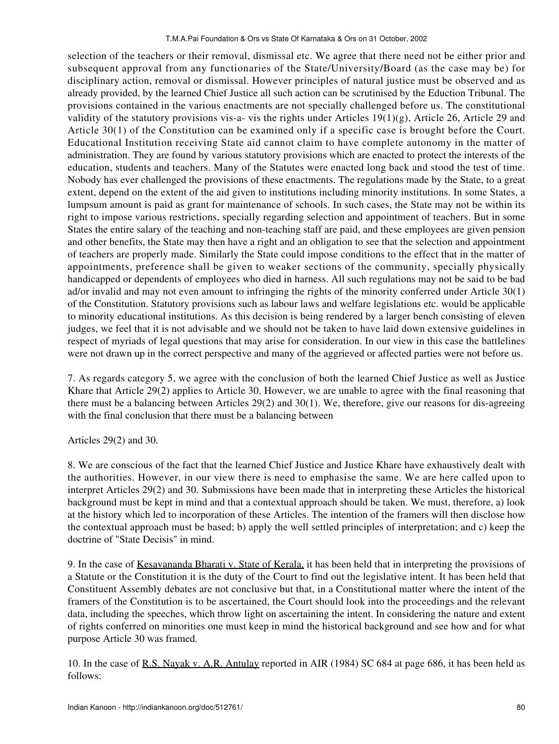selection of the teachers or their removal, dismissal etc. We agree that there need not be either prior and subsequent approval from any functionaries of the State/University/Board (as the case may be) for disciplinary action, removal or dismissal. However principles of natural justice must be observed and as already provided, by the learned Chief Justice all such action can be scrutinised by the Eduction Tribunal. The provisions contained in the various enactments are not specially challenged before us. The constitutional validity of the statutory provisions vis-a- vis the rights under Articles 19(1)(g), Article 26, Article 29 and Article 30(1) of the Constitution can be examined only if a specific case is brought before the Court. Educational Institution receiving State aid cannot claim to have complete autonomy in the matter of administration. They are found by various statutory provisions which are enacted to protect the interests of the education, students and teachers. Many of the Statutes were enacted long back and stood the test of time. Nobody has ever challenged the provisions of these enactments. The regulations made by the State, to a great extent, depend on the extent of the aid given to institutions including minority institutions. In some States, a lumpsum amount is paid as grant for maintenance of schools. In such cases, the State may not be within its right to impose various restrictions, specially regarding selection and appointment of teachers. But in some States the entire salary of the teaching and non-teaching staff are paid, and these employees are given pension and other benefits, the State may then have a right and an obligation to see that the selection and appointment of teachers are properly made. Similarly the State could impose conditions to the effect that in the matter of appointments, preference shall be given to weaker sections of the community, specially physically handicapped or dependents of employees who died in harness. All such regulations may not be said to be bad ad/or invalid and may not even amount to infringing the rights of the minority conferred under Article 30(1) of the Constitution. Statutory provisions such as labour laws and welfare legislations etc. would be applicable to minority educational institutions. As this decision is being rendered by a larger bench consisting of eleven judges, we feel that it is not advisable and we should not be taken to have laid down extensive guidelines in respect of myriads of legal questions that may arise for consideration. In our view in this case the battlelines were not drawn up in the correct perspective and many of the aggrieved or affected parties were not before us.

7. As regards category 5, we agree with the conclusion of both the learned Chief Justice as well as Justice Khare that Article 29(2) applies to Article 30. However, we are unable to agree with the final reasoning that there must be a balancing between Articles 29(2) and 30(1). We, therefore, give our reasons for dis-agreeing with the final conclusion that there must be a balancing between

# Articles 29(2) and 30.

8. We are conscious of the fact that the learned Chief Justice and Justice Khare have exhaustively dealt with the authorities. However, in our view there is need to emphasise the same. We are here called upon to interpret Articles 29(2) and 30. Submissions have been made that in interpreting these Articles the historical background must be kept in mind and that a contextual approach should be taken. We must, therefore, a) look at the history which led to incorporation of these Articles. The intention of the framers will then disclose how the contextual approach must be based; b) apply the well settled principles of interpretation; and c) keep the doctrine of "State Decisis" in mind.

9. In the case of Kesavananda Bharati v. State of Kerala, it has been held that in interpreting the provisions of a Statute or the Constitution it is the duty of the Court to find out the legislative intent. It has been held that Constituent Assembly debates are not conclusive but that, in a Constitutional matter where the intent of the framers of the Constitution is to be ascertained, the Court should look into the proceedings and the relevant data, including the speeches, which throw light on ascertaining the intent. In considering the nature and extent of rights conferred on minorities one must keep in mind the historical background and see how and for what purpose Article 30 was framed.

10. In the case of R.S. Nayak v. A.R. Antulay reported in AIR (1984) SC 684 at page 686, it has been held as follows: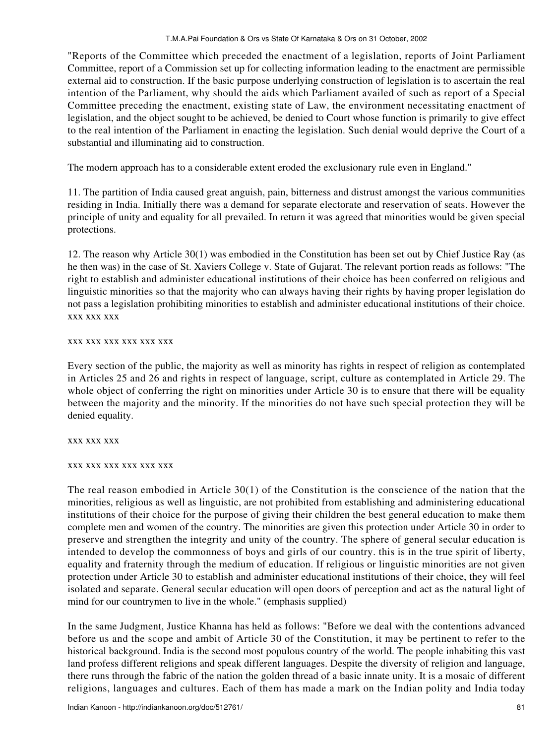"Reports of the Committee which preceded the enactment of a legislation, reports of Joint Parliament Committee, report of a Commission set up for collecting information leading to the enactment are permissible external aid to construction. If the basic purpose underlying construction of legislation is to ascertain the real intention of the Parliament, why should the aids which Parliament availed of such as report of a Special Committee preceding the enactment, existing state of Law, the environment necessitating enactment of legislation, and the object sought to be achieved, be denied to Court whose function is primarily to give effect to the real intention of the Parliament in enacting the legislation. Such denial would deprive the Court of a substantial and illuminating aid to construction.

The modern approach has to a considerable extent eroded the exclusionary rule even in England."

11. The partition of India caused great anguish, pain, bitterness and distrust amongst the various communities residing in India. Initially there was a demand for separate electorate and reservation of seats. However the principle of unity and equality for all prevailed. In return it was agreed that minorities would be given special protections.

12. The reason why Article 30(1) was embodied in the Constitution has been set out by Chief Justice Ray (as he then was) in the case of St. Xaviers College v. State of Gujarat. The relevant portion reads as follows: "The right to establish and administer educational institutions of their choice has been conferred on religious and linguistic minorities so that the majority who can always having their rights by having proper legislation do not pass a legislation prohibiting minorities to establish and administer educational institutions of their choice. xxx xxx xxx

## xxx xxx xxx xxx xxx xxx

Every section of the public, the majority as well as minority has rights in respect of religion as contemplated in Articles 25 and 26 and rights in respect of language, script, culture as contemplated in Article 29. The whole object of conferring the right on minorities under Article 30 is to ensure that there will be equality between the majority and the minority. If the minorities do not have such special protection they will be denied equality.

xxx xxx xxx

# xxx xxx xxx xxx xxx xxx

The real reason embodied in Article 30(1) of the Constitution is the conscience of the nation that the minorities, religious as well as linguistic, are not prohibited from establishing and administering educational institutions of their choice for the purpose of giving their children the best general education to make them complete men and women of the country. The minorities are given this protection under Article 30 in order to preserve and strengthen the integrity and unity of the country. The sphere of general secular education is intended to develop the commonness of boys and girls of our country. this is in the true spirit of liberty, equality and fraternity through the medium of education. If religious or linguistic minorities are not given protection under Article 30 to establish and administer educational institutions of their choice, they will feel isolated and separate. General secular education will open doors of perception and act as the natural light of mind for our countrymen to live in the whole." (emphasis supplied)

In the same Judgment, Justice Khanna has held as follows: "Before we deal with the contentions advanced before us and the scope and ambit of Article 30 of the Constitution, it may be pertinent to refer to the historical background. India is the second most populous country of the world. The people inhabiting this vast land profess different religions and speak different languages. Despite the diversity of religion and language, there runs through the fabric of the nation the golden thread of a basic innate unity. It is a mosaic of different religions, languages and cultures. Each of them has made a mark on the Indian polity and India today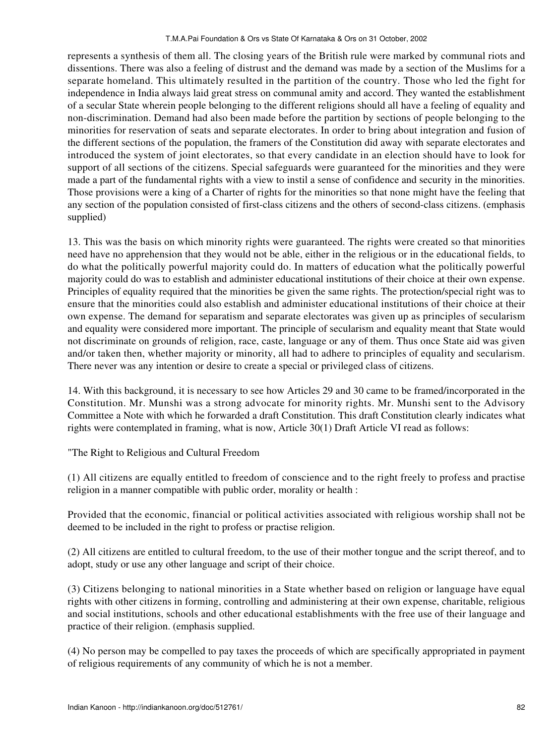represents a synthesis of them all. The closing years of the British rule were marked by communal riots and dissentions. There was also a feeling of distrust and the demand was made by a section of the Muslims for a separate homeland. This ultimately resulted in the partition of the country. Those who led the fight for independence in India always laid great stress on communal amity and accord. They wanted the establishment of a secular State wherein people belonging to the different religions should all have a feeling of equality and non-discrimination. Demand had also been made before the partition by sections of people belonging to the minorities for reservation of seats and separate electorates. In order to bring about integration and fusion of the different sections of the population, the framers of the Constitution did away with separate electorates and introduced the system of joint electorates, so that every candidate in an election should have to look for support of all sections of the citizens. Special safeguards were guaranteed for the minorities and they were made a part of the fundamental rights with a view to instil a sense of confidence and security in the minorities. Those provisions were a king of a Charter of rights for the minorities so that none might have the feeling that any section of the population consisted of first-class citizens and the others of second-class citizens. (emphasis supplied)

13. This was the basis on which minority rights were guaranteed. The rights were created so that minorities need have no apprehension that they would not be able, either in the religious or in the educational fields, to do what the politically powerful majority could do. In matters of education what the politically powerful majority could do was to establish and administer educational institutions of their choice at their own expense. Principles of equality required that the minorities be given the same rights. The protection/special right was to ensure that the minorities could also establish and administer educational institutions of their choice at their own expense. The demand for separatism and separate electorates was given up as principles of secularism and equality were considered more important. The principle of secularism and equality meant that State would not discriminate on grounds of religion, race, caste, language or any of them. Thus once State aid was given and/or taken then, whether majority or minority, all had to adhere to principles of equality and secularism. There never was any intention or desire to create a special or privileged class of citizens.

14. With this background, it is necessary to see how Articles 29 and 30 came to be framed/incorporated in the Constitution. Mr. Munshi was a strong advocate for minority rights. Mr. Munshi sent to the Advisory Committee a Note with which he forwarded a draft Constitution. This draft Constitution clearly indicates what rights were contemplated in framing, what is now, Article 30(1) Draft Article VI read as follows:

"The Right to Religious and Cultural Freedom

(1) All citizens are equally entitled to freedom of conscience and to the right freely to profess and practise religion in a manner compatible with public order, morality or health :

Provided that the economic, financial or political activities associated with religious worship shall not be deemed to be included in the right to profess or practise religion.

(2) All citizens are entitled to cultural freedom, to the use of their mother tongue and the script thereof, and to adopt, study or use any other language and script of their choice.

(3) Citizens belonging to national minorities in a State whether based on religion or language have equal rights with other citizens in forming, controlling and administering at their own expense, charitable, religious and social institutions, schools and other educational establishments with the free use of their language and practice of their religion. (emphasis supplied.

(4) No person may be compelled to pay taxes the proceeds of which are specifically appropriated in payment of religious requirements of any community of which he is not a member.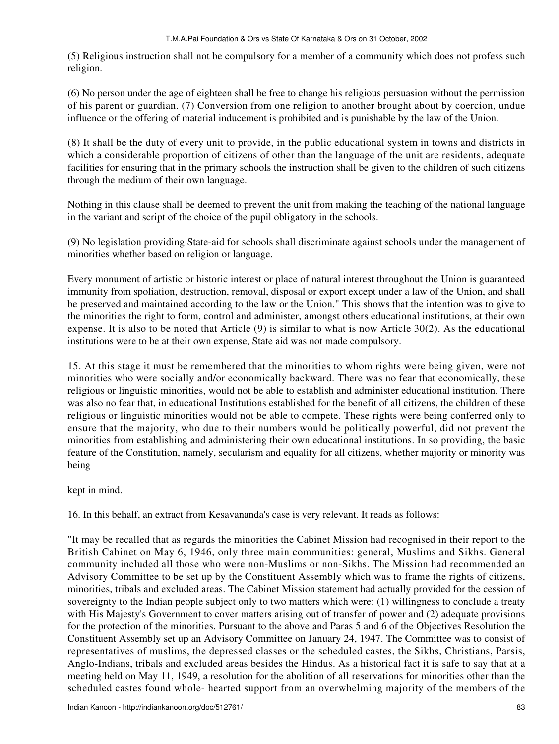(5) Religious instruction shall not be compulsory for a member of a community which does not profess such religion.

(6) No person under the age of eighteen shall be free to change his religious persuasion without the permission of his parent or guardian. (7) Conversion from one religion to another brought about by coercion, undue influence or the offering of material inducement is prohibited and is punishable by the law of the Union.

(8) It shall be the duty of every unit to provide, in the public educational system in towns and districts in which a considerable proportion of citizens of other than the language of the unit are residents, adequate facilities for ensuring that in the primary schools the instruction shall be given to the children of such citizens through the medium of their own language.

Nothing in this clause shall be deemed to prevent the unit from making the teaching of the national language in the variant and script of the choice of the pupil obligatory in the schools.

(9) No legislation providing State-aid for schools shall discriminate against schools under the management of minorities whether based on religion or language.

Every monument of artistic or historic interest or place of natural interest throughout the Union is guaranteed immunity from spoliation, destruction, removal, disposal or export except under a law of the Union, and shall be preserved and maintained according to the law or the Union." This shows that the intention was to give to the minorities the right to form, control and administer, amongst others educational institutions, at their own expense. It is also to be noted that Article (9) is similar to what is now Article 30(2). As the educational institutions were to be at their own expense, State aid was not made compulsory.

15. At this stage it must be remembered that the minorities to whom rights were being given, were not minorities who were socially and/or economically backward. There was no fear that economically, these religious or linguistic minorities, would not be able to establish and administer educational institution. There was also no fear that, in educational Institutions established for the benefit of all citizens, the children of these religious or linguistic minorities would not be able to compete. These rights were being conferred only to ensure that the majority, who due to their numbers would be politically powerful, did not prevent the minorities from establishing and administering their own educational institutions. In so providing, the basic feature of the Constitution, namely, secularism and equality for all citizens, whether majority or minority was being

kept in mind.

16. In this behalf, an extract from Kesavananda's case is very relevant. It reads as follows:

"It may be recalled that as regards the minorities the Cabinet Mission had recognised in their report to the British Cabinet on May 6, 1946, only three main communities: general, Muslims and Sikhs. General community included all those who were non-Muslims or non-Sikhs. The Mission had recommended an Advisory Committee to be set up by the Constituent Assembly which was to frame the rights of citizens, minorities, tribals and excluded areas. The Cabinet Mission statement had actually provided for the cession of sovereignty to the Indian people subject only to two matters which were: (1) willingness to conclude a treaty with His Majesty's Government to cover matters arising out of transfer of power and (2) adequate provisions for the protection of the minorities. Pursuant to the above and Paras 5 and 6 of the Objectives Resolution the Constituent Assembly set up an Advisory Committee on January 24, 1947. The Committee was to consist of representatives of muslims, the depressed classes or the scheduled castes, the Sikhs, Christians, Parsis, Anglo-Indians, tribals and excluded areas besides the Hindus. As a historical fact it is safe to say that at a meeting held on May 11, 1949, a resolution for the abolition of all reservations for minorities other than the scheduled castes found whole- hearted support from an overwhelming majority of the members of the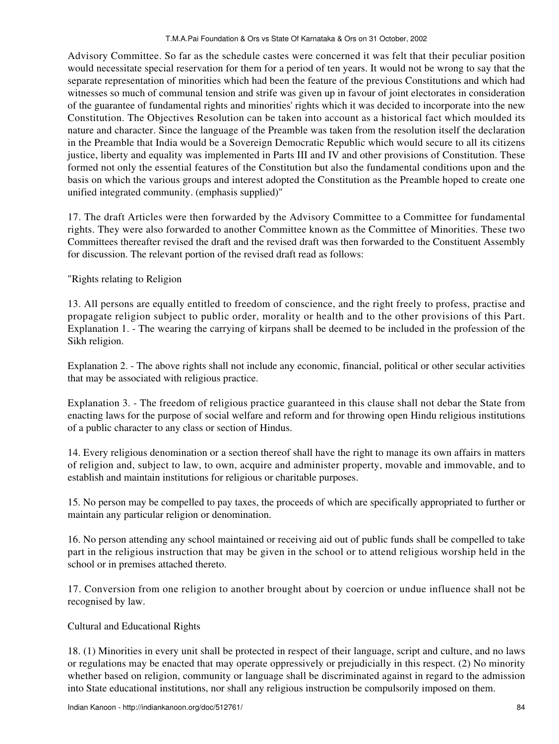Advisory Committee. So far as the schedule castes were concerned it was felt that their peculiar position would necessitate special reservation for them for a period of ten years. It would not be wrong to say that the separate representation of minorities which had been the feature of the previous Constitutions and which had witnesses so much of communal tension and strife was given up in favour of joint electorates in consideration of the guarantee of fundamental rights and minorities' rights which it was decided to incorporate into the new Constitution. The Objectives Resolution can be taken into account as a historical fact which moulded its nature and character. Since the language of the Preamble was taken from the resolution itself the declaration in the Preamble that India would be a Sovereign Democratic Republic which would secure to all its citizens justice, liberty and equality was implemented in Parts III and IV and other provisions of Constitution. These formed not only the essential features of the Constitution but also the fundamental conditions upon and the basis on which the various groups and interest adopted the Constitution as the Preamble hoped to create one unified integrated community. (emphasis supplied)"

17. The draft Articles were then forwarded by the Advisory Committee to a Committee for fundamental rights. They were also forwarded to another Committee known as the Committee of Minorities. These two Committees thereafter revised the draft and the revised draft was then forwarded to the Constituent Assembly for discussion. The relevant portion of the revised draft read as follows:

"Rights relating to Religion

13. All persons are equally entitled to freedom of conscience, and the right freely to profess, practise and propagate religion subject to public order, morality or health and to the other provisions of this Part. Explanation 1. - The wearing the carrying of kirpans shall be deemed to be included in the profession of the Sikh religion.

Explanation 2. - The above rights shall not include any economic, financial, political or other secular activities that may be associated with religious practice.

Explanation 3. - The freedom of religious practice guaranteed in this clause shall not debar the State from enacting laws for the purpose of social welfare and reform and for throwing open Hindu religious institutions of a public character to any class or section of Hindus.

14. Every religious denomination or a section thereof shall have the right to manage its own affairs in matters of religion and, subject to law, to own, acquire and administer property, movable and immovable, and to establish and maintain institutions for religious or charitable purposes.

15. No person may be compelled to pay taxes, the proceeds of which are specifically appropriated to further or maintain any particular religion or denomination.

16. No person attending any school maintained or receiving aid out of public funds shall be compelled to take part in the religious instruction that may be given in the school or to attend religious worship held in the school or in premises attached thereto.

17. Conversion from one religion to another brought about by coercion or undue influence shall not be recognised by law.

# Cultural and Educational Rights

18. (1) Minorities in every unit shall be protected in respect of their language, script and culture, and no laws or regulations may be enacted that may operate oppressively or prejudicially in this respect. (2) No minority whether based on religion, community or language shall be discriminated against in regard to the admission into State educational institutions, nor shall any religious instruction be compulsorily imposed on them.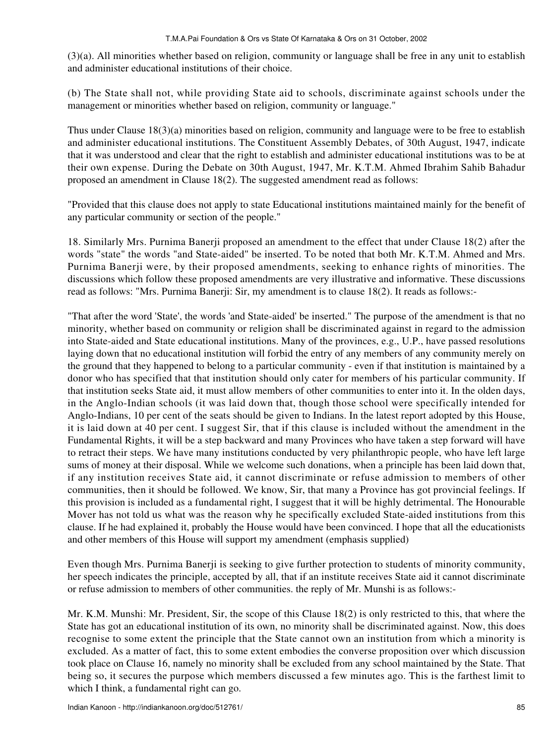(3)(a). All minorities whether based on religion, community or language shall be free in any unit to establish and administer educational institutions of their choice.

(b) The State shall not, while providing State aid to schools, discriminate against schools under the management or minorities whether based on religion, community or language."

Thus under Clause 18(3)(a) minorities based on religion, community and language were to be free to establish and administer educational institutions. The Constituent Assembly Debates, of 30th August, 1947, indicate that it was understood and clear that the right to establish and administer educational institutions was to be at their own expense. During the Debate on 30th August, 1947, Mr. K.T.M. Ahmed Ibrahim Sahib Bahadur proposed an amendment in Clause 18(2). The suggested amendment read as follows:

"Provided that this clause does not apply to state Educational institutions maintained mainly for the benefit of any particular community or section of the people."

18. Similarly Mrs. Purnima Banerji proposed an amendment to the effect that under Clause 18(2) after the words "state" the words "and State-aided" be inserted. To be noted that both Mr. K.T.M. Ahmed and Mrs. Purnima Banerji were, by their proposed amendments, seeking to enhance rights of minorities. The discussions which follow these proposed amendments are very illustrative and informative. These discussions read as follows: "Mrs. Purnima Banerji: Sir, my amendment is to clause 18(2). It reads as follows:-

"That after the word 'State', the words 'and State-aided' be inserted." The purpose of the amendment is that no minority, whether based on community or religion shall be discriminated against in regard to the admission into State-aided and State educational institutions. Many of the provinces, e.g., U.P., have passed resolutions laying down that no educational institution will forbid the entry of any members of any community merely on the ground that they happened to belong to a particular community - even if that institution is maintained by a donor who has specified that that institution should only cater for members of his particular community. If that institution seeks State aid, it must allow members of other communities to enter into it. In the olden days, in the Anglo-Indian schools (it was laid down that, though those school were specifically intended for Anglo-Indians, 10 per cent of the seats should be given to Indians. In the latest report adopted by this House, it is laid down at 40 per cent. I suggest Sir, that if this clause is included without the amendment in the Fundamental Rights, it will be a step backward and many Provinces who have taken a step forward will have to retract their steps. We have many institutions conducted by very philanthropic people, who have left large sums of money at their disposal. While we welcome such donations, when a principle has been laid down that, if any institution receives State aid, it cannot discriminate or refuse admission to members of other communities, then it should be followed. We know, Sir, that many a Province has got provincial feelings. If this provision is included as a fundamental right, I suggest that it will be highly detrimental. The Honourable Mover has not told us what was the reason why he specifically excluded State-aided institutions from this clause. If he had explained it, probably the House would have been convinced. I hope that all the educationists and other members of this House will support my amendment (emphasis supplied)

Even though Mrs. Purnima Banerji is seeking to give further protection to students of minority community, her speech indicates the principle, accepted by all, that if an institute receives State aid it cannot discriminate or refuse admission to members of other communities. the reply of Mr. Munshi is as follows:-

Mr. K.M. Munshi: Mr. President, Sir, the scope of this Clause 18(2) is only restricted to this, that where the State has got an educational institution of its own, no minority shall be discriminated against. Now, this does recognise to some extent the principle that the State cannot own an institution from which a minority is excluded. As a matter of fact, this to some extent embodies the converse proposition over which discussion took place on Clause 16, namely no minority shall be excluded from any school maintained by the State. That being so, it secures the purpose which members discussed a few minutes ago. This is the farthest limit to which I think, a fundamental right can go.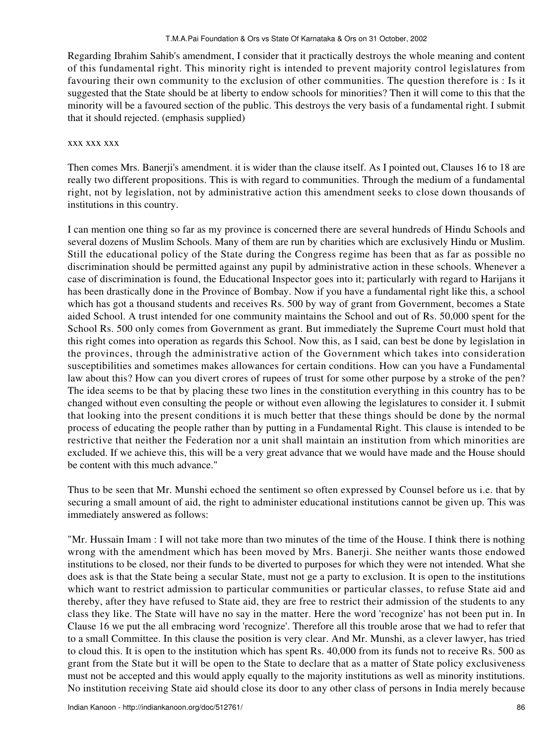Regarding Ibrahim Sahib's amendment, I consider that it practically destroys the whole meaning and content of this fundamental right. This minority right is intended to prevent majority control legislatures from favouring their own community to the exclusion of other communities. The question therefore is : Is it suggested that the State should be at liberty to endow schools for minorities? Then it will come to this that the minority will be a favoured section of the public. This destroys the very basis of a fundamental right. I submit that it should rejected. (emphasis supplied)

### xxx xxx xxx

Then comes Mrs. Banerji's amendment. it is wider than the clause itself. As I pointed out, Clauses 16 to 18 are really two different propositions. This is with regard to communities. Through the medium of a fundamental right, not by legislation, not by administrative action this amendment seeks to close down thousands of institutions in this country.

I can mention one thing so far as my province is concerned there are several hundreds of Hindu Schools and several dozens of Muslim Schools. Many of them are run by charities which are exclusively Hindu or Muslim. Still the educational policy of the State during the Congress regime has been that as far as possible no discrimination should be permitted against any pupil by administrative action in these schools. Whenever a case of discrimination is found, the Educational Inspector goes into it; particularly with regard to Harijans it has been drastically done in the Province of Bombay. Now if you have a fundamental right like this, a school which has got a thousand students and receives Rs. 500 by way of grant from Government, becomes a State aided School. A trust intended for one community maintains the School and out of Rs. 50,000 spent for the School Rs. 500 only comes from Government as grant. But immediately the Supreme Court must hold that this right comes into operation as regards this School. Now this, as I said, can best be done by legislation in the provinces, through the administrative action of the Government which takes into consideration susceptibilities and sometimes makes allowances for certain conditions. How can you have a Fundamental law about this? How can you divert crores of rupees of trust for some other purpose by a stroke of the pen? The idea seems to be that by placing these two lines in the constitution everything in this country has to be changed without even consulting the people or without even allowing the legislatures to consider it. I submit that looking into the present conditions it is much better that these things should be done by the normal process of educating the people rather than by putting in a Fundamental Right. This clause is intended to be restrictive that neither the Federation nor a unit shall maintain an institution from which minorities are excluded. If we achieve this, this will be a very great advance that we would have made and the House should be content with this much advance."

Thus to be seen that Mr. Munshi echoed the sentiment so often expressed by Counsel before us i.e. that by securing a small amount of aid, the right to administer educational institutions cannot be given up. This was immediately answered as follows:

"Mr. Hussain Imam : I will not take more than two minutes of the time of the House. I think there is nothing wrong with the amendment which has been moved by Mrs. Banerji. She neither wants those endowed institutions to be closed, nor their funds to be diverted to purposes for which they were not intended. What she does ask is that the State being a secular State, must not ge a party to exclusion. It is open to the institutions which want to restrict admission to particular communities or particular classes, to refuse State aid and thereby, after they have refused to State aid, they are free to restrict their admission of the students to any class they like. The State will have no say in the matter. Here the word 'recognize' has not been put in. In Clause 16 we put the all embracing word 'recognize'. Therefore all this trouble arose that we had to refer that to a small Committee. In this clause the position is very clear. And Mr. Munshi, as a clever lawyer, has tried to cloud this. It is open to the institution which has spent Rs. 40,000 from its funds not to receive Rs. 500 as grant from the State but it will be open to the State to declare that as a matter of State policy exclusiveness must not be accepted and this would apply equally to the majority institutions as well as minority institutions. No institution receiving State aid should close its door to any other class of persons in India merely because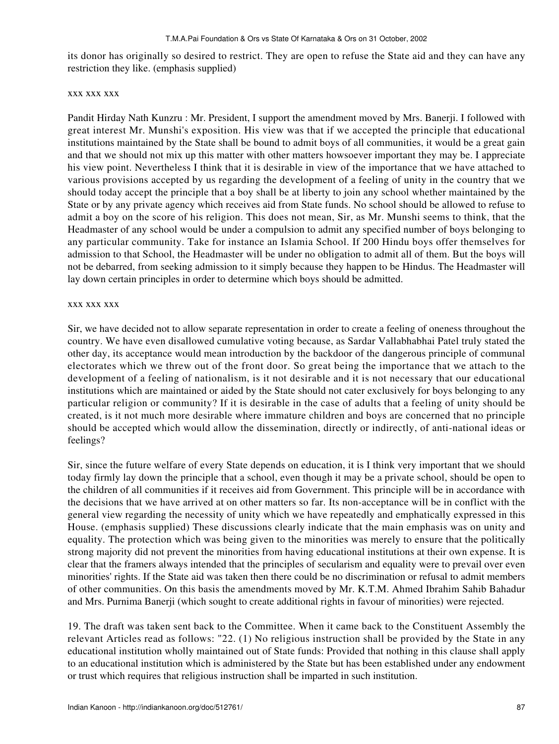its donor has originally so desired to restrict. They are open to refuse the State aid and they can have any restriction they like. (emphasis supplied)

## xxx xxx xxx

Pandit Hirday Nath Kunzru : Mr. President, I support the amendment moved by Mrs. Banerji. I followed with great interest Mr. Munshi's exposition. His view was that if we accepted the principle that educational institutions maintained by the State shall be bound to admit boys of all communities, it would be a great gain and that we should not mix up this matter with other matters howsoever important they may be. I appreciate his view point. Nevertheless I think that it is desirable in view of the importance that we have attached to various provisions accepted by us regarding the development of a feeling of unity in the country that we should today accept the principle that a boy shall be at liberty to join any school whether maintained by the State or by any private agency which receives aid from State funds. No school should be allowed to refuse to admit a boy on the score of his religion. This does not mean, Sir, as Mr. Munshi seems to think, that the Headmaster of any school would be under a compulsion to admit any specified number of boys belonging to any particular community. Take for instance an Islamia School. If 200 Hindu boys offer themselves for admission to that School, the Headmaster will be under no obligation to admit all of them. But the boys will not be debarred, from seeking admission to it simply because they happen to be Hindus. The Headmaster will lay down certain principles in order to determine which boys should be admitted.

#### xxx xxx xxx

Sir, we have decided not to allow separate representation in order to create a feeling of oneness throughout the country. We have even disallowed cumulative voting because, as Sardar Vallabhabhai Patel truly stated the other day, its acceptance would mean introduction by the backdoor of the dangerous principle of communal electorates which we threw out of the front door. So great being the importance that we attach to the development of a feeling of nationalism, is it not desirable and it is not necessary that our educational institutions which are maintained or aided by the State should not cater exclusively for boys belonging to any particular religion or community? If it is desirable in the case of adults that a feeling of unity should be created, is it not much more desirable where immature children and boys are concerned that no principle should be accepted which would allow the dissemination, directly or indirectly, of anti-national ideas or feelings?

Sir, since the future welfare of every State depends on education, it is I think very important that we should today firmly lay down the principle that a school, even though it may be a private school, should be open to the children of all communities if it receives aid from Government. This principle will be in accordance with the decisions that we have arrived at on other matters so far. Its non-acceptance will be in conflict with the general view regarding the necessity of unity which we have repeatedly and emphatically expressed in this House. (emphasis supplied) These discussions clearly indicate that the main emphasis was on unity and equality. The protection which was being given to the minorities was merely to ensure that the politically strong majority did not prevent the minorities from having educational institutions at their own expense. It is clear that the framers always intended that the principles of secularism and equality were to prevail over even minorities' rights. If the State aid was taken then there could be no discrimination or refusal to admit members of other communities. On this basis the amendments moved by Mr. K.T.M. Ahmed Ibrahim Sahib Bahadur and Mrs. Purnima Banerji (which sought to create additional rights in favour of minorities) were rejected.

19. The draft was taken sent back to the Committee. When it came back to the Constituent Assembly the relevant Articles read as follows: "22. (1) No religious instruction shall be provided by the State in any educational institution wholly maintained out of State funds: Provided that nothing in this clause shall apply to an educational institution which is administered by the State but has been established under any endowment or trust which requires that religious instruction shall be imparted in such institution.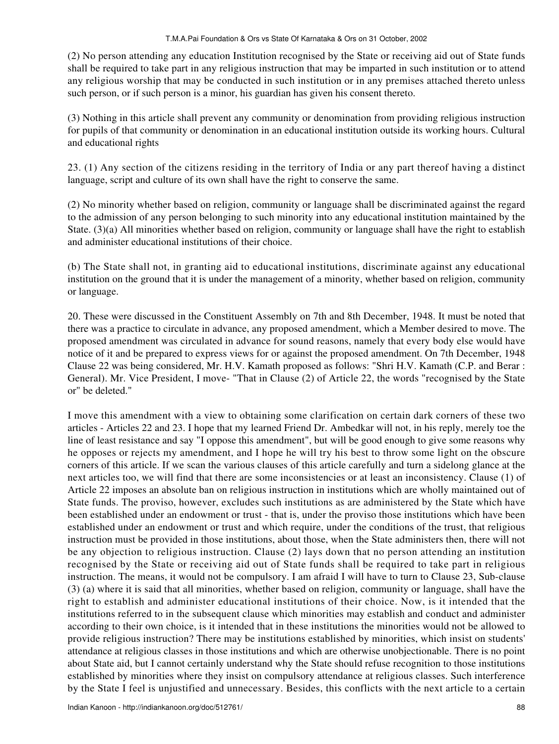(2) No person attending any education Institution recognised by the State or receiving aid out of State funds shall be required to take part in any religious instruction that may be imparted in such institution or to attend any religious worship that may be conducted in such institution or in any premises attached thereto unless such person, or if such person is a minor, his guardian has given his consent thereto.

(3) Nothing in this article shall prevent any community or denomination from providing religious instruction for pupils of that community or denomination in an educational institution outside its working hours. Cultural and educational rights

23. (1) Any section of the citizens residing in the territory of India or any part thereof having a distinct language, script and culture of its own shall have the right to conserve the same.

(2) No minority whether based on religion, community or language shall be discriminated against the regard to the admission of any person belonging to such minority into any educational institution maintained by the State. (3)(a) All minorities whether based on religion, community or language shall have the right to establish and administer educational institutions of their choice.

(b) The State shall not, in granting aid to educational institutions, discriminate against any educational institution on the ground that it is under the management of a minority, whether based on religion, community or language.

20. These were discussed in the Constituent Assembly on 7th and 8th December, 1948. It must be noted that there was a practice to circulate in advance, any proposed amendment, which a Member desired to move. The proposed amendment was circulated in advance for sound reasons, namely that every body else would have notice of it and be prepared to express views for or against the proposed amendment. On 7th December, 1948 Clause 22 was being considered, Mr. H.V. Kamath proposed as follows: "Shri H.V. Kamath (C.P. and Berar : General). Mr. Vice President, I move- "That in Clause (2) of Article 22, the words "recognised by the State or" be deleted."

I move this amendment with a view to obtaining some clarification on certain dark corners of these two articles - Articles 22 and 23. I hope that my learned Friend Dr. Ambedkar will not, in his reply, merely toe the line of least resistance and say "I oppose this amendment", but will be good enough to give some reasons why he opposes or rejects my amendment, and I hope he will try his best to throw some light on the obscure corners of this article. If we scan the various clauses of this article carefully and turn a sidelong glance at the next articles too, we will find that there are some inconsistencies or at least an inconsistency. Clause (1) of Article 22 imposes an absolute ban on religious instruction in institutions which are wholly maintained out of State funds. The proviso, however, excludes such institutions as are administered by the State which have been established under an endowment or trust - that is, under the proviso those institutions which have been established under an endowment or trust and which require, under the conditions of the trust, that religious instruction must be provided in those institutions, about those, when the State administers then, there will not be any objection to religious instruction. Clause (2) lays down that no person attending an institution recognised by the State or receiving aid out of State funds shall be required to take part in religious instruction. The means, it would not be compulsory. I am afraid I will have to turn to Clause 23, Sub-clause (3) (a) where it is said that all minorities, whether based on religion, community or language, shall have the right to establish and administer educational institutions of their choice. Now, is it intended that the institutions referred to in the subsequent clause which minorities may establish and conduct and administer according to their own choice, is it intended that in these institutions the minorities would not be allowed to provide religious instruction? There may be institutions established by minorities, which insist on students' attendance at religious classes in those institutions and which are otherwise unobjectionable. There is no point about State aid, but I cannot certainly understand why the State should refuse recognition to those institutions established by minorities where they insist on compulsory attendance at religious classes. Such interference by the State I feel is unjustified and unnecessary. Besides, this conflicts with the next article to a certain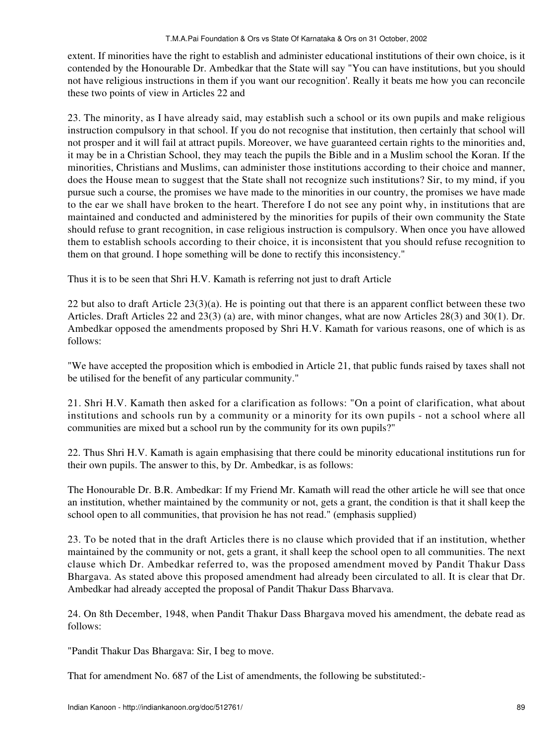extent. If minorities have the right to establish and administer educational institutions of their own choice, is it contended by the Honourable Dr. Ambedkar that the State will say "You can have institutions, but you should not have religious instructions in them if you want our recognition'. Really it beats me how you can reconcile these two points of view in Articles 22 and

23. The minority, as I have already said, may establish such a school or its own pupils and make religious instruction compulsory in that school. If you do not recognise that institution, then certainly that school will not prosper and it will fail at attract pupils. Moreover, we have guaranteed certain rights to the minorities and, it may be in a Christian School, they may teach the pupils the Bible and in a Muslim school the Koran. If the minorities, Christians and Muslims, can administer those institutions according to their choice and manner, does the House mean to suggest that the State shall not recognize such institutions? Sir, to my mind, if you pursue such a course, the promises we have made to the minorities in our country, the promises we have made to the ear we shall have broken to the heart. Therefore I do not see any point why, in institutions that are maintained and conducted and administered by the minorities for pupils of their own community the State should refuse to grant recognition, in case religious instruction is compulsory. When once you have allowed them to establish schools according to their choice, it is inconsistent that you should refuse recognition to them on that ground. I hope something will be done to rectify this inconsistency."

Thus it is to be seen that Shri H.V. Kamath is referring not just to draft Article

22 but also to draft Article 23(3)(a). He is pointing out that there is an apparent conflict between these two Articles. Draft Articles 22 and 23(3) (a) are, with minor changes, what are now Articles 28(3) and 30(1). Dr. Ambedkar opposed the amendments proposed by Shri H.V. Kamath for various reasons, one of which is as follows:

"We have accepted the proposition which is embodied in Article 21, that public funds raised by taxes shall not be utilised for the benefit of any particular community."

21. Shri H.V. Kamath then asked for a clarification as follows: "On a point of clarification, what about institutions and schools run by a community or a minority for its own pupils - not a school where all communities are mixed but a school run by the community for its own pupils?"

22. Thus Shri H.V. Kamath is again emphasising that there could be minority educational institutions run for their own pupils. The answer to this, by Dr. Ambedkar, is as follows:

The Honourable Dr. B.R. Ambedkar: If my Friend Mr. Kamath will read the other article he will see that once an institution, whether maintained by the community or not, gets a grant, the condition is that it shall keep the school open to all communities, that provision he has not read." (emphasis supplied)

23. To be noted that in the draft Articles there is no clause which provided that if an institution, whether maintained by the community or not, gets a grant, it shall keep the school open to all communities. The next clause which Dr. Ambedkar referred to, was the proposed amendment moved by Pandit Thakur Dass Bhargava. As stated above this proposed amendment had already been circulated to all. It is clear that Dr. Ambedkar had already accepted the proposal of Pandit Thakur Dass Bharvava.

24. On 8th December, 1948, when Pandit Thakur Dass Bhargava moved his amendment, the debate read as follows:

"Pandit Thakur Das Bhargava: Sir, I beg to move.

That for amendment No. 687 of the List of amendments, the following be substituted:-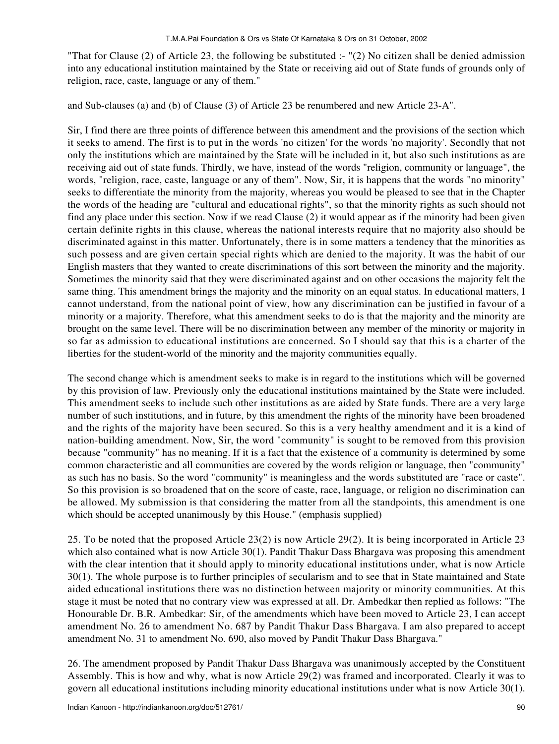"That for Clause  $(2)$  of Article 23, the following be substituted :- " $(2)$  No citizen shall be denied admission into any educational institution maintained by the State or receiving aid out of State funds of grounds only of religion, race, caste, language or any of them."

and Sub-clauses (a) and (b) of Clause (3) of Article 23 be renumbered and new Article 23-A".

Sir, I find there are three points of difference between this amendment and the provisions of the section which it seeks to amend. The first is to put in the words 'no citizen' for the words 'no majority'. Secondly that not only the institutions which are maintained by the State will be included in it, but also such institutions as are receiving aid out of state funds. Thirdly, we have, instead of the words "religion, community or language", the words, "religion, race, caste, language or any of them". Now, Sir, it is happens that the words "no minority" seeks to differentiate the minority from the majority, whereas you would be pleased to see that in the Chapter the words of the heading are "cultural and educational rights", so that the minority rights as such should not find any place under this section. Now if we read Clause (2) it would appear as if the minority had been given certain definite rights in this clause, whereas the national interests require that no majority also should be discriminated against in this matter. Unfortunately, there is in some matters a tendency that the minorities as such possess and are given certain special rights which are denied to the majority. It was the habit of our English masters that they wanted to create discriminations of this sort between the minority and the majority. Sometimes the minority said that they were discriminated against and on other occasions the majority felt the same thing. This amendment brings the majority and the minority on an equal status. In educational matters, I cannot understand, from the national point of view, how any discrimination can be justified in favour of a minority or a majority. Therefore, what this amendment seeks to do is that the majority and the minority are brought on the same level. There will be no discrimination between any member of the minority or majority in so far as admission to educational institutions are concerned. So I should say that this is a charter of the liberties for the student-world of the minority and the majority communities equally.

The second change which is amendment seeks to make is in regard to the institutions which will be governed by this provision of law. Previously only the educational institutions maintained by the State were included. This amendment seeks to include such other institutions as are aided by State funds. There are a very large number of such institutions, and in future, by this amendment the rights of the minority have been broadened and the rights of the majority have been secured. So this is a very healthy amendment and it is a kind of nation-building amendment. Now, Sir, the word "community" is sought to be removed from this provision because "community" has no meaning. If it is a fact that the existence of a community is determined by some common characteristic and all communities are covered by the words religion or language, then "community" as such has no basis. So the word "community" is meaningless and the words substituted are "race or caste". So this provision is so broadened that on the score of caste, race, language, or religion no discrimination can be allowed. My submission is that considering the matter from all the standpoints, this amendment is one which should be accepted unanimously by this House." (emphasis supplied)

25. To be noted that the proposed Article 23(2) is now Article 29(2). It is being incorporated in Article 23 which also contained what is now Article 30(1). Pandit Thakur Dass Bhargava was proposing this amendment with the clear intention that it should apply to minority educational institutions under, what is now Article 30(1). The whole purpose is to further principles of secularism and to see that in State maintained and State aided educational institutions there was no distinction between majority or minority communities. At this stage it must be noted that no contrary view was expressed at all. Dr. Ambedkar then replied as follows: "The Honourable Dr. B.R. Ambedkar: Sir, of the amendments which have been moved to Article 23, I can accept amendment No. 26 to amendment No. 687 by Pandit Thakur Dass Bhargava. I am also prepared to accept amendment No. 31 to amendment No. 690, also moved by Pandit Thakur Dass Bhargava."

26. The amendment proposed by Pandit Thakur Dass Bhargava was unanimously accepted by the Constituent Assembly. This is how and why, what is now Article 29(2) was framed and incorporated. Clearly it was to govern all educational institutions including minority educational institutions under what is now Article 30(1).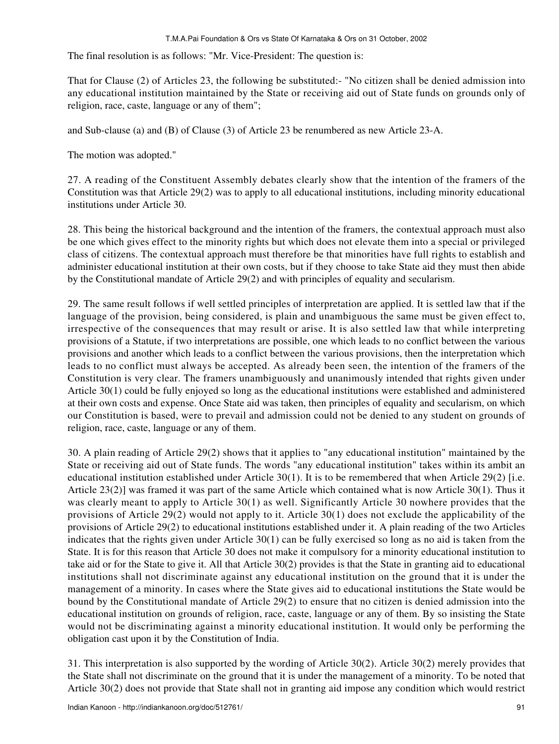The final resolution is as follows: "Mr. Vice-President: The question is:

That for Clause (2) of Articles 23, the following be substituted:- "No citizen shall be denied admission into any educational institution maintained by the State or receiving aid out of State funds on grounds only of religion, race, caste, language or any of them";

and Sub-clause (a) and (B) of Clause (3) of Article 23 be renumbered as new Article 23-A.

The motion was adopted."

27. A reading of the Constituent Assembly debates clearly show that the intention of the framers of the Constitution was that Article 29(2) was to apply to all educational institutions, including minority educational institutions under Article 30.

28. This being the historical background and the intention of the framers, the contextual approach must also be one which gives effect to the minority rights but which does not elevate them into a special or privileged class of citizens. The contextual approach must therefore be that minorities have full rights to establish and administer educational institution at their own costs, but if they choose to take State aid they must then abide by the Constitutional mandate of Article 29(2) and with principles of equality and secularism.

29. The same result follows if well settled principles of interpretation are applied. It is settled law that if the language of the provision, being considered, is plain and unambiguous the same must be given effect to, irrespective of the consequences that may result or arise. It is also settled law that while interpreting provisions of a Statute, if two interpretations are possible, one which leads to no conflict between the various provisions and another which leads to a conflict between the various provisions, then the interpretation which leads to no conflict must always be accepted. As already been seen, the intention of the framers of the Constitution is very clear. The framers unambiguously and unanimously intended that rights given under Article 30(1) could be fully enjoyed so long as the educational institutions were established and administered at their own costs and expense. Once State aid was taken, then principles of equality and secularism, on which our Constitution is based, were to prevail and admission could not be denied to any student on grounds of religion, race, caste, language or any of them.

30. A plain reading of Article 29(2) shows that it applies to "any educational institution" maintained by the State or receiving aid out of State funds. The words "any educational institution" takes within its ambit an educational institution established under Article 30(1). It is to be remembered that when Article 29(2) [i.e. Article 23(2)] was framed it was part of the same Article which contained what is now Article 30(1). Thus it was clearly meant to apply to Article 30(1) as well. Significantly Article 30 nowhere provides that the provisions of Article 29(2) would not apply to it. Article 30(1) does not exclude the applicability of the provisions of Article 29(2) to educational institutions established under it. A plain reading of the two Articles indicates that the rights given under Article 30(1) can be fully exercised so long as no aid is taken from the State. It is for this reason that Article 30 does not make it compulsory for a minority educational institution to take aid or for the State to give it. All that Article 30(2) provides is that the State in granting aid to educational institutions shall not discriminate against any educational institution on the ground that it is under the management of a minority. In cases where the State gives aid to educational institutions the State would be bound by the Constitutional mandate of Article 29(2) to ensure that no citizen is denied admission into the educational institution on grounds of religion, race, caste, language or any of them. By so insisting the State would not be discriminating against a minority educational institution. It would only be performing the obligation cast upon it by the Constitution of India.

31. This interpretation is also supported by the wording of Article 30(2). Article 30(2) merely provides that the State shall not discriminate on the ground that it is under the management of a minority. To be noted that Article 30(2) does not provide that State shall not in granting aid impose any condition which would restrict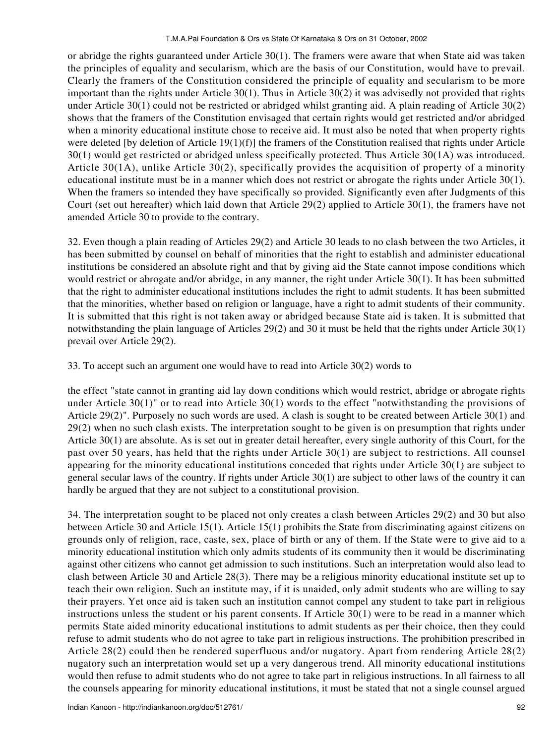or abridge the rights guaranteed under Article 30(1). The framers were aware that when State aid was taken the principles of equality and secularism, which are the basis of our Constitution, would have to prevail. Clearly the framers of the Constitution considered the principle of equality and secularism to be more important than the rights under Article 30(1). Thus in Article 30(2) it was advisedly not provided that rights under Article 30(1) could not be restricted or abridged whilst granting aid. A plain reading of Article 30(2) shows that the framers of the Constitution envisaged that certain rights would get restricted and/or abridged when a minority educational institute chose to receive aid. It must also be noted that when property rights were deleted [by deletion of Article 19(1)(f)] the framers of the Constitution realised that rights under Article 30(1) would get restricted or abridged unless specifically protected. Thus Article 30(1A) was introduced. Article 30(1A), unlike Article 30(2), specifically provides the acquisition of property of a minority educational institute must be in a manner which does not restrict or abrogate the rights under Article 30(1). When the framers so intended they have specifically so provided. Significantly even after Judgments of this Court (set out hereafter) which laid down that Article 29(2) applied to Article 30(1), the framers have not amended Article 30 to provide to the contrary.

32. Even though a plain reading of Articles 29(2) and Article 30 leads to no clash between the two Articles, it has been submitted by counsel on behalf of minorities that the right to establish and administer educational institutions be considered an absolute right and that by giving aid the State cannot impose conditions which would restrict or abrogate and/or abridge, in any manner, the right under Article 30(1). It has been submitted that the right to administer educational institutions includes the right to admit students. It has been submitted that the minorities, whether based on religion or language, have a right to admit students of their community. It is submitted that this right is not taken away or abridged because State aid is taken. It is submitted that notwithstanding the plain language of Articles 29(2) and 30 it must be held that the rights under Article 30(1) prevail over Article 29(2).

33. To accept such an argument one would have to read into Article 30(2) words to

the effect "state cannot in granting aid lay down conditions which would restrict, abridge or abrogate rights under Article 30(1)" or to read into Article 30(1) words to the effect "notwithstanding the provisions of Article 29(2)". Purposely no such words are used. A clash is sought to be created between Article 30(1) and 29(2) when no such clash exists. The interpretation sought to be given is on presumption that rights under Article 30(1) are absolute. As is set out in greater detail hereafter, every single authority of this Court, for the past over 50 years, has held that the rights under Article 30(1) are subject to restrictions. All counsel appearing for the minority educational institutions conceded that rights under Article 30(1) are subject to general secular laws of the country. If rights under Article 30(1) are subject to other laws of the country it can hardly be argued that they are not subject to a constitutional provision.

34. The interpretation sought to be placed not only creates a clash between Articles 29(2) and 30 but also between Article 30 and Article 15(1). Article 15(1) prohibits the State from discriminating against citizens on grounds only of religion, race, caste, sex, place of birth or any of them. If the State were to give aid to a minority educational institution which only admits students of its community then it would be discriminating against other citizens who cannot get admission to such institutions. Such an interpretation would also lead to clash between Article 30 and Article 28(3). There may be a religious minority educational institute set up to teach their own religion. Such an institute may, if it is unaided, only admit students who are willing to say their prayers. Yet once aid is taken such an institution cannot compel any student to take part in religious instructions unless the student or his parent consents. If Article 30(1) were to be read in a manner which permits State aided minority educational institutions to admit students as per their choice, then they could refuse to admit students who do not agree to take part in religious instructions. The prohibition prescribed in Article 28(2) could then be rendered superfluous and/or nugatory. Apart from rendering Article 28(2) nugatory such an interpretation would set up a very dangerous trend. All minority educational institutions would then refuse to admit students who do not agree to take part in religious instructions. In all fairness to all the counsels appearing for minority educational institutions, it must be stated that not a single counsel argued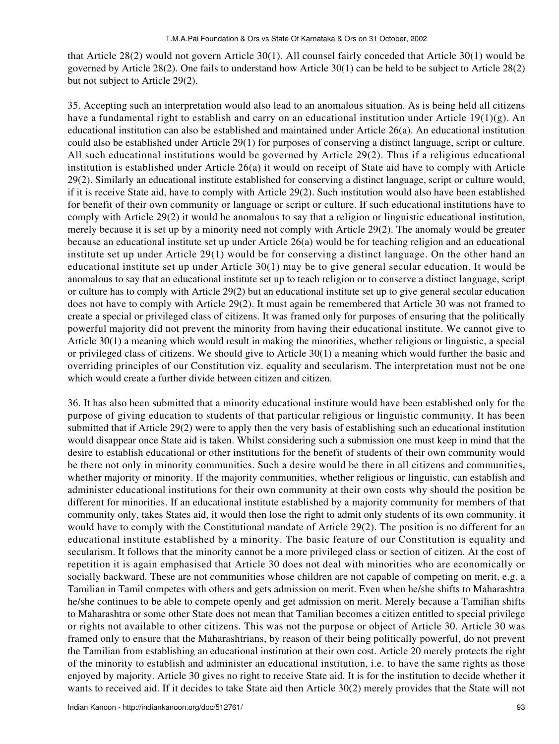that Article 28(2) would not govern Article 30(1). All counsel fairly conceded that Article 30(1) would be governed by Article 28(2). One fails to understand how Article 30(1) can be held to be subject to Article 28(2) but not subject to Article 29(2).

35. Accepting such an interpretation would also lead to an anomalous situation. As is being held all citizens have a fundamental right to establish and carry on an educational institution under Article 19(1)(g). An educational institution can also be established and maintained under Article 26(a). An educational institution could also be established under Article 29(1) for purposes of conserving a distinct language, script or culture. All such educational institutions would be governed by Article 29(2). Thus if a religious educational institution is established under Article 26(a) it would on receipt of State aid have to comply with Article 29(2). Similarly an educational institute established for conserving a distinct language, script or culture would, if it is receive State aid, have to comply with Article 29(2). Such institution would also have been established for benefit of their own community or language or script or culture. If such educational institutions have to comply with Article 29(2) it would be anomalous to say that a religion or linguistic educational institution, merely because it is set up by a minority need not comply with Article 29(2). The anomaly would be greater because an educational institute set up under Article 26(a) would be for teaching religion and an educational institute set up under Article 29(1) would be for conserving a distinct language. On the other hand an educational institute set up under Article 30(1) may be to give general secular education. It would be anomalous to say that an educational institute set up to teach religion or to conserve a distinct language, script or culture has to comply with Article 29(2) but an educational institute set up to give general secular education does not have to comply with Article 29(2). It must again be remembered that Article 30 was not framed to create a special or privileged class of citizens. It was framed only for purposes of ensuring that the politically powerful majority did not prevent the minority from having their educational institute. We cannot give to Article 30(1) a meaning which would result in making the minorities, whether religious or linguistic, a special or privileged class of citizens. We should give to Article 30(1) a meaning which would further the basic and overriding principles of our Constitution viz. equality and secularism. The interpretation must not be one which would create a further divide between citizen and citizen.

36. It has also been submitted that a minority educational institute would have been established only for the purpose of giving education to students of that particular religious or linguistic community. It has been submitted that if Article 29(2) were to apply then the very basis of establishing such an educational institution would disappear once State aid is taken. Whilst considering such a submission one must keep in mind that the desire to establish educational or other institutions for the benefit of students of their own community would be there not only in minority communities. Such a desire would be there in all citizens and communities, whether majority or minority. If the majority communities, whether religious or linguistic, can establish and administer educational institutions for their own community at their own costs why should the position be different for minorities. If an educational institute established by a majority community for members of that community only, takes States aid, it would then lose the right to admit only students of its own community. it would have to comply with the Constitutional mandate of Article 29(2). The position is no different for an educational institute established by a minority. The basic feature of our Constitution is equality and secularism. It follows that the minority cannot be a more privileged class or section of citizen. At the cost of repetition it is again emphasised that Article 30 does not deal with minorities who are economically or socially backward. These are not communities whose children are not capable of competing on merit, e.g. a Tamilian in Tamil competes with others and gets admission on merit. Even when he/she shifts to Maharashtra he/she continues to be able to compete openly and get admission on merit. Merely because a Tamilian shifts to Maharashtra or some other State does not mean that Tamilian becomes a citizen entitled to special privilege or rights not available to other citizens. This was not the purpose or object of Article 30. Article 30 was framed only to ensure that the Maharashtrians, by reason of their being politically powerful, do not prevent the Tamilian from establishing an educational institution at their own cost. Article 20 merely protects the right of the minority to establish and administer an educational institution, i.e. to have the same rights as those enjoyed by majority. Article 30 gives no right to receive State aid. It is for the institution to decide whether it wants to received aid. If it decides to take State aid then Article 30(2) merely provides that the State will not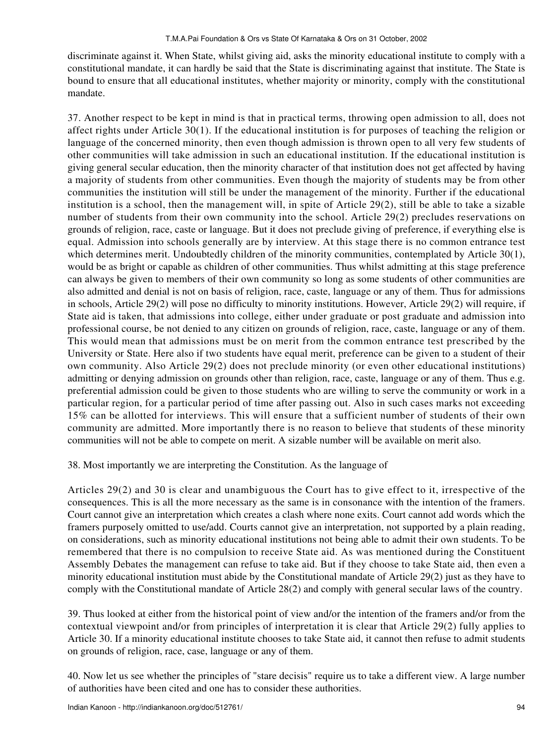discriminate against it. When State, whilst giving aid, asks the minority educational institute to comply with a constitutional mandate, it can hardly be said that the State is discriminating against that institute. The State is bound to ensure that all educational institutes, whether majority or minority, comply with the constitutional mandate.

37. Another respect to be kept in mind is that in practical terms, throwing open admission to all, does not affect rights under Article 30(1). If the educational institution is for purposes of teaching the religion or language of the concerned minority, then even though admission is thrown open to all very few students of other communities will take admission in such an educational institution. If the educational institution is giving general secular education, then the minority character of that institution does not get affected by having a majority of students from other communities. Even though the majority of students may be from other communities the institution will still be under the management of the minority. Further if the educational institution is a school, then the management will, in spite of Article 29(2), still be able to take a sizable number of students from their own community into the school. Article 29(2) precludes reservations on grounds of religion, race, caste or language. But it does not preclude giving of preference, if everything else is equal. Admission into schools generally are by interview. At this stage there is no common entrance test which determines merit. Undoubtedly children of the minority communities, contemplated by Article 30(1), would be as bright or capable as children of other communities. Thus whilst admitting at this stage preference can always be given to members of their own community so long as some students of other communities are also admitted and denial is not on basis of religion, race, caste, language or any of them. Thus for admissions in schools, Article 29(2) will pose no difficulty to minority institutions. However, Article 29(2) will require, if State aid is taken, that admissions into college, either under graduate or post graduate and admission into professional course, be not denied to any citizen on grounds of religion, race, caste, language or any of them. This would mean that admissions must be on merit from the common entrance test prescribed by the University or State. Here also if two students have equal merit, preference can be given to a student of their own community. Also Article 29(2) does not preclude minority (or even other educational institutions) admitting or denying admission on grounds other than religion, race, caste, language or any of them. Thus e.g. preferential admission could be given to those students who are willing to serve the community or work in a particular region, for a particular period of time after passing out. Also in such cases marks not exceeding 15% can be allotted for interviews. This will ensure that a sufficient number of students of their own community are admitted. More importantly there is no reason to believe that students of these minority communities will not be able to compete on merit. A sizable number will be available on merit also.

38. Most importantly we are interpreting the Constitution. As the language of

Articles 29(2) and 30 is clear and unambiguous the Court has to give effect to it, irrespective of the consequences. This is all the more necessary as the same is in consonance with the intention of the framers. Court cannot give an interpretation which creates a clash where none exits. Court cannot add words which the framers purposely omitted to use/add. Courts cannot give an interpretation, not supported by a plain reading, on considerations, such as minority educational institutions not being able to admit their own students. To be remembered that there is no compulsion to receive State aid. As was mentioned during the Constituent Assembly Debates the management can refuse to take aid. But if they choose to take State aid, then even a minority educational institution must abide by the Constitutional mandate of Article 29(2) just as they have to comply with the Constitutional mandate of Article 28(2) and comply with general secular laws of the country.

39. Thus looked at either from the historical point of view and/or the intention of the framers and/or from the contextual viewpoint and/or from principles of interpretation it is clear that Article 29(2) fully applies to Article 30. If a minority educational institute chooses to take State aid, it cannot then refuse to admit students on grounds of religion, race, case, language or any of them.

40. Now let us see whether the principles of "stare decisis" require us to take a different view. A large number of authorities have been cited and one has to consider these authorities.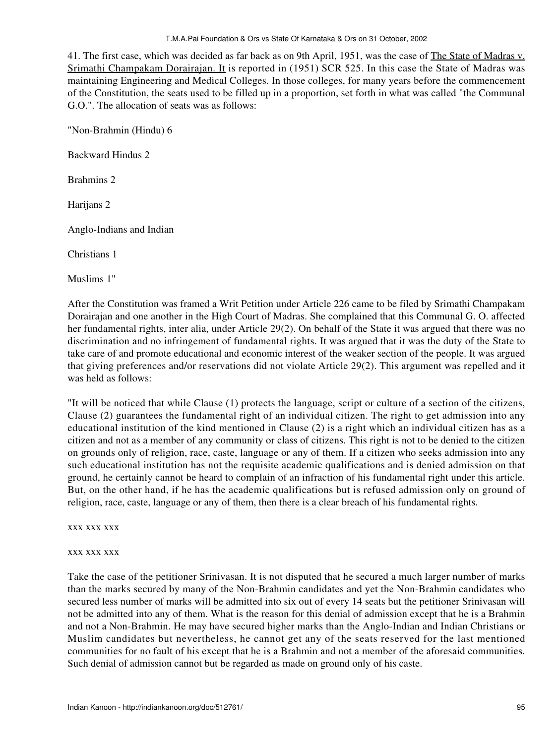#### T.M.A.Pai Foundation & Ors vs State Of Karnataka & Ors on 31 October, 2002

41. The first case, which was decided as far back as on 9th April, 1951, was the case of The State of Madras v. Srimathi Champakam Dorairajan. It is reported in (1951) SCR 525. In this case the State of Madras was maintaining Engineering and Medical Colleges. In those colleges, for many years before the commencement of the Constitution, the seats used to be filled up in a proportion, set forth in what was called "the Communal G.O.". The allocation of seats was as follows:

"Non-Brahmin (Hindu) 6

Backward Hindus 2

Brahmins 2

Harijans 2

Anglo-Indians and Indian

Christians 1

Muslims 1"

After the Constitution was framed a Writ Petition under Article 226 came to be filed by Srimathi Champakam Dorairajan and one another in the High Court of Madras. She complained that this Communal G. O. affected her fundamental rights, inter alia, under Article 29(2). On behalf of the State it was argued that there was no discrimination and no infringement of fundamental rights. It was argued that it was the duty of the State to take care of and promote educational and economic interest of the weaker section of the people. It was argued that giving preferences and/or reservations did not violate Article 29(2). This argument was repelled and it was held as follows:

"It will be noticed that while Clause (1) protects the language, script or culture of a section of the citizens, Clause (2) guarantees the fundamental right of an individual citizen. The right to get admission into any educational institution of the kind mentioned in Clause (2) is a right which an individual citizen has as a citizen and not as a member of any community or class of citizens. This right is not to be denied to the citizen on grounds only of religion, race, caste, language or any of them. If a citizen who seeks admission into any such educational institution has not the requisite academic qualifications and is denied admission on that ground, he certainly cannot be heard to complain of an infraction of his fundamental right under this article. But, on the other hand, if he has the academic qualifications but is refused admission only on ground of religion, race, caste, language or any of them, then there is a clear breach of his fundamental rights.

xxx xxx xxx

#### xxx xxx xxx

Take the case of the petitioner Srinivasan. It is not disputed that he secured a much larger number of marks than the marks secured by many of the Non-Brahmin candidates and yet the Non-Brahmin candidates who secured less number of marks will be admitted into six out of every 14 seats but the petitioner Srinivasan will not be admitted into any of them. What is the reason for this denial of admission except that he is a Brahmin and not a Non-Brahmin. He may have secured higher marks than the Anglo-Indian and Indian Christians or Muslim candidates but nevertheless, he cannot get any of the seats reserved for the last mentioned communities for no fault of his except that he is a Brahmin and not a member of the aforesaid communities. Such denial of admission cannot but be regarded as made on ground only of his caste.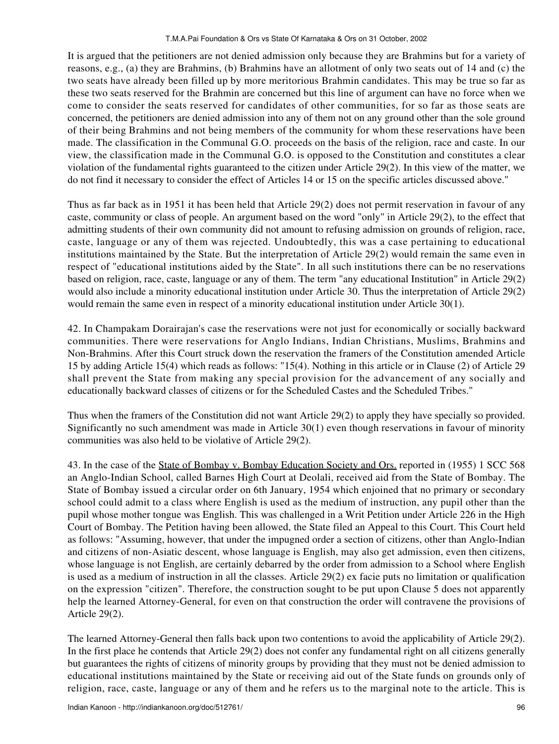It is argued that the petitioners are not denied admission only because they are Brahmins but for a variety of reasons, e.g., (a) they are Brahmins, (b) Brahmins have an allotment of only two seats out of 14 and (c) the two seats have already been filled up by more meritorious Brahmin candidates. This may be true so far as these two seats reserved for the Brahmin are concerned but this line of argument can have no force when we come to consider the seats reserved for candidates of other communities, for so far as those seats are concerned, the petitioners are denied admission into any of them not on any ground other than the sole ground of their being Brahmins and not being members of the community for whom these reservations have been made. The classification in the Communal G.O. proceeds on the basis of the religion, race and caste. In our view, the classification made in the Communal G.O. is opposed to the Constitution and constitutes a clear violation of the fundamental rights guaranteed to the citizen under Article 29(2). In this view of the matter, we do not find it necessary to consider the effect of Articles 14 or 15 on the specific articles discussed above."

Thus as far back as in 1951 it has been held that Article 29(2) does not permit reservation in favour of any caste, community or class of people. An argument based on the word "only" in Article 29(2), to the effect that admitting students of their own community did not amount to refusing admission on grounds of religion, race, caste, language or any of them was rejected. Undoubtedly, this was a case pertaining to educational institutions maintained by the State. But the interpretation of Article 29(2) would remain the same even in respect of "educational institutions aided by the State". In all such institutions there can be no reservations based on religion, race, caste, language or any of them. The term "any educational Institution" in Article 29(2) would also include a minority educational institution under Article 30. Thus the interpretation of Article 29(2) would remain the same even in respect of a minority educational institution under Article 30(1).

42. In Champakam Dorairajan's case the reservations were not just for economically or socially backward communities. There were reservations for Anglo Indians, Indian Christians, Muslims, Brahmins and Non-Brahmins. After this Court struck down the reservation the framers of the Constitution amended Article 15 by adding Article 15(4) which reads as follows: "15(4). Nothing in this article or in Clause (2) of Article 29 shall prevent the State from making any special provision for the advancement of any socially and educationally backward classes of citizens or for the Scheduled Castes and the Scheduled Tribes."

Thus when the framers of the Constitution did not want Article 29(2) to apply they have specially so provided. Significantly no such amendment was made in Article 30(1) even though reservations in favour of minority communities was also held to be violative of Article 29(2).

43. In the case of the State of Bombay v. Bombay Education Society and Ors. reported in (1955) 1 SCC 568 an Anglo-Indian School, called Barnes High Court at Deolali, received aid from the State of Bombay. The State of Bombay issued a circular order on 6th January, 1954 which enjoined that no primary or secondary school could admit to a class where English is used as the medium of instruction, any pupil other than the pupil whose mother tongue was English. This was challenged in a Writ Petition under Article 226 in the High Court of Bombay. The Petition having been allowed, the State filed an Appeal to this Court. This Court held as follows: "Assuming, however, that under the impugned order a section of citizens, other than Anglo-Indian and citizens of non-Asiatic descent, whose language is English, may also get admission, even then citizens, whose language is not English, are certainly debarred by the order from admission to a School where English is used as a medium of instruction in all the classes. Article 29(2) ex facie puts no limitation or qualification on the expression "citizen". Therefore, the construction sought to be put upon Clause 5 does not apparently help the learned Attorney-General, for even on that construction the order will contravene the provisions of Article 29(2).

The learned Attorney-General then falls back upon two contentions to avoid the applicability of Article 29(2). In the first place he contends that Article 29(2) does not confer any fundamental right on all citizens generally but guarantees the rights of citizens of minority groups by providing that they must not be denied admission to educational institutions maintained by the State or receiving aid out of the State funds on grounds only of religion, race, caste, language or any of them and he refers us to the marginal note to the article. This is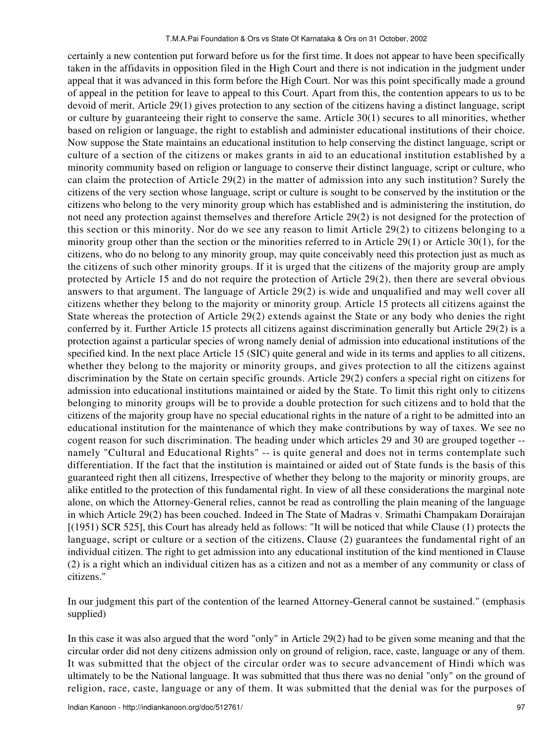certainly a new contention put forward before us for the first time. It does not appear to have been specifically taken in the affidavits in opposition filed in the High Court and there is not indication in the judgment under appeal that it was advanced in this form before the High Court. Nor was this point specifically made a ground of appeal in the petition for leave to appeal to this Court. Apart from this, the contention appears to us to be devoid of merit. Article 29(1) gives protection to any section of the citizens having a distinct language, script or culture by guaranteeing their right to conserve the same. Article 30(1) secures to all minorities, whether based on religion or language, the right to establish and administer educational institutions of their choice. Now suppose the State maintains an educational institution to help conserving the distinct language, script or culture of a section of the citizens or makes grants in aid to an educational institution established by a minority community based on religion or language to conserve their distinct language, script or culture, who can claim the protection of Article 29(2) in the matter of admission into any such institution? Surely the citizens of the very section whose language, script or culture is sought to be conserved by the institution or the citizens who belong to the very minority group which has established and is administering the institution, do not need any protection against themselves and therefore Article 29(2) is not designed for the protection of this section or this minority. Nor do we see any reason to limit Article 29(2) to citizens belonging to a minority group other than the section or the minorities referred to in Article 29(1) or Article 30(1), for the citizens, who do no belong to any minority group, may quite conceivably need this protection just as much as the citizens of such other minority groups. If it is urged that the citizens of the majority group are amply protected by Article 15 and do not require the protection of Article 29(2), then there are several obvious answers to that argument. The language of Article 29(2) is wide and unqualified and may well cover all citizens whether they belong to the majority or minority group. Article 15 protects all citizens against the State whereas the protection of Article 29(2) extends against the State or any body who denies the right conferred by it. Further Article 15 protects all citizens against discrimination generally but Article 29(2) is a protection against a particular species of wrong namely denial of admission into educational institutions of the specified kind. In the next place Article 15 (SIC) quite general and wide in its terms and applies to all citizens, whether they belong to the majority or minority groups, and gives protection to all the citizens against discrimination by the State on certain specific grounds. Article 29(2) confers a special right on citizens for admission into educational institutions maintained or aided by the State. To limit this right only to citizens belonging to minority groups will be to provide a double protection for such citizens and to hold that the citizens of the majority group have no special educational rights in the nature of a right to be admitted into an educational institution for the maintenance of which they make contributions by way of taxes. We see no cogent reason for such discrimination. The heading under which articles 29 and 30 are grouped together - namely "Cultural and Educational Rights" -- is quite general and does not in terms contemplate such differentiation. If the fact that the institution is maintained or aided out of State funds is the basis of this guaranteed right then all citizens, Irrespective of whether they belong to the majority or minority groups, are alike entitled to the protection of this fundamental right. In view of all these considerations the marginal note alone, on which the Attorney-General relies, cannot be read as controlling the plain meaning of the language in which Article 29(2) has been couched. Indeed in The State of Madras v. Srimathi Champakam Dorairajan [(1951) SCR 525], this Court has already held as follows: "It will be noticed that while Clause (1) protects the language, script or culture or a section of the citizens, Clause (2) guarantees the fundamental right of an individual citizen. The right to get admission into any educational institution of the kind mentioned in Clause (2) is a right which an individual citizen has as a citizen and not as a member of any community or class of citizens."

In our judgment this part of the contention of the learned Attorney-General cannot be sustained." (emphasis supplied)

In this case it was also argued that the word "only" in Article 29(2) had to be given some meaning and that the circular order did not deny citizens admission only on ground of religion, race, caste, language or any of them. It was submitted that the object of the circular order was to secure advancement of Hindi which was ultimately to be the National language. It was submitted that thus there was no denial "only" on the ground of religion, race, caste, language or any of them. It was submitted that the denial was for the purposes of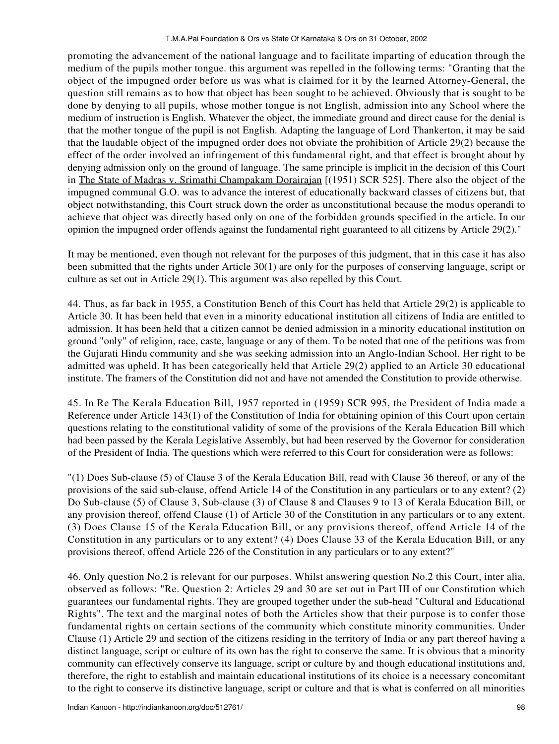promoting the advancement of the national language and to facilitate imparting of education through the medium of the pupils mother tongue. this argument was repelled in the following terms: "Granting that the object of the impugned order before us was what is claimed for it by the learned Attorney-General, the question still remains as to how that object has been sought to be achieved. Obviously that is sought to be done by denying to all pupils, whose mother tongue is not English, admission into any School where the medium of instruction is English. Whatever the object, the immediate ground and direct cause for the denial is that the mother tongue of the pupil is not English. Adapting the language of Lord Thankerton, it may be said that the laudable object of the impugned order does not obviate the prohibition of Article 29(2) because the effect of the order involved an infringement of this fundamental right, and that effect is brought about by denying admission only on the ground of language. The same principle is implicit in the decision of this Court in The State of Madras v. Srimathi Champakam Dorairajan [(1951) SCR 525]. There also the object of the impugned communal G.O. was to advance the interest of educationally backward classes of citizens but, that object notwithstanding, this Court struck down the order as unconstitutional because the modus operandi to achieve that object was directly based only on one of the forbidden grounds specified in the article. In our opinion the impugned order offends against the fundamental right guaranteed to all citizens by Article 29(2)."

It may be mentioned, even though not relevant for the purposes of this judgment, that in this case it has also been submitted that the rights under Article 30(1) are only for the purposes of conserving language, script or culture as set out in Article 29(1). This argument was also repelled by this Court.

44. Thus, as far back in 1955, a Constitution Bench of this Court has held that Article 29(2) is applicable to Article 30. It has been held that even in a minority educational institution all citizens of India are entitled to admission. It has been held that a citizen cannot be denied admission in a minority educational institution on ground "only" of religion, race, caste, language or any of them. To be noted that one of the petitions was from the Gujarati Hindu community and she was seeking admission into an Anglo-Indian School. Her right to be admitted was upheld. It has been categorically held that Article 29(2) applied to an Article 30 educational institute. The framers of the Constitution did not and have not amended the Constitution to provide otherwise.

45. In Re The Kerala Education Bill, 1957 reported in (1959) SCR 995, the President of India made a Reference under Article 143(1) of the Constitution of India for obtaining opinion of this Court upon certain questions relating to the constitutional validity of some of the provisions of the Kerala Education Bill which had been passed by the Kerala Legislative Assembly, but had been reserved by the Governor for consideration of the President of India. The questions which were referred to this Court for consideration were as follows:

"(1) Does Sub-clause (5) of Clause 3 of the Kerala Education Bill, read with Clause 36 thereof, or any of the provisions of the said sub-clause, offend Article 14 of the Constitution in any particulars or to any extent? (2) Do Sub-clause (5) of Clause 3, Sub-clause (3) of Clause 8 and Clauses 9 to 13 of Kerala Education Bill, or any provision thereof, offend Clause (1) of Article 30 of the Constitution in any particulars or to any extent. (3) Does Clause 15 of the Kerala Education Bill, or any provisions thereof, offend Article 14 of the Constitution in any particulars or to any extent? (4) Does Clause 33 of the Kerala Education Bill, or any provisions thereof, offend Article 226 of the Constitution in any particulars or to any extent?"

46. Only question No.2 is relevant for our purposes. Whilst answering question No.2 this Court, inter alia, observed as follows: "Re. Question 2: Articles 29 and 30 are set out in Part III of our Constitution which guarantees our fundamental rights. They are grouped together under the sub-head "Cultural and Educational Rights". The text and the marginal notes of both the Articles show that their purpose is to confer those fundamental rights on certain sections of the community which constitute minority communities. Under Clause (1) Article 29 and section of the citizens residing in the territory of India or any part thereof having a distinct language, script or culture of its own has the right to conserve the same. It is obvious that a minority community can effectively conserve its language, script or culture by and though educational institutions and, therefore, the right to establish and maintain educational institutions of its choice is a necessary concomitant to the right to conserve its distinctive language, script or culture and that is what is conferred on all minorities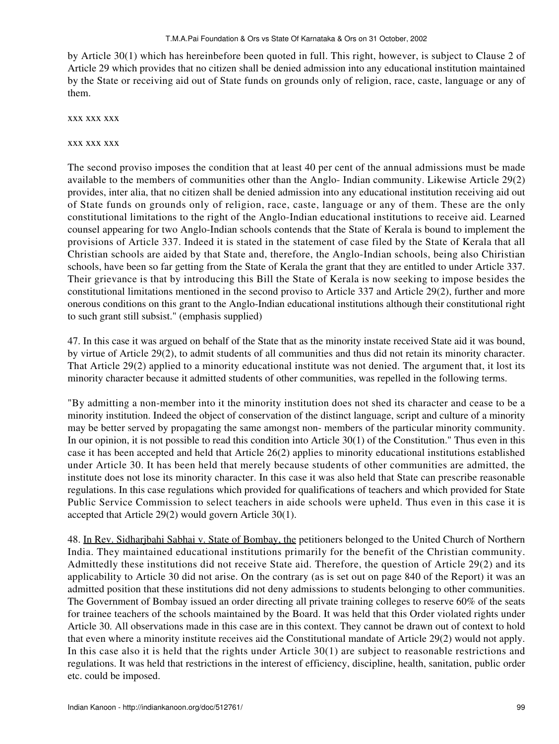by Article 30(1) which has hereinbefore been quoted in full. This right, however, is subject to Clause 2 of Article 29 which provides that no citizen shall be denied admission into any educational institution maintained by the State or receiving aid out of State funds on grounds only of religion, race, caste, language or any of them.

xxx xxx xxx

xxx xxx xxx

The second proviso imposes the condition that at least 40 per cent of the annual admissions must be made available to the members of communities other than the Anglo- Indian community. Likewise Article 29(2) provides, inter alia, that no citizen shall be denied admission into any educational institution receiving aid out of State funds on grounds only of religion, race, caste, language or any of them. These are the only constitutional limitations to the right of the Anglo-Indian educational institutions to receive aid. Learned counsel appearing for two Anglo-Indian schools contends that the State of Kerala is bound to implement the provisions of Article 337. Indeed it is stated in the statement of case filed by the State of Kerala that all Christian schools are aided by that State and, therefore, the Anglo-Indian schools, being also Chiristian schools, have been so far getting from the State of Kerala the grant that they are entitled to under Article 337. Their grievance is that by introducing this Bill the State of Kerala is now seeking to impose besides the constitutional limitations mentioned in the second proviso to Article 337 and Article 29(2), further and more onerous conditions on this grant to the Anglo-Indian educational institutions although their constitutional right to such grant still subsist." (emphasis supplied)

47. In this case it was argued on behalf of the State that as the minority instate received State aid it was bound, by virtue of Article 29(2), to admit students of all communities and thus did not retain its minority character. That Article 29(2) applied to a minority educational institute was not denied. The argument that, it lost its minority character because it admitted students of other communities, was repelled in the following terms.

"By admitting a non-member into it the minority institution does not shed its character and cease to be a minority institution. Indeed the object of conservation of the distinct language, script and culture of a minority may be better served by propagating the same amongst non- members of the particular minority community. In our opinion, it is not possible to read this condition into Article 30(1) of the Constitution." Thus even in this case it has been accepted and held that Article 26(2) applies to minority educational institutions established under Article 30. It has been held that merely because students of other communities are admitted, the institute does not lose its minority character. In this case it was also held that State can prescribe reasonable regulations. In this case regulations which provided for qualifications of teachers and which provided for State Public Service Commission to select teachers in aide schools were upheld. Thus even in this case it is accepted that Article 29(2) would govern Article 30(1).

48. In Rev. Sidharjbahi Sabhai v. State of Bombay, the petitioners belonged to the United Church of Northern India. They maintained educational institutions primarily for the benefit of the Christian community. Admittedly these institutions did not receive State aid. Therefore, the question of Article 29(2) and its applicability to Article 30 did not arise. On the contrary (as is set out on page 840 of the Report) it was an admitted position that these institutions did not deny admissions to students belonging to other communities. The Government of Bombay issued an order directing all private training colleges to reserve 60% of the seats for trainee teachers of the schools maintained by the Board. It was held that this Order violated rights under Article 30. All observations made in this case are in this context. They cannot be drawn out of context to hold that even where a minority institute receives aid the Constitutional mandate of Article 29(2) would not apply. In this case also it is held that the rights under Article 30(1) are subject to reasonable restrictions and regulations. It was held that restrictions in the interest of efficiency, discipline, health, sanitation, public order etc. could be imposed.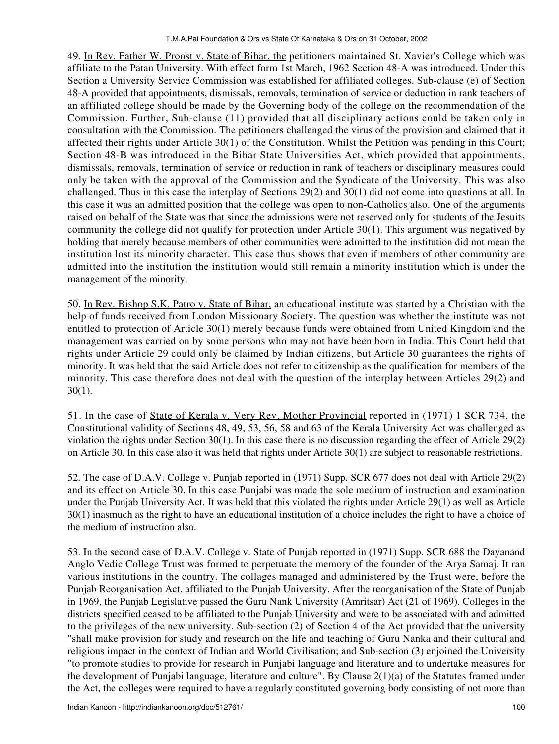49. In Rev. Father W. Proost v. State of Bihar, the petitioners maintained St. Xavier's College which was affiliate to the Patan University. With effect form 1st March, 1962 Section 48-A was introduced. Under this Section a University Service Commission was established for affiliated colleges. Sub-clause (e) of Section 48-A provided that appointments, dismissals, removals, termination of service or deduction in rank teachers of an affiliated college should be made by the Governing body of the college on the recommendation of the Commission. Further, Sub-clause (11) provided that all disciplinary actions could be taken only in consultation with the Commission. The petitioners challenged the virus of the provision and claimed that it affected their rights under Article 30(1) of the Constitution. Whilst the Petition was pending in this Court; Section 48-B was introduced in the Bihar State Universities Act, which provided that appointments, dismissals, removals, termination of service or reduction in rank of teachers or disciplinary measures could only be taken with the approval of the Commission and the Syndicate of the University. This was also challenged. Thus in this case the interplay of Sections 29(2) and 30(1) did not come into questions at all. In this case it was an admitted position that the college was open to non-Catholics also. One of the arguments raised on behalf of the State was that since the admissions were not reserved only for students of the Jesuits community the college did not qualify for protection under Article 30(1). This argument was negatived by holding that merely because members of other communities were admitted to the institution did not mean the institution lost its minority character. This case thus shows that even if members of other community are admitted into the institution the institution would still remain a minority institution which is under the management of the minority.

50. In Rev. Bishop S.K. Patro v. State of Bihar, an educational institute was started by a Christian with the help of funds received from London Missionary Society. The question was whether the institute was not entitled to protection of Article 30(1) merely because funds were obtained from United Kingdom and the management was carried on by some persons who may not have been born in India. This Court held that rights under Article 29 could only be claimed by Indian citizens, but Article 30 guarantees the rights of minority. It was held that the said Article does not refer to citizenship as the qualification for members of the minority. This case therefore does not deal with the question of the interplay between Articles 29(2) and 30(1).

51. In the case of State of Kerala v. Very Rev. Mother Provincial reported in (1971) 1 SCR 734, the Constitutional validity of Sections 48, 49, 53, 56, 58 and 63 of the Kerala University Act was challenged as violation the rights under Section 30(1). In this case there is no discussion regarding the effect of Article 29(2) on Article 30. In this case also it was held that rights under Article 30(1) are subject to reasonable restrictions.

52. The case of D.A.V. College v. Punjab reported in (1971) Supp. SCR 677 does not deal with Article 29(2) and its effect on Article 30. In this case Punjabi was made the sole medium of instruction and examination under the Punjab University Act. It was held that this violated the rights under Article 29(1) as well as Article 30(1) inasmuch as the right to have an educational institution of a choice includes the right to have a choice of the medium of instruction also.

53. In the second case of D.A.V. College v. State of Punjab reported in (1971) Supp. SCR 688 the Dayanand Anglo Vedic College Trust was formed to perpetuate the memory of the founder of the Arya Samaj. It ran various institutions in the country. The collages managed and administered by the Trust were, before the Punjab Reorganisation Act, affiliated to the Punjab University. After the reorganisation of the State of Punjab in 1969, the Punjab Legislative passed the Guru Nank University (Amritsar) Act (21 of 1969). Colleges in the districts specified ceased to be affiliated to the Punjab University and were to be associated with and admitted to the privileges of the new university. Sub-section (2) of Section 4 of the Act provided that the university "shall make provision for study and research on the life and teaching of Guru Nanka and their cultural and religious impact in the context of Indian and World Civilisation; and Sub-section (3) enjoined the University "to promote studies to provide for research in Punjabi language and literature and to undertake measures for the development of Punjabi language, literature and culture". By Clause 2(1)(a) of the Statutes framed under the Act, the colleges were required to have a regularly constituted governing body consisting of not more than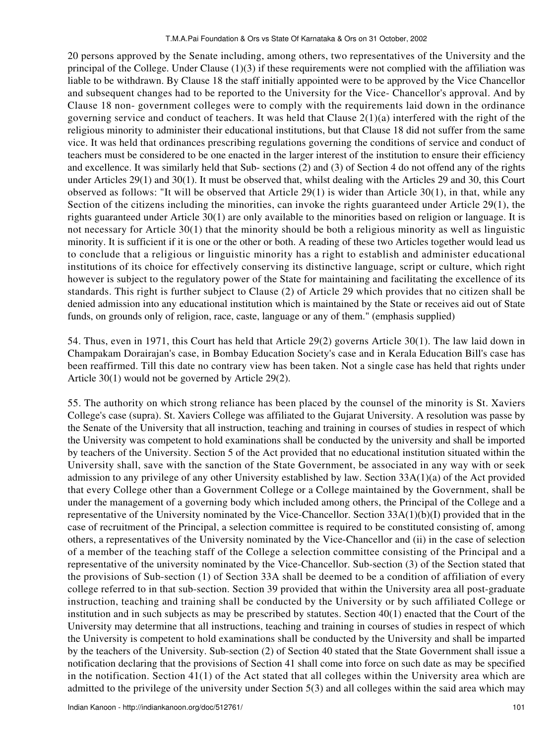20 persons approved by the Senate including, among others, two representatives of the University and the principal of the College. Under Clause  $(1)(3)$  if these requirements were not complied with the affiliation was liable to be withdrawn. By Clause 18 the staff initially appointed were to be approved by the Vice Chancellor and subsequent changes had to be reported to the University for the Vice- Chancellor's approval. And by Clause 18 non- government colleges were to comply with the requirements laid down in the ordinance governing service and conduct of teachers. It was held that Clause  $2(1)(a)$  interfered with the right of the religious minority to administer their educational institutions, but that Clause 18 did not suffer from the same vice. It was held that ordinances prescribing regulations governing the conditions of service and conduct of teachers must be considered to be one enacted in the larger interest of the institution to ensure their efficiency and excellence. It was similarly held that Sub- sections (2) and (3) of Section 4 do not offend any of the rights under Articles 29(1) and 30(1). It must be observed that, whilst dealing with the Articles 29 and 30, this Court observed as follows: "It will be observed that Article  $29(1)$  is wider than Article 30(1), in that, while any Section of the citizens including the minorities, can invoke the rights guaranteed under Article 29(1), the rights guaranteed under Article 30(1) are only available to the minorities based on religion or language. It is not necessary for Article 30(1) that the minority should be both a religious minority as well as linguistic minority. It is sufficient if it is one or the other or both. A reading of these two Articles together would lead us to conclude that a religious or linguistic minority has a right to establish and administer educational institutions of its choice for effectively conserving its distinctive language, script or culture, which right however is subject to the regulatory power of the State for maintaining and facilitating the excellence of its standards. This right is further subject to Clause (2) of Article 29 which provides that no citizen shall be denied admission into any educational institution which is maintained by the State or receives aid out of State funds, on grounds only of religion, race, caste, language or any of them." (emphasis supplied)

54. Thus, even in 1971, this Court has held that Article 29(2) governs Article 30(1). The law laid down in Champakam Dorairajan's case, in Bombay Education Society's case and in Kerala Education Bill's case has been reaffirmed. Till this date no contrary view has been taken. Not a single case has held that rights under Article 30(1) would not be governed by Article 29(2).

55. The authority on which strong reliance has been placed by the counsel of the minority is St. Xaviers College's case (supra). St. Xaviers College was affiliated to the Gujarat University. A resolution was passe by the Senate of the University that all instruction, teaching and training in courses of studies in respect of which the University was competent to hold examinations shall be conducted by the university and shall be imported by teachers of the University. Section 5 of the Act provided that no educational institution situated within the University shall, save with the sanction of the State Government, be associated in any way with or seek admission to any privilege of any other University established by law. Section 33A(1)(a) of the Act provided that every College other than a Government College or a College maintained by the Government, shall be under the management of a governing body which included among others, the Principal of the College and a representative of the University nominated by the Vice-Chancellor. Section 33A(1)(b)(I) provided that in the case of recruitment of the Principal, a selection committee is required to be constituted consisting of, among others, a representatives of the University nominated by the Vice-Chancellor and (ii) in the case of selection of a member of the teaching staff of the College a selection committee consisting of the Principal and a representative of the university nominated by the Vice-Chancellor. Sub-section (3) of the Section stated that the provisions of Sub-section (1) of Section 33A shall be deemed to be a condition of affiliation of every college referred to in that sub-section. Section 39 provided that within the University area all post-graduate instruction, teaching and training shall be conducted by the University or by such affiliated College or institution and in such subjects as may be prescribed by statutes. Section 40(1) enacted that the Court of the University may determine that all instructions, teaching and training in courses of studies in respect of which the University is competent to hold examinations shall be conducted by the University and shall be imparted by the teachers of the University. Sub-section (2) of Section 40 stated that the State Government shall issue a notification declaring that the provisions of Section 41 shall come into force on such date as may be specified in the notification. Section 41(1) of the Act stated that all colleges within the University area which are admitted to the privilege of the university under Section 5(3) and all colleges within the said area which may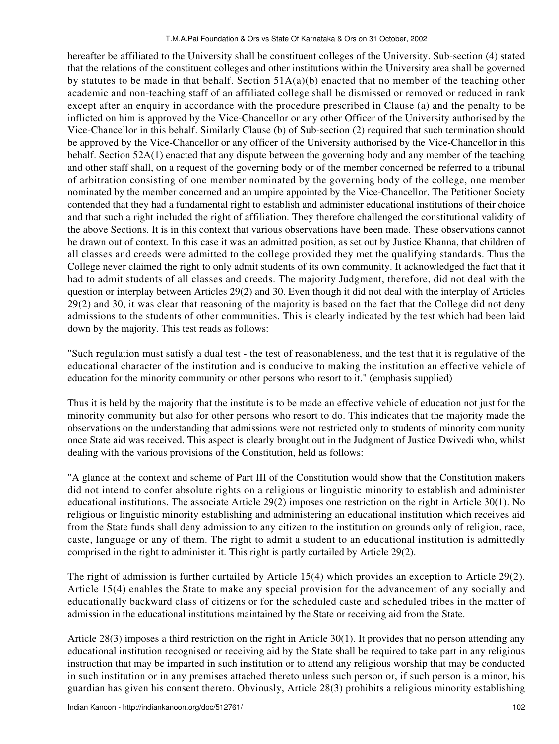hereafter be affiliated to the University shall be constituent colleges of the University. Sub-section (4) stated that the relations of the constituent colleges and other institutions within the University area shall be governed by statutes to be made in that behalf. Section 51A(a)(b) enacted that no member of the teaching other academic and non-teaching staff of an affiliated college shall be dismissed or removed or reduced in rank except after an enquiry in accordance with the procedure prescribed in Clause (a) and the penalty to be inflicted on him is approved by the Vice-Chancellor or any other Officer of the University authorised by the Vice-Chancellor in this behalf. Similarly Clause (b) of Sub-section (2) required that such termination should be approved by the Vice-Chancellor or any officer of the University authorised by the Vice-Chancellor in this behalf. Section 52A(1) enacted that any dispute between the governing body and any member of the teaching and other staff shall, on a request of the governing body or of the member concerned be referred to a tribunal of arbitration consisting of one member nominated by the governing body of the college, one member nominated by the member concerned and an umpire appointed by the Vice-Chancellor. The Petitioner Society contended that they had a fundamental right to establish and administer educational institutions of their choice and that such a right included the right of affiliation. They therefore challenged the constitutional validity of the above Sections. It is in this context that various observations have been made. These observations cannot be drawn out of context. In this case it was an admitted position, as set out by Justice Khanna, that children of all classes and creeds were admitted to the college provided they met the qualifying standards. Thus the College never claimed the right to only admit students of its own community. It acknowledged the fact that it had to admit students of all classes and creeds. The majority Judgment, therefore, did not deal with the question or interplay between Articles 29(2) and 30. Even though it did not deal with the interplay of Articles 29(2) and 30, it was clear that reasoning of the majority is based on the fact that the College did not deny admissions to the students of other communities. This is clearly indicated by the test which had been laid down by the majority. This test reads as follows:

"Such regulation must satisfy a dual test - the test of reasonableness, and the test that it is regulative of the educational character of the institution and is conducive to making the institution an effective vehicle of education for the minority community or other persons who resort to it." (emphasis supplied)

Thus it is held by the majority that the institute is to be made an effective vehicle of education not just for the minority community but also for other persons who resort to do. This indicates that the majority made the observations on the understanding that admissions were not restricted only to students of minority community once State aid was received. This aspect is clearly brought out in the Judgment of Justice Dwivedi who, whilst dealing with the various provisions of the Constitution, held as follows:

"A glance at the context and scheme of Part III of the Constitution would show that the Constitution makers did not intend to confer absolute rights on a religious or linguistic minority to establish and administer educational institutions. The associate Article 29(2) imposes one restriction on the right in Article 30(1). No religious or linguistic minority establishing and administering an educational institution which receives aid from the State funds shall deny admission to any citizen to the institution on grounds only of religion, race, caste, language or any of them. The right to admit a student to an educational institution is admittedly comprised in the right to administer it. This right is partly curtailed by Article 29(2).

The right of admission is further curtailed by Article 15(4) which provides an exception to Article 29(2). Article 15(4) enables the State to make any special provision for the advancement of any socially and educationally backward class of citizens or for the scheduled caste and scheduled tribes in the matter of admission in the educational institutions maintained by the State or receiving aid from the State.

Article 28(3) imposes a third restriction on the right in Article 30(1). It provides that no person attending any educational institution recognised or receiving aid by the State shall be required to take part in any religious instruction that may be imparted in such institution or to attend any religious worship that may be conducted in such institution or in any premises attached thereto unless such person or, if such person is a minor, his guardian has given his consent thereto. Obviously, Article 28(3) prohibits a religious minority establishing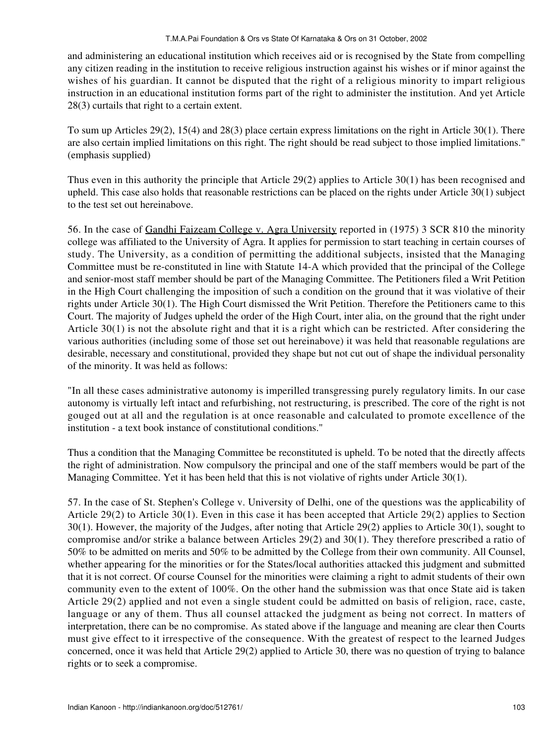and administering an educational institution which receives aid or is recognised by the State from compelling any citizen reading in the institution to receive religious instruction against his wishes or if minor against the wishes of his guardian. It cannot be disputed that the right of a religious minority to impart religious instruction in an educational institution forms part of the right to administer the institution. And yet Article 28(3) curtails that right to a certain extent.

To sum up Articles 29(2), 15(4) and 28(3) place certain express limitations on the right in Article 30(1). There are also certain implied limitations on this right. The right should be read subject to those implied limitations." (emphasis supplied)

Thus even in this authority the principle that Article 29(2) applies to Article 30(1) has been recognised and upheld. This case also holds that reasonable restrictions can be placed on the rights under Article 30(1) subject to the test set out hereinabove.

56. In the case of Gandhi Faizeam College v. Agra University reported in (1975) 3 SCR 810 the minority college was affiliated to the University of Agra. It applies for permission to start teaching in certain courses of study. The University, as a condition of permitting the additional subjects, insisted that the Managing Committee must be re-constituted in line with Statute 14-A which provided that the principal of the College and senior-most staff member should be part of the Managing Committee. The Petitioners filed a Writ Petition in the High Court challenging the imposition of such a condition on the ground that it was violative of their rights under Article 30(1). The High Court dismissed the Writ Petition. Therefore the Petitioners came to this Court. The majority of Judges upheld the order of the High Court, inter alia, on the ground that the right under Article 30(1) is not the absolute right and that it is a right which can be restricted. After considering the various authorities (including some of those set out hereinabove) it was held that reasonable regulations are desirable, necessary and constitutional, provided they shape but not cut out of shape the individual personality of the minority. It was held as follows:

"In all these cases administrative autonomy is imperilled transgressing purely regulatory limits. In our case autonomy is virtually left intact and refurbishing, not restructuring, is prescribed. The core of the right is not gouged out at all and the regulation is at once reasonable and calculated to promote excellence of the institution - a text book instance of constitutional conditions."

Thus a condition that the Managing Committee be reconstituted is upheld. To be noted that the directly affects the right of administration. Now compulsory the principal and one of the staff members would be part of the Managing Committee. Yet it has been held that this is not violative of rights under Article 30(1).

57. In the case of St. Stephen's College v. University of Delhi, one of the questions was the applicability of Article 29(2) to Article 30(1). Even in this case it has been accepted that Article 29(2) applies to Section 30(1). However, the majority of the Judges, after noting that Article 29(2) applies to Article 30(1), sought to compromise and/or strike a balance between Articles 29(2) and 30(1). They therefore prescribed a ratio of 50% to be admitted on merits and 50% to be admitted by the College from their own community. All Counsel, whether appearing for the minorities or for the States/local authorities attacked this judgment and submitted that it is not correct. Of course Counsel for the minorities were claiming a right to admit students of their own community even to the extent of 100%. On the other hand the submission was that once State aid is taken Article 29(2) applied and not even a single student could be admitted on basis of religion, race, caste, language or any of them. Thus all counsel attacked the judgment as being not correct. In matters of interpretation, there can be no compromise. As stated above if the language and meaning are clear then Courts must give effect to it irrespective of the consequence. With the greatest of respect to the learned Judges concerned, once it was held that Article 29(2) applied to Article 30, there was no question of trying to balance rights or to seek a compromise.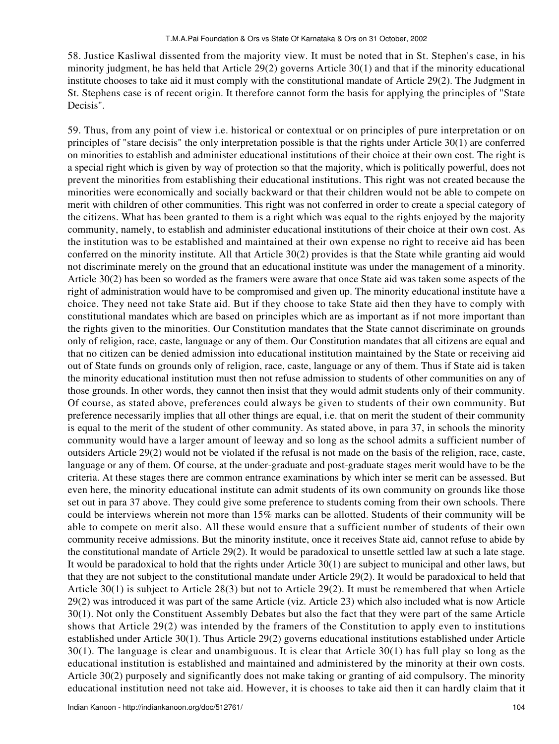58. Justice Kasliwal dissented from the majority view. It must be noted that in St. Stephen's case, in his minority judgment, he has held that Article 29(2) governs Article 30(1) and that if the minority educational institute chooses to take aid it must comply with the constitutional mandate of Article 29(2). The Judgment in St. Stephens case is of recent origin. It therefore cannot form the basis for applying the principles of "State Decisis".

59. Thus, from any point of view i.e. historical or contextual or on principles of pure interpretation or on principles of "stare decisis" the only interpretation possible is that the rights under Article 30(1) are conferred on minorities to establish and administer educational institutions of their choice at their own cost. The right is a special right which is given by way of protection so that the majority, which is politically powerful, does not prevent the minorities from establishing their educational institutions. This right was not created because the minorities were economically and socially backward or that their children would not be able to compete on merit with children of other communities. This right was not conferred in order to create a special category of the citizens. What has been granted to them is a right which was equal to the rights enjoyed by the majority community, namely, to establish and administer educational institutions of their choice at their own cost. As the institution was to be established and maintained at their own expense no right to receive aid has been conferred on the minority institute. All that Article 30(2) provides is that the State while granting aid would not discriminate merely on the ground that an educational institute was under the management of a minority. Article 30(2) has been so worded as the framers were aware that once State aid was taken some aspects of the right of administration would have to be compromised and given up. The minority educational institute have a choice. They need not take State aid. But if they choose to take State aid then they have to comply with constitutional mandates which are based on principles which are as important as if not more important than the rights given to the minorities. Our Constitution mandates that the State cannot discriminate on grounds only of religion, race, caste, language or any of them. Our Constitution mandates that all citizens are equal and that no citizen can be denied admission into educational institution maintained by the State or receiving aid out of State funds on grounds only of religion, race, caste, language or any of them. Thus if State aid is taken the minority educational institution must then not refuse admission to students of other communities on any of those grounds. In other words, they cannot then insist that they would admit students only of their community. Of course, as stated above, preferences could always be given to students of their own community. But preference necessarily implies that all other things are equal, i.e. that on merit the student of their community is equal to the merit of the student of other community. As stated above, in para 37, in schools the minority community would have a larger amount of leeway and so long as the school admits a sufficient number of outsiders Article 29(2) would not be violated if the refusal is not made on the basis of the religion, race, caste, language or any of them. Of course, at the under-graduate and post-graduate stages merit would have to be the criteria. At these stages there are common entrance examinations by which inter se merit can be assessed. But even here, the minority educational institute can admit students of its own community on grounds like those set out in para 37 above. They could give some preference to students coming from their own schools. There could be interviews wherein not more than 15% marks can be allotted. Students of their community will be able to compete on merit also. All these would ensure that a sufficient number of students of their own community receive admissions. But the minority institute, once it receives State aid, cannot refuse to abide by the constitutional mandate of Article 29(2). It would be paradoxical to unsettle settled law at such a late stage. It would be paradoxical to hold that the rights under Article 30(1) are subject to municipal and other laws, but that they are not subject to the constitutional mandate under Article 29(2). It would be paradoxical to held that Article 30(1) is subject to Article 28(3) but not to Article 29(2). It must be remembered that when Article 29(2) was introduced it was part of the same Article (viz. Article 23) which also included what is now Article 30(1). Not only the Constituent Assembly Debates but also the fact that they were part of the same Article shows that Article 29(2) was intended by the framers of the Constitution to apply even to institutions established under Article 30(1). Thus Article 29(2) governs educational institutions established under Article 30(1). The language is clear and unambiguous. It is clear that Article 30(1) has full play so long as the educational institution is established and maintained and administered by the minority at their own costs. Article 30(2) purposely and significantly does not make taking or granting of aid compulsory. The minority educational institution need not take aid. However, it is chooses to take aid then it can hardly claim that it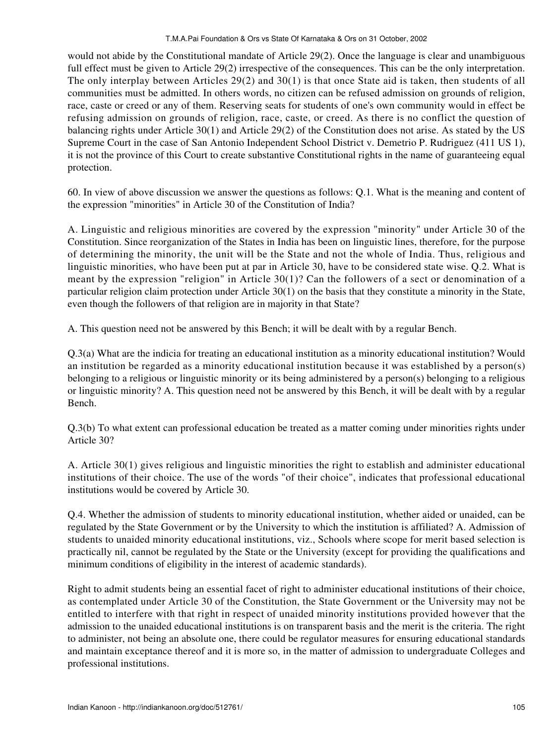would not abide by the Constitutional mandate of Article 29(2). Once the language is clear and unambiguous full effect must be given to Article 29(2) irrespective of the consequences. This can be the only interpretation. The only interplay between Articles 29(2) and 30(1) is that once State aid is taken, then students of all communities must be admitted. In others words, no citizen can be refused admission on grounds of religion, race, caste or creed or any of them. Reserving seats for students of one's own community would in effect be refusing admission on grounds of religion, race, caste, or creed. As there is no conflict the question of balancing rights under Article 30(1) and Article 29(2) of the Constitution does not arise. As stated by the US Supreme Court in the case of San Antonio Independent School District v. Demetrio P. Rudriguez (411 US 1), it is not the province of this Court to create substantive Constitutional rights in the name of guaranteeing equal protection.

60. In view of above discussion we answer the questions as follows: Q.1. What is the meaning and content of the expression "minorities" in Article 30 of the Constitution of India?

A. Linguistic and religious minorities are covered by the expression "minority" under Article 30 of the Constitution. Since reorganization of the States in India has been on linguistic lines, therefore, for the purpose of determining the minority, the unit will be the State and not the whole of India. Thus, religious and linguistic minorities, who have been put at par in Article 30, have to be considered state wise. Q.2. What is meant by the expression "religion" in Article 30(1)? Can the followers of a sect or denomination of a particular religion claim protection under Article 30(1) on the basis that they constitute a minority in the State, even though the followers of that religion are in majority in that State?

A. This question need not be answered by this Bench; it will be dealt with by a regular Bench.

Q.3(a) What are the indicia for treating an educational institution as a minority educational institution? Would an institution be regarded as a minority educational institution because it was established by a person(s) belonging to a religious or linguistic minority or its being administered by a person(s) belonging to a religious or linguistic minority? A. This question need not be answered by this Bench, it will be dealt with by a regular Bench.

Q.3(b) To what extent can professional education be treated as a matter coming under minorities rights under Article 30?

A. Article 30(1) gives religious and linguistic minorities the right to establish and administer educational institutions of their choice. The use of the words "of their choice", indicates that professional educational institutions would be covered by Article 30.

Q.4. Whether the admission of students to minority educational institution, whether aided or unaided, can be regulated by the State Government or by the University to which the institution is affiliated? A. Admission of students to unaided minority educational institutions, viz., Schools where scope for merit based selection is practically nil, cannot be regulated by the State or the University (except for providing the qualifications and minimum conditions of eligibility in the interest of academic standards).

Right to admit students being an essential facet of right to administer educational institutions of their choice, as contemplated under Article 30 of the Constitution, the State Government or the University may not be entitled to interfere with that right in respect of unaided minority institutions provided however that the admission to the unaided educational institutions is on transparent basis and the merit is the criteria. The right to administer, not being an absolute one, there could be regulator measures for ensuring educational standards and maintain exceptance thereof and it is more so, in the matter of admission to undergraduate Colleges and professional institutions.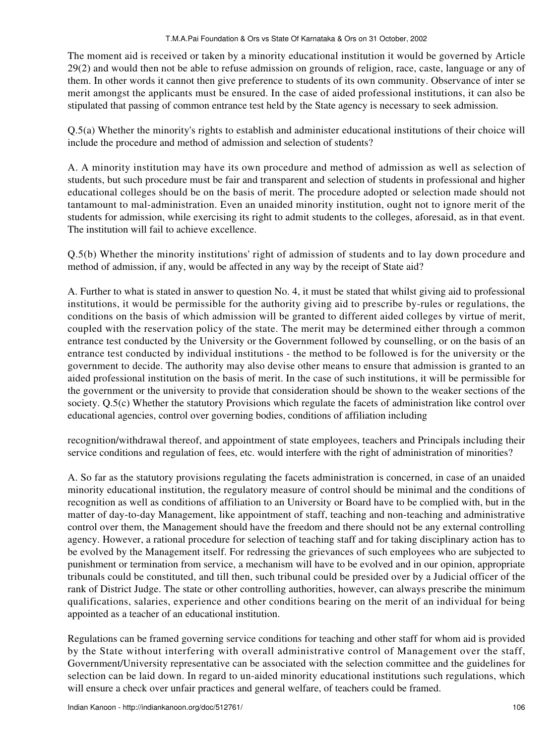The moment aid is received or taken by a minority educational institution it would be governed by Article 29(2) and would then not be able to refuse admission on grounds of religion, race, caste, language or any of them. In other words it cannot then give preference to students of its own community. Observance of inter se merit amongst the applicants must be ensured. In the case of aided professional institutions, it can also be stipulated that passing of common entrance test held by the State agency is necessary to seek admission.

Q.5(a) Whether the minority's rights to establish and administer educational institutions of their choice will include the procedure and method of admission and selection of students?

A. A minority institution may have its own procedure and method of admission as well as selection of students, but such procedure must be fair and transparent and selection of students in professional and higher educational colleges should be on the basis of merit. The procedure adopted or selection made should not tantamount to mal-administration. Even an unaided minority institution, ought not to ignore merit of the students for admission, while exercising its right to admit students to the colleges, aforesaid, as in that event. The institution will fail to achieve excellence.

Q.5(b) Whether the minority institutions' right of admission of students and to lay down procedure and method of admission, if any, would be affected in any way by the receipt of State aid?

A. Further to what is stated in answer to question No. 4, it must be stated that whilst giving aid to professional institutions, it would be permissible for the authority giving aid to prescribe by-rules or regulations, the conditions on the basis of which admission will be granted to different aided colleges by virtue of merit, coupled with the reservation policy of the state. The merit may be determined either through a common entrance test conducted by the University or the Government followed by counselling, or on the basis of an entrance test conducted by individual institutions - the method to be followed is for the university or the government to decide. The authority may also devise other means to ensure that admission is granted to an aided professional institution on the basis of merit. In the case of such institutions, it will be permissible for the government or the university to provide that consideration should be shown to the weaker sections of the society. Q.5(c) Whether the statutory Provisions which regulate the facets of administration like control over educational agencies, control over governing bodies, conditions of affiliation including

recognition/withdrawal thereof, and appointment of state employees, teachers and Principals including their service conditions and regulation of fees, etc. would interfere with the right of administration of minorities?

A. So far as the statutory provisions regulating the facets administration is concerned, in case of an unaided minority educational institution, the regulatory measure of control should be minimal and the conditions of recognition as well as conditions of affiliation to an University or Board have to be complied with, but in the matter of day-to-day Management, like appointment of staff, teaching and non-teaching and administrative control over them, the Management should have the freedom and there should not be any external controlling agency. However, a rational procedure for selection of teaching staff and for taking disciplinary action has to be evolved by the Management itself. For redressing the grievances of such employees who are subjected to punishment or termination from service, a mechanism will have to be evolved and in our opinion, appropriate tribunals could be constituted, and till then, such tribunal could be presided over by a Judicial officer of the rank of District Judge. The state or other controlling authorities, however, can always prescribe the minimum qualifications, salaries, experience and other conditions bearing on the merit of an individual for being appointed as a teacher of an educational institution.

Regulations can be framed governing service conditions for teaching and other staff for whom aid is provided by the State without interfering with overall administrative control of Management over the staff, Government/University representative can be associated with the selection committee and the guidelines for selection can be laid down. In regard to un-aided minority educational institutions such regulations, which will ensure a check over unfair practices and general welfare, of teachers could be framed.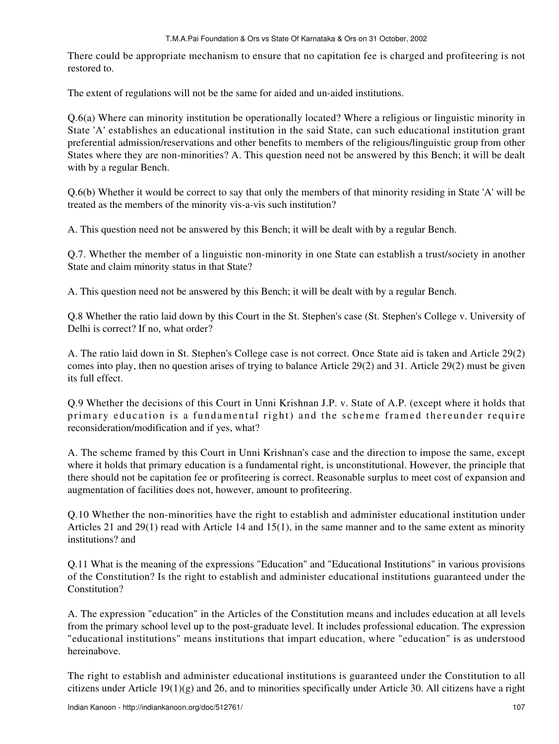## T.M.A.Pai Foundation & Ors vs State Of Karnataka & Ors on 31 October, 2002

There could be appropriate mechanism to ensure that no capitation fee is charged and profiteering is not restored to.

The extent of regulations will not be the same for aided and un-aided institutions.

Q.6(a) Where can minority institution be operationally located? Where a religious or linguistic minority in State 'A' establishes an educational institution in the said State, can such educational institution grant preferential admission/reservations and other benefits to members of the religious/linguistic group from other States where they are non-minorities? A. This question need not be answered by this Bench; it will be dealt with by a regular Bench.

Q.6(b) Whether it would be correct to say that only the members of that minority residing in State 'A' will be treated as the members of the minority vis-a-vis such institution?

A. This question need not be answered by this Bench; it will be dealt with by a regular Bench.

Q.7. Whether the member of a linguistic non-minority in one State can establish a trust/society in another State and claim minority status in that State?

A. This question need not be answered by this Bench; it will be dealt with by a regular Bench.

Q.8 Whether the ratio laid down by this Court in the St. Stephen's case (St. Stephen's College v. University of Delhi is correct? If no, what order?

A. The ratio laid down in St. Stephen's College case is not correct. Once State aid is taken and Article 29(2) comes into play, then no question arises of trying to balance Article 29(2) and 31. Article 29(2) must be given its full effect.

Q.9 Whether the decisions of this Court in Unni Krishnan J.P. v. State of A.P. (except where it holds that primary education is a fundamental right) and the scheme framed thereunder require reconsideration/modification and if yes, what?

A. The scheme framed by this Court in Unni Krishnan's case and the direction to impose the same, except where it holds that primary education is a fundamental right, is unconstitutional. However, the principle that there should not be capitation fee or profiteering is correct. Reasonable surplus to meet cost of expansion and augmentation of facilities does not, however, amount to profiteering.

Q.10 Whether the non-minorities have the right to establish and administer educational institution under Articles 21 and 29(1) read with Article 14 and 15(1), in the same manner and to the same extent as minority institutions? and

Q.11 What is the meaning of the expressions "Education" and "Educational Institutions" in various provisions of the Constitution? Is the right to establish and administer educational institutions guaranteed under the Constitution?

A. The expression "education" in the Articles of the Constitution means and includes education at all levels from the primary school level up to the post-graduate level. It includes professional education. The expression "educational institutions" means institutions that impart education, where "education" is as understood hereinabove.

The right to establish and administer educational institutions is guaranteed under the Constitution to all citizens under Article 19(1)(g) and 26, and to minorities specifically under Article 30. All citizens have a right